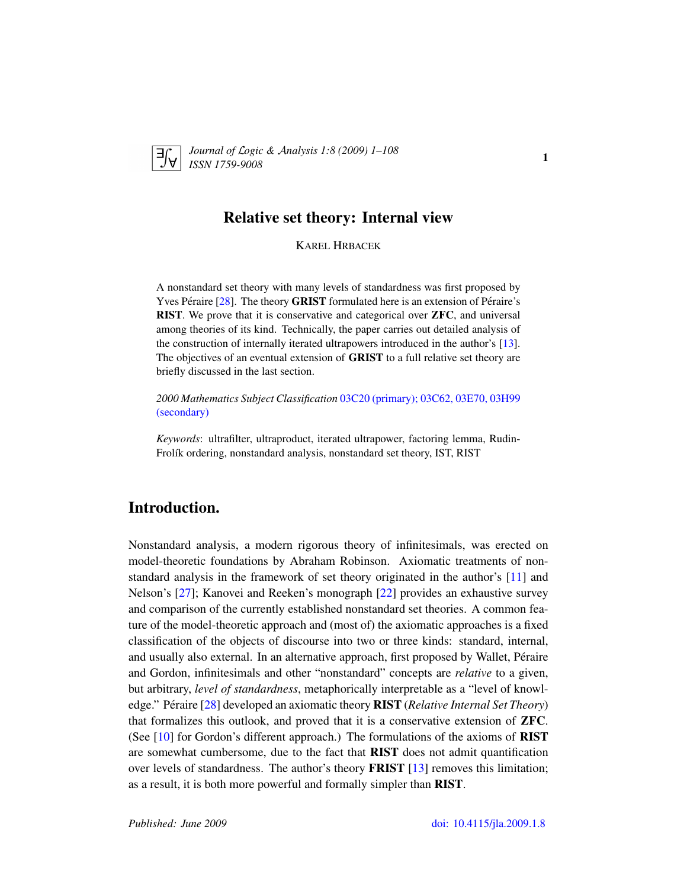

*Journal of* L*ogic &* A*nalysis 1:8 (2009) 1–108 ISSN 1759-9008* 1

## Relative set theory: Internal view

KAREL HRBACEK

A nonstandard set theory with many levels of standardness was first proposed by Yves Péraire  $[28]$  $[28]$ . The theory **GRIST** formulated here is an extension of Péraire's RIST. We prove that it is conservative and categorical over ZFC, and universal among theories of its kind. Technically, the paper carries out detailed analysis of the construction of internally iterated ultrapowers introduced in the author's [\[13\]](#page-106-0). The objectives of an eventual extension of GRIST to a full relative set theory are briefly discussed in the last section.

*2000 Mathematics Subject Classification* [03C20 \(primary\); 03C62, 03E70, 03H99](http://www.ams.org/mathscinet/search/mscdoc.html?code=03C20,(03C62, 03E70, 03H99)) [\(secondary\)](http://www.ams.org/mathscinet/search/mscdoc.html?code=03C20,(03C62, 03E70, 03H99))

*Keywords*: ultrafilter, ultraproduct, iterated ultrapower, factoring lemma, Rudin-Frolík ordering, nonstandard analysis, nonstandard set theory, IST, RIST

## Introduction.

Nonstandard analysis, a modern rigorous theory of infinitesimals, was erected on model-theoretic foundations by Abraham Robinson. Axiomatic treatments of nonstandard analysis in the framework of set theory originated in the author's [\[11\]](#page-106-1) and Nelson's [\[27\]](#page-107-1); Kanovei and Reeken's monograph [\[22\]](#page-107-2) provides an exhaustive survey and comparison of the currently established nonstandard set theories. A common feature of the model-theoretic approach and (most of) the axiomatic approaches is a fixed classification of the objects of discourse into two or three kinds: standard, internal, and usually also external. In an alternative approach, first proposed by Wallet, Péraire and Gordon, infinitesimals and other "nonstandard" concepts are *relative* to a given, but arbitrary, *level of standardness*, metaphorically interpretable as a "level of knowl-edge." Péraire [[28\]](#page-107-0) developed an axiomatic theory **RIST** (*Relative Internal Set Theory*) that formalizes this outlook, and proved that it is a conservative extension of ZFC. (See  $[10]$  for Gordon's different approach.) The formulations of the axioms of **RIST** are somewhat cumbersome, due to the fact that RIST does not admit quantification over levels of standardness. The author's theory **FRIST** [\[13\]](#page-106-0) removes this limitation; as a result, it is both more powerful and formally simpler than RIST.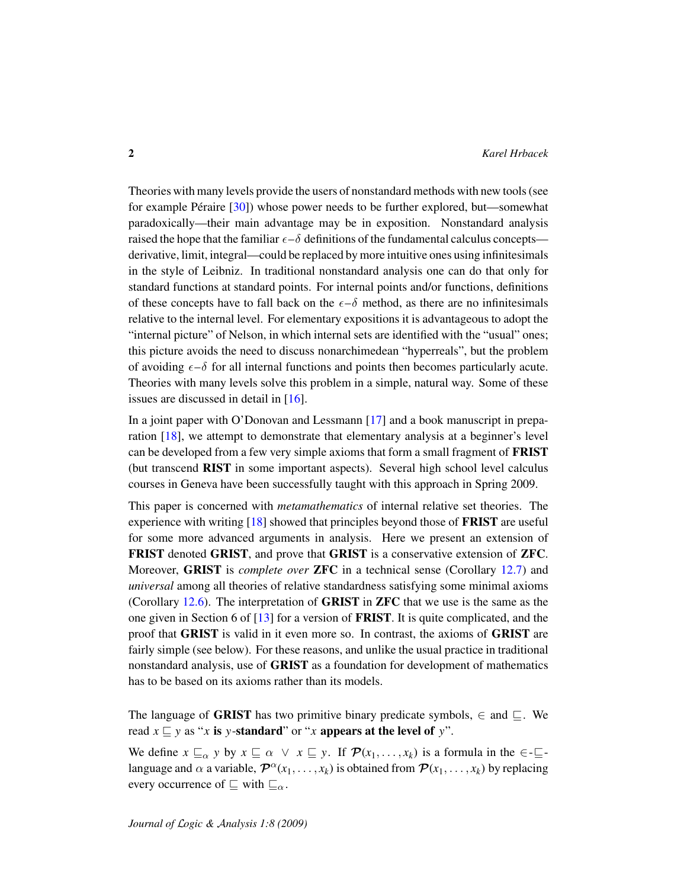Theories with many levels provide the users of nonstandard methods with new tools (see for example Péraire  $[30]$  $[30]$ ) whose power needs to be further explored, but—somewhat paradoxically—their main advantage may be in exposition. Nonstandard analysis raised the hope that the familiar  $\epsilon-\delta$  definitions of the fundamental calculus concepts derivative, limit, integral—could be replaced by more intuitive ones using infinitesimals in the style of Leibniz. In traditional nonstandard analysis one can do that only for standard functions at standard points. For internal points and/or functions, definitions of these concepts have to fall back on the  $\epsilon-\delta$  method, as there are no infinitesimals relative to the internal level. For elementary expositions it is advantageous to adopt the "internal picture" of Nelson, in which internal sets are identified with the "usual" ones; this picture avoids the need to discuss nonarchimedean "hyperreals", but the problem of avoiding  $\epsilon - \delta$  for all internal functions and points then becomes particularly acute. Theories with many levels solve this problem in a simple, natural way. Some of these issues are discussed in detail in [\[16\]](#page-106-3).

In a joint paper with O'Donovan and Lessmann [\[17\]](#page-106-4) and a book manuscript in preparation [\[18\]](#page-107-4), we attempt to demonstrate that elementary analysis at a beginner's level can be developed from a few very simple axioms that form a small fragment of FRIST (but transcend RIST in some important aspects). Several high school level calculus courses in Geneva have been successfully taught with this approach in Spring 2009.

This paper is concerned with *metamathematics* of internal relative set theories. The experience with writing [\[18\]](#page-107-4) showed that principles beyond those of FRIST are useful for some more advanced arguments in analysis. Here we present an extension of FRIST denoted GRIST, and prove that GRIST is a conservative extension of ZFC. Moreover, GRIST is *complete over* ZFC in a technical sense (Corollary [12.7\)](#page-89-0) and *universal* among all theories of relative standardness satisfying some minimal axioms (Corollary [12.6\)](#page-89-1). The interpretation of GRIST in ZFC that we use is the same as the one given in Section 6 of  $[13]$  for a version of **FRIST**. It is quite complicated, and the proof that GRIST is valid in it even more so. In contrast, the axioms of GRIST are fairly simple (see below). For these reasons, and unlike the usual practice in traditional nonstandard analysis, use of GRIST as a foundation for development of mathematics has to be based on its axioms rather than its models.

The language of GRIST has two primitive binary predicate symbols,  $\in$  and  $\sqsubseteq$ . We read  $x \sqsubseteq y$  as "*x* is *y*-standard" or "*x* appears at the level of *y*".

We define  $x \sqsubseteq_{\alpha} y$  by  $x \sqsubseteq \alpha \lor x \sqsubseteq y$ . If  $\mathcal{P}(x_1, \ldots, x_k)$  is a formula in the  $\in \sqsubseteq$ language and  $\alpha$  a variable,  $\mathcal{P}^{\alpha}(x_1,\ldots,x_k)$  is obtained from  $\mathcal{P}(x_1,\ldots,x_k)$  by replacing every occurrence of  $\sqsubseteq$  with  $\sqsubseteq_{\alpha}$ .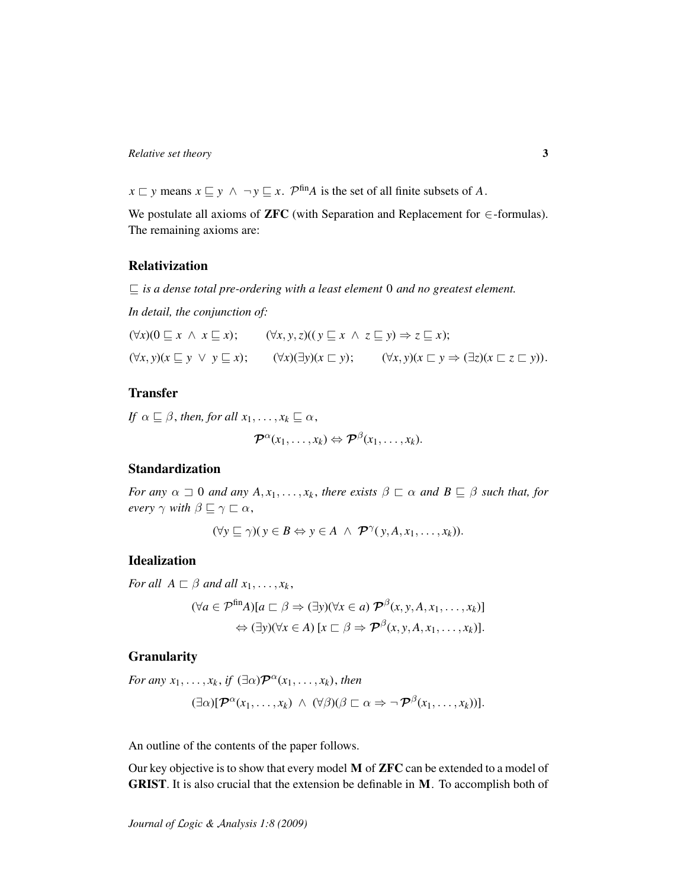*x*  $\sqsubset$  *y* means *x*  $\sqsubseteq$  *y* ∧ ¬ *y*  $\sqsubseteq$  *x*.  $\mathcal{P}^{\text{fin}}A$  is the set of all finite subsets of *A*.

We postulate all axioms of **ZFC** (with Separation and Replacement for  $\in$ -formulas). The remaining axioms are:

## Relativization

 $\sqsubseteq$  *is a dense total pre-ordering with a least element* 0 *and no greatest element.* 

*In detail, the conjunction of:*

$$
(\forall x)(0 \sqsubseteq x \land x \sqsubseteq x); \qquad (\forall x, y, z)((y \sqsubseteq x \land z \sqsubseteq y) \Rightarrow z \sqsubseteq x);
$$
  

$$
(\forall x, y)(x \sqsubseteq y \lor y \sqsubseteq x); \qquad (\forall x)(\exists y)(x \sqsubset y); \qquad (\forall x, y)(x \sqsubset y \Rightarrow (\exists z)(x \sqsubset z \sqsubset y)).
$$

### Transfer

*If*  $\alpha \sqsubseteq \beta$ , *then, for all*  $x_1, \ldots, x_k \sqsubseteq \alpha$ ,

$$
\boldsymbol{\mathcal{P}}^{\alpha}(x_1,\ldots,x_k) \Leftrightarrow \boldsymbol{\mathcal{P}}^{\beta}(x_1,\ldots,x_k).
$$

## Standardization

*For any*  $\alpha \supseteq 0$  *and any*  $A, x_1, \ldots, x_k$ , there exists  $\beta \sqsubset \alpha$  *and*  $B \sqsubseteq \beta$  *such that, for every*  $\gamma$  *with*  $\beta \sqsubseteq \gamma \sqsubseteq \alpha$ ,

$$
(\forall y \sqsubseteq \gamma)(y \in B \Leftrightarrow y \in A \ \land \ \mathcal{P}^{\gamma}(y, A, x_1, \ldots, x_k)).
$$

#### Idealization

*For all*  $A \sqsubset \beta$  *and all*  $x_1, \ldots, x_k$ ,

$$
(\forall a \in \mathcal{P}^{\text{fin}}A)[a \sqsubset \beta \Rightarrow (\exists y)(\forall x \in a) \mathcal{P}^{\beta}(x, y, A, x_1, \dots, x_k)]
$$

$$
\Leftrightarrow (\exists y)(\forall x \in A) [x \sqsubset \beta \Rightarrow \mathcal{P}^{\beta}(x, y, A, x_1, \dots, x_k)].
$$

#### Granularity

For any 
$$
x_1, ..., x_k
$$
, if  $(\exists \alpha) \mathcal{P}^{\alpha}(x_1, ..., x_k)$ , then  
\n
$$
(\exists \alpha) [\mathcal{P}^{\alpha}(x_1, ..., x_k) \land (\forall \beta) (\beta \sqsubset \alpha \Rightarrow \neg \mathcal{P}^{\beta}(x_1, ..., x_k))].
$$

An outline of the contents of the paper follows.

Our key objective is to show that every model M of ZFC can be extended to a model of GRIST. It is also crucial that the extension be definable in M. To accomplish both of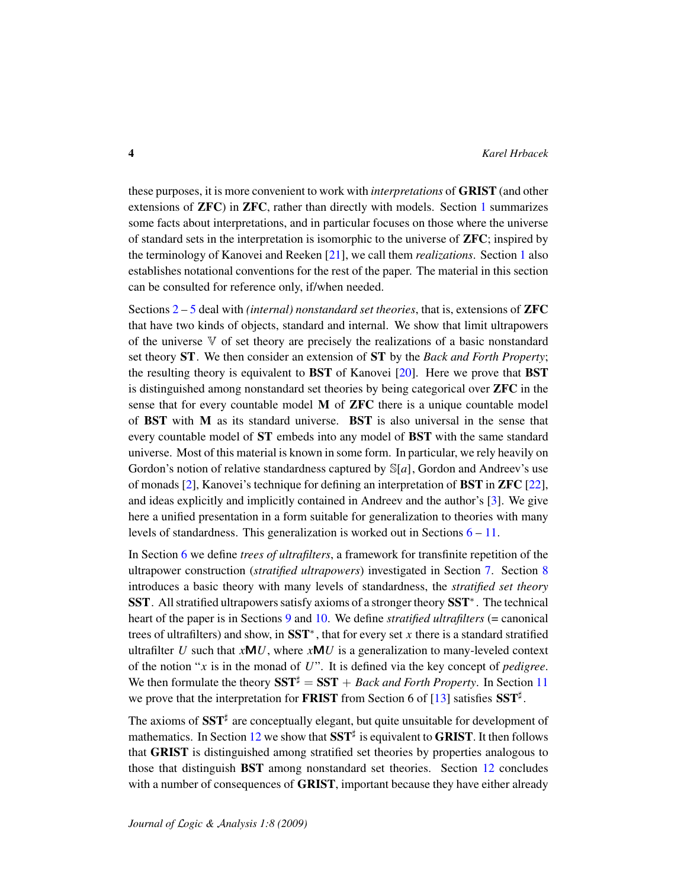these purposes, it is more convenient to work with *interpretations* of GRIST (and other extensions of ZFC) in ZFC, rather than directly with models. Section [1](#page-6-0) summarizes some facts about interpretations, and in particular focuses on those where the universe of standard sets in the interpretation is isomorphic to the universe of ZFC; inspired by the terminology of Kanovei and Reeken [\[21\]](#page-107-5), we call them *realizations*. Section [1](#page-6-0) also establishes notational conventions for the rest of the paper. The material in this section can be consulted for reference only, if/when needed.

Sections [2](#page-12-0) – [5](#page-27-0) deal with *(internal) nonstandard set theories*, that is, extensions of ZFC that have two kinds of objects, standard and internal. We show that limit ultrapowers of the universe  $\nabla$  of set theory are precisely the realizations of a basic nonstandard set theory ST. We then consider an extension of ST by the *Back and Forth Property*; the resulting theory is equivalent to BST of Kanovei [\[20\]](#page-107-6). Here we prove that BST is distinguished among nonstandard set theories by being categorical over ZFC in the sense that for every countable model M of ZFC there is a unique countable model of BST with M as its standard universe. BST is also universal in the sense that every countable model of ST embeds into any model of BST with the same standard universe. Most of this material is known in some form. In particular, we rely heavily on Gordon's notion of relative standardness captured by S[*a*], Gordon and Andreev's use of monads [\[2\]](#page-106-5), Kanovei's technique for defining an interpretation of BST in ZFC [\[22\]](#page-107-2), and ideas explicitly and implicitly contained in Andreev and the author's [\[3\]](#page-106-6). We give here a unified presentation in a form suitable for generalization to theories with many levels of standardness. This generalization is worked out in Sections [6](#page-35-0) – [11.](#page-73-0)

In Section [6](#page-35-0) we define *trees of ultrafilters*, a framework for transfinite repetition of the ultrapower construction (*stratified ultrapowers*) investigated in Section [7.](#page-42-0) Section [8](#page-48-0) introduces a basic theory with many levels of standardness, the *stratified set theory* SST. All stratified ultrapowers satisfy axioms of a stronger theory SST<sup>\*</sup>. The technical heart of the paper is in Sections [9](#page-52-0) and [10.](#page-57-0) We define *stratified ultrafilters* (= canonical trees of ultrafilters) and show, in SST<sup>∗</sup> , that for every set *x* there is a standard stratified ultrafilter *U* such that  $xMU$ , where  $xMU$  is a generalization to many-leveled context of the notion "*x* is in the monad of *U*". It is defined via the key concept of *pedigree*. We then formulate the theory  $SST^{\sharp} = SST + Back$  and Forth Property. In Section [11](#page-73-0) we prove that the interpretation for **FRIST** from Section 6 of [\[13\]](#page-106-0) satisfies  $SST^{\sharp}$ .

The axioms of  $SST^{\sharp}$  are conceptually elegant, but quite unsuitable for development of mathematics. In Section [12](#page-89-2) we show that  $SST^{\sharp}$  is equivalent to GRIST. It then follows that GRIST is distinguished among stratified set theories by properties analogous to those that distinguish BST among nonstandard set theories. Section [12](#page-89-2) concludes with a number of consequences of **GRIST**, important because they have either already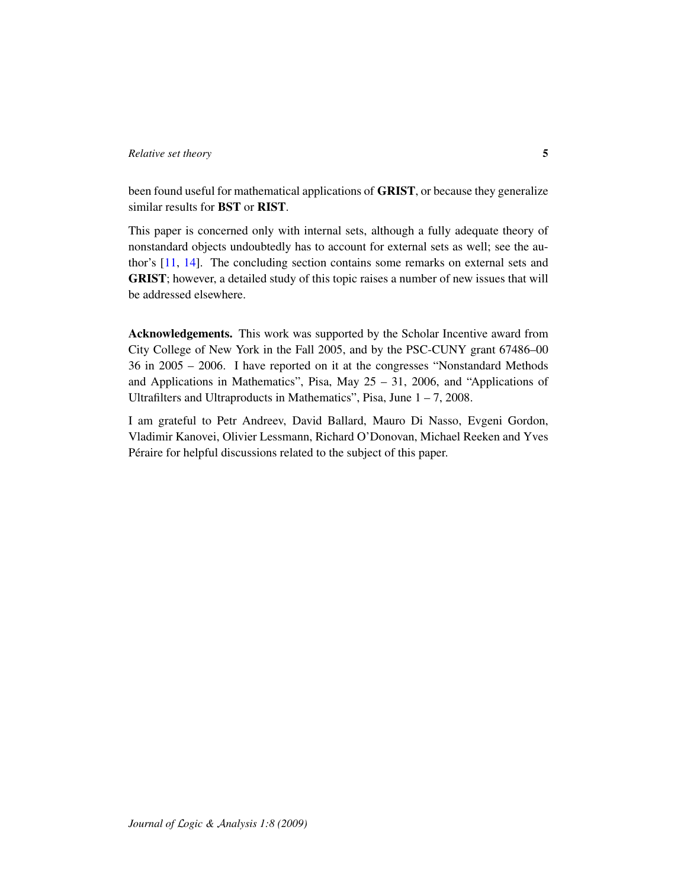been found useful for mathematical applications of GRIST, or because they generalize similar results for BST or RIST.

This paper is concerned only with internal sets, although a fully adequate theory of nonstandard objects undoubtedly has to account for external sets as well; see the author's [\[11,](#page-106-1) [14\]](#page-106-7). The concluding section contains some remarks on external sets and GRIST; however, a detailed study of this topic raises a number of new issues that will be addressed elsewhere.

Acknowledgements. This work was supported by the Scholar Incentive award from City College of New York in the Fall 2005, and by the PSC-CUNY grant 67486–00 36 in 2005 – 2006. I have reported on it at the congresses "Nonstandard Methods and Applications in Mathematics", Pisa, May  $25 - 31$ , 2006, and "Applications of Ultrafilters and Ultraproducts in Mathematics", Pisa, June  $1 - 7$ , 2008.

I am grateful to Petr Andreev, David Ballard, Mauro Di Nasso, Evgeni Gordon, Vladimir Kanovei, Olivier Lessmann, Richard O'Donovan, Michael Reeken and Yves Peraire for helpful discussions related to the subject of this paper. ´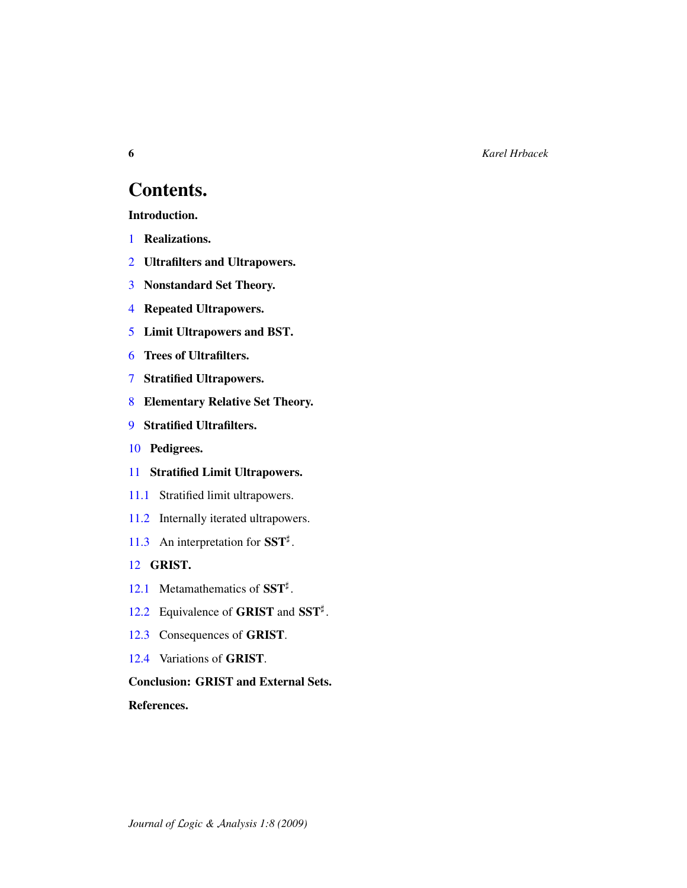6 *Karel Hrbacek*

# Contents.

Introduction.

- [1](#page-6-0) Realizations.
- [2](#page-12-0) Ultrafilters and Ultrapowers.
- [3](#page-17-0) Nonstandard Set Theory.
- [4](#page-23-0) Repeated Ultrapowers.
- [5](#page-27-0) Limit Ultrapowers and BST.
- [6](#page-35-0) Trees of Ultrafilters.
- [7](#page-42-0) Stratified Ultrapowers.
- [8](#page-48-0) Elementary Relative Set Theory.
- [9](#page-52-0) Stratified Ultrafilters.
- [10](#page-57-0) Pedigrees.
- [11](#page-73-0) Stratified Limit Ultrapowers.
- [11.1](#page-73-1) Stratified limit ultrapowers.
- [11.2](#page-76-0) Internally iterated ultrapowers.
- [11.3](#page-81-0) An interpretation for  $SST^{\sharp}$ .

### [12](#page-89-2) GRIST.

- [12.1](#page-89-3) Metamathematics of  $SST^{\sharp}$ .
- [12.2](#page-91-0) Equivalence of GRIST and SST<sup>#</sup>.
- [12.3](#page-97-0) Consequences of GRIST.
- [12.4](#page-102-0) Variations of GRIST.

Conclusion: GRIST and External Sets.

References.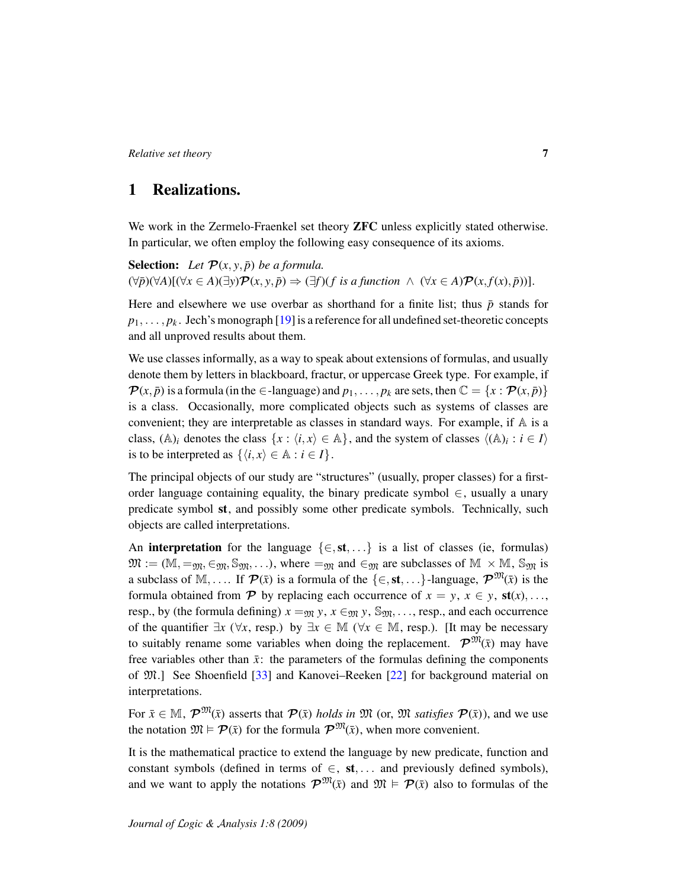## <span id="page-6-0"></span>1 Realizations.

We work in the Zermelo-Fraenkel set theory **ZFC** unless explicitly stated otherwise. In particular, we often employ the following easy consequence of its axioms.

**Selection:** Let  $\mathcal{P}(x, y, \bar{p})$  be a formula.  $(\forall \bar{p})(\forall A)[(\forall x \in A)(\exists y)\mathcal{P}(x, y, \bar{p}) \Rightarrow (\exists f)(f \text{ is a function } \land (\forall x \in A)\mathcal{P}(x, f(x), \bar{p}))].$ 

Here and elsewhere we use overbar as shorthand for a finite list; thus  $\bar{p}$  stands for  $p_1, \ldots, p_k$ . Jech's monograph [\[19\]](#page-107-7) is a reference for all undefined set-theoretic concepts and all unproved results about them.

We use classes informally, as a way to speak about extensions of formulas, and usually denote them by letters in blackboard, fractur, or uppercase Greek type. For example, if  $\mathcal{P}(x, \bar{p})$  is a formula (in the  $\in$ -language) and  $p_1, \ldots, p_k$  are sets, then  $\mathbb{C} = \{x : \mathcal{P}(x, \bar{p})\}$ is a class. Occasionally, more complicated objects such as systems of classes are convenient; they are interpretable as classes in standard ways. For example, if  $A$  is a class,  $(A)$ <sub>*i*</sub> denotes the class  $\{x : \langle i, x \rangle \in A\}$ , and the system of classes  $\langle (A)_i : i \in I \rangle$ is to be interpreted as  $\{\langle i, x \rangle \in \mathbb{A} : i \in I\}.$ 

The principal objects of our study are "structures" (usually, proper classes) for a firstorder language containing equality, the binary predicate symbol  $\in$ , usually a unary predicate symbol st, and possibly some other predicate symbols. Technically, such objects are called interpretations.

An **interpretation** for the language  $\{\in, st, ...\}$  is a list of classes (ie, formulas)  $\mathfrak{M} := (\mathbb{M}, =_{\mathfrak{M}}, \in_{\mathfrak{M}}, \mathbb{S}_{\mathfrak{M}}, \dots)$ , where  $=_{\mathfrak{M}}$  and  $\in_{\mathfrak{M}}$  are subclasses of  $\mathbb{M} \times \mathbb{M}$ ,  $\mathbb{S}_{\mathfrak{M}}$  is a subclass of M, .... If  $\mathcal{P}(\bar{x})$  is a formula of the  $\{\in, st, ...\}$ -language,  $\mathcal{P}^{\mathfrak{M}}(\bar{x})$  is the formula obtained from  $\mathcal{P}$  by replacing each occurrence of  $x = y$ ,  $x \in y$ ,  $\text{st}(x)$ , ... resp., by (the formula defining)  $x =_{m} y$ ,  $x \in_{m} y$ ,  $\mathbb{S}_{m}$ , ..., resp., and each occurrence of the quantifier  $\exists x \ (\forall x, \text{resp.})$  by  $\exists x \in \mathbb{M} \ (\forall x \in \mathbb{M}, \text{resp.})$ . [It may be necessary to suitably rename some variables when doing the replacement.  $\mathcal{P}^{\mathfrak{M}}(\bar{x})$  may have free variables other than  $\bar{x}$ : the parameters of the formulas defining the components of M.] See Shoenfield [\[33\]](#page-107-8) and Kanovei–Reeken [\[22\]](#page-107-2) for background material on interpretations.

For  $\bar{x} \in M$ ,  $\mathcal{P}^{\mathfrak{M}}(\bar{x})$  asserts that  $\mathcal{P}(\bar{x})$  *holds in*  $\mathfrak{M}$  (or,  $\mathfrak{M}$  *satisfies*  $\mathcal{P}(\bar{x})$ ), and we use the notation  $\mathfrak{M} \models \mathcal{P}(\bar{x})$  for the formula  $\mathcal{P}^{\mathfrak{M}}(\bar{x})$ , when more convenient.

It is the mathematical practice to extend the language by new predicate, function and constant symbols (defined in terms of  $\in$ , st, ... and previously defined symbols), and we want to apply the notations  $\mathcal{P}^{\mathfrak{M}}(\bar{x})$  and  $\mathfrak{M} \models \mathcal{P}(\bar{x})$  also to formulas of the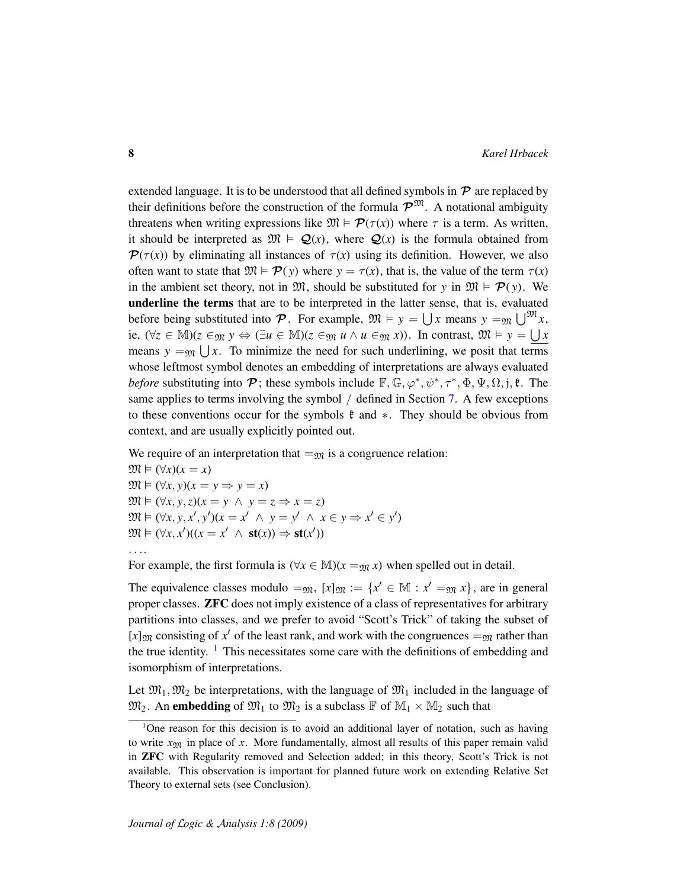extended language. It is to be understood that all defined symbols in  $P$  are replaced by their definitions before the construction of the formula  $\mathcal{P}^{\mathfrak{M}}$ . A notational ambiguity threatens when writing expressions like  $\mathfrak{M} \models \mathcal{P}(\tau(x))$  where  $\tau$  is a term. As written, it should be interpreted as  $\mathfrak{M} \models \mathcal{Q}(x)$ , where  $\mathcal{Q}(x)$  is the formula obtained from  $\mathcal{P}(\tau(x))$  by eliminating all instances of  $\tau(x)$  using its definition. However, we also often want to state that  $\mathfrak{M} \models \mathcal{P}(y)$  where  $y = \tau(x)$ , that is, the value of the term  $\tau(x)$ in the ambient set theory, not in  $\mathfrak{M}$ , should be substituted for *y* in  $\mathfrak{M} \models \mathcal{P}(y)$ . We underline the terms that are to be interpreted in the latter sense, that is, evaluated before being substituted into  $\mathcal{P}$ . For example,  $\mathfrak{M} \models y = \bigcup x$  means  $y =_{\mathfrak{M}} \bigcup^{\mathfrak{M}} x$ , ie,  $(\forall z \in \mathbb{M})(z \in_{\mathfrak{M}} y \Leftrightarrow (\exists u \in \mathbb{M})(z \in_{\mathfrak{M}} u \wedge u \in_{\mathfrak{M}} x))$ . In contrast,  $\mathfrak{M} \models y = \bigcup x$ means  $y = M(x)$ . To minimize the need for such underlining, we posit that terms whose leftmost symbol denotes an embedding of interpretations are always evaluated *before* substituting into  $\mathcal{P}$ ; these symbols include  $\mathbb{F}, \mathbb{G}, \varphi^*, \psi^*, \tau^*, \Phi, \Psi, \Omega, \mathbf{j}, \mathbf{\ell}$ . The same applies to terms involving the symbol / defined in Section [7.](#page-42-0) A few exceptions to these conventions occur for the symbols  $\mathfrak k$  and  $\ast$ . They should be obvious from context, and are usually explicitly pointed out.

We require of an interpretation that  $=y_0$  is a congruence relation:

 $\mathfrak{M} \models (\forall x)(x = x)$  $\mathfrak{M} \models (\forall x, y)(x = y \Rightarrow y = x)$  $\mathfrak{M} \models (\forall x, y, z)(x = y \land y = z \Rightarrow x = z)$  $\mathfrak{M} \vDash (\forall x, y, x', y') (x = x' \land y = y' \land x \in y \Rightarrow x' \in y')$  $\mathfrak{M} \vDash (\forall x, x')((x = x' \land \mathbf{st}(x)) \Rightarrow \mathbf{st}(x'))$ 

. . ..

For example, the first formula is ( $\forall x \in M$ )( $x = y$ *x*) when spelled out in detail.

The equivalence classes modulo  $=_{\mathfrak{M}}$ ,  $[x]_{\mathfrak{M}} := \{x' \in \mathbb{M} : x' =_{\mathfrak{M}} x\}$ , are in general proper classes. ZFC does not imply existence of a class of representatives for arbitrary partitions into classes, and we prefer to avoid "Scott's Trick" of taking the subset of [*x*]<sub>M</sub> consisting of *x*<sup> $\prime$ </sup> of the least rank, and work with the congruences =<sub>M</sub> rather than the true identity.  $\frac{1}{1}$  $\frac{1}{1}$  $\frac{1}{1}$  This necessitates some care with the definitions of embedding and isomorphism of interpretations.

Let  $\mathfrak{M}_1, \mathfrak{M}_2$  be interpretations, with the language of  $\mathfrak{M}_1$  included in the language of  $\mathfrak{M}_2$ . An **embedding** of  $\mathfrak{M}_1$  to  $\mathfrak{M}_2$  is a subclass  $\mathbb F$  of  $\mathbb{M}_1 \times \mathbb{M}_2$  such that

<span id="page-7-0"></span><sup>&</sup>lt;sup>1</sup>One reason for this decision is to avoid an additional layer of notation, such as having to write  $x_{\text{OM}}$  in place of x. More fundamentally, almost all results of this paper remain valid in ZFC with Regularity removed and Selection added; in this theory, Scott's Trick is not available. This observation is important for planned future work on extending Relative Set Theory to external sets (see Conclusion).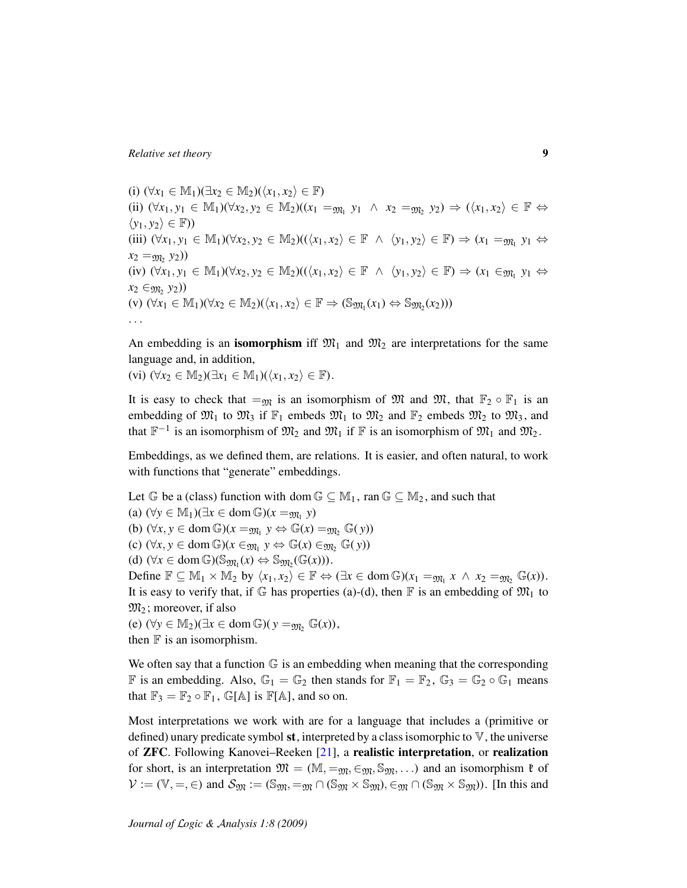(i)  $(\forall x_1 \in \mathbb{M}_1)(\exists x_2 \in \mathbb{M}_2)(\langle x_1, x_2 \rangle \in \mathbb{F})$ (ii)  $(\forall x_1, y_1 \in \mathbb{M}_1)(\forall x_2, y_2 \in \mathbb{M}_2)((x_1 =_{\mathfrak{M}_1} y_1 \land x_2 =_{\mathfrak{M}_2} y_2) \Rightarrow (\langle x_1, x_2 \rangle \in \mathbb{F} \Leftrightarrow$  $\langle y_1, y_2 \rangle \in \mathbb{F}$ ) (iii)  $(\forall x_1, y_1 \in \mathbb{M}_1)(\forall x_2, y_2 \in \mathbb{M}_2)((\langle x_1, x_2 \rangle \in \mathbb{F} \land \langle y_1, y_2 \rangle \in \mathbb{F}) \Rightarrow (x_1 = y_1, y_1 \Leftrightarrow$  $x_2 = y_2 y_2)$  $(iv)$   $(\forall x_1, y_1 \in \mathbb{M}_1)(\forall x_2, y_2 \in \mathbb{M}_2)((\langle x_1, x_2 \rangle \in \mathbb{F} \land \langle y_1, y_2 \rangle \in \mathbb{F}) \Rightarrow (x_1 \in_{\mathfrak{M}_1} y_1 \Leftrightarrow$ *x*<sub>2</sub> ∈<sub>m<sub>2</sub></sub> *y*<sub>2</sub>))  $(v)$   $(\forall x_1 \in M_1)(\forall x_2 \in M_2)(\langle x_1, x_2 \rangle \in \mathbb{F} \Rightarrow (\mathbb{S}_{\mathfrak{M}_1}(x_1) \Leftrightarrow \mathbb{S}_{\mathfrak{M}_2}(x_2)))$ . . .

An embedding is an **isomorphism** iff  $\mathfrak{M}_1$  and  $\mathfrak{M}_2$  are interpretations for the same language and, in addition,

(vi)  $(\forall x_2 \in \mathbb{M}_2)(\exists x_1 \in \mathbb{M}_1)(\langle x_1, x_2 \rangle \in \mathbb{F}).$ 

It is easy to check that  $=_{\mathfrak{M}}$  is an isomorphism of M and M, that  $\mathbb{F}_2 \circ \mathbb{F}_1$  is an embedding of  $\mathfrak{M}_1$  to  $\mathfrak{M}_3$  if  $\mathbb{F}_1$  embeds  $\mathfrak{M}_1$  to  $\mathfrak{M}_2$  and  $\mathbb{F}_2$  embeds  $\mathfrak{M}_2$  to  $\mathfrak{M}_3$ , and that  $\mathbb{F}^{-1}$  is an isomorphism of  $\mathfrak{M}_2$  and  $\mathfrak{M}_1$  if  $\mathbb F$  is an isomorphism of  $\mathfrak{M}_1$  and  $\mathfrak{M}_2$ .

Embeddings, as we defined them, are relations. It is easier, and often natural, to work with functions that "generate" embeddings.

Let  $\mathbb{G}$  be a (class) function with dom  $\mathbb{G} \subseteq \mathbb{M}_1$ , ran  $\mathbb{G} \subseteq \mathbb{M}_2$ , and such that  $(a)$  ( $\forall y \in \mathbb{M}_1$ )( $\exists x \in \text{dom } \mathbb{G}$ )( $x =_{\mathfrak{M}_1} y$ ) (b)  $(\forall x, y \in \text{dom } \mathbb{G})(x =_{\mathfrak{M}_1} y \Leftrightarrow \mathbb{G}(x) =_{\mathfrak{M}_2} \mathbb{G}(y))$  $f(x)$   $(\forall x, y \in \text{dom } \mathbb{G})$  $(x \in_{\mathfrak{M}_1} y \Leftrightarrow \mathbb{G}(x) \in_{\mathfrak{M}_2} \mathbb{G}(y))$ (d)  $(\forall x \in \text{dom}\,\mathbb{G})(\mathbb{S}_{\mathfrak{M}_1}(x) \Leftrightarrow \mathbb{S}_{\mathfrak{M}_2}(\mathbb{G}(x))).$ Define  $\mathbb{F} \subseteq \mathbb{M}_1 \times \mathbb{M}_2$  by  $\langle x_1, x_2 \rangle \in \mathbb{F} \Leftrightarrow (\exists x \in \text{dom } \mathbb{G})(x_1 = m_1 x \land x_2 = m_2 \mathbb{G}(x)).$ It is easy to verify that, if  $\mathbb G$  has properties (a)-(d), then  $\mathbb F$  is an embedding of  $\mathfrak{M}_1$  to  $\mathfrak{M}_2$ ; moreover, if also (e)  $(\forall y \in M_2)(\exists x \in \text{dom } \mathbb{G})(y =_{\mathfrak{M}_2} \mathbb{G}(x)),$ 

then  $F$  is an isomorphism.

We often say that a function  $\mathbb G$  is an embedding when meaning that the corresponding F is an embedding. Also,  $\mathbb{G}_1 = \mathbb{G}_2$  then stands for  $\mathbb{F}_1 = \mathbb{F}_2$ ,  $\mathbb{G}_3 = \mathbb{G}_2 \circ \mathbb{G}_1$  means that  $\mathbb{F}_3 = \mathbb{F}_2 \circ \mathbb{F}_1$ ,  $\mathbb{G}[\mathbb{A}]$  is  $\mathbb{F}[\mathbb{A}]$ , and so on.

Most interpretations we work with are for a language that includes a (primitive or defined) unary predicate symbol st, interpreted by a class isomorphic to  $V$ , the universe of ZFC. Following Kanovei–Reeken [\[21\]](#page-107-5), a realistic interpretation, or realization for short, is an interpretation  $\mathfrak{M} = (\mathbb{M}, =_{\mathfrak{M}}, \in_{\mathfrak{M}}, \mathbb{S}_{\mathfrak{M}}, \ldots)$  and an isomorphism  $\mathfrak{k}$  of  $\mathcal{V} := (\mathbb{V}, =, \in)$  and  $\mathcal{S}_{\mathfrak{M}} := (\mathbb{S}_{\mathfrak{M}}, =_{\mathfrak{M}} \cap (\mathbb{S}_{\mathfrak{M}} \times \mathbb{S}_{\mathfrak{M}}), \in_{\mathfrak{M}} \cap (\mathbb{S}_{\mathfrak{M}} \times \mathbb{S}_{\mathfrak{M}}))$ . [In this and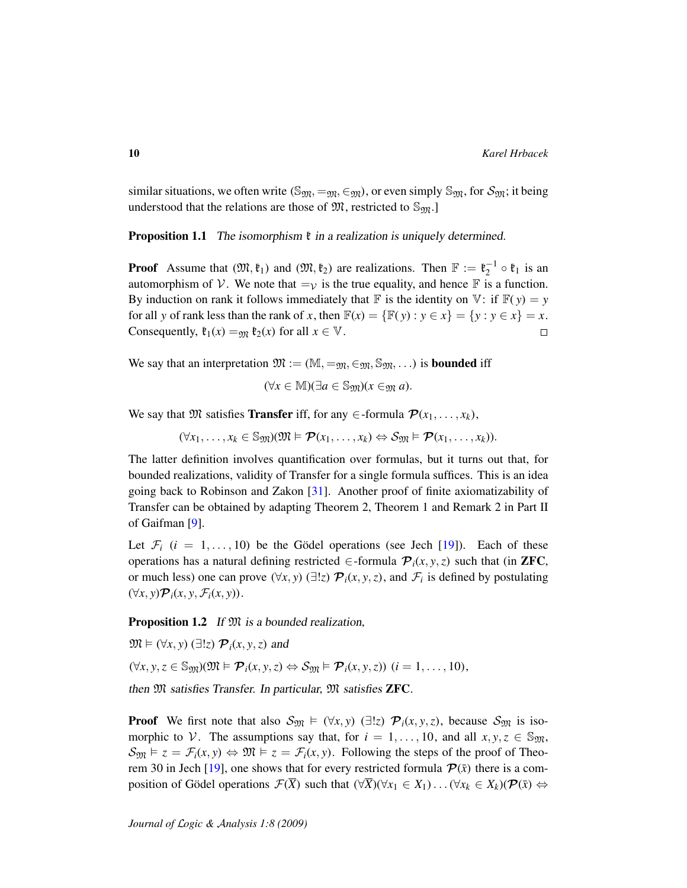similar situations, we often write ( $\mathbb{S}_{\mathfrak{M}}, =_{\mathfrak{M}}, \in_{\mathfrak{M}}$ ), or even simply  $\mathbb{S}_{\mathfrak{M}}$ , for  $\mathcal{S}_{\mathfrak{M}}$ ; it being understood that the relations are those of  $\mathfrak{M}$ , restricted to  $\mathbb{S}_{\mathfrak{M}}$ .

<span id="page-9-1"></span>**Proposition 1.1** The isomorphism  $\mathfrak{k}$  in a realization is uniquely determined.

**Proof** Assume that  $(\mathfrak{M}, \mathfrak{k}_1)$  and  $(\mathfrak{M}, \mathfrak{k}_2)$  are realizations. Then  $\mathbb{F} := \mathfrak{k}_2^{-1} \circ \mathfrak{k}_1$  is an automorphism of V. We note that  $=_{\mathcal{V}}$  is the true equality, and hence  $\mathbb F$  is a function. By induction on rank it follows immediately that  $\mathbb F$  is the identity on  $\mathbb V$ : if  $\mathbb F(y) = y$ for all *y* of rank less than the rank of *x*, then  $\mathbb{F}(x) = \{\mathbb{F}(y) : y \in x\} = \{y : y \in x\} = x$ . Consequently,  $\mathfrak{k}_1(x) =_{\mathfrak{M}} \mathfrak{k}_2(x)$  for all  $x \in \mathbb{V}$ .  $\Box$ 

We say that an interpretation  $\mathfrak{M} := (\mathbb{M}, =_{\mathfrak{M}}, \in_{\mathfrak{M}}, \mathbb{S}_{\mathfrak{M}}, \ldots)$  is **bounded** iff

$$
(\forall x \in \mathbb{M})(\exists a \in \mathbb{S}_{\mathfrak{M}})(x \in_{\mathfrak{M}} a).
$$

We say that M satisfies **Transfer** iff, for any  $\in$ -formula  $\mathcal{P}(x_1, \ldots, x_k)$ ,

$$
(\forall x_1,\ldots,x_k\in\mathbb{S}_{\mathfrak{M}})(\mathfrak{M}\vDash\mathcal{P}(x_1,\ldots,x_k)\Leftrightarrow\mathcal{S}_{\mathfrak{M}}\vDash\mathcal{P}(x_1,\ldots,x_k)).
$$

The latter definition involves quantification over formulas, but it turns out that, for bounded realizations, validity of Transfer for a single formula suffices. This is an idea going back to Robinson and Zakon [\[31\]](#page-107-9). Another proof of finite axiomatizability of Transfer can be obtained by adapting Theorem 2, Theorem 1 and Remark 2 in Part II of Gaifman [\[9\]](#page-106-8).

Let  $\mathcal{F}_i$  ( $i = 1, \ldots, 10$ ) be the Gödel operations (see Jech [[19\]](#page-107-7)). Each of these operations has a natural defining restricted  $\in$ -formula  $\mathcal{P}_i(x, y, z)$  such that (in **ZFC**, or much less) one can prove  $(\forall x, y)$   $(\exists !z)$   $\mathcal{P}_i(x, y, z)$ , and  $\mathcal{F}_i$  is defined by postulating  $(\forall x, y)$  $\mathcal{P}_i(x, y, \mathcal{F}_i(x, y))$ .

<span id="page-9-0"></span>**Proposition 1.2** If  $\mathfrak{M}$  is a bounded realization,

 $\mathfrak{M} \models (\forall x, y) \; (\exists ! z) \; \mathcal{P}_i(x, y, z)$  and  $(\forall x, y, z \in \mathbb{S}_{\mathfrak{M}})$  $(\mathfrak{M} \models \mathcal{P}_i(x, y, z) \Leftrightarrow \mathcal{S}_{\mathfrak{M}} \models \mathcal{P}_i(x, y, z))$   $(i = 1, \ldots, 10)$ , then  $M$  satisfies Transfer. In particular,  $M$  satisfies **ZFC**.

**Proof** We first note that also  $S_{\mathfrak{M}} \models (\forall x, y) (\exists !z) \mathcal{P}_i(x, y, z)$ , because  $S_{\mathfrak{M}}$  is isomorphic to V. The assumptions say that, for  $i = 1, \ldots, 10$ , and all  $x, y, z \in \mathbb{S}_{\mathfrak{M}}$ ,  $S_{\mathfrak{M}} \models z = \mathcal{F}_i(x, y) \Leftrightarrow \mathfrak{M} \models z = \mathcal{F}_i(x, y)$ . Following the steps of the proof of Theo-rem 30 in Jech [\[19\]](#page-107-7), one shows that for every restricted formula  $\mathcal{P}(\bar{x})$  there is a composition of Gödel operations  $\mathcal{F}(\overline{X})$  such that  $(\forall \overline{X})(\forall x_1 \in X_1) \dots (\forall x_k \in X_k)(\mathcal{P}(\overline{x}) \Leftrightarrow$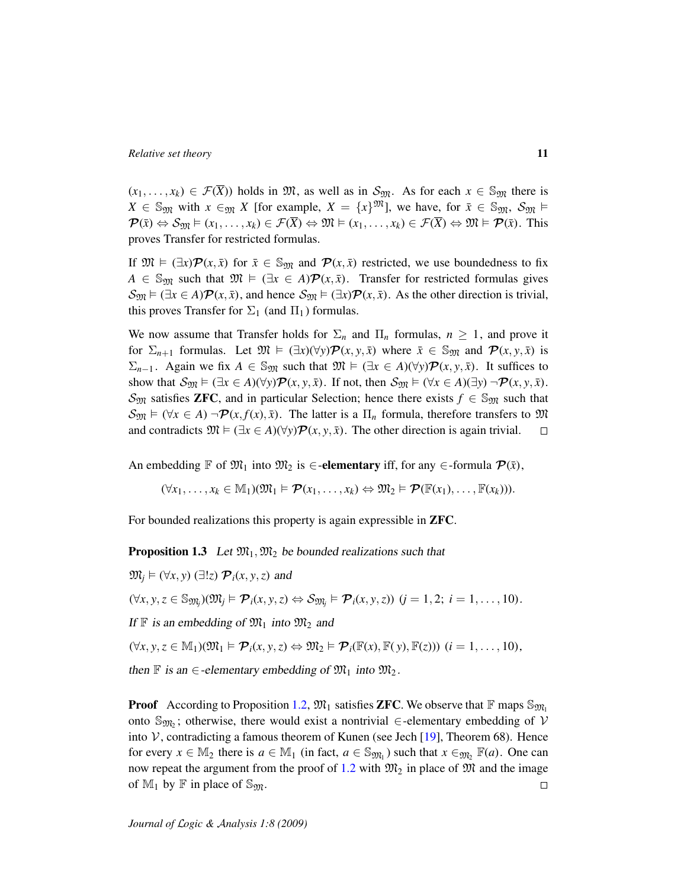$(x_1, \ldots, x_k) \in \mathcal{F}(\overline{X})$  holds in  $\mathfrak{M}$ , as well as in  $\mathcal{S}_{\mathfrak{M}}$ . As for each  $x \in \mathbb{S}_{\mathfrak{M}}$  there is *X* ∈ S<sub>M</sub> with *x* ∈<sub>M</sub> *X* [for example, *X* = {*x*}<sup>M</sup>], we have, for  $\bar{x}$  ∈ S<sub>M</sub>, S<sub>M</sub> ⊨  $\mathcal{P}(\bar{x}) \Leftrightarrow \mathcal{S}_{\mathfrak{M}} \models (x_1, \ldots, x_k) \in \mathcal{F}(\overline{X}) \Leftrightarrow \mathfrak{M} \models (x_1, \ldots, x_k) \in \mathcal{F}(\overline{X}) \Leftrightarrow \mathfrak{M} \models \mathcal{P}(\bar{x})$ . This proves Transfer for restricted formulas.

If  $\mathfrak{M} \models (\exists x) \mathcal{P}(x, \bar{x})$  for  $\bar{x} \in \mathbb{S}_{\mathfrak{M}}$  and  $\mathcal{P}(x, \bar{x})$  restricted, we use boundedness to fix *A* ∈ S<sub>M</sub> such that  $\mathfrak{M} \models (\exists x \in A) \mathcal{P}(x, \bar{x})$ . Transfer for restricted formulas gives  $S_{\mathfrak{M}} \models (\exists x \in A) \mathcal{P}(x, \bar{x})$ , and hence  $S_{\mathfrak{M}} \models (\exists x) \mathcal{P}(x, \bar{x})$ . As the other direction is trivial, this proves Transfer for  $\Sigma_1$  (and  $\Pi_1$ ) formulas.

We now assume that Transfer holds for  $\Sigma_n$  and  $\Pi_n$  formulas,  $n \geq 1$ , and prove it for  $\Sigma_{n+1}$  formulas. Let  $\mathfrak{M} \models (\exists x)(\forall y)\mathcal{P}(x, y, \bar{x})$  where  $\bar{x} \in \mathbb{S}_{\mathfrak{M}}$  and  $\mathcal{P}(x, y, \bar{x})$  is  $\Sigma_{n-1}$ . Again we fix *A* ∈ S<sub>M</sub> such that  $\mathfrak{M} \models (\exists x \in A)(\forall y)\mathcal{P}(x, y, \bar{x})$ . It suffices to show that  $S_{\mathfrak{M}} \models (\exists x \in A)(\forall y) \mathcal{P}(x, y, \bar{x})$ . If not, then  $S_{\mathfrak{M}} \models (\forall x \in A)(\exists y) \neg \mathcal{P}(x, y, \bar{x})$ .  $\mathcal{S}_{\mathfrak{M}}$  satisfies **ZFC**, and in particular Selection; hence there exists  $f \in \mathbb{S}_{\mathfrak{M}}$  such that  $S_{\mathfrak{M}} \models (\forall x \in A) \neg \mathcal{P}(x, f(x), \bar{x})$ . The latter is a  $\Pi_n$  formula, therefore transfers to  $\mathfrak{M}$ and contradicts  $\mathfrak{M} \models (\exists x \in A)(\forall y) \mathcal{P}(x, y, \bar{x})$ . The other direction is again trivial.  $\Box$ 

An embedding  $\mathbb F$  of  $\mathfrak{M}_1$  into  $\mathfrak{M}_2$  is  $\in$ **-elementary** iff, for any  $\in$ -formula  $\mathcal{P}(\bar{x})$ ,

 $(\forall x_1, \ldots, x_k \in \mathbb{M}_1)(\mathfrak{M}_1 \models \mathcal{P}(x_1, \ldots, x_k) \Leftrightarrow \mathfrak{M}_2 \models \mathcal{P}(\mathbb{F}(x_1), \ldots, \mathbb{F}(x_k))).$ 

<span id="page-10-0"></span>For bounded realizations this property is again expressible in ZFC.

**Proposition 1.3** Let  $\mathfrak{M}_1, \mathfrak{M}_2$  be bounded realizations such that

 $\mathfrak{M}_i \models (\forall x, y)$  ( $\exists !z$ )  $\mathcal{P}_i(x, y, z)$  and  $(\forall x, y, z \in \mathbb{S}_{\mathfrak{M}_j})(\mathfrak{M}_j \models \mathcal{P}_i(x, y, z) \Leftrightarrow \mathcal{S}_{\mathfrak{M}_j} \models \mathcal{P}_i(x, y, z)) \ (j = 1, 2; i = 1, \ldots, 10).$ If  $\mathbb F$  is an embedding of  $\mathfrak{M}_1$  into  $\mathfrak{M}_2$  and  $(\forall x, y, z \in \mathbb{M}_1)(\mathfrak{M}_1 \models \mathcal{P}_i(x, y, z) \Leftrightarrow \mathfrak{M}_2 \models \mathcal{P}_i(\mathbb{F}(x), \mathbb{F}(y), \mathbb{F}(z)))$   $(i = 1, \ldots, 10),$ then F is an  $\in$ -elementary embedding of  $\mathfrak{M}_1$  into  $\mathfrak{M}_2$ .

**Proof** According to Proposition [1.2,](#page-9-0)  $\mathfrak{M}_1$  satisfies **ZFC**. We observe that  $\mathbb{F}$  maps  $\mathbb{S}_{\mathfrak{M}_1}$ 

onto  $\mathbb{S}_{\mathfrak{M}_2}$ ; otherwise, there would exist a nontrivial  $\in$ -elementary embedding of  $\mathcal V$ into  $V$ , contradicting a famous theorem of Kunen (see Jech [\[19\]](#page-107-7), Theorem 68). Hence for every  $x \in M_2$  there is  $a \in M_1$  (in fact,  $a \in S_{\mathfrak{M}_1}$ ) such that  $x \in M_2$   $\mathbb{F}(a)$ . One can now repeat the argument from the proof of [1.2](#page-9-0) with  $\mathfrak{M}_2$  in place of  $\mathfrak M$  and the image of  $\mathbb{M}_1$  by  $\mathbb F$  in place of  $\mathbb{S}_{\mathfrak{M}}$ .  $\Box$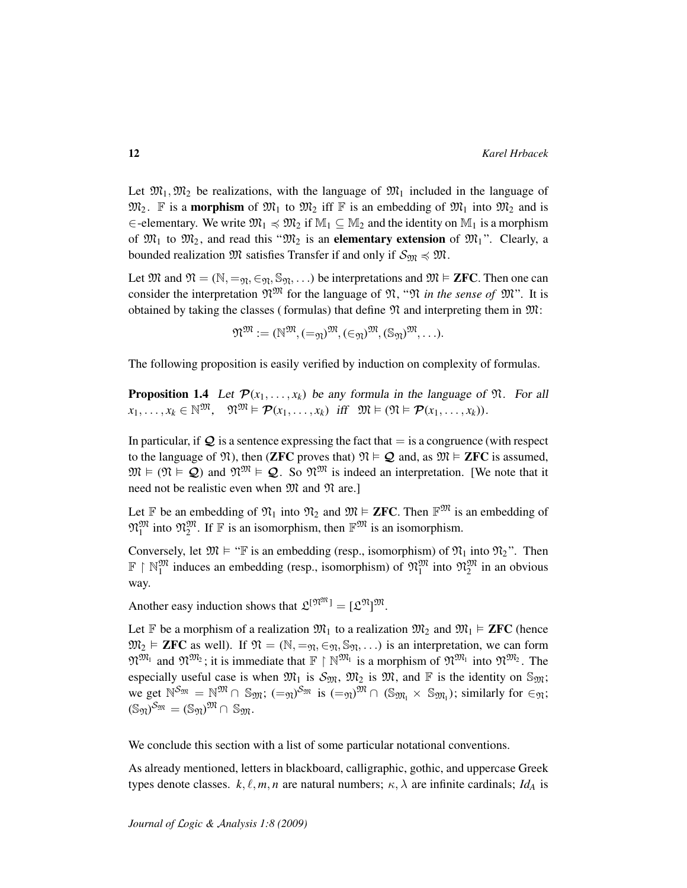Let  $\mathfrak{M}_1, \mathfrak{M}_2$  be realizations, with the language of  $\mathfrak{M}_1$  included in the language of  $\mathfrak{M}_2$ . F is a **morphism** of  $\mathfrak{M}_1$  to  $\mathfrak{M}_2$  iff F is an embedding of  $\mathfrak{M}_1$  into  $\mathfrak{M}_2$  and is ∈-elementary. We write  $\mathfrak{M}_1 \preccurlyeq \mathfrak{M}_2$  if  $\mathbb{M}_1 \subseteq \mathbb{M}_2$  and the identity on  $\mathbb{M}_1$  is a morphism of  $\mathfrak{M}_1$  to  $\mathfrak{M}_2$ , and read this " $\mathfrak{M}_2$  is an **elementary extension** of  $\mathfrak{M}_1$ ". Clearly, a bounded realization  $\mathfrak{M}$  satisfies Transfer if and only if  $\mathcal{S}_{\mathfrak{M}} \preccurlyeq \mathfrak{M}$ .

Let  $\mathfrak{M}$  and  $\mathfrak{N} = (\mathbb{N}, =_{\mathfrak{N}}, \in_{\mathfrak{N}}, \mathbb{S}_{\mathfrak{N}}, \dots)$  be interpretations and  $\mathfrak{M} \models$  **ZFC**. Then one can consider the interpretation  $\mathfrak{N}^{\mathfrak{M}}$  for the language of  $\mathfrak{N},$  " $\mathfrak{N}$  *in the sense of*  $\mathfrak{M}$ ". It is obtained by taking the classes (formulas) that define  $\mathfrak N$  and interpreting them in  $\mathfrak M$ :

$$
\mathfrak{N}^{\mathfrak{M}}:=(\mathbb{N}^{\mathfrak{M}},\left(=\mathfrak{N}^{\mathfrak{M}},\left(\infty\right)^{\mathfrak{M}},\left(\mathbb{S}_{\mathfrak{N}}\right)^{\mathfrak{M}},\ldots).
$$

<span id="page-11-0"></span>The following proposition is easily verified by induction on complexity of formulas.

**Proposition 1.4** Let  $\mathcal{P}(x_1, \ldots, x_k)$  be any formula in the language of  $\mathfrak{N}$ . For all  $x_1, \ldots, x_k \in \mathbb{N}^{\mathfrak{M}}, \quad \mathfrak{N}^{\mathfrak{M}} \models \mathcal{P}(x_1, \ldots, x_k) \text{ iff } \mathfrak{M} \models (\mathfrak{N} \models \mathcal{P}(x_1, \ldots, x_k)).$ 

In particular, if  $Q$  is a sentence expressing the fact that  $=$  is a congruence (with respect to the language of  $\mathfrak{N}$ ), then (**ZFC** proves that)  $\mathfrak{N} \models \mathcal{Q}$  and, as  $\mathfrak{M} \models$  **ZFC** is assumed,  $\mathfrak{M} \models (\mathfrak{N} \models \mathcal{Q})$  and  $\mathfrak{N}^{\mathfrak{M}} \models \mathcal{Q}$ . So  $\mathfrak{N}^{\mathfrak{M}}$  is indeed an interpretation. [We note that it need not be realistic even when  $\mathfrak{M}$  and  $\mathfrak{N}$  are.]

Let F be an embedding of  $\mathfrak{N}_1$  into  $\mathfrak{N}_2$  and  $\mathfrak{M} \models$  **ZFC**. Then  $\mathbb{F}^{\mathfrak{M}}$  is an embedding of  $\mathfrak{N}_1^{\mathfrak{M}}$  into  $\mathfrak{N}_2^{\mathfrak{M}}$ . If  $\mathbb F$  is an isomorphism, then  $\mathbb F^{\mathfrak{M}}$  is an isomorphism.

Conversely, let  $\mathfrak{M} \models \text{``} \mathbb{F}$  is an embedding (resp., isomorphism) of  $\mathfrak{N}_1$  into  $\mathfrak{N}_2$ ". Then  $\mathbb{F} \restriction \mathbb{N}_1^{\mathfrak{M}}$  induces an embedding (resp., isomorphism) of  $\mathfrak{N}_1^{\mathfrak{M}}$  into  $\mathfrak{N}_2^{\mathfrak{M}}$  in an obvious way.

Another easy induction shows that  $\mathfrak{L}^{[\mathfrak{N}^{\mathfrak{M}}]} = [\mathfrak{L}^{\mathfrak{N}}]^{\mathfrak{M}}$ .

Let F be a morphism of a realization  $\mathfrak{M}_1$  to a realization  $\mathfrak{M}_2$  and  $\mathfrak{M}_1 \models$  **ZFC** (hence  $\mathfrak{M}_2 \models$  **ZFC** as well). If  $\mathfrak{N} = (\mathbb{N}, =_{\mathfrak{N}}, \in_{\mathfrak{N}}, \mathbb{S}_{\mathfrak{N}}, \ldots)$  is an interpretation, we can form  $\mathfrak{N}^{\mathfrak{M}_1}$  and  $\mathfrak{N}^{\mathfrak{M}_2}$ ; it is immediate that  $\mathbb{F} \restriction \mathbb{N}^{\mathfrak{M}_1}$  is a morphism of  $\mathfrak{N}^{\mathfrak{M}_1}$  into  $\mathfrak{N}^{\mathfrak{M}_2}$ . The especially useful case is when  $\mathfrak{M}_1$  is  $\mathfrak{S}_{\mathfrak{M}}$ ,  $\mathfrak{M}_2$  is  $\mathfrak{M}$ , and  $\mathbb F$  is the identity on  $\mathbb{S}_{\mathfrak{M}}$ ; we get  $\mathbb{N}^{\mathcal{S}_{\mathfrak{M}}} = \mathbb{N}^{\mathfrak{M}} \cap \mathbb{S}_{\mathfrak{M}}$ ;  $(=_{\mathfrak{N}})^{\mathcal{S}_{\mathfrak{M}}}$  is  $(=_{\mathfrak{N}})^{\mathfrak{M}} \cap (\mathbb{S}_{\mathfrak{M}_{1}} \times \mathbb{S}_{\mathfrak{M}_{1}})$ ; similarly for  $\in_{\mathfrak{N}}$ ;  $(\mathbb{S}_{\mathfrak{N}})^{\mathcal{S}_{\mathfrak{M}}} = (\mathbb{S}_{\mathfrak{N}})^{\mathfrak{M}} \cap \mathbb{S}_{\mathfrak{M}}.$ 

We conclude this section with a list of some particular notational conventions.

As already mentioned, letters in blackboard, calligraphic, gothic, and uppercase Greek types denote classes.  $k, \ell, m, n$  are natural numbers;  $\kappa, \lambda$  are infinite cardinals; *Id<sub>A</sub>* is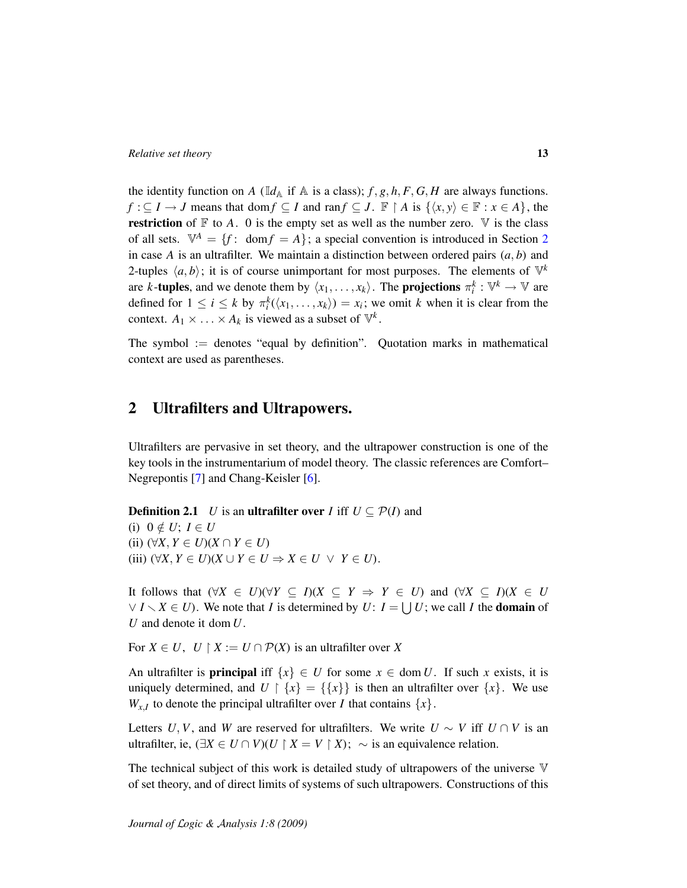the identity function on *A* ( $\mathbb{I}d_A$  if  $A$  is a class); *f*, *g*, *h*, *F*, *G*, *H* are always functions. *f* : ⊆ *I* → *J* means that dom *f* ⊆ *I* and ran *f* ⊆ *J*. **F** | *A* is  $\{x, y\} \in \mathbb{F} : x \in A\}$ , the **restriction** of  $\mathbb F$  to A. 0 is the empty set as well as the number zero.  $\mathbb V$  is the class of all sets.  $\mathbb{V}^A = \{f : \text{dom} f = A\}$ ; a special convention is introduced in Section [2](#page-12-0) in case *A* is an ultrafilter. We maintain a distinction between ordered pairs  $(a, b)$  and 2-tuples  $\langle a, b \rangle$ ; it is of course unimportant for most purposes. The elements of  $\mathbb{V}^k$ are *k*-tuples, and we denote them by  $\langle x_1, \ldots, x_k \rangle$ . The projections  $\pi_i^k : \mathbb{V}^k \to \mathbb{V}$  are defined for  $1 \leq i \leq k$  by  $\pi_i^k(\langle x_1, \ldots, x_k \rangle) = x_i$ ; we omit *k* when it is clear from the context.  $A_1 \times \ldots \times A_k$  is viewed as a subset of  $\mathbb{V}^k$ .

The symbol := denotes "equal by definition". Quotation marks in mathematical context are used as parentheses.

## <span id="page-12-0"></span>2 Ultrafilters and Ultrapowers.

Ultrafilters are pervasive in set theory, and the ultrapower construction is one of the key tools in the instrumentarium of model theory. The classic references are Comfort– Negrepontis [\[7\]](#page-106-9) and Chang-Keisler [\[6\]](#page-106-10).

**Definition 2.1** *U* is an **ultrafilter over** *I* iff  $U \subseteq \mathcal{P}(I)$  and (i)  $0 \notin U$ ;  $I \in U$ (ii) (∀*X*, *Y* ∈ *U*)(*X* ∩ *Y* ∈ *U*) (iii)  $(\forall X, Y \in U)(X \cup Y \in U \Rightarrow X \in U \ \lor \ Y \in U)$ .

It follows that  $(\forall X \in U)(\forall Y \subseteq I)(X \subseteq Y \Rightarrow Y \in U)$  and  $(\forall X \subseteq I)(X \in U)$  $\forall I \setminus X \in U$ ). We note that *I* is determined by *U*:  $I = \bigcup U$ ; we call *I* the **domain** of *U* and denote it dom *U*.

For  $X \in U$ ,  $U \upharpoonright X := U \cap \mathcal{P}(X)$  is an ultrafilter over X

An ultrafilter is **principal** iff  $\{x\} \in U$  for some  $x \in \text{dom } U$ . If such x exists, it is uniquely determined, and  $U \restriction \{x\} = \{\{x\}\}\$ is then an ultrafilter over  $\{x\}$ . We use  $W_{x,I}$  to denote the principal ultrafilter over *I* that contains  $\{x\}$ .

Letters *U*, *V*, and *W* are reserved for ultrafilters. We write  $U \sim V$  iff  $U \cap V$  is an ultrafilter, ie,  $(\exists X \in U \cap V)(U \upharpoonright X = V \upharpoonright X)$ ; ∼ is an equivalence relation.

The technical subject of this work is detailed study of ultrapowers of the universe  $\nabla$ of set theory, and of direct limits of systems of such ultrapowers. Constructions of this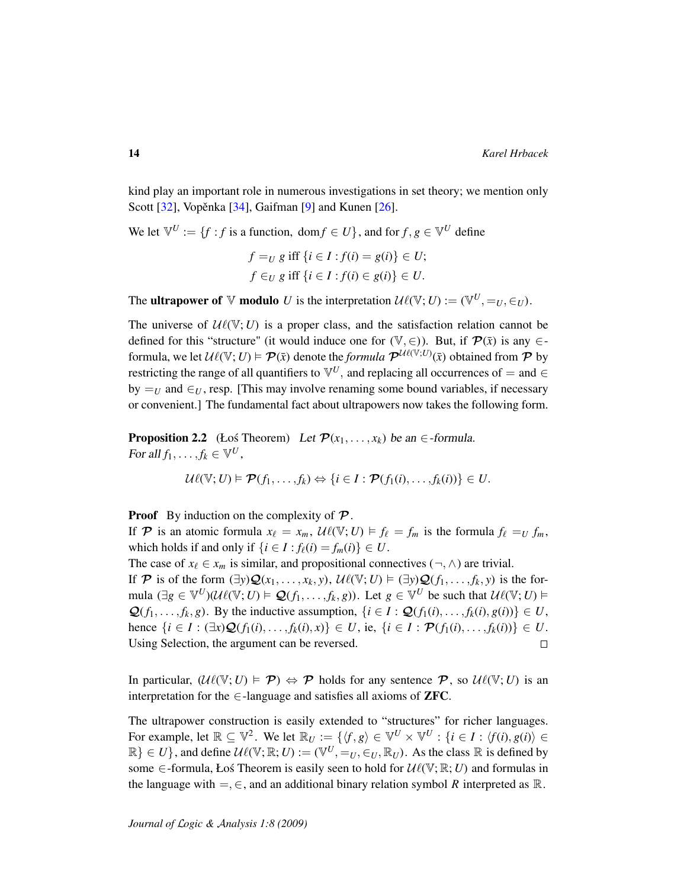kind play an important role in numerous investigations in set theory; we mention only Scott  $[32]$ , Vopěnka  $[34]$  $[34]$ , Gaifman  $[9]$  and Kunen  $[26]$ .

We let  $\mathbb{V}^U := \{f : f \text{ is a function, } \text{dom} f \in U\}$ , and for  $f, g \in \mathbb{V}^U$  define

$$
f =_U g \text{ iff } \{i \in I : f(i) = g(i)\} \in U;
$$
  

$$
f \in_U g \text{ iff } \{i \in I : f(i) \in g(i)\} \in U.
$$

The **ultrapower of**  $\mathbb V$  modulo U is the interpretation  $\mathcal U\ell(\mathbb V; U) := (\mathbb V^U, =_U, \in_U)$ .

The universe of  $\mathcal{U}\ell(\mathbb{V}; U)$  is a proper class, and the satisfaction relation cannot be defined for this "structure" (it would induce one for  $(\mathbb{V}, \in)$ ). But, if  $\mathcal{P}(\bar{x})$  is any  $\in$ formula, we let  $\mathcal{U}\ell(\mathbb{V}; U) \models \mathcal{P}(\bar{x})$  denote the *formula*  $\mathcal{P}^{\mathcal{U}\ell(\mathbb{V}; U)}(\bar{x})$  obtained from  $\mathcal{P}$  by restricting the range of all quantifiers to  $\mathbb{V}^U$ , and replacing all occurrences of = and  $\in$ by  $=$ *U* and  $\in$ *U*, resp. [This may involve renaming some bound variables, if necessary or convenient.] The fundamental fact about ultrapowers now takes the following form.

**Proposition 2.2** (Łoś Theorem) Let  $\mathcal{P}(x_1, \ldots, x_k)$  be an  $\in$ -formula. For all  $f_1, \ldots, f_k \in \mathbb{V}^U$ ,

$$
\mathcal{U}\ell(\mathbb{V};U) \models \mathcal{P}(f_1,\ldots,f_k) \Leftrightarrow \{i \in I : \mathcal{P}(f_1(i),\ldots,f_k(i))\} \in U.
$$

**Proof** By induction on the complexity of  $\mathcal{P}$ .

If P is an atomic formula  $x_{\ell} = x_m$ ,  $\mathcal{U}\ell(\mathbb{V}; U) \models f_{\ell} = f_m$  is the formula  $f_{\ell} = U f_m$ , which holds if and only if  $\{i \in I : f_{\ell}(i) = f_m(i)\} \in U$ .

The case of  $x_\ell \in x_m$  is similar, and propositional connectives (¬,  $\wedge$ ) are trivial. If P is of the form  $(\exists y)Q(x_1, \ldots, x_k, y)$ ,  $\mathcal{U}\ell(\mathbb{V}; U) \models (\exists y)Q(f_1, \ldots, f_k, y)$  is the formula  $(\exists g \in \mathbb{V}^U)(\mathcal{U}(\mathbb{V}; U) \models \mathcal{Q}(f_1, \dots, f_k, g))$ . Let  $g \in \mathbb{V}^U$  be such that  $\mathcal{U}\ell(\mathbb{V}; U) \models$  $\mathcal{Q}(f_1, \ldots, f_k, g)$ . By the inductive assumption,  $\{i \in I : \mathcal{Q}(f_1(i), \ldots, f_k(i), g(i))\} \in U$ , hence  $\{i \in I : (\exists x) \mathcal{Q}(f_1(i), \dots, f_k(i), x)\}$  ∈ *U*, ie,  $\{i \in I : \mathcal{P}(f_1(i), \dots, f_k(i))\}$  ∈ *U*. Using Selection, the argument can be reversed.  $\Box$ 

In particular,  $(\mathcal{U}\ell(\mathbb{V}; U) \models \mathcal{P}) \Leftrightarrow \mathcal{P}$  holds for any sentence  $\mathcal{P}$ , so  $\mathcal{U}\ell(\mathbb{V}; U)$  is an interpretation for the  $\in$ -language and satisfies all axioms of **ZFC**.

The ultrapower construction is easily extended to "structures" for richer languages. For example, let  $\mathbb{R} \subseteq \mathbb{V}^2$ . We let  $\mathbb{R}_U := \{ \langle f, g \rangle \in \mathbb{V}^U \times \mathbb{V}^U : \{ i \in I : \langle f(i), g(i) \rangle \in I \}$  $\mathbb{R}\}\in U$ , and define  $\mathcal{U}\ell(\mathbb{V};\mathbb{R};U) := (\mathbb{V}^U, =_U, \in_U, \mathbb{R}_U)$ . As the class  $\mathbb R$  is defined by some  $\in$ -formula, Łoś Theorem is easily seen to hold for  $\mathcal{U}\ell(\mathbb{V}; \mathbb{R}; U)$  and formulas in the language with  $=,\in$ , and an additional binary relation symbol *R* interpreted as  $\mathbb{R}$ .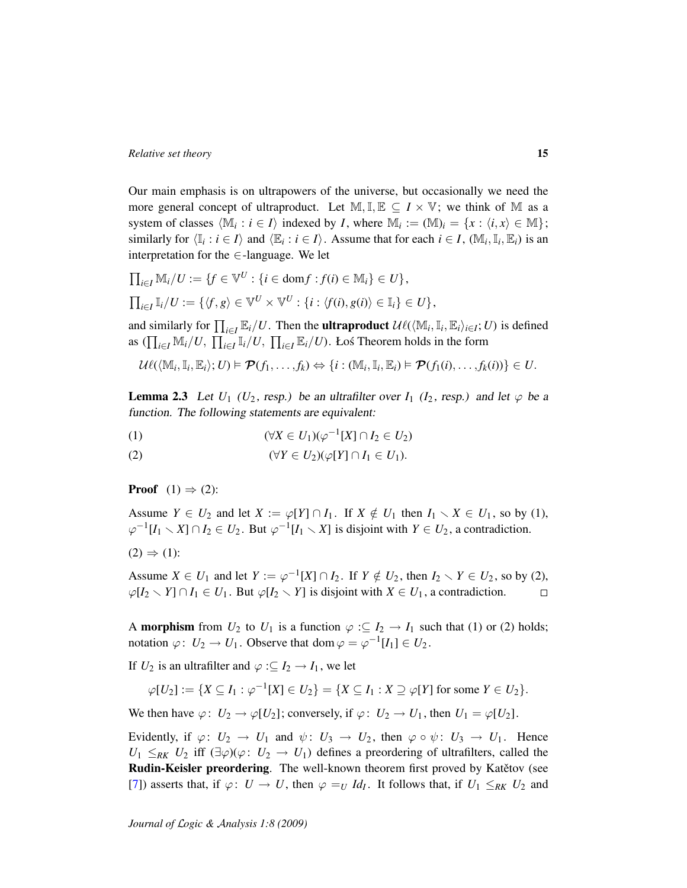Our main emphasis is on ultrapowers of the universe, but occasionally we need the more general concept of ultraproduct. Let  $\mathbb{M}, \mathbb{I}, \mathbb{E} \subseteq I \times \mathbb{V}$ ; we think of  $\mathbb{M}$  as a system of classes  $\langle \mathbb{M}_i : i \in I \rangle$  indexed by *I*, where  $\mathbb{M}_i := (\mathbb{M})_i = \{x : \langle i, x \rangle \in \mathbb{M} \};$ similarly for  $\langle \mathbb{I}_i : i \in I \rangle$  and  $\langle \mathbb{E}_i : i \in I \rangle$ . Assume that for each  $i \in I$ ,  $(\mathbb{M}_i, \mathbb{I}_i, \mathbb{E}_i)$  is an interpretation for the  $\in$ -language. We let

$$
\begin{aligned}\n\prod_{i \in I} \mathbb{M}_i / U &:= \{ f \in \mathbb{V}^U : \{ i \in \text{dom} f : f(i) \in \mathbb{M}_i \} \in U \}, \\
\prod_{i \in I} \mathbb{I}_i / U &:= \{ \langle f, g \rangle \in \mathbb{V}^U \times \mathbb{V}^U : \{ i : \langle f(i), g(i) \rangle \in \mathbb{I}_i \} \in U \},\n\end{aligned}
$$

and similarly for  $\prod_{i\in I} \mathbb{E}_i/U$ . Then the **ultraproduct**  $\mathcal{U}\ell(\langle \mathbb{M}_i, \mathbb{I}_i, \mathbb{E}_i \rangle_{i\in I}; U)$  is defined as  $(\prod_{i \in I} M_i/U, \prod_{i \in I} I_i/U, \prod_{i \in I} E_i/U)$ . Łoś Theorem holds in the form

$$
\mathcal{U}\ell(\langle \mathbb{M}_i, \mathbb{I}_i, \mathbb{E}_i \rangle; U) \models \mathcal{P}(f_1, \ldots, f_k) \Leftrightarrow \{i : (\mathbb{M}_i, \mathbb{I}_i, \mathbb{E}_i) \models \mathcal{P}(f_1(i), \ldots, f_k(i))\} \in U.
$$

**Lemma 2.3** Let  $U_1$  ( $U_2$ , resp.) be an ultrafilter over  $I_1$  ( $I_2$ , resp.) and let  $\varphi$  be a function. The following statements are equivalent:

$$
(1) \qquad (\forall X \in U_1)(\varphi^{-1}[X] \cap I_2 \in U_2)
$$

(2) 
$$
(\forall Y \in U_2)(\varphi[Y] \cap I_1 \in U_1).
$$

**Proof**  $(1) \Rightarrow (2)$ :

Assume  $Y \in U_2$  and let  $X := \varphi[Y] \cap I_1$ . If  $X \notin U_1$  then  $I_1 \setminus X \in U_1$ , so by (1),  $\varphi^{-1}[I_1 \setminus X] \cap I_2 \in U_2$ . But  $\varphi^{-1}[I_1 \setminus X]$  is disjoint with  $Y \in U_2$ , a contradiction.

$$
(2) \Rightarrow (1)
$$
:

Assume  $X \in U_1$  and let  $Y := \varphi^{-1}[X] \cap I_2$ . If  $Y \notin U_2$ , then  $I_2 \setminus Y \in U_2$ , so by (2),  $\varphi[I_2 \setminus Y] \cap I_1$  ∈ *U*<sub>1</sub>. But  $\varphi[I_2 \setminus Y]$  is disjoint with *X* ∈ *U*<sub>1</sub>, a contradiction.  $\Box$ 

A **morphism** from  $U_2$  to  $U_1$  is a function  $\varphi : \subseteq I_2 \to I_1$  such that (1) or (2) holds; notation  $\varphi: U_2 \to U_1$ . Observe that dom  $\varphi = \varphi^{-1}[I_1] \in U_2$ .

If  $U_2$  is an ultrafilter and  $\varphi : U_2 \to I_1$ , we let

$$
\varphi[U_2]:=\{X\subseteq I_1:\varphi^{-1}[X]\in U_2\}=\{X\subseteq I_1:X\supseteq\varphi[Y]\text{ for some }Y\in U_2\}.
$$

We then have  $\varphi: U_2 \to \varphi[U_2]$ ; conversely, if  $\varphi: U_2 \to U_1$ , then  $U_1 = \varphi[U_2]$ .

Evidently, if  $\varphi: U_2 \to U_1$  and  $\psi: U_3 \to U_2$ , then  $\varphi \circ \psi: U_3 \to U_1$ . Hence  $U_1 \leq_{RK} U_2$  iff  $(\exists \varphi)(\varphi: U_2 \to U_1)$  defines a preordering of ultrafilters, called the Rudin-Keisler preordering. The well-known theorem first proved by Katětov (see [\[7\]](#page-106-9)) asserts that, if  $\varphi: U \to U$ , then  $\varphi =_U Id_I$ . It follows that, if  $U_1 \leq_{RK} U_2$  and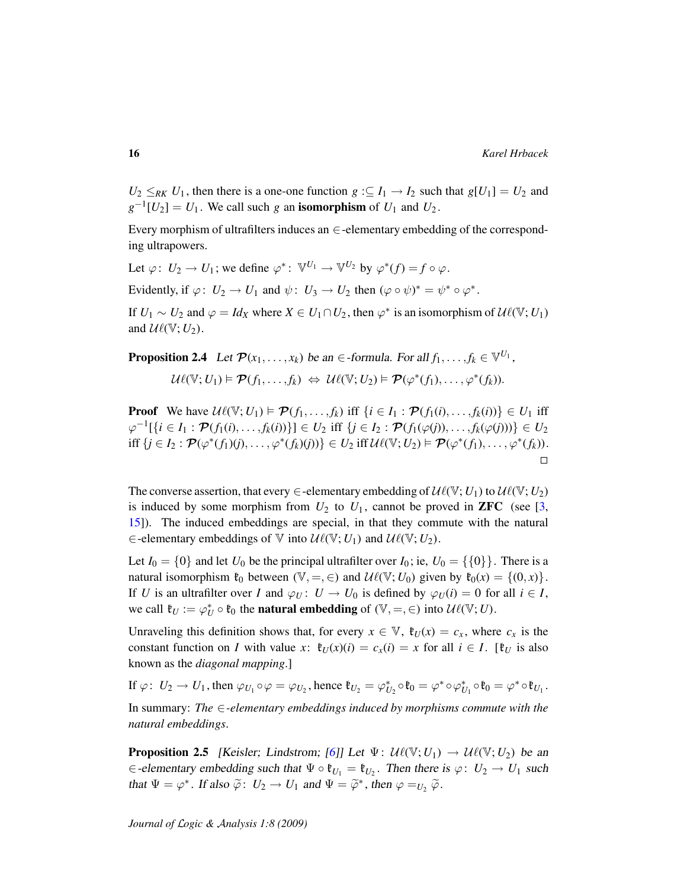$U_2 \le R_K U_1$ , then there is a one-one function  $g : \subseteq I_1 \to I_2$  such that  $g[U_1] = U_2$  and  $g^{-1}[U_2] = U_1$ . We call such *g* an **isomorphism** of  $U_1$  and  $U_2$ .

Every morphism of ultrafilters induces an  $\in$ -elementary embedding of the corresponding ultrapowers.

Let  $\varphi: U_2 \to U_1$ ; we define  $\varphi^*: \mathbb{V}^{U_1} \to \mathbb{V}^{U_2}$  by  $\varphi^*(f) = f \circ \varphi$ .

Evidently, if  $\varphi: U_2 \to U_1$  and  $\psi: U_3 \to U_2$  then  $(\varphi \circ \psi)^* = \psi^* \circ \varphi^*$ .

If  $U_1 \sim U_2$  and  $\varphi = Id_X$  where  $X \in U_1 \cap U_2$ , then  $\varphi^*$  is an isomorphism of  $\mathcal{U}\ell(\mathbb{V}; U_1)$ and  $\mathcal{U}\ell(\mathbb{V}; U_2)$ .

**Proposition 2.4** Let  $\mathcal{P}(x_1, \ldots, x_k)$  be an  $\in$ -formula. For all  $f_1, \ldots, f_k \in \mathbb{V}^{U_1}$ ,

$$
\mathcal{U}\ell(\mathbb{V};U_1) \models \mathcal{P}(f_1,\ldots,f_k) \Leftrightarrow \mathcal{U}\ell(\mathbb{V};U_2) \models \mathcal{P}(\varphi^*(f_1),\ldots,\varphi^*(f_k)).
$$

**Proof** We have  $\mathcal{U}\ell(\mathbb{V}; U_1) \models \mathcal{P}(f_1, \ldots, f_k)$  iff  $\{i \in I_1 : \mathcal{P}(f_1(i), \ldots, f_k(i))\} \in U_1$  iff  $\varphi^{-1}[\{i \in I_1 : \mathcal{P}(f_1(i),...,f_k(i))\}] \in U_2$  iff  $\{j \in I_2 : \mathcal{P}(f_1(\varphi(j)),...,f_k(\varphi(j)))\} \in U_2$  $\text{iff } \{j \in I_2 : \mathcal{P}(\varphi^*(f_1)(j), \ldots, \varphi^*(f_k)(j))\} \in U_2 \text{ iff } \mathcal{U}\ell(\mathbb{V}; U_2) \models \mathcal{P}(\varphi^*(f_1), \ldots, \varphi^*(f_k)).$  $\Box$ 

The converse assertion, that every  $\in$ -elementary embedding of  $\mathcal{U}\ell(\mathbb{V}; U_1)$  to  $\mathcal{U}\ell(\mathbb{V}; U_2)$ is induced by some morphism from  $U_2$  to  $U_1$ , cannot be proved in **ZFC** (see [\[3,](#page-106-6) [15\]](#page-106-11)). The induced embeddings are special, in that they commute with the natural ∈-elementary embeddings of  $\mathbb V$  into  $\mathcal{U}\ell(\mathbb V; U_1)$  and  $\mathcal{U}\ell(\mathbb V; U_2)$ .

Let  $I_0 = \{0\}$  and let  $U_0$  be the principal ultrafilter over  $I_0$ ; ie,  $U_0 = \{\{0\}\}\$ . There is a natural isomorphism  $\mathfrak{k}_0$  between  $(\mathbb{V}, =, \in)$  and  $\mathcal{U}\ell(\mathbb{V}; U_0)$  given by  $\mathfrak{k}_0(x) = \{(0, x)\}.$ If *U* is an ultrafilter over *I* and  $\varphi_U: U \to U_0$  is defined by  $\varphi_U(i) = 0$  for all  $i \in I$ , we call  $\mathfrak{k}_U := \varphi_U^* \circ \mathfrak{k}_0$  the **natural embedding** of  $(\mathbb{V}, =, \in)$  into  $\mathcal{U}\ell(\mathbb{V}; U)$ .

Unraveling this definition shows that, for every  $x \in \mathbb{V}$ ,  $\mathfrak{k}_U(x) = c_x$ , where  $c_x$  is the constant function on *I* with value *x*:  $\mathfrak{k}_U(x)(i) = c_x(i) = x$  for all  $i \in I$ . [ $\mathfrak{k}_U$  is also known as the *diagonal mapping*.]

If  $\varphi: U_2 \to U_1$ , then  $\varphi_{U_1} \circ \varphi = \varphi_{U_2}$ , hence  $\mathfrak{k}_{U_2} = \varphi_{U_2}^* \circ \mathfrak{k}_0 = \varphi^* \circ \varphi_{U_1}^* \circ \mathfrak{k}_0 = \varphi^* \circ \mathfrak{k}_{U_1}$ . In summary: *The* ∈*-elementary embeddings induced by morphisms commute with the natural embeddings*.

<span id="page-15-0"></span>**Proposition 2.5** [Keisler; Lindstrom; [\[6\]](#page-106-10)] Let  $\Psi$ :  $\mathcal{U}\ell(\mathbb{V}; U_1) \rightarrow \mathcal{U}\ell(\mathbb{V}; U_2)$  be an  $\in$ -elementary embedding such that  $\Psi \circ \mathfrak{k}_{U_1} = \mathfrak{k}_{U_2}$ . Then there is  $\varphi: U_2 \to U_1$  such that  $\Psi = \varphi^*$ . If also  $\tilde{\varphi}$ :  $U_2 \to U_1$  and  $\Psi = \tilde{\varphi}^*$ , then  $\varphi =_{U_2} \tilde{\varphi}$ .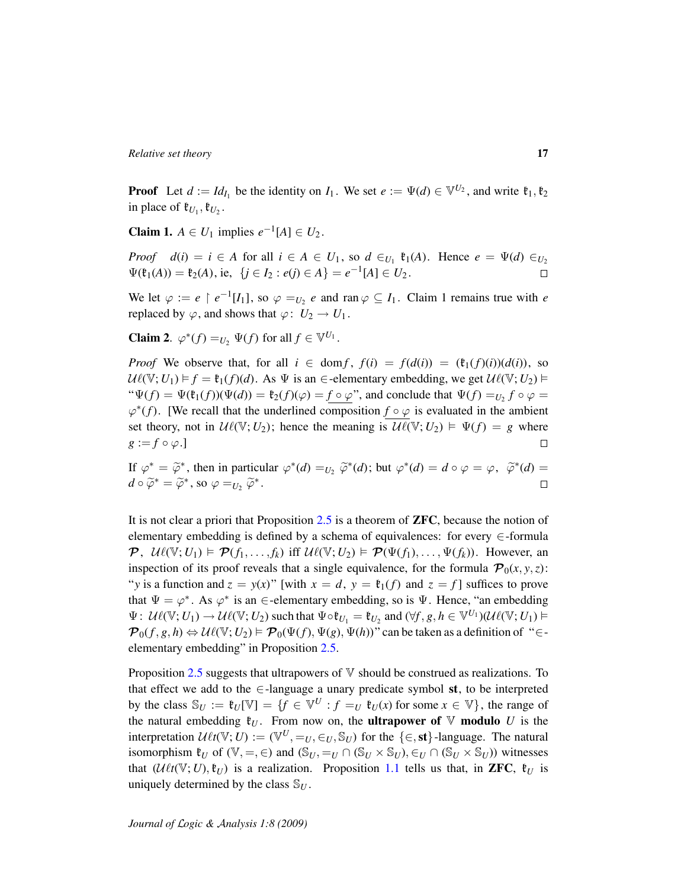**Proof** Let  $d := Id_{I_1}$  be the identity on  $I_1$ . We set  $e := \Psi(d) \in \mathbb{V}^{U_2}$ , and write  $\mathfrak{k}_1, \mathfrak{k}_2$ in place of  $\mathfrak{k}_{U_1}, \mathfrak{k}_{U_2}$ .

**Claim 1.**  $A \in U_1$  implies  $e^{-1}[A] \in U_2$ .

*Proof*  $d(i) = i \in A$  for all  $i \in A \in U_1$ , so  $d \in U_1$   $\mathfrak{k}_1(A)$ . Hence  $e = \Psi(d) \in U_2$  $\Psi(\mathfrak{k}_1(A)) = \mathfrak{k}_2(A)$ , ie,  $\{j \in I_2 : e(j) \in A\} = e^{-1}[A] \in U_2$ .  $\Box$ 

We let  $\varphi := e \restriction e^{-1}[I_1]$ , so  $\varphi =_{U_2} e$  and ran  $\varphi \subseteq I_1$ . Claim 1 remains true with *e* replaced by  $\varphi$ , and shows that  $\varphi: U_2 \to U_1$ .

**Claim 2.**  $\varphi^*(f) =_{U_2} \Psi(f)$  for all  $f \in \mathbb{V}^{U_1}$ .

*Proof* We observe that, for all  $i \in \text{dom } f$ ,  $f(i) = f(d(i)) = (\mathfrak{k}_1(f)(i))(d(i))$ , so  $U(\mathbb{V}; U_1) \models f = \mathfrak{k}_1(f)(d)$ . As  $\Psi$  is an  $\in$ -elementary embedding, we get  $U(\mathbb{V}; U_2) \models$ " $\Psi(f) = \Psi(\mathfrak{k}_1(f))(\Psi(d)) = \mathfrak{k}_2(f)(\varphi) = f \circ \varphi$ ", and conclude that  $\Psi(f) =_{U_2} f \circ \varphi =$  $\varphi^*(f)$ . [We recall that the underlined composition  $f \circ \varphi$  is evaluated in the ambient set theory, not in  $\mathcal{U}\ell(\mathbb{V}; U_2)$ ; hence the meaning is  $\mathcal{U}\ell(\mathbb{V}; U_2) \models \Psi(f) = g$  where  $g := f \circ \varphi.$  $\Box$ 

If  $\varphi^* = \widetilde{\varphi}^*$ , then in particular  $\varphi^*(d) = U_2 \widetilde{\varphi}^*(d)$ ; but  $\varphi^*(d) = d \circ \varphi = \varphi$ ,  $\widetilde{\varphi}^*(d) =$  $d \circ \widetilde{\varphi}^* = \widetilde{\varphi}^*$ , so  $\varphi =_{U_2} \widetilde{\varphi}^*$ .  $\Box$ 

It is not clear a priori that Proposition [2.5](#page-15-0) is a theorem of ZFC, because the notion of elementary embedding is defined by a schema of equivalences: for every ∈-formula  $\mathcal{P}$ ,  $\mathcal{U}\ell(\mathbb{V}; U_1) \models \mathcal{P}(f_1, \ldots, f_k)$  iff  $\mathcal{U}\ell(\mathbb{V}; U_2) \models \mathcal{P}(\Psi(f_1), \ldots, \Psi(f_k))$ . However, an inspection of its proof reveals that a single equivalence, for the formula  $\mathcal{P}_0(x, y, z)$ : "*y* is a function and  $z = y(x)$ " [with  $x = d$ ,  $y = \mathfrak{k}_1(f)$  and  $z = f$ ] suffices to prove that  $\Psi = \varphi^*$ . As  $\varphi^*$  is an  $\in$ -elementary embedding, so is  $\Psi$ . Hence, "an embedding  $\Psi: \; \mathcal{U}\ell(\mathbb{V}; U_1) \to \mathcal{U}\ell(\mathbb{V}; U_2) \text{ such that } \Psi \circ \mathfrak{k}_{U_1} = \mathfrak{k}_{U_2} \text{ and } (\forall f, g, h \in \mathbb{V}^{U_1})(\mathcal{U}\ell(\mathbb{V}; U_1) \vDash$  $\mathcal{P}_0(f, g, h) \Leftrightarrow \mathcal{U}\ell(\mathbb{V}; U_2) \models \mathcal{P}_0(\Psi(f), \Psi(g), \Psi(h))$ " can be taken as a definition of " $\in$ elementary embedding" in Proposition [2.5.](#page-15-0)

Proposition  $2.5$  suggests that ultrapowers of  $V$  should be construed as realizations. To that effect we add to the  $\in$ -language a unary predicate symbol st, to be interpreted by the class  $\mathbb{S}_U := \mathfrak{k}_U[\mathbb{V}] = \{f \in \mathbb{V}^U : f =_U \mathfrak{k}_U(x) \text{ for some } x \in \mathbb{V}\},\$ the range of the natural embedding  $\mathfrak{k}_U$ . From now on, the **ultrapower of**  $\mathbb V$  modulo  $U$  is the interpretation  $\mathcal{U}\ell t(\mathbb{V}; U) := (\mathbb{V}^U, =_U, \in_U, \mathbb{S}_U)$  for the  $\{\in, st\}$ -language. The natural isomorphism  $\mathfrak{k}_U$  of  $(\mathbb{V}, =, \in)$  and  $(\mathbb{S}_U, =_U \cap (\mathbb{S}_U \times \mathbb{S}_U), \in_U \cap (\mathbb{S}_U \times \mathbb{S}_U))$  witnesses that  $(U\ell t(\mathbb{V}; U), \mathfrak{k}_U)$  is a realization. Proposition [1.1](#page-9-1) tells us that, in **ZFC**,  $\mathfrak{k}_U$  is uniquely determined by the class  $\mathcal{S}_U$ .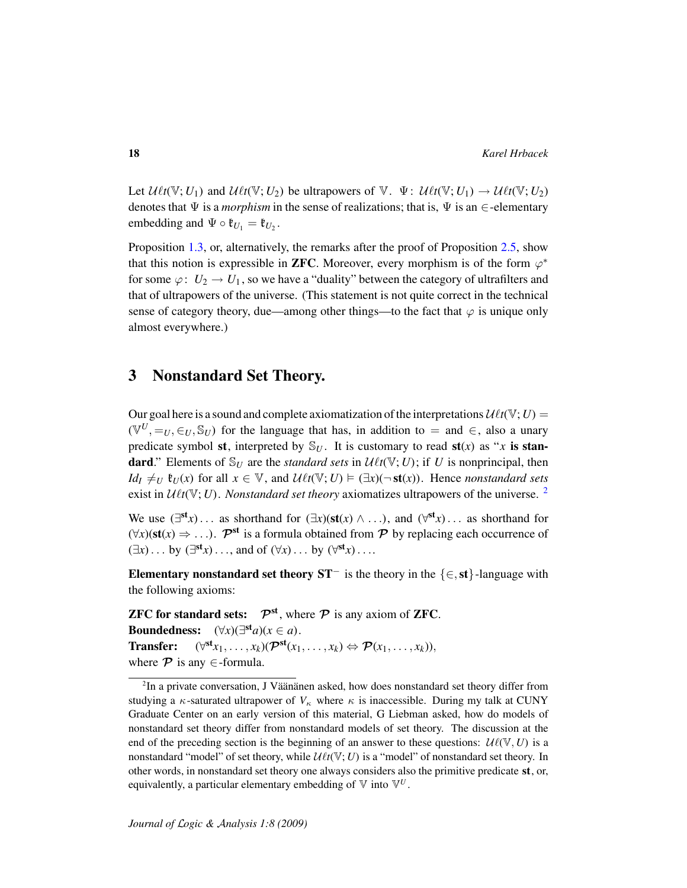Let  $\mathcal{U}\ell t(\mathbb{V}; U_1)$  and  $\mathcal{U}\ell t(\mathbb{V}; U_2)$  be ultrapowers of  $\mathbb{V}$ .  $\Psi: \mathcal{U}\ell t(\mathbb{V}; U_1) \to \mathcal{U}\ell t(\mathbb{V}; U_2)$ denotes that  $\Psi$  is a *morphism* in the sense of realizations; that is,  $\Psi$  is an  $\in$ -elementary embedding and  $\Psi \circ \mathfrak{k}_{U_1} = \mathfrak{k}_{U_2}$ .

Proposition [1.3,](#page-10-0) or, alternatively, the remarks after the proof of Proposition [2.5,](#page-15-0) show that this notion is expressible in **ZFC**. Moreover, every morphism is of the form  $\varphi^*$ for some  $\varphi: U_2 \to U_1$ , so we have a "duality" between the category of ultrafilters and that of ultrapowers of the universe. (This statement is not quite correct in the technical sense of category theory, due—among other things—to the fact that  $\varphi$  is unique only almost everywhere.)

## <span id="page-17-0"></span>3 Nonstandard Set Theory.

Our goal here is a sound and complete axiomatization of the interpretations  $\mathcal{U}\ell t(V; U) =$  $(\mathbb{V}^U, =_U, \in_U, \mathbb{S}_U)$  for the language that has, in addition to = and  $\in$ , also a unary predicate symbol st, interpreted by  $\mathcal{S}_U$ . It is customary to read st(*x*) as "*x* is standard." Elements of  $\mathbb{S}_U$  are the *standard sets* in  $\mathcal{U}\ell t(\mathbb{V}; U)$ ; if *U* is nonprincipal, then *Id<sub>I</sub>*  $\neq_U$   $\mathfrak{k}_U(x)$  for all  $x \in V$ , and  $\mathcal{U} \ell t(V; U) \models (\exists x)(\neg \mathbf{st}(x))$ . Hence *nonstandard sets* exist in  $U\ell t(V; U)$ . *Nonstandard set theory* axiomatizes ultrapowers of the universe. <sup>[2](#page-17-1)</sup>

We use  $(\exists^{st} x) \dots$  as shorthand for  $(\exists x)(st(x) \land \dots)$ , and  $(\forall^{st} x) \dots$  as shorthand for  $(\forall x)(st(x) \Rightarrow ...)$ .  $\mathcal{P}^{st}$  is a formula obtained from  $\mathcal P$  by replacing each occurrence of  $(\exists x) \dots$  by  $(\exists^{\text{st}} x) \dots$ , and of  $(\forall x) \dots$  by  $(\forall^{\text{st}} x) \dots$ 

Elementary nonstandard set theory  $ST^-$  is the theory in the {∈, st}-language with the following axioms:

**ZFC for standard sets:**  $\mathcal{P}^{st}$ , where  $\mathcal{P}$  is any axiom of **ZFC**. Boundedness:  $(\forall x)(\exists^{\text{st}}a)(x \in a)$ . Transfer:  $(\forall^{\text{st}} x_1, \ldots, x_k)(\mathcal{P}^{\text{st}}(x_1, \ldots, x_k) \Leftrightarrow \mathcal{P}(x_1, \ldots, x_k)),$ where  $\mathcal P$  is any  $\in$ -formula.

<span id="page-17-1"></span> $2$ In a private conversation, J Väänänen asked, how does nonstandard set theory differ from studying a  $\kappa$ -saturated ultrapower of  $V_{\kappa}$  where  $\kappa$  is inaccessible. During my talk at CUNY Graduate Center on an early version of this material, G Liebman asked, how do models of nonstandard set theory differ from nonstandard models of set theory. The discussion at the end of the preceding section is the beginning of an answer to these questions:  $\mathcal{U}\ell(\mathbb{V}, U)$  is a nonstandard "model" of set theory, while  $\mathcal{U}\ell t(\mathbb{V}; U)$  is a "model" of nonstandard set theory. In other words, in nonstandard set theory one always considers also the primitive predicate st, or, equivalently, a particular elementary embedding of  $\mathbb{V}$  into  $\mathbb{V}^U$ .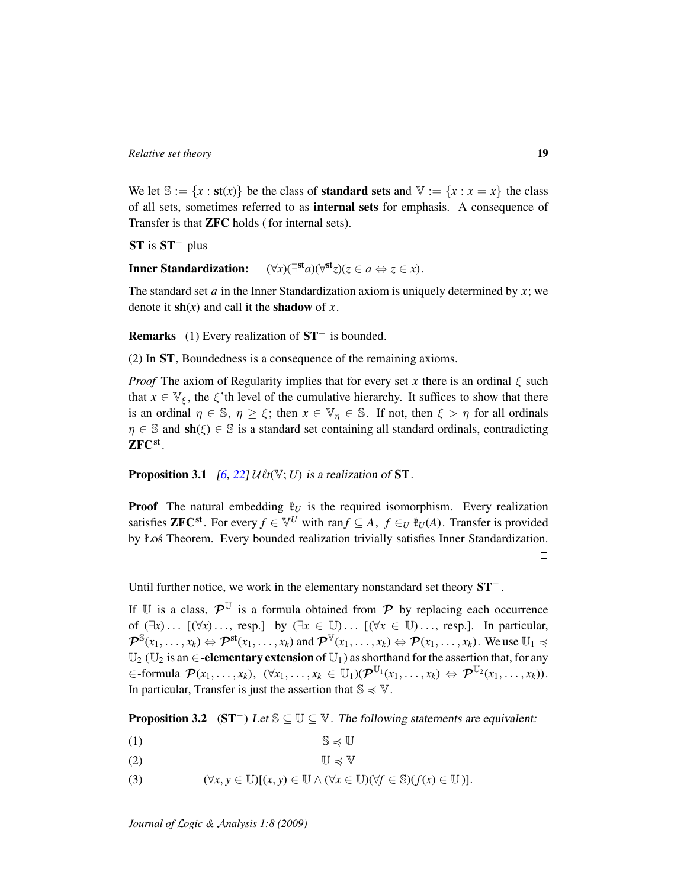We let  $\mathbb{S} := \{x : \textbf{st}(x)\}\)$  be the class of **standard sets** and  $\mathbb{V} := \{x : x = x\}$  the class of all sets, sometimes referred to as internal sets for emphasis. A consequence of Transfer is that ZFC holds ( for internal sets).

ST is ST<sup>−</sup> plus

Inner Standardization: st<sub>*a*</sub>)( $\forall$ <sup>st</sup>*z*)(*z* ∈ *a* ⇔ *z* ∈ *x*).

The standard set *a* in the Inner Standardization axiom is uniquely determined by *x*; we denote it  $\mathbf{sh}(x)$  and call it the **shadow** of *x*.

Remarks (1) Every realization of ST<sup>−</sup> is bounded.

(2) In ST, Boundedness is a consequence of the remaining axioms.

*Proof* The axiom of Regularity implies that for every set *x* there is an ordinal  $\xi$  such that  $x \in \mathbb{V}_{\xi}$ , the  $\xi$ 'th level of the cumulative hierarchy. It suffices to show that there is an ordinal  $\eta \in \mathbb{S}$ ,  $\eta \geq \xi$ ; then  $x \in \mathbb{V}_\eta \in \mathbb{S}$ . If not, then  $\xi > \eta$  for all ordinals  $\eta \in \mathbb{S}$  and  $\textbf{sh}(\xi) \in \mathbb{S}$  is a standard set containing all standard ordinals, contradicting  ${\rm ZFC^{st}}$  .  $\Box$ 

<span id="page-18-1"></span>**Proposition 3.1** [\[6,](#page-106-10) [22\]](#page-107-2)  $\mathcal{U} \ell t(\mathbb{V}; U)$  is a realization of **ST**.

**Proof** The natural embedding  $\mathfrak{k}_U$  is the required isomorphism. Every realization satisfies **ZFC**<sup>st</sup>. For every  $f \in V^U$  with ran $f \subseteq A$ ,  $f \in U$   $\mathfrak{k}_U(A)$ . Transfer is provided by Łoś Theorem. Every bounded realization trivially satisfies Inner Standardization.  $\Box$ 

Until further notice, we work in the elementary nonstandard set theory ST<sup>−</sup> .

If U is a class,  $\mathcal{P}^{\mathbb{U}}$  is a formula obtained from  $\mathcal{P}$  by replacing each occurrence of  $(\exists x) \dots [(\forall x) \dots$ , resp.] by  $(\exists x \in \mathbb{U}) \dots [(\forall x \in \mathbb{U}) \dots$ , resp.]. In particular,  $\mathcal{P}^{\mathbb{S}}(x_1,\ldots,x_k) \Leftrightarrow \mathcal{P}^{\mathbf{st}}(x_1,\ldots,x_k)$  and  $\mathcal{P}^{\mathbb{V}}(x_1,\ldots,x_k) \Leftrightarrow \mathcal{P}(x_1,\ldots,x_k)$ . We use  $\mathbb{U}_1 \preccurlyeq$  $\mathbb{U}_2$  ( $\mathbb{U}_2$  is an  $\in$ -elementary extension of  $\mathbb{U}_1$ ) as shorthand for the assertion that, for any  $\in$  -formula  $\mathcal{P}(x_1,\ldots,x_k), \; (\forall x_1,\ldots,x_k \in \mathbb{U}_1)(\mathcal{P}^{\mathbb{U}_1}(x_1,\ldots,x_k) \Leftrightarrow \mathcal{P}^{\mathbb{U}_2}(x_1,\ldots,x_k)).$ In particular, Transfer is just the assertion that  $\mathbb{S} \preccurlyeq \mathbb{V}$ .

<span id="page-18-0"></span>**Proposition 3.2** (ST<sup>-</sup>) Let  $\mathbb{S} \subseteq \mathbb{U} \subseteq \mathbb{V}$ . The following statements are equivalent:

- (1)  $\mathbb{S} \preccurlyeq \mathbb{U}$
- (2)  $\mathbb{U} \preceq \mathbb{V}$
- (3)  $(\forall x, y \in \mathbb{U})[(x, y) \in \mathbb{U} \wedge (\forall x \in \mathbb{U})(\forall f \in \mathbb{S})(f(x) \in \mathbb{U})].$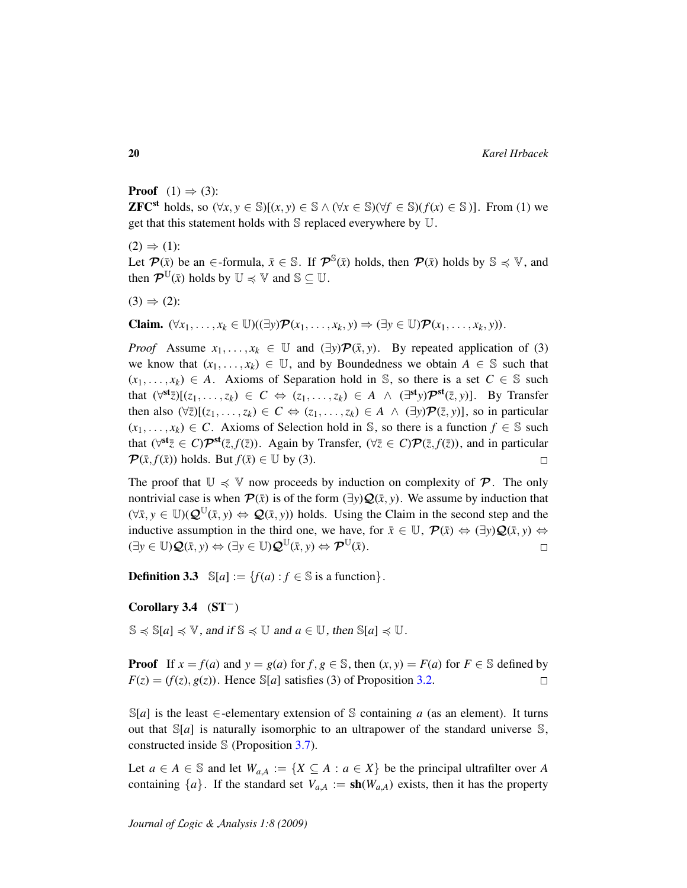**Proof**  $(1) \Rightarrow (3)$ :

**ZFC**<sup>st</sup> holds, so  $(\forall x, y \in \mathbb{S})[(x, y) \in \mathbb{S} \land (\forall x \in \mathbb{S})(\forall f \in \mathbb{S})(f(x) \in \mathbb{S})]$ . From (1) we get that this statement holds with S replaced everywhere by U.

 $(2) \Rightarrow (1)$ : Let  $\mathcal{P}(\bar{x})$  be an  $\in$ -formula,  $\bar{x} \in \mathbb{S}$ . If  $\mathcal{P}^{\mathbb{S}}(\bar{x})$  holds, then  $\mathcal{P}(\bar{x})$  holds by  $\mathbb{S} \preccurlyeq \mathbb{V}$ , and then  $\mathcal{P}^{\mathbb{U}}(\bar{x})$  holds by  $\mathbb{U} \preccurlyeq \mathbb{V}$  and  $\mathbb{S} \subseteq \mathbb{U}$ .

 $(3) \Rightarrow (2)$ :

Claim.  $(\forall x_1, \ldots, x_k \in \mathbb{U})((\exists y)\mathcal{P}(x_1, \ldots, x_k, y) \Rightarrow (\exists y \in \mathbb{U})\mathcal{P}(x_1, \ldots, x_k, y)).$ 

*Proof* Assume  $x_1, \ldots, x_k \in \mathbb{U}$  and  $(\exists y) \mathcal{P}(\bar{x}, y)$ . By repeated application of (3) we know that  $(x_1, \ldots, x_k) \in \mathbb{U}$ , and by Boundedness we obtain  $A \in \mathbb{S}$  such that  $(x_1, \ldots, x_k) \in A$ . Axioms of Separation hold in S, so there is a set  $C \in S$  such that  $(\forall^{\text{st}}\bar{z})[(z_1,\ldots,z_k) \in C \Leftrightarrow (z_1,\ldots,z_k) \in A \ \wedge \ (\exists^{\text{st}}y)\mathcal{P}^{\text{st}}(\bar{z},y)].$  By Transfer then also  $(\forall \overline{z})[(z_1, \ldots, z_k) \in C \Leftrightarrow (z_1, \ldots, z_k) \in A \land (\exists y) \mathcal{P}(\overline{z}, y)]$ , so in particular  $(x_1, \ldots, x_k) \in C$ . Axioms of Selection hold in S, so there is a function  $f \in S$  such that  $(\forall^{st}\bar{z}\in C)\mathcal{P}^{st}(\bar{z},f(\bar{z}))$ . Again by Transfer,  $(\forall \bar{z}\in C)\mathcal{P}(\bar{z},f(\bar{z}))$ , and in particular  $\mathcal{P}(\bar{x}, f(\bar{x}))$  holds. But  $f(\bar{x}) \in \mathbb{U}$  by (3).  $\Box$ 

The proof that  $\mathbb{U} \preccurlyeq \mathbb{V}$  now proceeds by induction on complexity of  $\mathcal{P}$ . The only nontrivial case is when  $\mathcal{P}(\bar{x})$  is of the form  $(\exists y) \mathcal{Q}(\bar{x}, y)$ . We assume by induction that  $(\forall \bar{x}, y \in \mathbb{U}) (\mathcal{Q}^{\mathbb{U}}(\bar{x}, y) \Leftrightarrow \mathcal{Q}(\bar{x}, y))$  holds. Using the Claim in the second step and the inductive assumption in the third one, we have, for  $\bar{x} \in \mathbb{U}$ ,  $\mathcal{P}(\bar{x}) \Leftrightarrow (\exists y) \mathcal{Q}(\bar{x}, y) \Leftrightarrow$  $(\exists y \in \mathbb{U})\mathcal{Q}(\bar{x}, y) \Leftrightarrow (\exists y \in \mathbb{U})\mathcal{Q}^{\mathbb{U}}(\bar{x}, y) \Leftrightarrow \mathcal{P}^{\mathbb{U}}(\bar{x}).$  $\Box$ 

**Definition 3.3**  $\mathbb{S}[a] := \{f(a) : f \in \mathbb{S} \text{ is a function}\}.$ 

#### Corollary 3.4  $(ST^-)$

 $S \preccurlyeq S[a] \preccurlyeq V$ , and if  $S \preccurlyeq U$  and  $a \in U$ , then  $S[a] \preccurlyeq U$ .

**Proof** If  $x = f(a)$  and  $y = g(a)$  for  $f, g \in \mathbb{S}$ , then  $(x, y) = F(a)$  for  $F \in \mathbb{S}$  defined by  $F(z) = (f(z), g(z))$ . Hence S[*a*] satisfies (3) of Proposition [3.2.](#page-18-0)  $\Box$ 

 $\mathbb{S}[a]$  is the least  $\in$ -elementary extension of S containing *a* (as an element). It turns out that  $\mathbb{S}[a]$  is naturally isomorphic to an ultrapower of the standard universe  $\mathbb{S}$ , constructed inside S (Proposition [3.7\)](#page-20-0).

Let  $a \in A \in \mathbb{S}$  and let  $W_{a,A} := \{X \subseteq A : a \in X\}$  be the principal ultrafilter over A containing  $\{a\}$ . If the standard set  $V_{a,A} := \text{sh}(W_{a,A})$  exists, then it has the property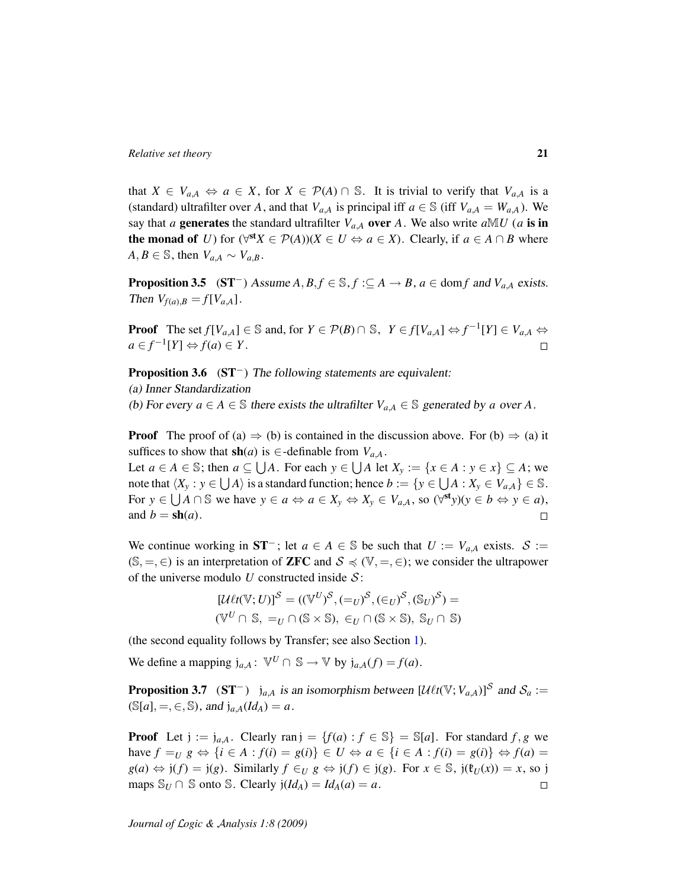that  $X \in V_{a,A} \Leftrightarrow a \in X$ , for  $X \in \mathcal{P}(A) \cap \mathbb{S}$ . It is trivial to verify that  $V_{a,A}$  is a (standard) ultrafilter over *A*, and that  $V_{a,A}$  is principal iff  $a \in \mathbb{S}$  (iff  $V_{a,A} = W_{a,A}$ ). We say that *a* generates the standard ultrafilter  $V_{a,A}$  over *A*. We also write  $aM U$  (*a* is in the monad of *U*) for  $(\forall^{\text{st}} X \in \mathcal{P}(A))(X \in U \Leftrightarrow a \in X)$ . Clearly, if  $a \in A \cap B$  where  $A, B \in \mathbb{S}$ , then  $V_{a,A} \sim V_{a,B}$ .

<span id="page-20-1"></span>**Proposition 3.5** (ST<sup>−</sup>) Assume  $A, B, f \in \mathbb{S}, f : \subseteq A \rightarrow B$ ,  $a \in \text{dom } f$  and  $V_{a,A}$  exists. *Then*  $V_{f(a),B} = f[V_{a,A}].$ 

**Proof** The set  $f[V_{a,A}] \in \mathbb{S}$  and, for  $Y \in \mathcal{P}(B) \cap \mathbb{S}$ ,  $Y \in f[V_{a,A}] \Leftrightarrow f^{-1}[Y] \in V_{a,A} \Leftrightarrow$  $a \in f^{-1}[Y] \Leftrightarrow f(a) \in Y$ .

<span id="page-20-2"></span>Proposition 3.6 (ST<sup>−</sup>) The following statements are equivalent:

(a) Inner Standardization

(b) For every  $a \in A \in \mathbb{S}$  there exists the ultrafilter  $V_{a,A} \in \mathbb{S}$  generated by a over A.

**Proof** The proof of (a)  $\Rightarrow$  (b) is contained in the discussion above. For (b)  $\Rightarrow$  (a) it suffices to show that  $\textbf{sh}(a)$  is  $\in$ -definable from  $V_{a,A}$ .

Let  $a \in A \in \mathbb{S}$ ; then  $a \subseteq \bigcup A$ . For each  $y \in \bigcup A$  let  $X_y := \{x \in A : y \in x\} \subseteq A$ ; we note that  $\langle X_y : y \in \bigcup A \rangle$  is a standard function; hence  $b := \{y \in \bigcup A : X_y \in V_{a,A}\} \in \mathbb{S}$ . For  $y \in \bigcup A \cap \mathbb{S}$  we have  $y \in a \Leftrightarrow a \in X_y \Leftrightarrow X_y \in V_{a,A}$ , so  $(\forall^{st}y)(y \in b \Leftrightarrow y \in a)$ , and  $b = \text{sh}(a)$ .  $\Box$ 

We continue working in  $ST^-$ ; let  $a \in A \in \mathbb{S}$  be such that  $U := V_{a,A}$  exists.  $S :=$ (S, =, ∈) is an interpretation of **ZFC** and  $S \preccurlyeq (V, =, \in)$ ; we consider the ultrapower of the universe modulo  $U$  constructed inside  $S$ :

$$
[\mathcal{U}\ell t(\mathbb{V}; U)]^{S} = ((\mathbb{V}^{U})^{S}, (-_{U})^{S}, (\in_{U})^{S}, (\mathbb{S}_{U})^{S}) = (\mathbb{V}^{U} \cap \mathbb{S}, =_{U} \cap (\mathbb{S} \times \mathbb{S}), \in_{U} \cap (\mathbb{S} \times \mathbb{S}), \mathbb{S}_{U} \cap \mathbb{S})
$$

(the second equality follows by Transfer; see also Section [1\)](#page-6-0).

We define a mapping  $j_{a,A}: \mathbb{V}^U \cap \mathbb{S} \to \mathbb{V}$  by  $j_{a,A}(f) = f(a)$ .

<span id="page-20-0"></span>**Proposition 3.7** (ST<sup>-</sup>)  $j_{a,A}$  is an isomorphism between  $[\mathcal{U} \ell t(\mathbb{V}; V_{a,A})]^S$  and  $S_a :=$  $(S[a], =, \in, S)$ , and  $j_{a,A}(Id_A) = a$ .

**Proof** Let  $j := j_{a,A}$ . Clearly ran  $j = \{f(a) : f \in \mathbb{S}\} = \mathbb{S}[a]$ . For standard  $f, g$  we have  $f = U$   $g \Leftrightarrow {i \in A : f(i) = g(i)} \in U \Leftrightarrow a \in {i \in A : f(i) = g(i)} \Leftrightarrow f(a) =$  $g(a) \Leftrightarrow j(f) = j(g)$ . Similarly  $f \in U$   $g \Leftrightarrow j(f) \in j(g)$ . For  $x \in \mathbb{S}$ ,  $j(f)(x) = x$ , so j maps  $\mathbb{S}_U \cap \mathbb{S}$  onto  $\mathbb{S}$ . Clearly  $j(Id_A) = Id_A(a) = a$ .  $\Box$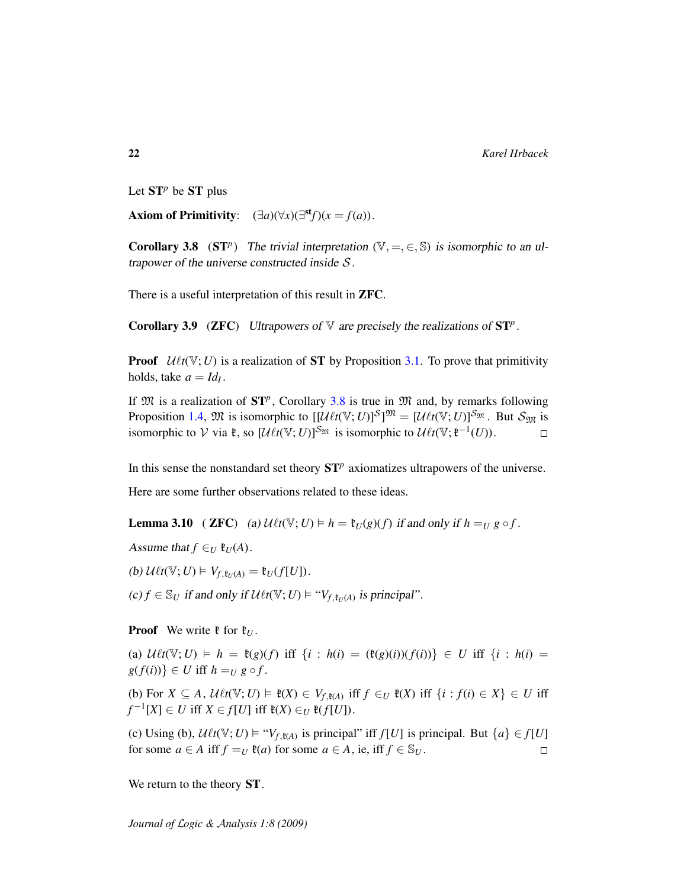Let  $ST^p$  be  $ST$  plus

<span id="page-21-0"></span>Axiom of Primitivity:  $(\exists a)(\forall x)(\exists^{\text{st}} f)(x = f(a)).$ 

**Corollary 3.8** (ST<sup>p</sup>) The trivial interpretation ( $V, =, \in, \mathbb{S}$ ) is isomorphic to an ultrapower of the universe constructed inside  $S$ .

<span id="page-21-1"></span>There is a useful interpretation of this result in ZFC.

Corollary 3.9 (ZFC) Ultrapowers of  $\nabla$  are precisely the realizations of  $ST^p$ .

**Proof**  $U\ell t(V; U)$  is a realization of **ST** by Proposition [3.1.](#page-18-1) To prove that primitivity holds, take  $a = Id_I$ .

If  $\mathfrak{M}$  is a realization of  $ST^p$ , Corollary [3.8](#page-21-0) is true in  $\mathfrak{M}$  and, by remarks following Proposition [1.4,](#page-11-0)  $\mathfrak{M}$  is isomorphic to  $[[\mathcal{U}\ell t(\mathbb{V}; U)]^S]^{\mathfrak{M}} = [\mathcal{U}\ell t(\mathbb{V}; U)]^{S_{\mathfrak{M}}}$ . But  $S_{\mathfrak{M}}$  is isomorphic to  $V$  via  $\mathfrak{k}$ , so  $[\mathcal{U} \ell t(\mathbb{V}; U)]^{\mathcal{S}_{\mathfrak{M}}}$  is isomorphic to  $\mathcal{U} \ell t(\mathbb{V}; \mathfrak{k}^{-1}(U))$ .  $\Box$ 

In this sense the nonstandard set theory  $ST^p$  axiomatizes ultrapowers of the universe.

Here are some further observations related to these ideas.

**Lemma 3.10** ( **ZFC**) (a)  $\mathcal{U}\ell t(\mathbb{V}; U) \models h = \mathfrak{k}_U(g)(f)$  if and only if  $h = U \, g \circ f$ .

Assume that  $f \in U$   $\mathfrak{k}_U(A)$ .

(b)  $\mathcal{U}\ell t(\mathbb{V}; U) \models V_{f, \mathfrak{k}_U(A)} = \mathfrak{k}_U(f[U]).$ 

(c) *f* ∈  $\mathcal{S}_U$  if and only if  $\mathcal{U}\ell t(\mathbb{V}; U) \models "V_{f, \mathfrak{k}_U(A)}$  is principal".

**Proof** We write  $\mathfrak{k}$  for  $\mathfrak{k}_U$ .

(a)  $\mathcal{U} \ell t(\mathbb{V}; U) \models h = \mathfrak{k}(g)(f) \text{ iff } \{i : h(i) = (\mathfrak{k}(g)(i))(f(i))\} \in U \text{ iff } \{i : h(i) =$  $g(f(i)) \in U$  iff  $h = U$   $g \circ f$ .

(b) For  $X \subseteq A$ ,  $\mathcal{U}\ell t(\mathbb{V}; U) \models \mathfrak{k}(X) \in V_{f, \mathfrak{k}(A)}$  iff  $f \in U \mathfrak{k}(X)$  iff  $\{i : f(i) \in X\} \in U$  iff *f*<sup>-1</sup>[*X*] ∈ *U* iff *X* ∈ *f*[*U*] iff  $\mathfrak{k}(X) \in U$   $\mathfrak{k}(f[U])$ .

(c) Using (b),  $\mathcal{U}\ell t(\mathbb{V}; U) \models "V_{f, \mathfrak{k}(A)}$  is principal" iff  $f[U]$  is principal. But  $\{a\} \in f[U]$ for some  $a \in A$  iff  $f = U$   $\mathfrak{k}(a)$  for some  $a \in A$ , ie, iff  $f \in \mathbb{S}_U$ .  $\Box$ 

<span id="page-21-2"></span>We return to the theory **ST**.

*Journal of* L*ogic &* A*nalysis 1:8 (2009)*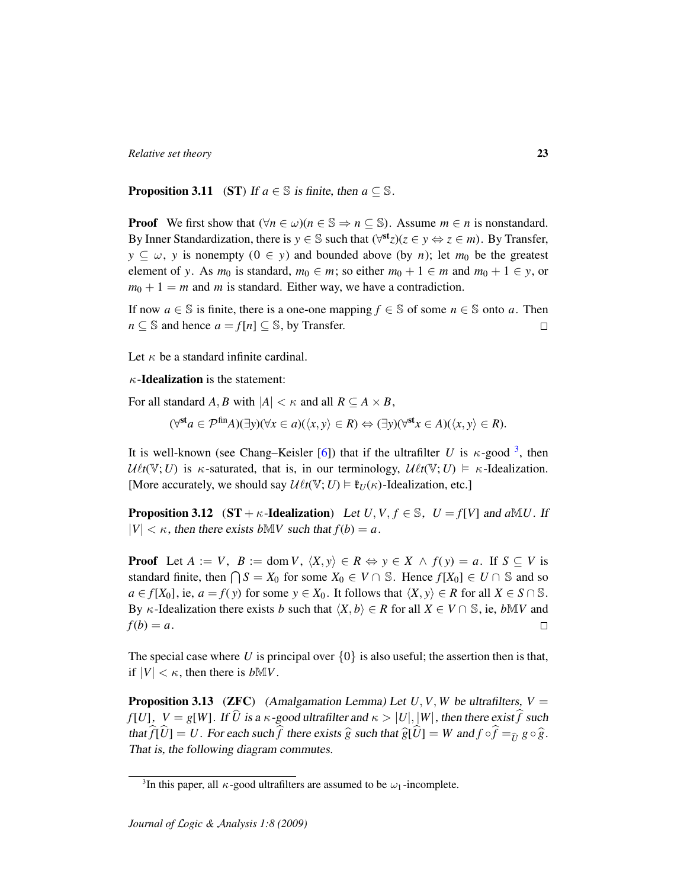**Proposition 3.11** (ST) If  $a \in \mathbb{S}$  is finite, then  $a \subseteq \mathbb{S}$ .

**Proof** We first show that  $(\forall n \in \omega)(n \in \mathbb{S} \Rightarrow n \subseteq \mathbb{S})$ . Assume  $m \in n$  is nonstandard. By Inner Standardization, there is  $y \in \mathbb{S}$  such that  $(\forall^{\text{st}} z)(z \in y \Leftrightarrow z \in m)$ . By Transfer,  $y \subseteq \omega$ , *y* is nonempty  $(0 \in y)$  and bounded above (by *n*); let *m*<sub>0</sub> be the greatest element of *y*. As  $m_0$  is standard,  $m_0 \in m$ ; so either  $m_0 + 1 \in m$  and  $m_0 + 1 \in y$ , or  $m_0 + 1 = m$  and *m* is standard. Either way, we have a contradiction.

If now  $a \in \mathbb{S}$  is finite, there is a one-one mapping  $f \in \mathbb{S}$  of some  $n \in \mathbb{S}$  onto a. Then  $n \subseteq \mathbb{S}$  and hence  $a = f[n] \subseteq \mathbb{S}$ , by Transfer.  $\Box$ 

Let  $\kappa$  be a standard infinite cardinal.

 $\kappa$ -**Idealization** is the statement:

For all standard *A*, *B* with  $|A| < \kappa$  and all  $R \subseteq A \times B$ ,

$$
(\forall^{\mathsf{st}} a \in \mathcal{P}^{\text{fin}} A)(\exists y)(\forall x \in a)(\langle x, y \rangle \in R) \Leftrightarrow (\exists y)(\forall^{\mathsf{st}} x \in A)(\langle x, y \rangle \in R).
$$

It is well-known (see Chang–Keisler [\[6\]](#page-106-10)) that if the ultrafilter *U* is  $\kappa$ -good <sup>[3](#page-22-0)</sup>, then  $U\ell t(\mathbb{V}; U)$  is  $\kappa$ -saturated, that is, in our terminology,  $U\ell t(\mathbb{V}; U) \models \kappa$ -Idealization. [More accurately, we should say  $\mathcal{U} \ell t(\mathbb{V}; U) \models \mathfrak{k}_U(\kappa)$ -Idealization, etc.]

<span id="page-22-1"></span>**Proposition 3.12** (ST +  $\kappa$ -Idealization) Let *U*, *V*,  $f \in \mathbb{S}$ ,  $U = f[V]$  and  $aMU$ . If  $|V| < \kappa$ , then there exists *b*M*V* such that  $f(b) = a$ .

**Proof** Let  $A := V$ ,  $B := \text{dom } V$ ,  $\langle X, y \rangle \in R \Leftrightarrow y \in X \land f(y) = a$ . If  $S \subseteq V$  is standard finite, then  $\bigcap S = X_0$  for some  $X_0 \in V \cap \mathbb{S}$ . Hence  $f[X_0] \in U \cap \mathbb{S}$  and so *a* ∈ *f*[*X*<sub>0</sub>], ie, *a* = *f*(*y*) for some *y* ∈ *X*<sub>0</sub>. It follows that  $\langle X, y \rangle$  ∈ *R* for all *X* ∈ *S* ∩ S. By  $\kappa$ -Idealization there exists *b* such that  $\langle X, b \rangle \in R$  for all  $X \in V \cap \mathbb{S}$ , ie, *b*M*V* and  $f(b) = a$ .  $\Box$ 

The special case where U is principal over  $\{0\}$  is also useful; the assertion then is that, if  $|V| < \kappa$ , then there is  $bMV$ .

**Proposition 3.13** (ZFC) (Amalgamation Lemma) Let  $U, V, W$  be ultrafilters,  $V =$ *f*[*U*],  $V = g[W]$ . If  $\widehat{U}$  is a  $\kappa$ -good ultrafilter and  $\kappa > |U|, |W|$ , then there exist  $\widehat{f}$  such that  $\hat{f}[\hat{U}] = U$ . For each such  $\hat{f}$  there exists  $\hat{g}$  such that  $\hat{g}[\hat{U}] = W$  and  $f \circ \hat{f} = \hat{g} \circ \hat{g}$ . That is, the following diagram commutes.

<span id="page-22-0"></span><sup>&</sup>lt;sup>3</sup>In this paper, all  $\kappa$ -good ultrafilters are assumed to be  $\omega_1$ -incomplete.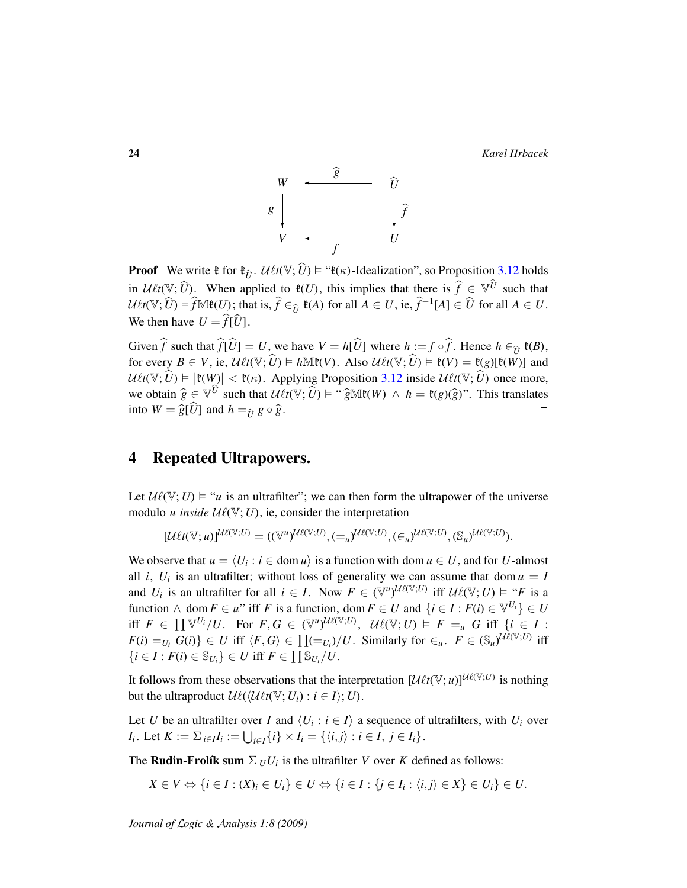24 *Karel Hrbacek*



**Proof** We write  $f$  for  $f_{\hat{U}}$ .  $\mathcal{U}\ell t(\mathbb{V}; \hat{U}) \models ``f(\kappa)$ -Idealization", so Proposition [3.12](#page-22-1) holds in  $\mathcal{U} \ell t(\mathbb{V}; \hat{U})$ . When applied to  $\mathfrak{k}(U)$ , this implies that there is  $\hat{f} \in \mathbb{V}^{\hat{U}}$  such that  $U\ell t(\mathbb{V}; \hat{U}) \models \hat{f}\mathbb{M}\mathfrak{k}(U)$ ; that is,  $\hat{f} \in_{\hat{U}} \mathfrak{k}(A)$  for all  $A \in U$ , ie,  $\hat{f}^{-1}[A] \in \hat{U}$  for all  $A \in U$ . We then have  $U = \hat{f}[\hat{U}].$ 

Given  $\hat{f}$  such that  $\hat{f}[\hat{U}] = U$ , we have  $V = h[\hat{U}]$  where  $h := f \circ \hat{f}$ . Hence  $h \in_{\hat{U}} \mathfrak{k}(B)$ , for every  $B \in V$ , ie,  $\mathcal{U}\ell t(\mathbb{V}; \widehat{U}) \models h \mathbb{M} \mathfrak{k}(V)$ . Also  $\mathcal{U}\ell t(\mathbb{V}; \widehat{U}) \models \mathfrak{k}(V) = \mathfrak{k}(g)[\mathfrak{k}(W)]$  and  $U\ell t(\mathbb{V}; \hat{U}) \models |\mathfrak{k}(W)| < \mathfrak{k}(\kappa)$ . Applying Proposition [3.12](#page-22-1) inside  $U\ell t(\mathbb{V}; \hat{U})$  once more, we obtain  $\hat{g} \in \mathbb{V}^{\hat{U}}$  such that  $\mathcal{U}\ell t(\mathbb{V}; \hat{U}) \models$  " $\hat{g}\mathbb{M}\mathfrak{k}(W) \land h = \mathfrak{k}(g)(\hat{g})$ ". This translates into  $W = \widehat{g}[\widehat{U}]$  and  $h =_{\widehat{U}} g \circ \widehat{g}$ .

## <span id="page-23-0"></span>4 Repeated Ultrapowers.

Let  $\mathcal{U}(\mathbb{V}; U) \models "u$  is an ultrafilter"; we can then form the ultrapower of the universe modulo *u* inside  $U(\mathbb{V}; U)$ , ie, consider the interpretation

$$
[\mathcal{U}\ell t(\mathbb{V};u)]^{\mathcal{U}\ell(\mathbb{V};U)} = ((\mathbb{V}^u)^{\mathcal{U}\ell(\mathbb{V};U)}, (=_u)^{\mathcal{U}\ell(\mathbb{V};U)}, (\in_u)^{\mathcal{U}\ell(\mathbb{V};U)}, (\mathbb{S}_u)^{\mathcal{U}\ell(\mathbb{V};U)}).
$$

We observe that  $u = \langle U_i : i \in \text{dom } u \rangle$  is a function with dom  $u \in U$ , and for *U*-almost all *i*,  $U_i$  is an ultrafilter; without loss of generality we can assume that dom  $u = I$ and *U<sub>i</sub>* is an ultrafilter for all  $i \in I$ . Now  $F \in (\mathbb{V}^u)^{\mathcal{U} \ell(\mathbb{V}; U)}$  iff  $\mathcal{U} \ell(\mathbb{V}; U) \models "F$  is a function  $\land$  dom  $F \in u^{\prime\prime}$  iff  $F$  is a function, dom  $F \in U$  and  $\{i \in I : F(i) \in \mathbb{V}^{U_i}\} \in U$ iff  $F \in \prod_{i} \mathbb{V}^{U_i}/U$ . For  $F, G \in (\mathbb{V}^u)^{\mathcal{U}\ell(\mathbb{V};U)}$ ,  $\mathcal{U}\ell(\mathbb{V};U) \models F =_{u} G$  iff  $\{i \in I :$  $F(i) = U_i$   $G(i)$   $\in U$  iff  $\langle F, G \rangle \in \prod_{i=1}^n (-U_i) / U$ . Similarly for  $\in_u$ .  $F \in (\mathbb{S}_u)^{\mathcal{U}(\mathbb{V};U)}$  iff  $\{i \in I : F(i) \in \mathbb{S}_{U_i}\}\in U$  iff  $F \in \prod \mathbb{S}_{U_i}/U$ .

It follows from these observations that the interpretation  $[\mathcal{U}\ell t(\mathbb{V}; u)]^{\mathcal{U}\ell(\mathbb{V}; U)}$  is nothing but the ultraproduct  $\mathcal{U}\ell(\langle\mathcal{U}\ell t(\mathbb{V}; U_i) : i \in I \rangle; U)$ .

Let *U* be an ultrafilter over *I* and  $\langle U_i : i \in I \rangle$  a sequence of ultrafilters, with  $U_i$  over *I*<sub>*i*</sub>. Let  $K := \sum_{i \in I} I_i := \bigcup_{i \in I} \{i\} \times I_i = \{\langle i, j \rangle : i \in I, j \in I_i\}.$ 

The **Rudin-Frolík sum**  $\Sigma_U U_i$  is the ultrafilter *V* over *K* defined as follows:

$$
X \in V \Leftrightarrow \{i \in I : (X)_i \in U_i\} \in U \Leftrightarrow \{i \in I : \{j \in I_i : \langle i, j \rangle \in X\} \in U_i\} \in U.
$$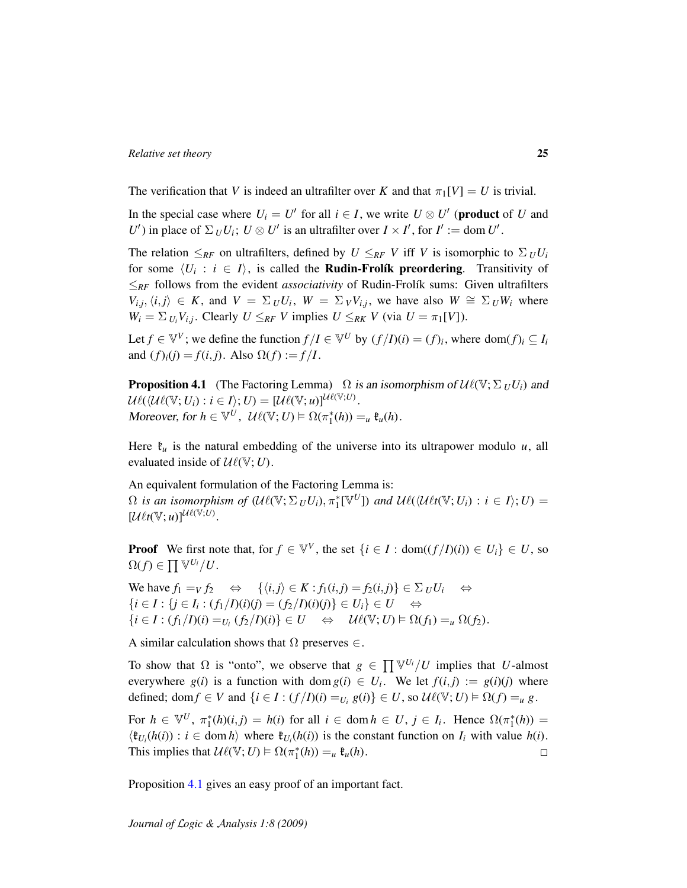The verification that *V* is indeed an ultrafilter over *K* and that  $\pi_1[V] = U$  is trivial.

In the special case where  $U_i = U'$  for all  $i \in I$ , we write  $U \otimes U'$  (**product** of *U* and *U*<sup> $\prime$ </sup>) in place of  $\Sigma_{U}U_{i}$ ;  $U \otimes U'$  is an ultrafilter over  $I \times I'$ , for  $I' := \text{dom } U'$ .

The relation  $\leq_{RF}$  on ultrafilters, defined by  $U \leq_{RF} V$  iff *V* is isomorphic to  $\Sigma_U U_i$ for some  $\langle U_i : i \in I \rangle$ , is called the **Rudin-Frolík preordering**. Transitivity of  $\leq_{RF}$  follows from the evident *associativity* of Rudin-Frolík sums: Given ultrafilters  $V_{i,j}, \langle i, j \rangle \in K$ , and  $V = \sum_{U} U_i$ ,  $W = \sum_{V} V_{i,j}$ , we have also  $W \cong \sum_{U} W_i$  where  $W_i = \sum_{U_i} V_{i,j}$ . Clearly  $U \leq_{RF} V$  implies  $U \leq_{RK} V$  (via  $U = \pi_1[V]$ ).

Let  $f \in \mathbb{V}^V$ ; we define the function  $f/I \in \mathbb{V}^U$  by  $(f/I)(i) = (f)_i$ , where dom $(f)_i \subseteq I_i$ and  $(f)_{i}(j) = f(i, j)$ . Also  $\Omega(f) := f/I$ .

<span id="page-24-0"></span>**Proposition 4.1** (The Factoring Lemma)  $\Omega$  is an isomorphism of  $\mathcal{U}\ell(\mathbb{V}; \Sigma_U U_i)$  and  $\mathcal{U}\ell(\langle \mathcal{U}\ell(\mathbb{V}; U_i) : i \in I \rangle; U) = [\mathcal{U}\ell(\mathbb{V}; u)]^{\mathcal{U}\ell(\mathbb{V}; U)}.$ Moreover, for  $h \in \mathbb{V}^U$ ,  $\mathcal{U}\ell(\mathbb{V}; U) \models \Omega(\pi_1^*(h)) =_u \mathfrak{k}_u(h)$ .

Here  $\mathfrak{k}_u$  is the natural embedding of the universe into its ultrapower modulo  $u$ , all evaluated inside of  $\mathcal{U}\ell(\mathbb{V}; U)$ .

An equivalent formulation of the Factoring Lemma is:  $\Omega$  *is an isomorphism of*  $(\mathcal{U}\ell(\mathbb{V}; \Sigma_U U_i), \pi_1^*[\mathbb{V}^U])$  *and*  $\mathcal{U}\ell(\langle \mathcal{U}\ell t(\mathbb{V}; U_i) : i \in I \rangle; U)$  =  $[\mathcal{U}_{\ell t}(\mathbb{V};u)]^{\mathcal{U}_{\ell}(\mathbb{V};U)}$ .

**Proof** We first note that, for  $f \in \mathbb{V}^V$ , the set  $\{i \in I : \text{dom}((f/I)(i)) \in U_i\} \in U$ , so  $\Omega(f) \in \prod \mathbb{V}^{U_i}/U.$ 

We have  $f_1 = V f_2 \Leftrightarrow \{\langle i, j \rangle \in K : f_1(i, j) = f_2(i, j) \} \in \Sigma_U U_i \Leftrightarrow$  $\{i \in I : \{j \in I_i : (f_1/I)(i)(j) = (f_2/I)(i)(j)\} \in U_i\} \in U \Leftrightarrow$  $\{i \in I : (f_1/I)(i) =_{U_i} (f_2/I)(i)\} \in U \Leftrightarrow \mathcal{U}(\mathbb{V}; U) \models \Omega(f_1) =_{\mathcal{U}} \Omega(f_2).$ 

A similar calculation shows that  $\Omega$  preserves  $\in$ .

To show that  $\Omega$  is "onto", we observe that  $g \in \prod_{i} \mathbb{V}^{U_i} / U$  implies that *U*-almost everywhere  $g(i)$  is a function with dom  $g(i) \in U_i$ . We let  $f(i,j) := g(i)(j)$  where defined; dom  $f \in V$  and  $\{i \in I : (f/I)(i) = U_i, g(i)\} \in U$ , so  $\mathcal{U}\ell(\mathbb{V}; U) \models \Omega(f) = u \}$ .

For  $h \in \mathbb{V}^U$ ,  $\pi_1^*(h)(i,j) = h(i)$  for all  $i \in \text{dom } h \in U$ ,  $j \in I_i$ . Hence  $\Omega(\pi_1^*(h)) =$  $\langle \mathfrak{k}_{U_i}(h(i)) : i \in \text{dom } h \rangle$  where  $\mathfrak{k}_{U_i}(h(i))$  is the constant function on  $I_i$  with value  $h(i)$ . This implies that  $\mathcal{U}\ell(\mathbb{V}; U) \models \Omega(\pi_1^*(h)) =_u \mathfrak{k}_u(h)$ .  $\Box$ 

Proposition [4.1](#page-24-0) gives an easy proof of an important fact.

*Journal of* L*ogic &* A*nalysis 1:8 (2009)*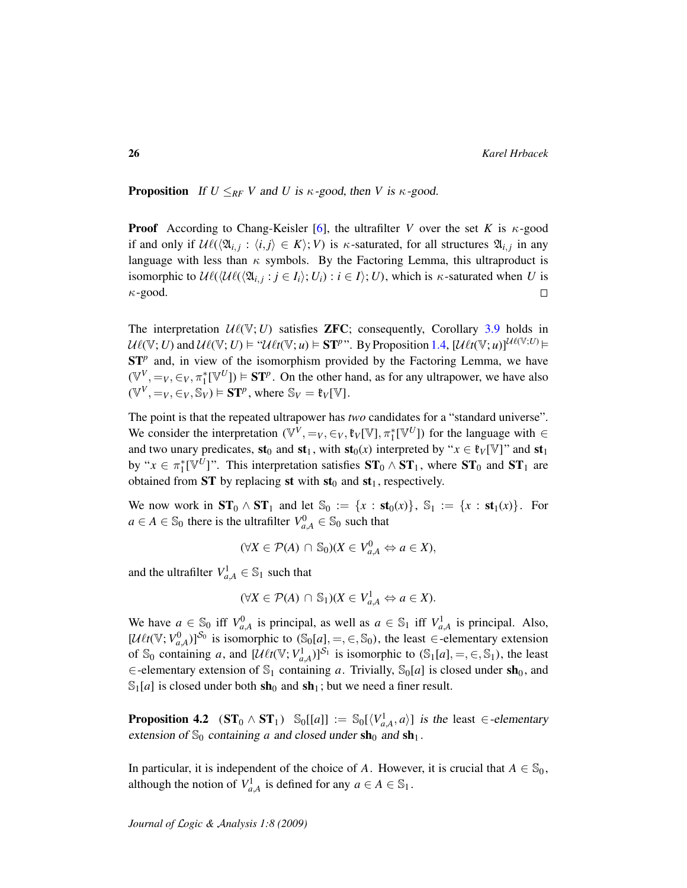**Proposition** If  $U \leq_{RF} V$  and *U* is  $\kappa$ -good, then *V* is  $\kappa$ -good.

**Proof** According to Chang-Keisler [\[6\]](#page-106-10), the ultrafilter *V* over the set *K* is  $\kappa$ -good if and only if  $\mathcal{U}\ell(\langle \mathfrak{A}_{i,j} : \langle i,j \rangle \in K \rangle; V)$  is  $\kappa$ -saturated, for all structures  $\mathfrak{A}_{i,j}$  in any language with less than  $\kappa$  symbols. By the Factoring Lemma, this ultraproduct is isomorphic to  $\mathcal{U}\ell(\langle\mathcal{U}\ell(\langle\mathfrak{A}_{i,j}:j\in I_i\rangle;U_i):i\in I\rangle;U)$ , which is  $\kappa$ -saturated when *U* is  $\kappa$ -good.  $\Box$ 

The interpretation  $U\ell(\mathbb{V}; U)$  satisfies **ZFC**; consequently, Corollary [3.9](#page-21-1) holds in  $U\ell(\mathbb{V}; U)$  and  $U\ell(\mathbb{V}; U) \models "U\ell t(\mathbb{V}; u) \models \mathbf{ST}^p$ ". By Proposition [1.4,](#page-11-0)  $[U\ell t(\mathbb{V}; u)]^{U\ell(\mathbb{V}; U)} \models$  $ST<sup>p</sup>$  and, in view of the isomorphism provided by the Factoring Lemma, we have  $(\mathbb{V}^V, =_V, \in_V, \pi_1^*[\mathbb{V}^U]) \models ST^p$ . On the other hand, as for any ultrapower, we have also  $(\mathbb{V}^V, =_V, \in_V, \mathbb{S}_V) \models \mathbf{ST}^p$ , where  $\mathbb{S}_V = \mathfrak{k}_V[\mathbb{V}]$ .

The point is that the repeated ultrapower has *two* candidates for a "standard universe". We consider the interpretation  $(\mathbb{V}^V, =_V, \in_V, \mathfrak{k}_V[\mathbb{V}], \pi_1^*[\mathbb{V}^U])$  for the language with  $\in$ and two unary predicates,  $\mathbf{st}_0$  and  $\mathbf{st}_1$ , with  $\mathbf{st}_0(x)$  interpreted by " $x \in \mathfrak{k}_V[\mathbb{V}]$ " and  $\mathbf{st}_1$ by " $x \in \pi_1^*[\mathbb{V}^U]$ ". This interpretation satisfies  $ST_0 \wedge ST_1$ , where  $ST_0$  and  $ST_1$  are obtained from  $ST$  by replacing st with  $st_0$  and  $st_1$ , respectively.

We now work in  $ST_0 \wedge ST_1$  and let  $\mathbb{S}_0 := \{x : st_0(x)\}, \mathbb{S}_1 := \{x : st_1(x)\}.$  For  $a \in A \in \mathbb{S}_0$  there is the ultrafilter  $V_{a,A}^0 \in \mathbb{S}_0$  such that

$$
(\forall X \in \mathcal{P}(A) \cap \mathbb{S}_0)(X \in V_{a,A}^0 \Leftrightarrow a \in X),
$$

and the ultrafilter  $V_{a,A}^1 \in \mathbb{S}_1$  such that

$$
(\forall X \in \mathcal{P}(A) \cap \mathbb{S}_1)(X \in V_{a,A}^1 \Leftrightarrow a \in X).
$$

We have  $a \in \mathbb{S}_0$  iff  $V_{a,A}^0$  is principal, as well as  $a \in \mathbb{S}_1$  iff  $V_{a,A}^1$  is principal. Also,  $[\mathcal{U}\ell t(\mathbb{V}; V^0_{a,A})]^{S_0}$  is isomorphic to  $(\mathbb{S}_0[a], =, \in, \mathbb{S}_0)$ , the least  $\in$ -elementary extension of  $\mathbb{S}_0$  containing *a*, and  $[\mathcal{U}\ell t(\mathbb{V}; V_{a,A}^1)]^{S_1}$  is isomorphic to  $(\mathbb{S}_1[a], =, \in, \mathbb{S}_1)$ , the least  $\in$ -elementary extension of  $\mathbb{S}_1$  containing *a*. Trivially,  $\mathbb{S}_0[a]$  is closed under sh<sub>0</sub>, and  $\mathbb{S}_1[a]$  is closed under both sh<sub>0</sub> and sh<sub>1</sub>; but we need a finer result.

**Proposition 4.2**  $(\mathbf{ST}_0 \wedge \mathbf{ST}_1)$   $\mathbb{S}_0[[a]] := \mathbb{S}_0[\langle V_{a,A}^1, a \rangle]$  is the least  $\in$ -elementary extension of  $\mathbb{S}_0$  containing *a* and closed under  $\mathbf{sh}_0$  and  $\mathbf{sh}_1$ .

In particular, it is independent of the choice of *A*. However, it is crucial that  $A \in \mathbb{S}_0$ , although the notion of  $V_{a,A}^1$  is defined for any  $a \in A \in \mathbb{S}_1$ .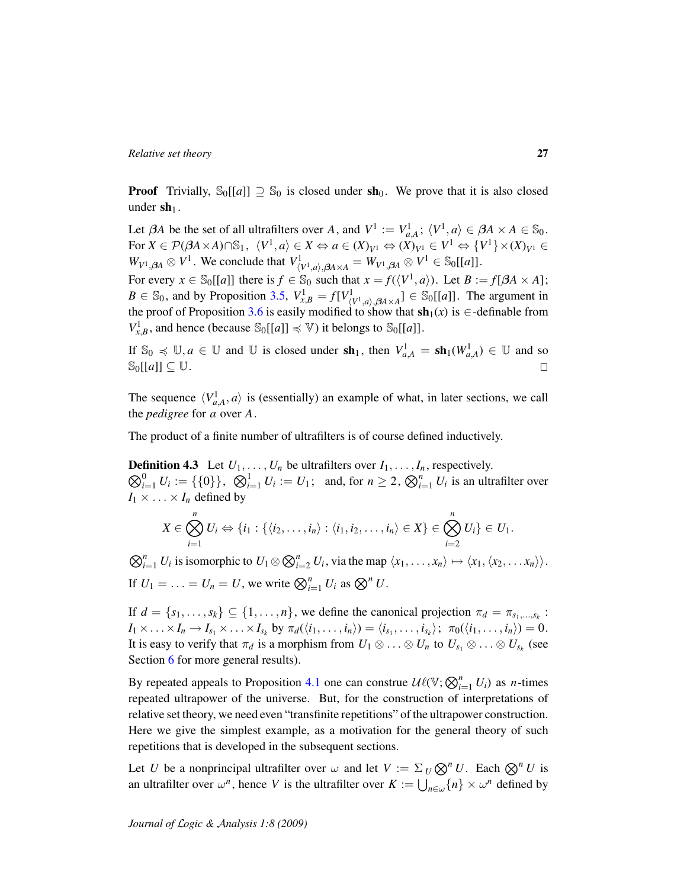**Proof** Trivially,  $\mathbb{S}_0[[a]] \supseteq \mathbb{S}_0$  is closed under sh<sub>0</sub>. We prove that it is also closed under  $\mathbf{sh}_1$ .

Let  $\beta A$  be the set of all ultrafilters over *A*, and  $V^1 := V^1_{a,A}$ ;  $\langle V^1, a \rangle \in \beta A \times A \in \mathbb{S}_0$ .  $\text{For } X \in \mathcal{P}(\beta A \times A) \cap \mathbb{S}_1, \ \langle V^1, a \rangle \in X \Leftrightarrow a \in (X)_{V^1} \Leftrightarrow (X)_{V^1} \in V^1 \Leftrightarrow \{V^1\} \times (X)_{V^1} \in \mathbb{S}_1$  $W_{V^1, \beta A} \otimes V^1$ . We conclude that  $V^1_{(V^1, a), \beta A \times A} = W_{V^1, \beta A} \otimes V^1 \in \mathbb{S}_0[[a]].$ 

For every  $x \in \mathbb{S}_0[[a]]$  there is  $f \in \mathbb{S}_0$  such that  $x = f(\langle V^1, a \rangle)$ . Let  $B := f[\beta A \times A]$ ;  $B \in \mathbb{S}_0$ , and by Proposition [3.5,](#page-20-1)  $V_{x,B}^1 = f[V_{\langle V^1,a \rangle, \beta A \times A}^1] \in \mathbb{S}_0[[a]]$ . The argument in the proof of Proposition [3.6](#page-20-2) is easily modified to show that  $\mathbf{sh}_1(x)$  is  $\in$ -definable from  $V_{x,B}^1$ , and hence (because  $\mathbb{S}_0[[a]] \preccurlyeq \mathbb{V}$ ) it belongs to  $\mathbb{S}_0[[a]]$ .

If  $\mathbb{S}_0 \preccurlyeq \mathbb{U}$ , *a*  $\in \mathbb{U}$  and  $\mathbb{U}$  is closed under  $\textbf{sh}_1$ , then  $V_{a,A}^1 = \textbf{sh}_1(W_{a,A}^1) \in \mathbb{U}$  and so  $\mathbb{S}_0[[a]] \subseteq \mathbb{U}$ .  $\Box$ 

The sequence  $\langle V^1_{a,A}, a \rangle$  is (essentially) an example of what, in later sections, we call the *pedigree* for *a* over *A*.

The product of a finite number of ultrafilters is of course defined inductively.

 $\bigotimes_{i=1}^{0} U_i := \{ \{0\} \}, \bigotimes_{i=1}^{1} U_i := U_1; \text{ and, for } n \geq 2, \bigotimes_{i=1}^{n} U_i \text{ is an ultrafilter over } \bigotimes_{i=1}^{n} U_i$ **Definition 4.3** Let  $U_1, \ldots, U_n$  be ultrafilters over  $I_1, \ldots, I_n$ , respectively.  $I_1 \times \ldots \times I_n$  defined by

$$
X\in \bigotimes_{i=1}^n U_i \Leftrightarrow \{i_1:\{\langle i_2,\ldots,i_n\rangle:\langle i_1,i_2,\ldots,i_n\rangle\in X\}\in \bigotimes_{i=2}^n U_i\}\in U_1.
$$

 $\bigotimes_{i=1}^{n} U_i$  is isomorphic to  $U_1 \otimes \bigotimes_{i=2}^{n} U_i$ , via the map  $\langle x_1, \ldots, x_n \rangle \mapsto \langle x_1, \langle x_2, \ldots, x_n \rangle \rangle$ . If  $U_1 = \ldots = U_n = U$ , we write  $\bigotimes_{i=1}^n U_i$  as  $\bigotimes^n U$ .

If  $d = \{s_1, \ldots, s_k\} \subseteq \{1, \ldots, n\}$ , we define the canonical projection  $\pi_d = \pi_{s_1, \ldots, s_k}$ :  $I_1 \times \ldots \times I_n \to I_{s_1} \times \ldots \times I_{s_k}$  by  $\pi_d(\langle i_1, \ldots, i_n \rangle) = \langle i_{s_1}, \ldots, i_{s_k} \rangle; \ \pi_0(\langle i_1, \ldots, i_n \rangle) = 0.$ It is easy to verify that  $\pi_d$  is a morphism from  $U_1 \otimes \ldots \otimes U_n$  to  $U_{s_1} \otimes \ldots \otimes U_{s_k}$  (see Section [6](#page-35-0) for more general results).

By repeated appeals to Proposition [4.1](#page-24-0) one can construe  $\mathcal{U}\ell(\mathbb{V};\bigotimes_{i=1}^{n}U_i)$  as *n*-times repeated ultrapower of the universe. But, for the construction of interpretations of relative set theory, we need even "transfinite repetitions" of the ultrapower construction. Here we give the simplest example, as a motivation for the general theory of such repetitions that is developed in the subsequent sections.

Let *U* be a nonprincipal ultrafilter over  $\omega$  and let  $V := \Sigma_U \otimes^n U$ . Each  $\otimes^n U$  is an ultrafilter over  $\omega^n$ , hence *V* is the ultrafilter over  $K := \bigcup_{n \in \omega} \{n\} \times \omega^n$  defined by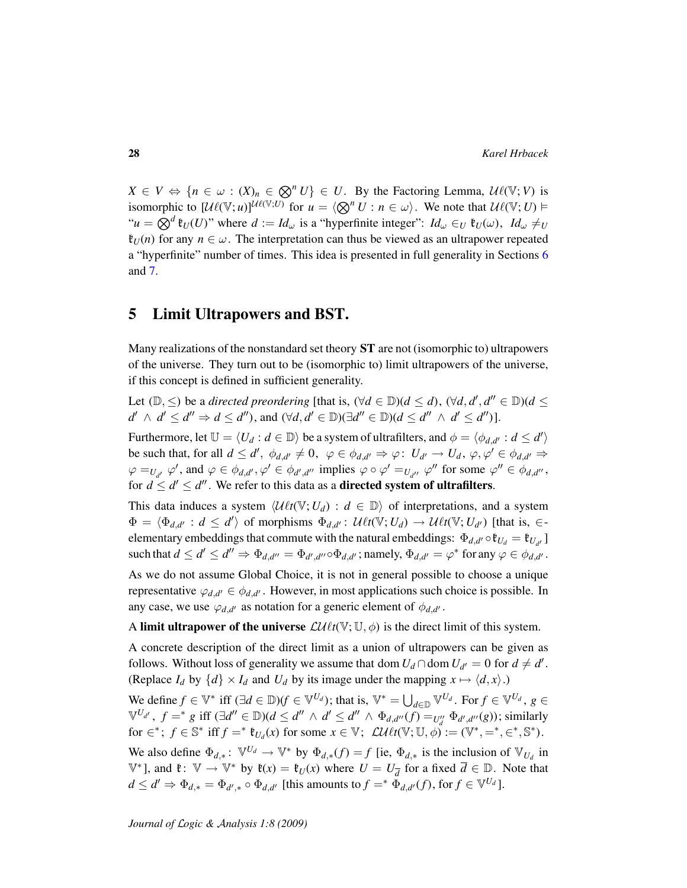$X \in V \Leftrightarrow \{n \in \omega : (X)_n \in \mathbb{Q}^n U\} \in U$ . By the Factoring Lemma,  $\mathcal{U}\ell(\mathbb{V}; V)$  is isomorphic to  $\left[\mathcal{U}\ell(\mathbb{V};u)\right]^{\mathcal{U}\ell(\mathbb{V};U)}$  for  $u = \langle \bigotimes^n U : n \in \omega \rangle$ . We note that  $\mathcal{U}\ell(\mathbb{V};U)$  $\mathcal{A}^u u = \bigotimes^d \mathfrak{k}_U(U)$ " where  $d := Id_\omega$  is a "hyperfinite integer":  $Id_\omega \in U \mathfrak{k}_U(\omega)$ ,  $Id_\omega \neq U$  $\mathfrak{k}_U(n)$  for any  $n \in \omega$ . The interpretation can thus be viewed as an ultrapower repeated a "hyperfinite" number of times. This idea is presented in full generality in Sections [6](#page-35-0) and [7.](#page-42-0)

## <span id="page-27-0"></span>5 Limit Ultrapowers and BST.

Many realizations of the nonstandard set theory ST are not (isomorphic to) ultrapowers of the universe. They turn out to be (isomorphic to) limit ultrapowers of the universe, if this concept is defined in sufficient generality.

Let  $(\mathbb{D}, \le)$  be a *directed preordering* [that is,  $(\forall d \in \mathbb{D})$  $(d \le d)$ ,  $(\forall d, d', d'' \in \mathbb{D})$  $(d \le d')$  $d' \wedge d' \leq d'' \Rightarrow d \leq d''$ ), and  $(\forall d, d' \in \mathbb{D})(\exists d'' \in \mathbb{D})(d \leq d'' \wedge d' \leq d'')$ ].

Furthermore, let  $\mathbb{U} = \langle U_d : d \in \mathbb{D} \rangle$  be a system of ultrafilters, and  $\phi = \langle \phi_{d,d'} : d \leq d' \rangle$ be such that, for all  $d \leq d'$ ,  $\phi_{d,d'} \neq 0$ ,  $\varphi \in \phi_{d,d'} \Rightarrow \varphi$ :  $U_{d'} \to U_d$ ,  $\varphi, \varphi' \in \phi_{d,d'} \Rightarrow$  $\varphi =_{U_{d'}} \varphi'$ , and  $\varphi \in \phi_{d,d'}$ ,  $\varphi' \in \phi_{d',d''}$  implies  $\varphi \circ \varphi' =_{U_{d''}} \varphi''$  for some  $\varphi'' \in \phi_{d,d''}$ , for  $d \leq d' \leq d''$ . We refer to this data as a **directed system of ultrafilters**.

This data induces a system  $\langle \mathcal{U}\ell t(\mathbb{V}; U_d) : d \in \mathbb{D} \rangle$  of interpretations, and a system  $\Phi = \langle \Phi_{d,d'} : d \leq d' \rangle$  of morphisms  $\Phi_{d,d'} : \mathcal{U}\ell t(\mathbb{V}; U_d) \to \mathcal{U}\ell t(\mathbb{V}; U_{d'})$  [that is,  $\in$ elementary embeddings that commute with the natural embeddings:  $\Phi_{d,d'} \circ \mathfrak{k}_{U_d} = \mathfrak{k}_{U_{d'}}$ such that  $d \leq d' \leq d'' \Rightarrow \Phi_{d',d''} = \Phi_{d',d''} \circ \Phi_{d,d'}$ ; namely,  $\Phi_{d,d'} = \varphi^*$  for any  $\varphi \in \phi_{d,d'}$ .

As we do not assume Global Choice, it is not in general possible to choose a unique representative  $\varphi_{d,d'} \in \phi_{d,d'}$ . However, in most applications such choice is possible. In any case, we use  $\varphi_{d,d'}$  as notation for a generic element of  $\phi_{d,d'}$ .

A limit ultrapower of the universe  $\mathcal{LU} \ell t(\mathbb{V}; \mathbb{U}, \phi)$  is the direct limit of this system.

A concrete description of the direct limit as a union of ultrapowers can be given as follows. Without loss of generality we assume that dom  $U_d \cap$  dom  $U_{d'} = 0$  for  $d \neq d'$ . (Replace  $I_d$  by  $\{d\} \times I_d$  and  $U_d$  by its image under the mapping  $x \mapsto \langle d, x \rangle$ .)

We define  $f \in \mathbb{V}^*$  iff  $(\exists d \in \mathbb{D})(f \in \mathbb{V}^{U_d})$ ; that is,  $\mathbb{V}^* = \bigcup_{d \in \mathbb{D}} \mathbb{V}^{U_d}$ . For  $f \in \mathbb{V}^{U_d}$ ,  $g \in$  $\mathbb{V}^{U_{d'}}$ ,  $f =^* g$  iff  $(\exists d'' \in \mathbb{D})(d \leq d'' \land d' \leq d'' \land \Phi_{d,d''}(f) =_{U''_d} \Phi_{d',d''}(g)$ ; similarly for  $\in$ <sup>\*</sup>;  $f \in \mathbb{S}^*$  iff  $f =$ <sup>\*</sup>  $\mathfrak{k}_{U_d}(x)$  for some  $x \in \mathbb{V}$ ;  $\mathcal{L} \mathcal{U} \ell t(\mathbb{V}; \mathbb{U}, \phi) := (\mathbb{V}^*, =^*, \in^*, \mathbb{S}^*)$ .

We also define  $\Phi_{d,*}: \mathbb{V}^{U_d} \to \mathbb{V}^*$  by  $\Phi_{d,*}(f) = f$  [ie,  $\Phi_{d,*}$  is the inclusion of  $\mathbb{V}_{U_d}$  in  $\mathbb{V}^*$ ], and  $\mathfrak{k}: \mathbb{V} \to \mathbb{V}^*$  by  $\mathfrak{k}(x) = \mathfrak{k}_U(x)$  where  $U = U_{\overline{d}}$  for a fixed  $\overline{d} \in \mathbb{D}$ . Note that  $d \leq d' \Rightarrow \Phi_{d,*} = \Phi_{d',*} \circ \Phi_{d,d'}$  [this amounts to  $f =^* \Phi_{d,d'}(f)$ , for  $f \in \mathbb{V}^{U_d}$ ].

<span id="page-27-1"></span>*Journal of* L*ogic &* A*nalysis 1:8 (2009)*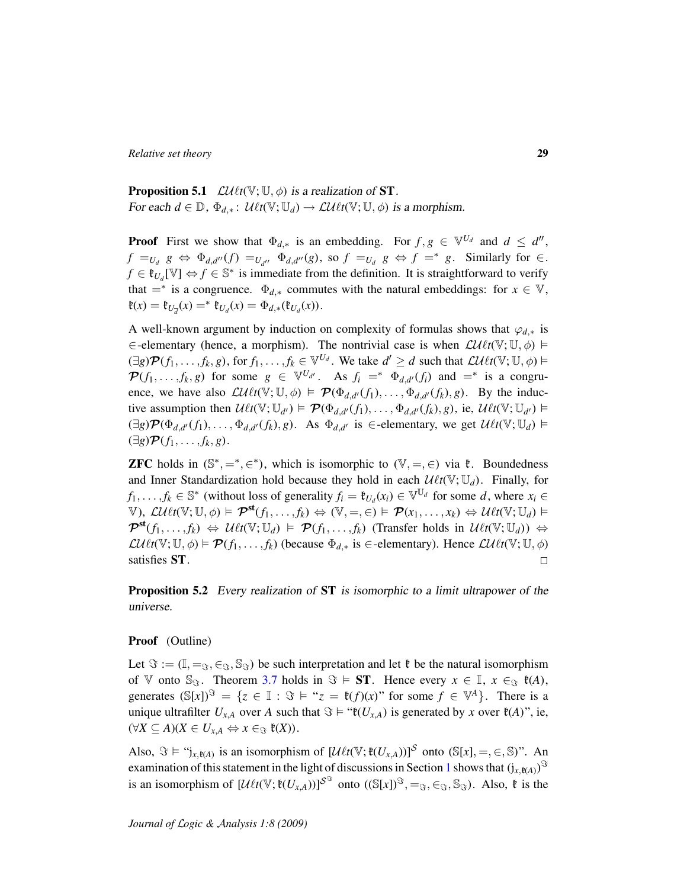**Proposition 5.1**  $\mathcal{LU}$ *t*(V; U,  $\phi$ ) is a realization of **ST**. For each  $d \in \mathbb{D}$ ,  $\Phi_{d,*}$ :  $\mathcal{U} \ell t(\mathbb{V}; \mathbb{U}_d) \to \mathcal{L} \ell \ell t(\mathbb{V}; \mathbb{U}, \phi)$  is a morphism.

**Proof** First we show that  $\Phi_{d,*}$  is an embedding. For  $f, g \in \mathbb{V}^{U_d}$  and  $d \leq d''$ ,  $f =_{U_d} g \Leftrightarrow \Phi_{d,d''}(f) =_{U_{d''}} \Phi_{d,d''}(g)$ , so  $f =_{U_d} g \Leftrightarrow f =^* g$ . Similarly for  $\in$ .  $f \in \mathfrak{k}_{U_d}[\mathbb{V}] \Leftrightarrow f \in \mathbb{S}^*$  is immediate from the definition. It is straightforward to verify that  $=$ <sup>\*</sup> is a congruence.  $\Phi_{d,*}$  commutes with the natural embeddings: for  $x \in V$ ,  $\mathfrak{k}(x) = \mathfrak{k}_{U_{\overline{d}}}(x) = \mathfrak{k}_{U_d}(x) = \Phi_{d,*}(\mathfrak{k}_{U_d}(x)).$ 

A well-known argument by induction on complexity of formulas shows that  $\varphi_{d,*}$  is ∈-elementary (hence, a morphism). The nontrivial case is when  $\mathcal{LU} \ell t(\mathbb{V}; \mathbb{U}, \phi)$  ⊨  $(\exists g) \mathcal{P}(f_1, \ldots, f_k, g)$ , for  $f_1, \ldots, f_k \in \mathbb{V}^{U_d}$ . We take  $d' \geq d$  such that  $\mathcal{L} \mathcal{U} \ell t(\mathbb{V}; \mathbb{U}, \phi) \models$  $\mathcal{P}(f_1, \ldots, f_k, g)$  for some  $g \in \mathbb{V}^{U_{d'}}$ . As  $f_i = * \Phi_{d, d'}(f_i)$  and  $= *$  is a congruence, we have also  $\mathcal{L}\mathcal{U}\ell t(\mathbb{V}; \mathbb{U}, \phi) \models \mathcal{P}(\Phi_{d,d'}(f_1), \dots, \Phi_{d,d'}(f_k), g)$ . By the inductive assumption then  $\mathcal{U} \ell t(\mathbb{V}; \mathbb{U}_{d'}) \models \mathcal{P}(\Phi_{d,d'}(f_1), \dots, \Phi_{d,d'}(f_k), g)$ , ie,  $\mathcal{U} \ell t(\mathbb{V}; \mathbb{U}_{d'}) \models$  $(\exists g) \mathcal{P}(\Phi_{d,d'}(f_1), \dots, \Phi_{d,d'}(f_k), g)$ . As  $\Phi_{d,d'}$  is  $\in$ -elementary, we get  $\mathcal{U} \ell t(\mathbb{V}; \mathbb{U}_d)$  $(\exists g) \mathcal{P}(f_1, \ldots, f_k, g).$ 

**ZFC** holds in  $(\mathbb{S}^*, =^*, \in^*)$ , which is isomorphic to  $(\mathbb{V}, =, \in)$  via  $\xi$ . Boundedness and Inner Standardization hold because they hold in each  $\mathcal{U}\ell t(V; \mathbb{U}_d)$ . Finally, for *f*<sub>1</sub>, . . . . *f<sub>k</sub>* ∈  $\mathbb{S}^*$  (without loss of generality *f<sub>i</sub>* =  $\mathfrak{t}_{U_d}(x_i) \in \mathbb{V}^{\mathbb{U}_d}$  for some *d*, where  $x_i \in$  $V$ ),  $\mathcal{L}U\ell t(V; \mathbb{U}, \phi) \models \mathcal{P}^{\mathsf{st}}(f_1, \ldots, f_k) \Leftrightarrow (\mathbb{V}, =, \in) \models \mathcal{P}(x_1, \ldots, x_k) \Leftrightarrow \mathcal{U}\ell t(\mathbb{V}; \mathbb{U}_d) \models$  $\mathcal{P}^{\text{st}}(f_1, \ldots, f_k) \Leftrightarrow \mathcal{U} \ell t(\mathbb{V}; \mathbb{U}_d) \models \mathcal{P}(f_1, \ldots, f_k)$  (Transfer holds in  $\mathcal{U} \ell t(\mathbb{V}; \mathbb{U}_d) \Leftrightarrow$  $\mathcal{L}\mathcal{U}\ell t(\mathbb{V}; \mathbb{U}, \phi) \models \mathcal{P}(f_1, \ldots, f_k)$  (because  $\Phi_{d,*}$  is  $\in$ -elementary). Hence  $\mathcal{L}\ell\ell t(\mathbb{V}; \mathbb{U}, \phi)$ satisfies ST.  $\Box$ 

<span id="page-28-0"></span>Proposition 5.2 Every realization of ST is isomorphic to a limit ultrapower of the universe.

#### Proof (Outline)

Let  $\Im := (\mathbb{I}, =_{\Im}, \in_{\Im}, \mathbb{S}_{\Im})$  be such interpretation and let  $\mathfrak{k}$  be the natural isomorphism of V onto  $\mathbb{S}_{\Im}$ . Theorem [3.7](#page-20-0) holds in  $\Im \models ST$ . Hence every  $x \in \mathbb{I}$ ,  $x \in_{\Im} \mathfrak{k}(A)$ , generates  $(\mathbb{S}[x])^{\mathfrak{S}} = \{z \in \mathbb{I} : \mathfrak{S} \models \mathfrak{t} \in \mathfrak{x} = \mathfrak{k}(f)(x)^{n} \text{ for some } f \in \mathbb{V}^{A}\}\.$  There is a unique ultrafilter  $U_{x,A}$  over *A* such that  $\Im \models ``\mathfrak{k}(U_{x,A})$  is generated by *x* over  $\mathfrak{k}(A)$ ", ie,  $(\forall X \subseteq A)(X \in U_{x,A} \Leftrightarrow x \in_{\Im} \mathfrak{k}(X)).$ 

Also,  $\Im \models$  " $j_{x,\mathfrak{k}(A)}$  is an isomorphism of  $[\mathcal{U}\ell t(\mathbb{V};\mathfrak{k}(U_{x,A}))]^S$  onto  $(\mathbb{S}[x], =, \in, \mathbb{S})$ ". An examination of this statement in the light of discussions in Section [1](#page-6-0) shows that  $(j_{x, \mathfrak{k}(A)})^{\Im}$ is an isomorphism of  $[\mathcal{U} \ell t(\mathbb{V}; \mathfrak{k}(U_{x,A}))]^{S^{\mathfrak{S}}}$  onto  $((\mathbb{S}[x])^{\mathfrak{S}}, =_{\mathfrak{S}}, \in_{\mathfrak{S}}, \mathbb{S}_{\mathfrak{S}})$ . Also,  $\mathfrak{k}$  is the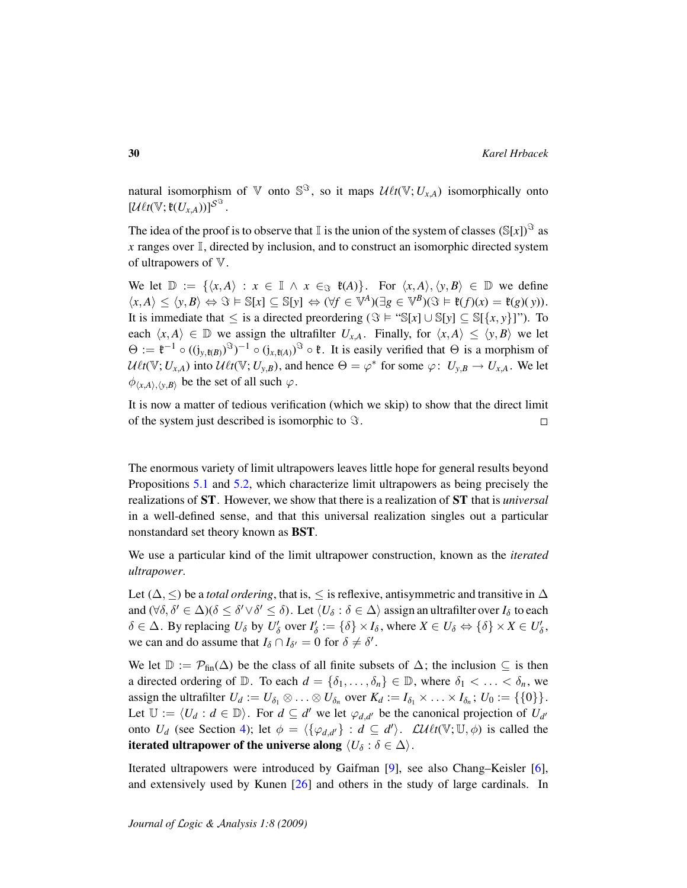natural isomorphism of  $\nabla$  onto  $\mathbb{S}^{\mathfrak{S}}$ , so it maps  $\mathcal{U}\ell t(\nabla; U_{x,A})$  isomorphically onto  $[\mathcal{U}\ell t(\mathbb{V};\mathfrak{k}(U_{x,A}))]$  $\mathcal{S}^{\mathfrak{S}}$ .

The idea of the proof is to observe that  $\mathbb I$  is the union of the system of classes  $(\mathbb S[x])^{\mathfrak S}$  as  $x$  ranges over  $\mathbb{I}$ , directed by inclusion, and to construct an isomorphic directed system of ultrapowers of  $V$ .

We let  $\mathbb{D} := \{ \langle x, A \rangle : x \in \mathbb{I} \land x \in \mathbb{S} \}$   $\mathfrak{k}(A) \}$ . For  $\langle x, A \rangle, \langle y, B \rangle \in \mathbb{D}$  we define  $\langle x, A \rangle \leq \langle y, B \rangle \Leftrightarrow \Im \models \mathbb{S}[x] \subseteq \mathbb{S}[y] \Leftrightarrow (\forall f \in \mathbb{V}^A)(\exists g \in \mathbb{V}^B)(\Im \models \mathfrak{k}(f)(x) = \mathfrak{k}(g)(y)).$ It is immediate that  $\leq$  is a directed preordering  $(\Im \vDash \text{``S}[x] \cup \mathbb{S}[y] \subseteq \mathbb{S}[\{x, y\}]$ "). To each  $\langle x, A \rangle \in \mathbb{D}$  we assign the ultrafilter  $U_{x,A}$ . Finally, for  $\langle x, A \rangle \leq \langle y, B \rangle$  we let  $\Theta := \mathfrak{k}^{-1} \circ ((j_{y,\mathfrak{k}(B)})^{S})^{-1} \circ (j_{x,\mathfrak{k}(A)})^{S} \circ \mathfrak{k}$ . It is easily verified that  $\Theta$  is a morphism of  $U\ell t(\mathbb{V}; U_{x,A})$  into  $U\ell t(\mathbb{V}; U_{y,B})$ , and hence  $\Theta = \varphi^*$  for some  $\varphi: U_{y,B} \to U_{x,A}$ . We let  $\phi$ <sub>(x,A)</sub>,<sub>(y,B)</sub> be the set of all such  $\varphi$ .

It is now a matter of tedious verification (which we skip) to show that the direct limit of the system just described is isomorphic to  $\Im$ .  $\Box$ 

The enormous variety of limit ultrapowers leaves little hope for general results beyond Propositions [5.1](#page-27-1) and [5.2,](#page-28-0) which characterize limit ultrapowers as being precisely the realizations of ST. However, we show that there is a realization of ST that is *universal* in a well-defined sense, and that this universal realization singles out a particular nonstandard set theory known as BST.

We use a particular kind of the limit ultrapower construction, known as the *iterated ultrapower*.

Let ( $\Delta$ ,  $\leq$ ) be a *total ordering*, that is,  $\leq$  is reflexive, antisymmetric and transitive in  $\Delta$ and  $(\forall \delta, \delta' \in \Delta)(\delta \leq \delta' \lor \delta' \leq \delta)$ . Let  $\langle U_\delta : \delta \in \Delta \rangle$  assign an ultrafilter over  $I_\delta$  to each  $\delta \in \Delta$ . By replacing  $U_{\delta}$  by  $U'_{\delta}$  over  $I'_{\delta} := {\delta} \times I_{\delta}$ , where  $X \in U_{\delta} \Leftrightarrow {\delta} \times X \in U'_{\delta}$ , we can and do assume that  $I_{\delta} \cap I_{\delta'} = 0$  for  $\delta \neq \delta'$ .

We let  $\mathbb{D} := \mathcal{P}_{fin}(\Delta)$  be the class of all finite subsets of  $\Delta$ ; the inclusion  $\subseteq$  is then a directed ordering of  $\mathbb{D}$ . To each  $d = \{\delta_1, \ldots, \delta_n\} \in \mathbb{D}$ , where  $\delta_1 < \ldots < \delta_n$ , we assign the ultrafilter  $U_d := U_{\delta_1} \otimes \ldots \otimes U_{\delta_n}$  over  $K_d := I_{\delta_1} \times \ldots \times I_{\delta_n}$ ;  $U_0 := \{\{0\}\}.$ Let  $\mathbb{U} := \langle U_d : d \in \mathbb{D} \rangle$ . For  $d \subseteq d'$  we let  $\varphi_{d,d'}$  be the canonical projection of  $U_{d'}$ onto  $U_d$  (see Section [4\)](#page-23-0); let  $\phi = \langle {\{\varphi_{d,d'}\}} : d \subseteq d' \rangle$ .  $\mathcal{L} \mathcal{U} \ell t(\mathbb{V}; \mathbb{U}, \phi)$  is called the iterated ultrapower of the universe along  $\langle U_\delta : \delta \in \Delta \rangle$ .

Iterated ultrapowers were introduced by Gaifman [\[9\]](#page-106-8), see also Chang–Keisler [\[6\]](#page-106-10), and extensively used by Kunen [\[26\]](#page-107-12) and others in the study of large cardinals. In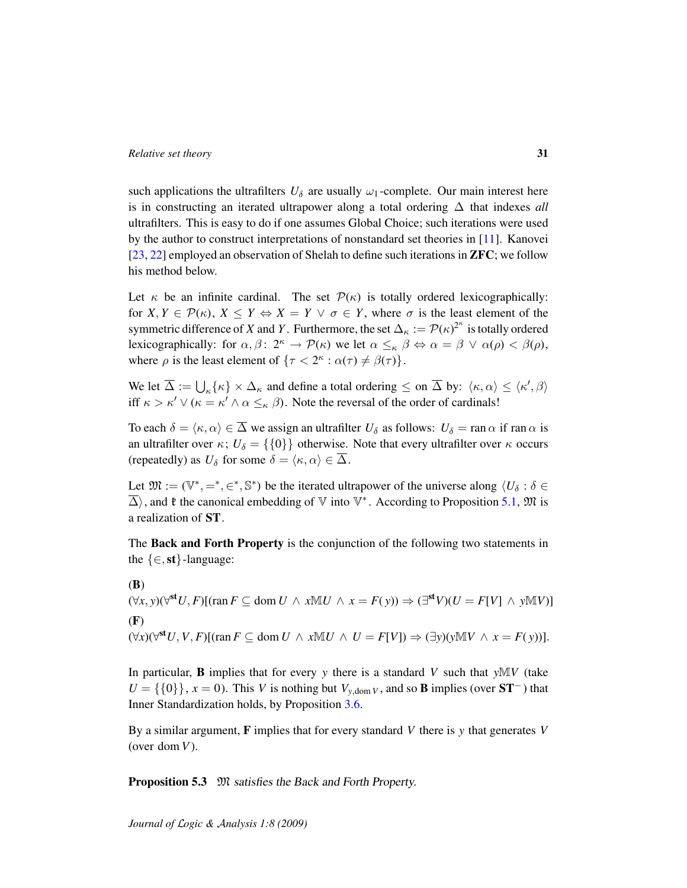such applications the ultrafilters  $U_{\delta}$  are usually  $\omega_1$ -complete. Our main interest here is in constructing an iterated ultrapower along a total ordering ∆ that indexes *all* ultrafilters. This is easy to do if one assumes Global Choice; such iterations were used by the author to construct interpretations of nonstandard set theories in [\[11\]](#page-106-1). Kanovei [\[23,](#page-107-13) [22\]](#page-107-2) employed an observation of Shelah to define such iterations in ZFC; we follow his method below.

Let  $\kappa$  be an infinite cardinal. The set  $\mathcal{P}(\kappa)$  is totally ordered lexicographically: for  $X, Y \in \mathcal{P}(\kappa)$ ,  $X \leq Y \Leftrightarrow X = Y \vee \sigma \in Y$ , where  $\sigma$  is the least element of the symmetric difference of *X* and *Y* . Furthermore, the set  $\Delta_{\kappa} := \mathcal{P}(\kappa)^{2^{\kappa}}$  is totally ordered lexicographically: for  $\alpha, \beta \colon 2^{\kappa} \to \mathcal{P}(\kappa)$  we let  $\alpha \leq_{\kappa} \beta \Leftrightarrow \alpha = \beta \lor \alpha(\rho) < \beta(\rho)$ , where  $\rho$  is the least element of  $\{\tau < 2^{\kappa} : \alpha(\tau) \neq \beta(\tau)\}.$ 

We let  $\overline{\Delta} := \bigcup_{\kappa} {\{\kappa\}} \times \Delta_{\kappa}$  and define a total ordering  $\leq$  on  $\overline{\Delta}$  by:  $\langle \kappa, \alpha \rangle \leq \langle \kappa', \beta \rangle$ iff  $\kappa > \kappa' \vee (\kappa = \kappa' \wedge \alpha \leq_{\kappa} \beta)$ . Note the reversal of the order of cardinals!

To each  $\delta = \langle \kappa, \alpha \rangle \in \overline{\Delta}$  we assign an ultrafilter  $U_{\delta}$  as follows:  $U_{\delta} = \text{ran }\alpha$  if ran  $\alpha$  is an ultrafilter over  $\kappa$ ;  $U_{\delta} = \{0\}$  otherwise. Note that every ultrafilter over  $\kappa$  occurs (repeatedly) as  $U_{\delta}$  for some  $\delta = \langle \kappa, \alpha \rangle \in \overline{\Delta}$ .

Let  $\mathfrak{M} := (\mathbb{V}^*, =^*, \in^*, \mathbb{S}^*)$  be the iterated ultrapower of the universe along  $\langle U_\delta : \delta \in$  $\overline{\Delta}$ ), and  $\mathfrak k$  the canonical embedding of  $\mathbb V$  into  $\mathbb V^*$ . According to Proposition [5.1,](#page-27-1)  $\mathfrak M$  is a realization of ST.

The Back and Forth Property is the conjunction of the following two statements in the  $\{\in, st\}$ -language:

 $(\forall x, y) (\forall^{\text{st}} U, F)$ [(ran  $F ⊆ \text{dom } U \land x \mathbb{M} U \land x = F(y) \Rightarrow (\exists^{\text{st}} V)(U = F[V] \land y \mathbb{M} V)$ ] (B)  $(\forall x)(\forall^{\text{st}} U, V, F)$ [(ran  $F \subseteq \text{dom } U \land x \mathbb{M} U \land U = F[V]) \Rightarrow (\exists y)(y \mathbb{M} V \land x = F(y))$ ]. (F)

In particular, **B** implies that for every *y* there is a standard *V* such that  $yMV$  (take  $U = \{\{0\}\}\$ ,  $x = 0$ ). This *V* is nothing but  $V_{y, \text{dom } V}$ , and so **B** implies (over **ST**<sup>−</sup>) that Inner Standardization holds, by Proposition [3.6.](#page-20-2)

By a similar argument, F implies that for every standard *V* there is *y* that generates *V* (over dom *V*).

**Proposition 5.3** M satisfies the Back and Forth Property.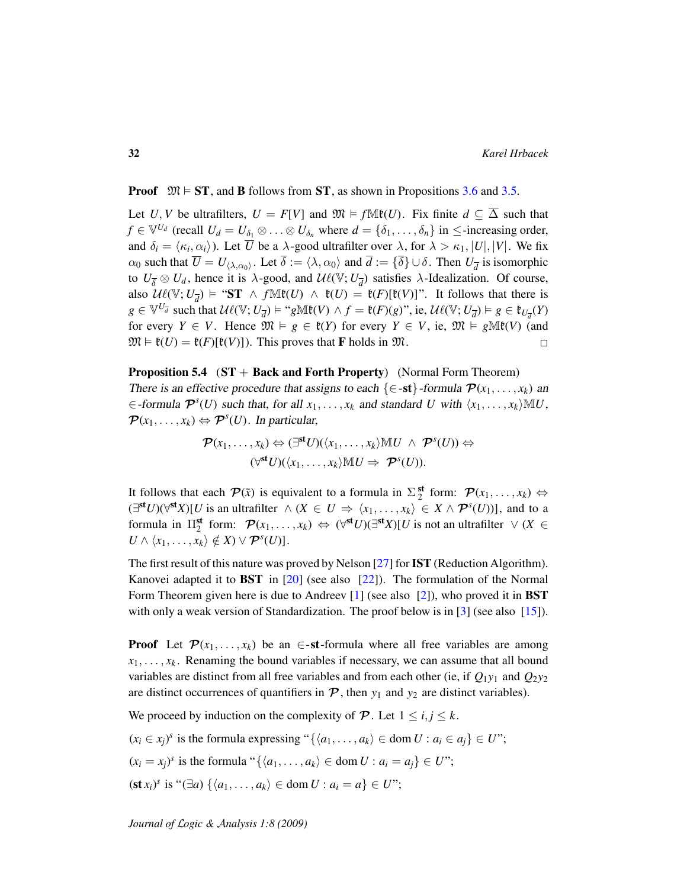**Proof**  $\mathfrak{M} \models \mathbf{ST}$ , and **B** follows from  $\mathbf{ST}$ , as shown in Propositions [3.6](#page-20-2) and [3.5.](#page-20-1)

Let *U*, *V* be ultrafilters,  $U = F[V]$  and  $\mathfrak{M} \models f \mathbb{M}\mathfrak{k}(U)$ . Fix finite  $d \subseteq \overline{\Delta}$  such that  $f \in \mathbb{V}^{U_d}$  (recall  $U_d = U_{\delta_1} \otimes \ldots \otimes U_{\delta_n}$  where  $d = \{\delta_1, \ldots, \delta_n\}$  in  $\leq$ -increasing order, and  $\delta_i = \langle \kappa_i, \alpha_i \rangle$ ). Let  $\overline{U}$  be a  $\lambda$ -good ultrafilter over  $\lambda$ , for  $\lambda > \kappa_1, |U|, |V|$ . We fix  $\alpha_0$  such that  $\overline{U} = U_{\langle \lambda, \alpha_0 \rangle}$ . Let  $\overline{\delta} := \langle \lambda, \alpha_0 \rangle$  and  $\overline{d} := \{ \overline{\delta} \} \cup \delta$ . Then  $U_{\overline{d}}$  is isomorphic to  $U_{\overline{\delta}} \otimes U_d$ , hence it is  $\lambda$ -good, and  $\mathcal{U}\ell(\mathbb{V}; U_{\overline{d}})$  satisfies  $\lambda$ -Idealization. Of course, also  $\mathcal{U}\ell(\mathbb{V}; U_{\overline{d}}) \models$  "ST  $\wedge f \mathbb{M}\mathfrak{k}(U) \wedge \mathfrak{k}(U) = \mathfrak{k}(F)[\mathfrak{k}(V)]$ ". It follows that there is  $g \in \mathbb{V}^{U_{\overline{d}}}$  such that  $\mathcal{U}\ell(\mathbb{V}; U_{\overline{d}}) \models$  " $g\mathbb{M}\ell(V) \land f = \ell(F)(g)$ ", ie,  $\mathcal{U}\ell(\mathbb{V}; U_{\overline{d}}) \models g \in \ell_{U_{\overline{d}}}(Y)$ for every  $Y \in V$ . Hence  $\mathfrak{M} \models g \in \mathfrak{k}(Y)$  for every  $Y \in V$ , ie,  $\mathfrak{M} \models g \mathbb{M}\mathfrak{k}(V)$  (and  $\mathfrak{M} \models \mathfrak{k}(U) = \mathfrak{k}(F)[\mathfrak{k}(V)]$ . This proves that **F** holds in  $\mathfrak{M}$ .  $\Box$ 

**Proposition 5.4** ( $ST + Back$  and Forth Property) (Normal Form Theorem) There is an effective procedure that assigns to each  $\{\in \text{-st}\}$ -formula  $\mathcal{P}(x_1, \ldots, x_k)$  and  $\in$  -formula  $\mathcal{P}^{s}(U)$  such that, for all  $x_1, \ldots, x_k$  and standard *U* with  $\langle x_1, \ldots, x_k \rangle \mathbb{M} U$ ,  $\mathcal{P}(x_1, \ldots, x_k) \Leftrightarrow \mathcal{P}^s(U)$ . In particular,

$$
\mathcal{P}(x_1,\ldots,x_k) \Leftrightarrow (\exists^{\mathsf{st}} U)(\langle x_1,\ldots,x_k\rangle \mathbb{M} U \ \wedge \ \mathcal{P}^s(U)) \Leftrightarrow \\ (\forall^{\mathsf{st}} U)(\langle x_1,\ldots,x_k\rangle \mathbb{M} U \Rightarrow \ \mathcal{P}^s(U)).
$$

It follows that each  $\mathcal{P}(\bar{x})$  is equivalent to a formula in  $\Sigma_2^{\text{st}}$  form:  $\mathcal{P}(x_1,\ldots,x_k) \Leftrightarrow$  $(\exists^{\mathbf{st}} U)(\forall^{\mathbf{st}} X)[U \text{ is an ultrafilter } \land (X \in U \Rightarrow \langle x_1, \ldots, x_k \rangle \in X \land \mathcal{P}^s(U))],$  and to a formula in  $\Pi_2^{\mathsf{st}}$  form:  $\mathcal{P}(x_1, \ldots, x_k) \Leftrightarrow (\forall^{\mathsf{st}} U)(\exists^{\mathsf{st}} X)[U]$  is not an ultrafilter  $\vee (X \in$  $U \wedge \langle x_1, \ldots, x_k \rangle \notin X \vee \mathcal{P}^s(U)].$ 

The first result of this nature was proved by Nelson  $[27]$  for IST (Reduction Algorithm). Kanovei adapted it to BST in [\[20\]](#page-107-6) (see also [\[22\]](#page-107-2)). The formulation of the Normal Form Theorem given here is due to Andreev  $[1]$  (see also  $[2]$ ), who proved it in **BST** with only a weak version of Standardization. The proof below is in  $\lceil 3 \rceil$  (see also  $\lceil 15 \rceil$ ).

**Proof** Let  $\mathcal{P}(x_1, \ldots, x_k)$  be an  $\in$ -st-formula where all free variables are among  $x_1, \ldots, x_k$ . Renaming the bound variables if necessary, we can assume that all bound variables are distinct from all free variables and from each other (ie, if  $Q_1y_1$  and  $Q_2y_2$ are distinct occurrences of quantifiers in  $\mathcal{P}$ , then  $y_1$  and  $y_2$  are distinct variables).

We proceed by induction on the complexity of  $P$ . Let  $1 \le i, j \le k$ .

- $(x_i \in x_j)^s$  is the formula expressing " $\{\langle a_1, \ldots, a_k \rangle \in \text{dom } U : a_i \in a_j\} \in U$ ";  $(x_i = x_j)^s$  is the formula " $\{\langle a_1, \ldots, a_k \rangle \in \text{dom } U : a_i = a_j\} \in U$ ";
- $({\bf st } x_i)^s$  is " $(\exists a) \{ \langle a_1, \ldots, a_k \rangle \in \text{dom } U : a_i = a \} \in U$ ";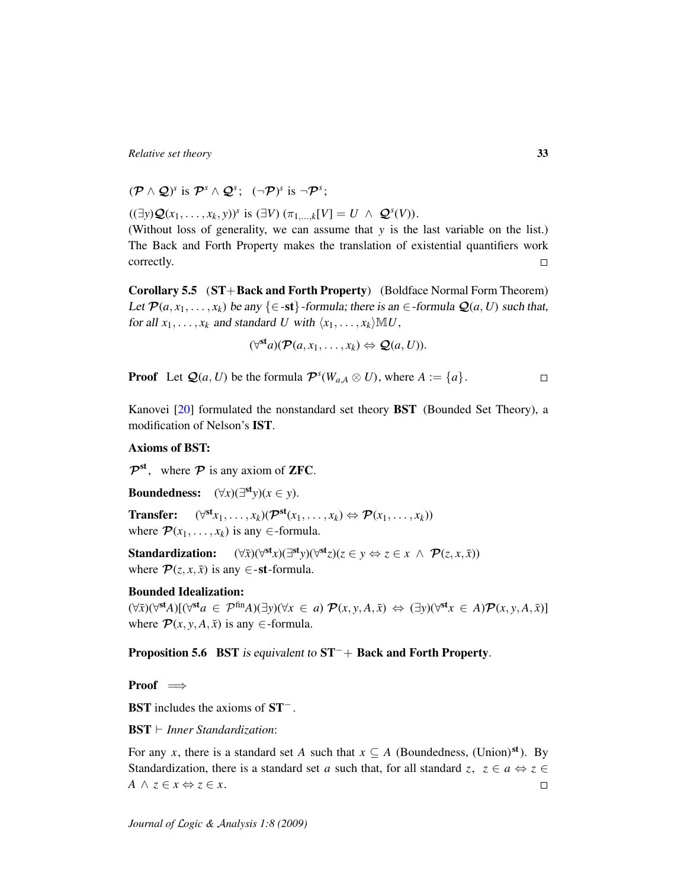$(\mathcal{P} \wedge \mathcal{Q})^s$  is  $\mathcal{P}^s \wedge \mathcal{Q}^s$ ;  $(\neg \mathcal{P})^s$  is  $\neg \mathcal{P}^s$ ;

 $((\exists y)Q(x_1, ..., x_k, y))^s$  is  $(\exists V) (\pi_{1,...,k}[V] = U \land Q^s(V)).$ 

(Without loss of generality, we can assume that *y* is the last variable on the list.) The Back and Forth Property makes the translation of existential quantifiers work correctly.  $\Box$ 

Corollary 5.5 (ST+Back and Forth Property) (Boldface Normal Form Theorem) Let  $\mathcal{P}(a, x_1, \ldots, x_k)$  be any  $\{\in \text{-st}\}\text{-formula; there is an } \in \text{-formula } \mathcal{Q}(a, U)$  such that, for all  $x_1, \ldots, x_k$  and standard *U* with  $\langle x_1, \ldots, x_k \rangle \mathbb{M} U$ ,

$$
(\forall^{\mathbf{st}}a)(\mathcal{P}(a,x_1,\ldots,x_k)\Leftrightarrow\mathcal{Q}(a,U)).
$$

**Proof** Let  $\mathcal{Q}(a, U)$  be the formula  $\mathcal{P}^{s}(W_{a,A} \otimes U)$ , where  $A := \{a\}.$  $\Box$ 

Kanovei [\[20\]](#page-107-6) formulated the nonstandard set theory BST (Bounded Set Theory), a modification of Nelson's IST.

#### Axioms of BST:

 $\mathcal{P}^{\text{st}}$ , where  $\mathcal P$  is any axiom of **ZFC**.

Boundedness:  $(\forall x)(\exists^{\text{st}} y)(x \in y)$ .

**Transfer:**  $(\forall^{\text{st}} x_1, \ldots, x_k)(\mathcal{P}^{\text{st}}(x_1, \ldots, x_k) \Leftrightarrow \mathcal{P}(x_1, \ldots, x_k))$ where  $\mathcal{P}(x_1, \ldots, x_k)$  is any  $\in$ -formula.

Standardization: st<sub>*x*</sub>)(∃st<sub>*y*</sub>)( $\forall$ st<sub>*z*</sub>)( $z \in y \Leftrightarrow z \in x \land \mathcal{P}(z, x, \bar{x})$ ) where  $\mathcal{P}(z, x, \bar{x})$  is any  $\in$ -st-formula.

#### Bounded Idealization:

 $(\forall \bar{x})(\forall^{\text{st}}A)[(\forall^{\text{st}}a \in \mathcal{P}^{\text{fin}}A)(\exists y)(\forall x \in a) \mathcal{P}(x, y, A, \bar{x}) \Leftrightarrow (\exists y)(\forall^{\text{st}}x \in A)\mathcal{P}(x, y, A, \bar{x})]$ where  $\mathcal{P}(x, y, A, \bar{x})$  is any  $\in$ -formula.

Proposition 5.6 BST is equivalent to ST<sup>-</sup>+ Back and Forth Property.

Proof  $\implies$ 

BST includes the axioms of ST<sup>−</sup> .

 $\text{BST} \vdash$  *Inner Standardization*:

For any *x*, there is a standard set *A* such that  $x \subseteq A$  (Boundedness, (Union)<sup>st</sup>). By Standardization, there is a standard set *a* such that, for all standard *z*,  $z \in a \Leftrightarrow z \in$ *A* ∧  $z \in x \Leftrightarrow z \in x$ .  $\Box$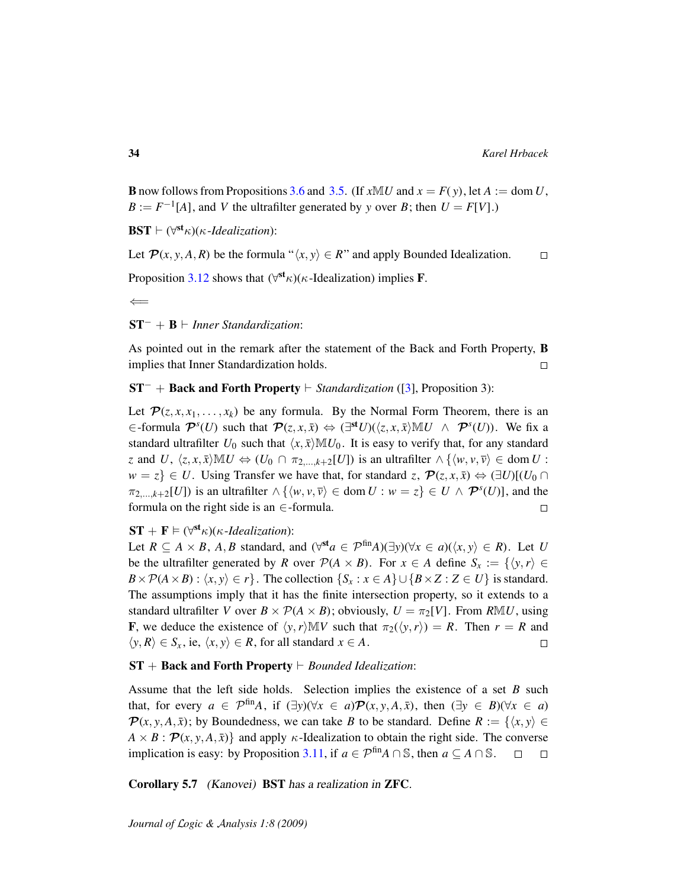**B** now follows from Propositions [3.6](#page-20-2) and [3.5.](#page-20-1) (If  $x \mathbb{M} U$  and  $x = F(y)$ , let  $A := \text{dom } U$ ,  $B := F^{-1}[A]$ , and *V* the ultrafilter generated by *y* over *B*; then  $U = F[V]$ .)

 $\text{BST} \vdash (\forall^{\text{st}} \kappa)(\kappa$ -*Idealization*):

Let  $\mathcal{P}(x, y, A, R)$  be the formula " $\langle x, y \rangle \in R$ " and apply Bounded Idealization.  $\Box$ 

Proposition [3.12](#page-22-1) shows that  $(\forall^{\text{st}} \kappa)(\kappa)$ -Idealization) implies **F**.

 $\leftarrow$ 

ST<sup>−</sup> + B ` *Inner Standardization*:

As pointed out in the remark after the statement of the Back and Forth Property, B implies that Inner Standardization holds.  $\Box$ 

#### ST<sup>−</sup> + **Back and Forth Property**  $\vdash$  *Standardization* ([\[3\]](#page-106-6), Proposition 3):

Let  $\mathcal{P}(z, x, x_1, \ldots, x_k)$  be any formula. By the Normal Form Theorem, there is an  $\in$ -formula  $\mathcal{P}^{s}(U)$  such that  $\mathcal{P}(z, x, \bar{x}) \Leftrightarrow (\exists^{\text{st}} U)(\langle z, x, \bar{x}\rangle \mathbb{M}U \land \mathcal{P}^{s}(U))$ . We fix a standard ultrafilter  $U_0$  such that  $\langle x, \bar{x} \rangle \mathbb{M} U_0$ . It is easy to verify that, for any standard *z* and *U*,  $\langle z, x, \overline{x} \rangle \mathbb{M}U \Leftrightarrow (U_0 \cap \pi_{2,\ldots,k+2}[U])$  is an ultrafilter  $\wedge \{\langle w, v, \overline{v} \rangle \in \text{dom } U$ : *w* = *z*} ∈ *U*. Using Transfer we have that, for standard *z*,  $\mathcal{P}(z, x, \bar{x}) \Leftrightarrow (\exists U)[(U_0 \cap$  $\pi_{2,\dots,k+2}[U]$ ) is an ultrafilter  $\wedge \{\langle w, v, \overline{v}\rangle \in \text{dom } U : w = z\} \in U \wedge \mathcal{P}^s(U)$ , and the formula on the right side is an  $\in$ -formula.  $\Box$ 

## $ST + F \vDash (\forall^{\mathsf{st}} \kappa)(\kappa$ -*Idealization*):

Let  $R \subseteq A \times B$ , A, B standard, and  $(\forall^{st} a \in \mathcal{P}^{\text{fin}}A)(\exists y)(\forall x \in a)(\langle x, y \rangle \in R)$ . Let U be the ultrafilter generated by *R* over  $P(A \times B)$ . For  $x \in A$  define  $S_x := \{ \langle y, r \rangle \in$  $B \times \mathcal{P}(A \times B)$ :  $\langle x, y \rangle \in r$ . The collection  $\{S_x : x \in A\} \cup \{B \times Z : Z \in U\}$  is standard. The assumptions imply that it has the finite intersection property, so it extends to a standard ultrafilter *V* over  $B \times \mathcal{P}(A \times B)$ ; obviously,  $U = \pi_2[V]$ . From *RMU*, using **F**, we deduce the existence of  $\langle y, r \rangle \mathbb{M}V$  such that  $\pi_2(\langle y, r \rangle) = R$ . Then  $r = R$  and  $\langle y, R \rangle$  ∈ *S<sub>x</sub>*, ie,  $\langle x, y \rangle$  ∈ *R*, for all standard *x* ∈ *A*.  $\Box$ 

#### $ST + Back$  and Forth Property  $\vdash$  *Bounded Idealization*:

Assume that the left side holds. Selection implies the existence of a set *B* such that, for every  $a \in \mathcal{P}^{\text{fin}}A$ , if  $(\exists y)(\forall x \in a)\mathcal{P}(x, y, A, \bar{x})$ , then  $(\exists y \in B)(\forall x \in a)$  $\mathcal{P}(x, y, A, \bar{x})$ ; by Boundedness, we can take *B* to be standard. Define  $R := \{ \langle x, y \rangle \in$  $A \times B$ :  $\mathcal{P}(x, y, A, \bar{x})$ } and apply  $\kappa$ -Idealization to obtain the right side. The converse implication is easy: by Proposition [3.11,](#page-21-2) if  $a \in \mathcal{P}^{\text{fin}}A \cap \mathbb{S}$ , then  $a \subseteq A \cap \mathbb{S}$ .  $\Box$  $\Box$ 

Corollary 5.7 (Kanovei) BST has a realization in ZFC.

*Journal of* L*ogic &* A*nalysis 1:8 (2009)*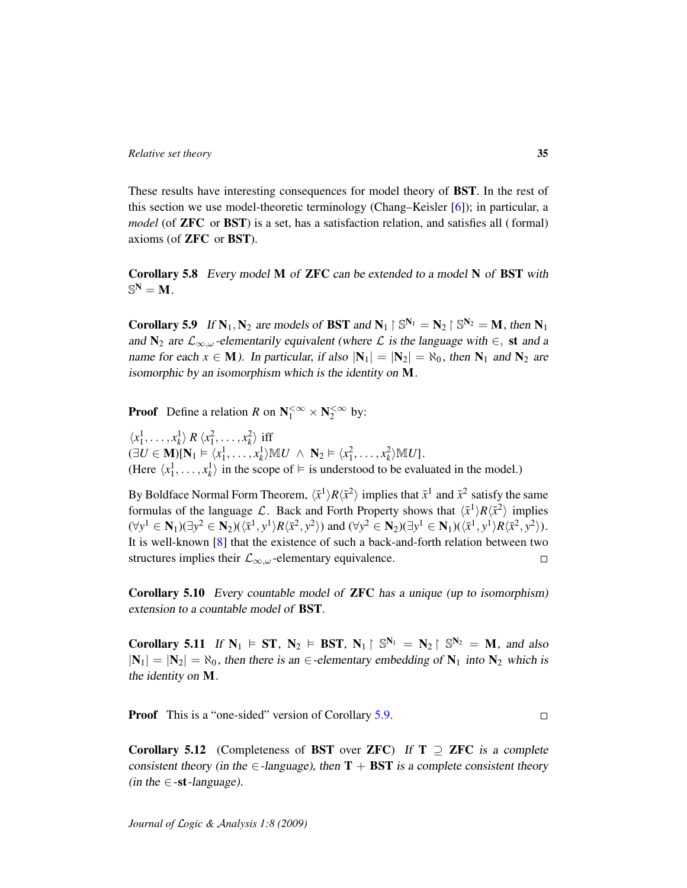These results have interesting consequences for model theory of BST. In the rest of this section we use model-theoretic terminology (Chang–Keisler [\[6\]](#page-106-10)); in particular, a *model* (of ZFC or BST) is a set, has a satisfaction relation, and satisfies all ( formal) axioms (of ZFC or BST).

Corollary 5.8 Every model M of ZFC can be extended to a model N of BST with  $\mathbb{S}^{\mathbf{N}}=\mathbf{M}$  .

<span id="page-34-0"></span>**Corollary 5.9** If  $N_1, N_2$  are models of **BST** and  $N_1 \restriction \mathbb{S}^{N_1} = N_2 \restriction \mathbb{S}^{N_2} = M$ , then  $N_1$ and  $\mathbf{N}_2$  are  $\mathcal{L}_{\infty,\omega}$ -elementarily equivalent (where  $\mathcal{L}$  is the language with  $\in$ , st and a name for each  $x \in M$ ). In particular, if also  $|N_1| = |N_2| = \aleph_0$ , then  $N_1$  and  $N_2$  are isomorphic by an isomorphism which is the identity on M.

**Proof** Define a relation *R* on  $N_1^{\leq \infty} \times N_2^{\leq \infty}$  by:

 $\langle x_1^1, \ldots, x_k^1 \rangle \, R \, \langle x_1^2, \ldots, x_k^2 \rangle$  iff  $(\exists U \in \mathbf{M})[\mathbf{N}_1 \models \langle x_1^1, \ldots, x_k^1 \rangle \mathbb{M} U \ \wedge \ \mathbf{N}_2 \models \langle x_1^2, \ldots, x_k^2 \rangle \mathbb{M} U].$ (Here  $\langle x_1^1, \ldots, x_k^1 \rangle$  in the scope of  $\models$  is understood to be evaluated in the model.)

By Boldface Normal Form Theorem,  $\langle \bar{x}^1 \rangle R \langle \bar{x}^2 \rangle$  implies that  $\bar{x}^1$  and  $\bar{x}^2$  satisfy the same formulas of the language L. Back and Forth Property shows that  $\langle \bar{x}^1 \rangle R \langle \bar{x}^2 \rangle$  implies  $(\forall y^1 \in \mathbf{N}_1)(\exists y^2 \in \mathbf{N}_2)((\bar{x}^1, y^1)R(\bar{x}^2, y^2))$  and  $(\forall y^2 \in \mathbf{N}_2)(\exists y^1 \in \mathbf{N}_1)(\langle \bar{x}^1, y^1 \rangle R(\bar{x}^2, y^2)).$ It is well-known [\[8\]](#page-106-12) that the existence of such a back-and-forth relation between two structures implies their  $\mathcal{L}_{\infty,\omega}$ -elementary equivalence.  $\Box$ 

Corollary 5.10 Every countable model of ZFC has a unique (up to isomorphism) extension to a countable model of BST.

Corollary 5.11 If  $N_1 \vDash ST$ ,  $N_2 \vDash BST$ ,  $N_1 \upharpoonright \mathbb{S}^{N_1} = N_2 \upharpoonright \mathbb{S}^{N_2} = M$ , and also  $|N_1| = |N_2| = \aleph_0$ , then there is an  $\in$ -elementary embedding of  $N_1$  into  $N_2$  which is the identity on M.

**Proof** This is a "one-sided" version of Corollary [5.9.](#page-34-0)  $\Box$ 

Corollary 5.12 (Completeness of BST over ZFC) If  $T \supseteq ZFC$  is a complete consistent theory (in the  $\in$ -language), then **T** + **BST** is a complete consistent theory (in the  $\in$ -st-language).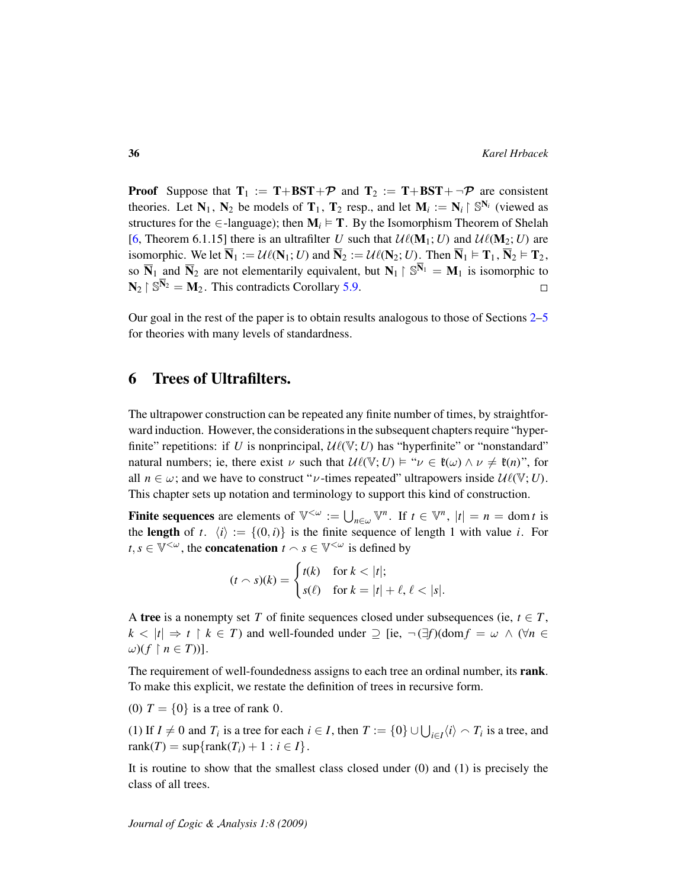**Proof** Suppose that  $T_1 := T + BST + \mathcal{P}$  and  $T_2 := T + BST + \neg \mathcal{P}$  are consistent theories. Let  $N_1$ ,  $N_2$  be models of  $T_1$ ,  $T_2$  resp., and let  $M_i := N_i \upharpoonright \mathbb{S}^{N_i}$  (viewed as structures for the ∈-language); then  $M_i \vDash T$ . By the Isomorphism Theorem of Shelah [\[6,](#page-106-10) Theorem 6.1.15] there is an ultrafilter *U* such that  $\mathcal{U}\ell(\mathbf{M}_1; U)$  and  $\mathcal{U}\ell(\mathbf{M}_2; U)$  are isomorphic. We let  $\overline{N}_1 := \mathcal{U}\ell(N_1; U)$  and  $\overline{N}_2 := \mathcal{U}\ell(N_2; U)$ . Then  $\overline{N}_1 \models T_1, \overline{N}_2 \models T_2$ , so  $\overline{N}_1$  and  $\overline{N}_2$  are not elementarily equivalent, but  $N_1 \upharpoonright \mathbb{S}^{\overline{N}_1} = M_1$  is isomorphic to  $\mathbf{N}_2 \upharpoonright \mathbb{S}^{\overline{\mathbf{N}}_2} = \mathbf{M}_2$ . This contradicts Corollary [5.9.](#page-34-0)  $\Box$ 

Our goal in the rest of the paper is to obtain results analogous to those of Sections  $2-5$  $2-5$ for theories with many levels of standardness.

## <span id="page-35-0"></span>6 Trees of Ultrafilters.

The ultrapower construction can be repeated any finite number of times, by straightforward induction. However, the considerations in the subsequent chapters require "hyperfinite" repetitions: if *U* is nonprincipal,  $\mathcal{U}(\mathbb{V}; U)$  has "hyperfinite" or "nonstandard" natural numbers; ie, there exist v such that  $\mathcal{U}\ell(\mathbb{V}; U) \models "v \in \ell(\omega) \land v \neq \ell(n)$ ", for all  $n \in \omega$ ; and we have to construct " $\nu$ -times repeated" ultrapowers inside  $\mathcal{U}\ell(\mathbb{V}; U)$ . This chapter sets up notation and terminology to support this kind of construction.

**Finite sequences** are elements of  $\mathbb{V}^{\lt}\omega := \bigcup_{n \in \omega} \mathbb{V}^n$ . If  $t \in \mathbb{V}^n$ ,  $|t| = n = \text{dom } t$  is the length of *t*.  $\langle i \rangle := \{(0, i)\}\$ is the finite sequence of length 1 with value *i*. For  $t, s \in \mathbb{V}^{<\omega}$ , the **concatenation**  $t \wedge s \in \mathbb{V}^{<\omega}$  is defined by

$$
(t \cap s)(k) = \begin{cases} t(k) & \text{for } k < |t|; \\ s(\ell) & \text{for } k = |t| + \ell, \, \ell < |s|. \end{cases}
$$

A tree is a nonempty set *T* of finite sequences closed under subsequences (ie,  $t \in T$ ,  $k < |t| \Rightarrow t \restriction k \in T$ ) and well-founded under  $\supseteq$  [ie,  $\neg(\exists f)(\text{dom} f = \omega \land (\forall n \in$  $\omega$ )( $f \restriction n \in T$ ))].

The requirement of well-foundedness assigns to each tree an ordinal number, its rank. To make this explicit, we restate the definition of trees in recursive form.

(0)  $T = \{0\}$  is a tree of rank 0.

(1) If  $I \neq 0$  and  $T_i$  is a tree for each  $i \in I$ , then  $T := \{0\} \cup \bigcup_{i \in I} \langle i \rangle \cap T_i$  is a tree, and  $rank(T) = sup\{rank(T_i) + 1 : i \in I\}.$ 

It is routine to show that the smallest class closed under (0) and (1) is precisely the class of all trees.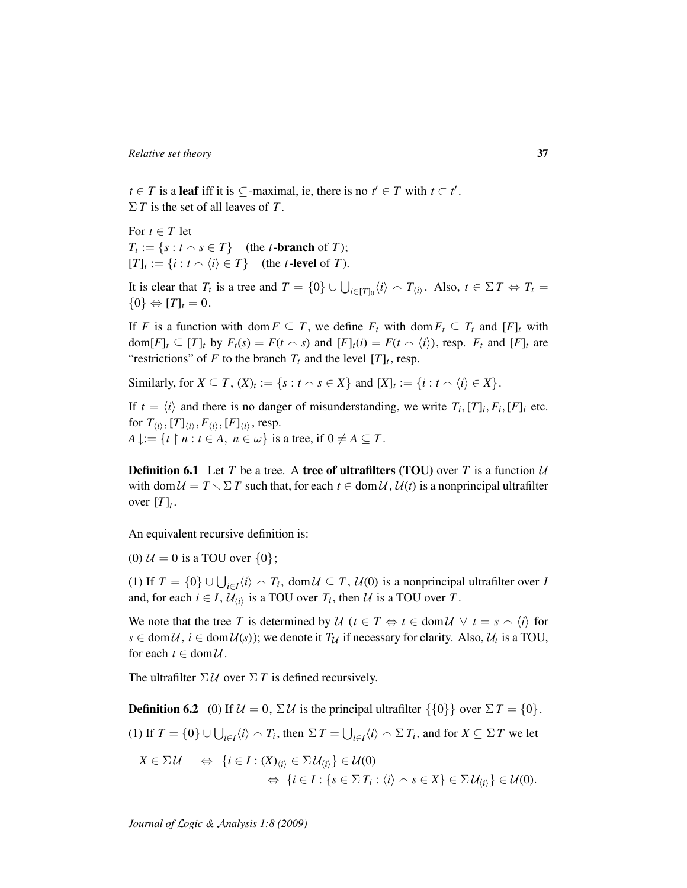*t* ∈ *T* is a leaf iff it is ⊆-maximal, ie, there is no  $t' \text{ ∈ } T$  with  $t \subset t'$ . Σ *T* is the set of all leaves of *T* .

For  $t \in T$  let  $T_t := \{ s : t \cap s \in T \}$  (the *t*-branch of *T*);  $[T]_t := \{i : t \cap \langle i \rangle \in T\}$  (the *t*-level of *T*).

It is clear that  $T_t$  is a tree and  $T = \{0\} \cup \bigcup_{i \in [T]_0} \langle i \rangle \cap T_{\langle i \rangle}$ . Also,  $t \in \Sigma T \Leftrightarrow T_t =$  $\{0\} \Leftrightarrow [T]_t = 0.$ 

If *F* is a function with dom  $F \subseteq T$ , we define  $F_t$  with dom  $F_t \subseteq T_t$  and  $[F]_t$  with  $dom[F]_t \subseteq [T]_t$  by  $F_t(s) = F(t \cap s)$  and  $[F]_t(i) = F(t \cap \langle i \rangle)$ , resp.  $F_t$  and  $[F]_t$  are "restrictions" of *F* to the branch  $T_t$  and the level  $[T]_t$ , resp.

Similarly, for  $X \subseteq T$ ,  $(X)_t := \{s : t \cap s \in X\}$  and  $[X]_t := \{i : t \cap \langle i \rangle \in X\}$ .

If  $t = \langle i \rangle$  and there is no danger of misunderstanding, we write  $T_i$ ,  $[T]_i$ ,  $F_i$ ,  $[F]_i$  etc. for  $T_{\langle i\rangle}, [T]_{\langle i\rangle}, F_{\langle i\rangle}, [F]_{\langle i\rangle}$ , resp.  $A \downarrow := \{t \mid n : t \in A, n \in \omega\}$  is a tree, if  $0 \neq A \subseteq T$ .

<span id="page-36-0"></span>**Definition 6.1** Let *T* be a tree. A tree of ultrafilters (TOU) over *T* is a function  $U$ with dom  $U = T \sum T$  such that, for each  $t \in \text{dom } U$ ,  $U(t)$  is a nonprincipal ultrafilter over  $[T]_t$ .

An equivalent recursive definition is:

(0)  $U = 0$  is a TOU over  $\{0\}$ ;

(1) If  $T = \{0\} \cup \bigcup_{i \in I} \langle i \rangle \cap T_i$ , dom  $\mathcal{U} \subseteq T$ ,  $\mathcal{U}(0)$  is a nonprincipal ultrafilter over *I* and, for each  $i \in I$ ,  $\mathcal{U}_{\langle i \rangle}$  is a TOU over  $T_i$ , then  $\mathcal U$  is a TOU over  $T$ .

We note that the tree *T* is determined by  $\mathcal{U}$  ( $t \in T \Leftrightarrow t \in \text{dom}\mathcal{U} \lor t = s \land \langle i \rangle$  for  $s \in \text{dom}\,\mathcal{U}, i \in \text{dom}\,\mathcal{U}(s)$ ; we denote it  $T_{\mathcal{U}}$  if necessary for clarity. Also,  $\mathcal{U}_t$  is a TOU, for each  $t \in \text{dom}\,\mathcal{U}$ .

<span id="page-36-1"></span>The ultrafilter  $\Sigma U$  over  $\Sigma T$  is defined recursively.

**Definition 6.2** (0) If  $\mathcal{U} = 0$ ,  $\Sigma \mathcal{U}$  is the principal ultrafilter  $\{\{0\}\}\$  over  $\Sigma T = \{0\}$ .

(1) If  $T = \{0\} \cup \bigcup_{i \in I} \langle i \rangle \setminus T_i$ , then  $\Sigma T = \bigcup_{i \in I} \langle i \rangle \setminus T_i$ , and for  $X \subseteq \Sigma T$  we let

$$
X \in \Sigma \mathcal{U} \quad \Leftrightarrow \quad \{i \in I : (X)_{\langle i \rangle} \in \Sigma \mathcal{U}_{\langle i \rangle}\} \in \mathcal{U}(0) \n\Leftrightarrow \quad \{i \in I : \{s \in \Sigma \, T_i : \langle i \rangle \frown s \in X\} \in \Sigma \mathcal{U}_{\langle i \rangle}\} \in \mathcal{U}(0).
$$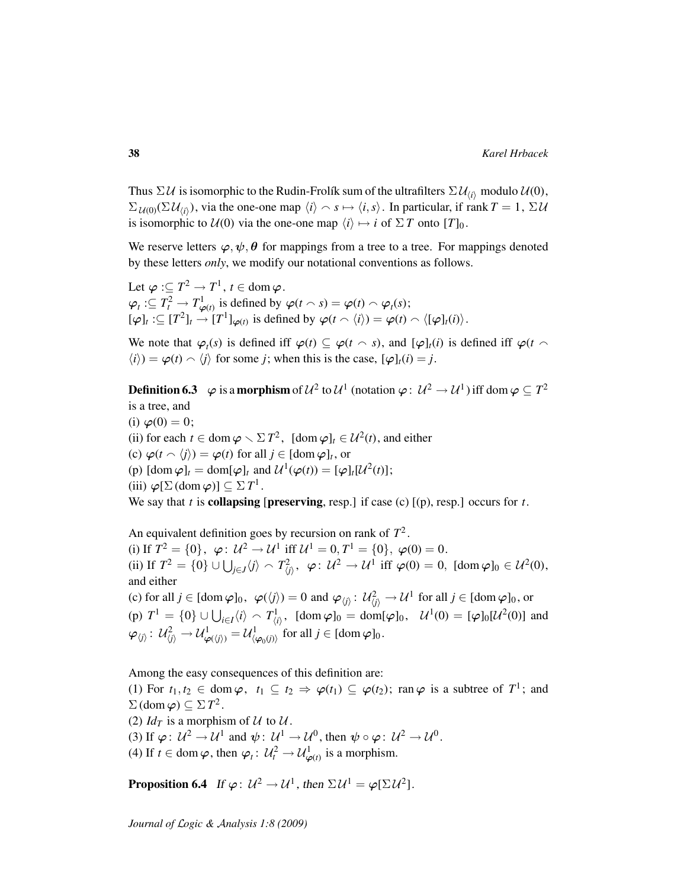Thus  $\Sigma U$  is isomorphic to the Rudin-Frolík sum of the ultrafilters  $\Sigma U_{(i)}$  modulo  $U(0)$ ,  $\Sigma_{\mathcal{U}(0)}(\Sigma \mathcal{U}_{\langle i \rangle})$ , via the one-one map  $\langle i \rangle \sim s \mapsto \langle i, s \rangle$ . In particular, if rank  $T = 1$ ,  $\Sigma \mathcal{U}$ is isomorphic to  $U(0)$  via the one-one map  $\langle i \rangle \mapsto i$  of  $\Sigma T$  onto  $[T]_0$ .

We reserve letters  $\varphi, \psi, \theta$  for mappings from a tree to a tree. For mappings denoted by these letters *only*, we modify our notational conventions as follows.

Let  $\boldsymbol{\varphi}:\subseteq T^{2}\rightarrow T^{1},\,t\in\operatorname{dom}\boldsymbol{\varphi}$  .  $\varphi_t := T_t^2 \to T_{\varphi(t)}^1$  is defined by  $\varphi(t \cap s) = \varphi(t) \cap \varphi_t(s);$  $[\varphi]_t : \subseteq [T^2]_t \longrightarrow [T^1]_{\varphi(t)}$  is defined by  $\varphi(t \wedge \langle i \rangle) = \varphi(t) \wedge \langle [\varphi]_t(i) \rangle$ .

We note that  $\varphi_t(s)$  is defined iff  $\varphi(t) \subseteq \varphi(t \sim s)$ , and  $[\varphi]_t(i)$  is defined iff  $\varphi(t \sim s)$  $\langle i \rangle$ ) =  $\varphi$ (*t*)  $\land$   $\langle j \rangle$  for some *j*; when this is the case,  $[\varphi]_t(i) = j$ .

<span id="page-37-1"></span>**Definition 6.3**  $\varphi$  is a **morphism** of  $\mathcal{U}^2$  to  $\mathcal{U}^1$  (notation  $\varphi: \mathcal{U}^2 \to \mathcal{U}^1$ ) iff dom  $\varphi \subseteq T^2$ is a tree, and

(i)  $\varphi(0) = 0;$ (ii) for each  $t \in \text{dom } \varphi \setminus \Sigma T^2$ ,  $[\text{dom } \varphi]_t \in \mathcal{U}^2(t)$ , and either (c)  $\varphi(t \wedge \langle j \rangle) = \varphi(t)$  for all  $j \in [\text{dom } \varphi]_t$ , or (p)  $[\text{dom }\varphi]_t = \text{dom}[\varphi]_t$  and  $\mathcal{U}^1(\varphi(t)) = [\varphi]_t[\mathcal{U}^2(t)]$ ; (iii)  $\varphi[\Sigma(\text{dom }\varphi)] \subseteq \Sigma T^1$ . We say that *t* is **collapsing** [preserving, resp.] if case (c)  $[(p)$ , resp.] occurs for *t*.

An equivalent definition goes by recursion on rank of *T* 2 . (i) If  $T^2 = \{0\}$ ,  $\varphi: U^2 \to U^1$  iff  $U^1 = 0, T^1 = \{0\}$ ,  $\varphi(0) = 0$ . (ii) If  $T^2 = \{0\} \cup \bigcup_{j \in J} \langle j \rangle \setminus T_{\langle j \rangle}^2$ ,  $\varphi: U^2 \to U^1$  iff  $\varphi(0) = 0$ ,  $[\text{dom } \varphi]_0 \in U^2(0)$ , and either (c) for all  $j \in [\text{dom } \varphi]_0$ ,  $\varphi(\langle j \rangle) = 0$  and  $\varphi_{\langle j \rangle} : \mathcal{U}_{\langle j \rangle}^2 \to \mathcal{U}^1$  for all  $j \in [\text{dom } \varphi]_0$ , or

(p)  $T^1 = \{0\} \cup \bigcup_{i \in I} \langle i \rangle \setminus T^1_{\langle i \rangle}, \text{ [dom } \varphi]_0 = \text{dom}[\varphi]_0, \quad \mathcal{U}^1(0) = [\varphi]_0[\mathcal{U}^2(0)] \text{ and }$  $\varphi_{\langle j\rangle}\colon\, \mathcal{U}_{\langle j\rangle}^2 \rightarrow \mathcal{U}_{\varphi(\langle j\rangle)}^1=\mathcal{U}_{\langle \varphi_0(j)\rangle}^1 \text{ for all } j\in [\mathrm{dom}\, \varphi]_0.$ 

Among the easy consequences of this definition are:

(1) For  $t_1, t_2 \in \text{dom } \varphi$ ,  $t_1 \subseteq t_2 \Rightarrow \varphi(t_1) \subseteq \varphi(t_2)$ ; ran  $\varphi$  is a subtree of  $T^1$ ; and  $\Sigma$  (dom  $\varphi$ )  $\subseteq \Sigma T^2$ .

(2)  $Id_T$  is a morphism of U to U.

(3) If  $\varphi: U^2 \to U^1$  and  $\psi: U^1 \to U^0$ , then  $\psi \circ \varphi: U^2 \to U^0$ .

<span id="page-37-0"></span>(4) If  $t \in \text{dom}\,\varphi$ , then  $\varphi_t: \mathcal{U}_t^2 \to \mathcal{U}_{\varphi(t)}^1$  is a morphism.

**Proposition 6.4** If  $\varphi: U^2 \to U^1$ , then  $\Sigma U^1 = \varphi[\Sigma U^2]$ .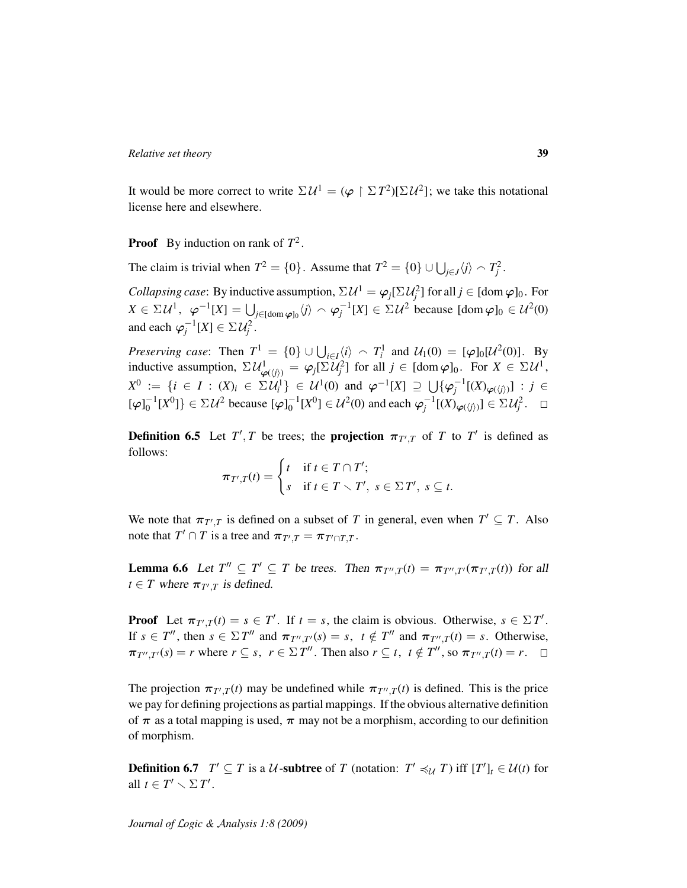It would be more correct to write  $\Sigma \mathcal{U}^1 = (\varphi \restriction \Sigma T^2)[\Sigma \mathcal{U}^2]$ ; we take this notational license here and elsewhere.

**Proof** By induction on rank of  $T^2$ .

The claim is trivial when  $T^2 = \{0\}$ . Assume that  $T^2 = \{0\} \cup \bigcup_{j \in J} \langle j \rangle \sim T_j^2$ .

*Collapsing case*: By inductive assumption,  $\Sigma \mathcal{U}^1 = \varphi_j[\Sigma \mathcal{U}_j^2]$  for all  $j \in [\text{dom } \varphi]_0$ . For  $X \in \Sigma \mathcal{U}^1$ ,  $\varphi^{-1}[X] = \bigcup_{j \in [\text{dom } \varphi]_0} \langle j \rangle \cap \varphi_j^{-1}[X] \in \Sigma \mathcal{U}^2$  because  $[\text{dom } \varphi]_0 \in \mathcal{U}^2(0)$ and each  $\varphi_j^{-1}[X] \in \Sigma \mathcal{U}_j^2$ .

*Preserving case*: Then  $T^1 = \{0\} \cup \bigcup_{i \in I} \langle i \rangle \sim T_i^1$  and  $\mathcal{U}_1(0) = [\varphi]_0[\mathcal{U}^2(0)]$ . By inductive assumption,  $\Sigma \mathcal{U}_{\varphi(\langle j \rangle)}^1 = \varphi_j[\Sigma \mathcal{U}_j^2]$  for all  $j \in [\text{dom } \varphi]_0$ . For  $X \in \Sigma \mathcal{U}^1$ , *X*<sup>0</sup> := {*i* ∈ *I* : (*X*)*i* ∈  $\Sigma U_i^1$ } ∈  $U^1(0)$  and  $\varphi^{-1}[X] \supseteq \bigcup \{\varphi_j^{-1}[(X)_{\varphi(\langle j \rangle)}]: j \in$  $[\varphi]_0^{-1}[X^0]\}\in \Sigma \mathcal{U}^2$  because  $[\varphi]_0^{-1}[X^0]\in \mathcal{U}^2(0)$  and each  $\varphi_j^{-1}[(X)_{\varphi(\langle j\rangle)}]\in \Sigma \mathcal{U}^2_j$ .

**Definition 6.5** Let  $T'$ , *T* be trees; the **projection**  $\pi_{T',T}$  of *T* to *T'* is defined as follows:

$$
\pi_{T',T}(t) = \begin{cases} t & \text{if } t \in T \cap T'; \\ s & \text{if } t \in T \setminus T', \ s \in \Sigma T', \ s \subseteq t. \end{cases}
$$

We note that  $\pi_{T',T}$  is defined on a subset of *T* in general, even when  $T' \subseteq T$ . Also note that  $T' \cap T$  is a tree and  $\pi_{T',T} = \pi_{T' \cap T,T}$ .

<span id="page-38-1"></span>**Lemma 6.6** Let  $T'' \subseteq T' \subseteq T$  be trees. Then  $\pi_{T'',T}(t) = \pi_{T'',T'}(\pi_{T',T}(t))$  for all  $t \in T$  where  $\pi_{T',T}$  is defined.

**Proof** Let  $\pi_{T',T}(t) = s \in T'$ . If  $t = s$ , the claim is obvious. Otherwise,  $s \in \Sigma T'$ . If  $s \in T''$ , then  $s \in \Sigma T''$  and  $\pi_{T'',T'}(s) = s$ ,  $t \notin T''$  and  $\pi_{T'',T}(t) = s$ . Otherwise,  $\pi_{T'',T'}(s) = r$  where  $r \subseteq s$ ,  $r \in \Sigma T''$ . Then also  $r \subseteq t$ ,  $t \notin T''$ , so  $\pi_{T'',T}(t) = r$ .

The projection  $\pi_{T',T}(t)$  may be undefined while  $\pi_{T'',T}(t)$  is defined. This is the price we pay for defining projections as partial mappings. If the obvious alternative definition of  $\pi$  as a total mapping is used,  $\pi$  may not be a morphism, according to our definition of morphism.

<span id="page-38-0"></span>**Definition 6.7**  $T' \subseteq T$  is a U-subtree of T (notation:  $T' \preccurlyeq_{\mathcal{U}} T$ ) iff  $[T']_t \in \mathcal{U}(t)$  for all  $t \in T' \setminus \Sigma T'$ .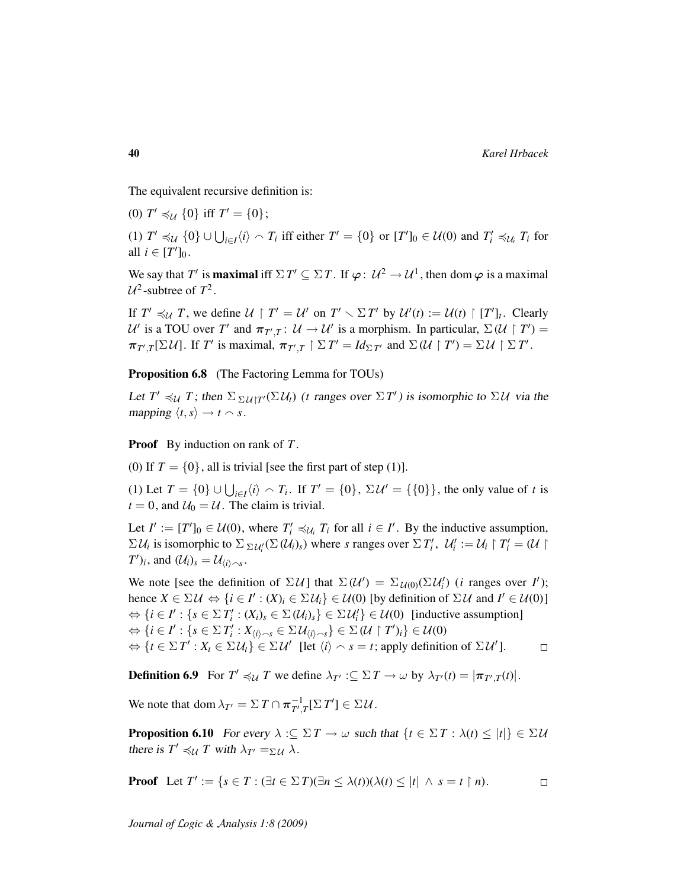The equivalent recursive definition is:

(0)  $T' \preccurlyeq_{\mathcal{U}} \{0\}$  iff  $T' = \{0\};$ 

(1)  $T' \preccurlyeq_{\mathcal{U}} \{0\} \cup \bigcup_{i \in I} \langle i \rangle \frown T_i$  iff either  $T' = \{0\}$  or  $[T']_0 \in \mathcal{U}(0)$  and  $T'_i \preccurlyeq_{\mathcal{U}_i} T_i$  for all  $i \in [T']_0$ .

We say that *T'* is **maximal** iff  $\Sigma T' \subseteq \Sigma T$ . If  $\varphi: U^2 \to U^1$ , then dom  $\varphi$  is a maximal  $U^2$ -subtree of  $T^2$ .

If  $T' \preccurlyeq_{\mathcal{U}} T$ , we define  $\mathcal{U} \restriction T' = \mathcal{U}'$  on  $T' \setminus \Sigma T'$  by  $\mathcal{U}'(t) := \mathcal{U}(t) \restriction [T']_t$ . Clearly U' is a TOU over T' and  $\pi_{T',T}$ :  $\mathcal{U} \to \mathcal{U}'$  is a morphism. In particular,  $\Sigma(\mathcal{U} \restriction T') =$  $\pi_{T',T}[\Sigma \mathcal{U}]$ . If *T'* is maximal,  $\pi_{T',T} \restriction \Sigma T' = Id_{\Sigma T'}$  and  $\Sigma(\mathcal{U} \restriction T') = \Sigma \mathcal{U} \restriction \Sigma T'$ .

<span id="page-39-1"></span>Proposition 6.8 (The Factoring Lemma for TOUs)

Let  $T' \preccurlyeq_{\mathcal{U}} T$ ; then  $\Sigma_{\Sigma \mathcal{U} | T'}(\Sigma \mathcal{U}_t)$  (*t* ranges over  $\Sigma T'$ ) is isomorphic to  $\Sigma \mathcal{U}$  via the mapping  $\langle t, s \rangle \rightarrow t \sim s$ .

Proof By induction on rank of *T* .

(0) If  $T = \{0\}$ , all is trivial [see the first part of step (1)].

(1) Let *T* = {0} ∪  $\bigcup_{i \in I} \langle i \rangle \cap T_i$ . If *T'* = {0},  $\Sigma U' = \{\{0\}\}\$ , the only value of *t* is  $t = 0$ , and  $U_0 = U$ . The claim is trivial.

Let  $I' := [T']_0 \in \mathcal{U}(0)$ , where  $T'_i \preccurlyeq_{\mathcal{U}_i} T_i$  for all  $i \in I'$ . By the inductive assumption,  $\Sigma \mathcal{U}_i$  is isomorphic to  $\Sigma_{\Sigma \mathcal{U}_i'}(\Sigma(\mathcal{U}_i)_s)$  where *s* ranges over  $\Sigma T_i'$ ,  $\mathcal{U}_i' := \mathcal{U}_i \upharpoonright T_i' = (\mathcal{U} \upharpoonright \mathcal{U}_i')$  $(T')_i$ , and  $(\mathcal{U}_i)_s = \mathcal{U}_{\langle i \rangle \frown s}$ .

We note [see the definition of  $\Sigma \mathcal{U}$ ] that  $\Sigma(\mathcal{U}') = \Sigma_{\mathcal{U}(0)}(\Sigma \mathcal{U}'_i)$  (*i* ranges over *I'*); hence  $X \in \Sigma \mathcal{U} \Leftrightarrow \{i \in I': (X)_i \in \Sigma \mathcal{U}_i\} \in \mathcal{U}(0)$  [by definition of  $\Sigma \mathcal{U}$  and  $I' \in \mathcal{U}(0)$ ]  $\Leftrightarrow$   $\{i \in I': \{s \in \Sigma T'_i : (X_i)_s \in \Sigma (U_i)_s\} \in \Sigma U'_i\} \in \mathcal{U}(0)$  [inductive assumption]  $\Leftrightarrow$   $\{i \in I': \{s \in \Sigma T'_i : X_{\langle i \rangle \frown s} \in \Sigma \mathcal{U}_{\langle i \rangle \frown s}\} \in \Sigma (\mathcal{U} \restriction T')_i\} \in \mathcal{U}(0)$  $\Leftrightarrow$   $\{t \in \Sigma T': X_t \in \Sigma \mathcal{U}_t\} \in \Sigma \mathcal{U}'$  [let  $\langle i \rangle \cap s = t$ ; apply definition of  $\Sigma \mathcal{U}'$ ].  $\Box$ 

<span id="page-39-2"></span>**Definition 6.9** For  $T' \preccurlyeq_{\mathcal{U}} T$  we define  $\lambda_{T'} : \subseteq \Sigma T \to \omega$  by  $\lambda_{T'}(t) = |\pi_{T',T}(t)|$ .

We note that dom  $\lambda_{T'} = \Sigma T \cap \pi_{T'}^{-1}$ .  $_{T',T}^{-1}[\Sigma\,T']\in\Sigma\,\mathcal{U}.$ 

<span id="page-39-0"></span>**Proposition 6.10** For every  $\lambda := \Sigma T \rightarrow \omega$  such that  $\{t \in \Sigma T : \lambda(t) \leq |t|\} \in \Sigma U$ there is  $T' \preccurlyeq_{\mathcal{U}} T$  with  $\lambda_{T'} =_{\Sigma \mathcal{U}} \lambda$ .

**Proof** Let 
$$
T' := \{ s \in T : (\exists t \in \Sigma T)(\exists n \leq \lambda(t))(\lambda(t) \leq |t| \land s = t \restriction n).
$$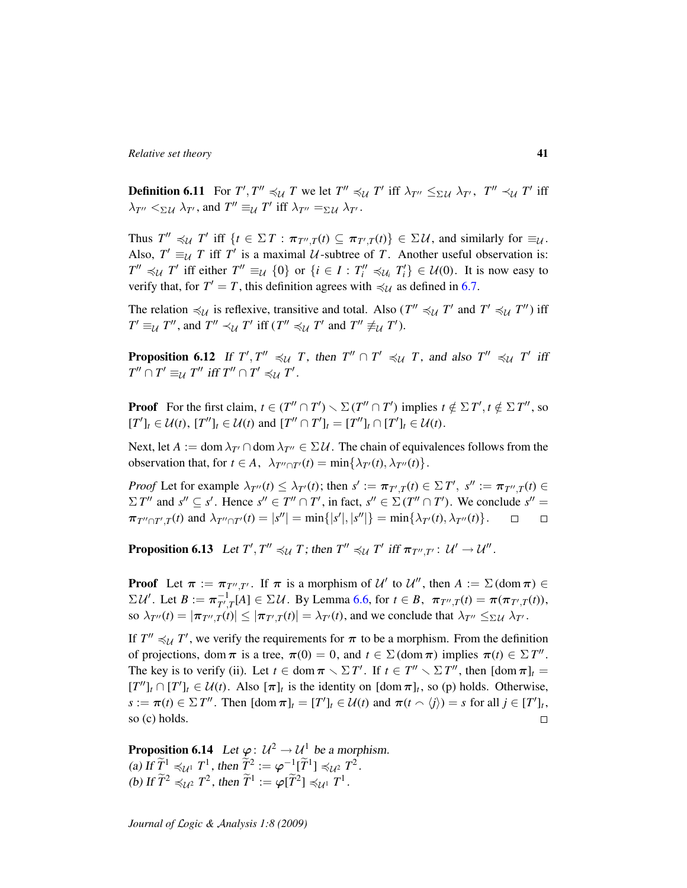**Definition 6.11** For  $T', T'' \preccurlyeq_{\mathcal{U}} T$  we let  $T'' \preccurlyeq_{\mathcal{U}} T'$  iff  $\lambda_{T''} \leq_{\Sigma \mathcal{U}} \lambda_{T'}$ ,  $T'' \prec_{\mathcal{U}} T'$  iff  $\lambda_{T''} <_{\Sigma \mathcal{U}} \lambda_{T'}$ , and  $T'' \equiv_{\mathcal{U}} T'$  iff  $\lambda_{T''} =_{\Sigma \mathcal{U}} \lambda_{T'}$ .

Thus  $T'' \preccurlyeq_{\mathcal{U}} T'$  iff  $\{t \in \Sigma T : \pi_{T'',T}(t) \subseteq \pi_{T',T}(t)\} \in \Sigma \mathcal{U}$ , and similarly for  $\equiv_{\mathcal{U}}$ . Also,  $T' \equiv_{\mathcal{U}} T$  iff  $T'$  is a maximal  $\mathcal{U}$ -subtree of  $T$ . Another useful observation is:  $T'' \preccurlyeq_{\mathcal{U}} T'$  iff either  $T'' \equiv_{\mathcal{U}} \{0\}$  or  $\{i \in I : T''_i \preccurlyeq_{\mathcal{U}_i} T'_i\} \in \mathcal{U}(0)$ . It is now easy to verify that, for  $T' = T$ , this definition agrees with  $\preccurlyeq_{\mathcal{U}}$  as defined in [6.7.](#page-38-0)

The relation  $\preccurlyeq_{\mathcal{U}}$  is reflexive, transitive and total. Also (*T*<sup> $\prime\prime$ </sup>  $\preccurlyeq_{\mathcal{U}}$  *T*<sup> $\prime$ </sup> and *T*<sup> $\prime$ </sup>  $\preccurlyeq_{\mathcal{U}}$  *T*<sup> $\prime\prime$ </sup>) iff  $T' \equiv_{\mathcal{U}} T''$ , and  $T'' \prec_{\mathcal{U}} T'$  iff  $(T'' \preccurlyeq_{\mathcal{U}} T'$  and  $T'' \not\equiv_{\mathcal{U}} T'$ ).

**Proposition 6.12** If  $T', T'' \preccurlyeq_{\mathcal{U}} T$ , then  $T'' \cap T' \preccurlyeq_{\mathcal{U}} T$ , and also  $T'' \preccurlyeq_{\mathcal{U}} T'$  iff  $T'' \cap T' \equiv_{\mathcal{U}} T''$  iff  $T'' \cap T' \preccurlyeq_{\mathcal{U}} T'$ .

**Proof** For the first claim,  $t \in (T'' \cap T') \setminus \Sigma(T'' \cap T')$  implies  $t \notin \Sigma T'$ ,  $t \notin \Sigma T''$ , so  $[T']_t \in \mathcal{U}(t), [T'']_t \in \mathcal{U}(t) \text{ and } [T'' \cap T']_t = [T'']_t \cap [T']_t \in \mathcal{U}(t).$ 

Next, let  $A := \text{dom } \lambda_{T'} \cap \text{dom } \lambda_{T''} \in \Sigma \mathcal{U}$ . The chain of equivalences follows from the observation that, for  $t \in A$ ,  $\lambda_{T'' \cap T'}(t) = \min\{\lambda_{T'}(t), \lambda_{T''}(t)\}.$ 

*Proof* Let for example  $\lambda_{T''}(t) \leq \lambda_{T'}(t)$ ; then  $s' := \pi_{T',T}(t) \in \Sigma T'$ ,  $s'' := \pi_{T'',T}(t) \in$  $\Sigma T''$  and  $s'' \subseteq s'$ . Hence  $s'' \in T'' \cap T'$ , in fact,  $s'' \in \Sigma (T'' \cap T')$ . We conclude  $s'' =$  $\pi_{T'' \cap T',T}(t)$  and  $\lambda_{T'' \cap T'}(t) = |s''| = \min\{|s'|, |s''|\} = \min\{\lambda_{T'}(t), \lambda_{T''}(t)\}.$  $\Box$  $\Box$ 

<span id="page-40-0"></span>**Proposition 6.13** Let  $T', T'' \preccurlyeq_{\mathcal{U}} T$ ; then  $T'' \preccurlyeq_{\mathcal{U}} T'$  iff  $\pi_{T'', T'} : \mathcal{U}' \to \mathcal{U}''$ .

**Proof** Let  $\pi := \pi_{T'',T'}$ . If  $\pi$  is a morphism of  $\mathcal{U}'$  to  $\mathcal{U}''$ , then  $A := \Sigma(\text{dom }\pi) \in$  $\Sigma \mathcal{U}'$ . Let  $B := \pi_{T'}^{-1}$  $T^1_{T,T}[A] \in \Sigma \mathcal{U}$ . By Lemma [6.6,](#page-38-1) for  $t \in B$ ,  $\pi_{T'',T}(t) = \pi(\pi_{T',T}(t)),$ so  $\lambda_{T''}(t) = |\pi_{T'',T}(t)| \le |\pi_{T',T}(t)| = \lambda_{T'}(t)$ , and we conclude that  $\lambda_{T''} \leq_{\Sigma \mathcal{U}} \lambda_{T'}$ .

If  $T'' \preccurlyeq_{\mathcal{U}} T'$ , we verify the requirements for  $\pi$  to be a morphism. From the definition of projections, dom  $\pi$  is a tree,  $\pi(0) = 0$ , and  $t \in \Sigma$  (dom  $\pi$ ) implies  $\pi(t) \in \Sigma T''$ . The key is to verify (ii). Let  $t \in \text{dom } \pi \setminus \Sigma T'$ . If  $t \in T'' \setminus \Sigma T''$ , then  $[\text{dom } \pi]_t =$  $[T'']_t \cap [T']_t \in \mathcal{U}(t)$ . Also  $[\pi]_t$  is the identity on  $[\text{dom }\pi]_t$ , so (p) holds. Otherwise,  $s := \pi(t) \in \Sigma T''$ . Then  $\text{[dom }\pi]_t = [T']_t \in \mathcal{U}(t)$  and  $\pi(t \cap \langle j \rangle) = s$  for all  $j \in [T']_t$ , so (c) holds.  $\Box$ 

**Proposition 6.14** Let  $\varphi: U^2 \to U^1$  be a morphism. (a) If  $\widetilde{T}^1 \preccurlyeq_{\mathcal{U}^1} T^1$ , then  $\widetilde{T}^2 := \varphi^{-1}[\widetilde{T}^1] \preccurlyeq_{\mathcal{U}^2} T^2$ . (b) If  $\widetilde{T}^2 \preccurlyeq_{\mathcal{U}^2} T^2$ , then  $\widetilde{T}^1 := \varphi[\widetilde{T}^2] \preccurlyeq_{\mathcal{U}^1} T^1$ .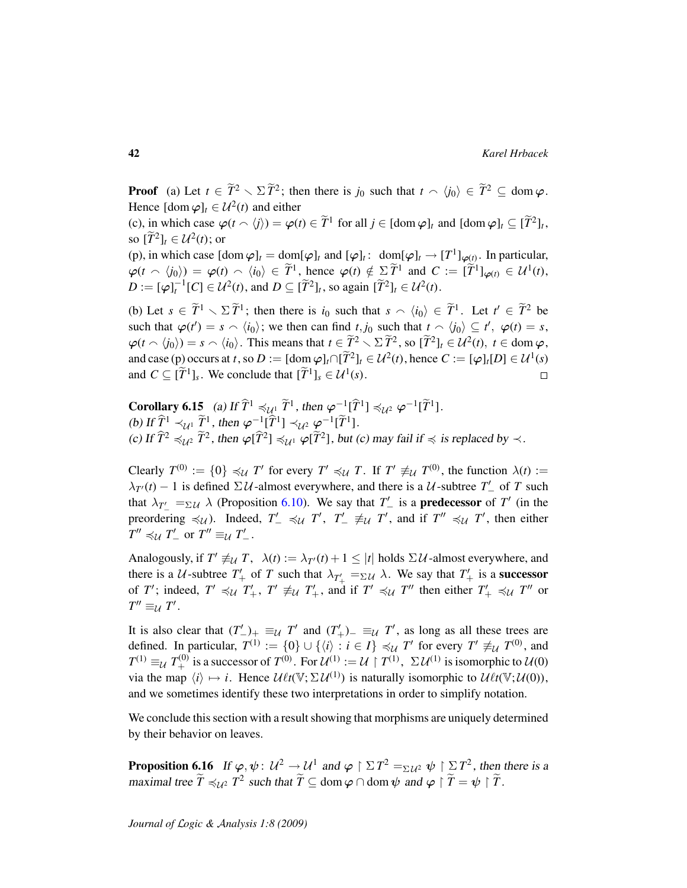**Proof** (a) Let  $t \in \widetilde{T}^2 \setminus \Sigma \widetilde{T}^2$ ; then there is  $j_0$  such that  $t \setminus \langle j_0 \rangle \in \widetilde{T}^2 \subseteq \text{dom } \varphi$ . Hence  $[dom \varphi]_t \in \mathcal{U}^2(t)$  and either

(c), in which case  $\varphi(t \wedge \langle j \rangle) = \varphi(t) \in \tilde{T}^1$  for all  $j \in [\text{dom } \varphi]_t$  and  $[\text{dom } \varphi]_t \subseteq [\tilde{T}^2]_t$ , so  $[\widetilde{T}^2]_t \in \mathcal{U}^2(t)$ ; or

(p), in which case  $[\text{dom } \varphi]_t = \text{dom}[\varphi]_t$  and  $[\varphi]_t : \text{ dom}[\varphi]_t \to [T^1]_{\varphi(t)}$ . In particular,  $\varphi(t \cap \langle i_0 \rangle) = \varphi(t) \cap \langle i_0 \rangle \in \tilde{T}^1$ , hence  $\varphi(t) \notin \Sigma \tilde{T}^1$  and  $C := [\tilde{T}^1]_{\varphi(t)} \in \mathcal{U}^1(t)$ ,  $D := [\varphi]_t^{-1}[C] \in \mathcal{U}^2(t)$ , and  $D \subseteq [\widetilde{T}^2]_t$ , so again  $[\widetilde{T}^2]_t \in \mathcal{U}^2(t)$ .

(b) Let  $s \in \widetilde{T}^1 \setminus \Sigma \widetilde{T}^1$ ; then there is  $i_0$  such that  $s \setminus \langle i_0 \rangle \in \widetilde{T}^1$ . Let  $t' \in \widetilde{T}^2$  be such that  $\varphi(t') = s \wedge \langle i_0 \rangle$ ; we then can find  $t, j_0$  such that  $t \wedge \langle j_0 \rangle \subseteq t'$ ,  $\varphi(t) = s$ ,  $\varphi(t \wedge \langle i_0 \rangle) = s \wedge \langle i_0 \rangle$ . This means that  $t \in \widetilde{T}^2 \setminus \Sigma \widetilde{T}^2$ , so  $[\widetilde{T}^2]_t \in \mathcal{U}^2(t), t \in \text{dom}\,\varphi$ , and case (p) occurs at *t*, so  $D := [\text{dom } \varphi]_t \cap [\tilde{T}^2]_t \in \mathcal{U}^2(t)$ , hence  $C := [\varphi]_t[D] \in \mathcal{U}^1(s)$ and  $C \subseteq [\tilde{T}^1]_s$ . We conclude that  $[\tilde{T}^1]_s \in \mathcal{U}^1(s)$ .  $\Box$ 

<span id="page-41-0"></span>**Corollary 6.15** (a) If  $\hat{T}$ <sup>1</sup>  $\preccurlyeq_{\mathcal{U}^1} \tilde{T}$ <sup>1</sup>, then  $\varphi^{-1}[\hat{T}^1] \preccurlyeq_{\mathcal{U}^2} \varphi^{-1}[\tilde{T}^1]$ . (b) If  $\hat{T}^1 \prec_{\mathcal{U}^1} \tilde{T}^1$ , then  $\varphi^{-1}[\hat{T}^1] \prec_{\mathcal{U}^2} \varphi^{-1}[\tilde{T}^1]$ . (c) If  $\widehat{T}^2 \preccurlyeq_{\mathcal{U}^2} \widetilde{T}^2$ , then  $\varphi[\widehat{T}^2] \preccurlyeq_{\mathcal{U}^1} \varphi[\widetilde{T}^2]$ , but (c) may fail if  $\preccurlyeq$  is replaced by  $\prec$ .

Clearly  $T^{(0)} := \{0\} \preccurlyeq_{\mathcal{U}} T'$  for every  $T' \preccurlyeq_{\mathcal{U}} T$ . If  $T' \not\equiv_{\mathcal{U}} T^{(0)}$ , the function  $\lambda(t) :=$  $\lambda_{T}(t) - 1$  is defined  $\Sigma U$ -almost everywhere, and there is a U-subtree  $T'_{-}$  of T such that  $\lambda_{T'_-} =_{\Sigma \mathcal{U}} \lambda$  (Proposition [6.10\)](#page-39-0). We say that  $T'_-$  is a **predecessor** of  $T'$  (in the preordering  $\preccurlyeq_{\mathcal{U}}$ ). Indeed,  $T'_{-} \preccurlyeq_{\mathcal{U}} T'$ ,  $T'_{-} \not\equiv_{\mathcal{U}} T'$ , and if  $T'' \preccurlyeq_{\mathcal{U}} T'$ , then either  $T'' \preccurlyeq_{\mathcal{U}} T'_{-}$  or  $T'' \equiv_{\mathcal{U}} T'_{-}$ .

Analogously, if  $T' \not\equiv_{\mathcal{U}} T$ ,  $\lambda(t) := \lambda_{T'}(t) + 1 \leq |t|$  holds  $\Sigma \mathcal{U}$ -almost everywhere, and there is a U-subtree  $T'_+$  of T such that  $\lambda_{T'_+} =_{\Sigma U} \lambda$ . We say that  $T'_+$  is a **successor** of *T'*; indeed,  $T' \preccurlyeq_{\mathcal{U}} T'_{+}$ ,  $T' \not\equiv_{\mathcal{U}} T'_{+}$ , and if  $T' \preccurlyeq_{\mathcal{U}} T''$  then either  $T'_{+} \preccurlyeq_{\mathcal{U}} T''$  or  $T'' \equiv_{\mathcal{U}} T'$ .

It is also clear that  $(T'_{-})_{+} \equiv_{\mathcal{U}} T'$  and  $(T'_{+})_{-} \equiv_{\mathcal{U}} T'$ , as long as all these trees are defined. In particular,  $T^{(1)} := \{0\} \cup \{\langle i \rangle : i \in I\} \preccurlyeq_{\mathcal{U}} T'$  for every  $T' \not\equiv_{\mathcal{U}} T^{(0)}$ , and  $T^{(1)} \equiv_{\mathcal{U}} T^{(0)}_{+}$  is a successor of  $T^{(0)}$ . For  $\mathcal{U}^{(1)} := \mathcal{U} \restriction T^{(1)}$ ,  $\Sigma \mathcal{U}^{(1)}$  is isomorphic to  $\mathcal{U}(0)$ via the map  $\langle i \rangle \mapsto i$ . Hence  $\mathcal{U}\ell t(\mathbb{V}; \Sigma \mathcal{U}^{(1)})$  is naturally isomorphic to  $\mathcal{U}\ell t(\mathbb{V}; \mathcal{U}(0))$ , and we sometimes identify these two interpretations in order to simplify notation.

We conclude this section with a result showing that morphisms are uniquely determined by their behavior on leaves.

**Proposition 6.16** If  $\varphi, \psi \colon U^2 \to U^1$  and  $\varphi \restriction \Sigma T^2 =_{\Sigma U^2} \psi \restriction \Sigma T^2$ , then there is a maximal tree  $\widetilde{T} \preccurlyeq_{\mathcal{U}^2} T^2$  such that  $\widetilde{T} \subseteq \text{dom } \varphi \cap \text{dom } \psi$  and  $\varphi \restriction \widetilde{T} = \psi \restriction \widetilde{T}$ .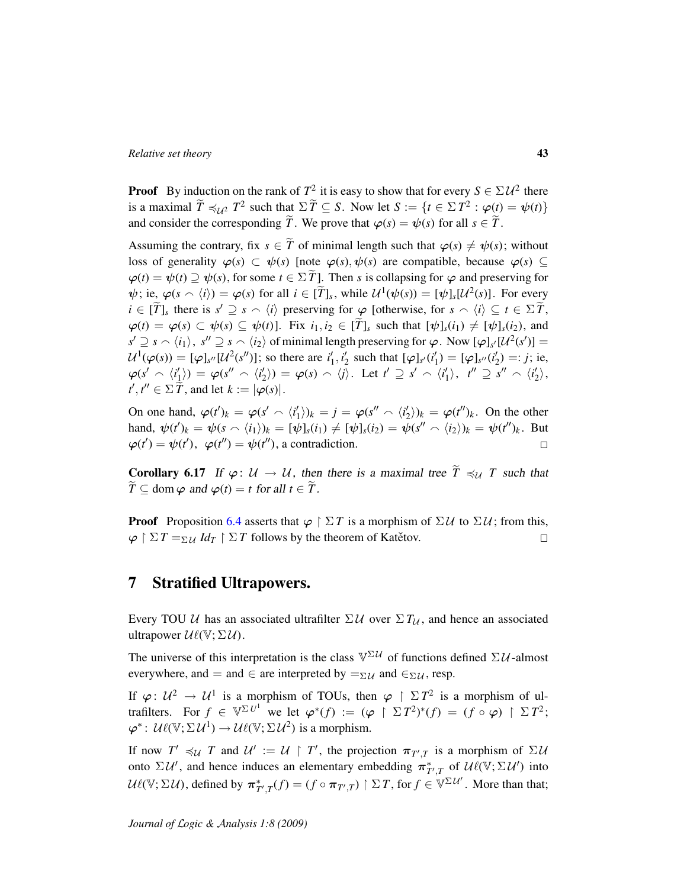**Proof** By induction on the rank of  $T^2$  it is easy to show that for every  $S \in \Sigma U^2$  there is a maximal  $\widetilde{T} \preccurlyeq_{\mathcal{U}^2} T^2$  such that  $\Sigma \widetilde{T} \subseteq S$ . Now let  $S := \{t \in \Sigma T^2 : \varphi(t) = \psi(t)\}$ and consider the corresponding  $\widetilde{T}$ . We prove that  $\varphi(s) = \psi(s)$  for all  $s \in \widetilde{T}$ .

Assuming the contrary, fix  $s \in \tilde{T}$  of minimal length such that  $\varphi(s) \neq \psi(s)$ ; without loss of generality  $\varphi(s) \subset \psi(s)$  [note  $\varphi(s), \psi(s)$  are compatible, because  $\varphi(s) \subseteq$  $\varphi(t) = \psi(t) \supseteq \psi(s)$ , for some  $t \in \Sigma \tilde{T}$ . Then *s* is collapsing for  $\varphi$  and preserving for  $\psi$ ; ie,  $\varphi(s \wedge \langle i \rangle) = \varphi(s)$  for all  $i \in [\tilde{T}]_s$ , while  $\mathcal{U}^1(\psi(s)) = [\psi]_s[\mathcal{U}^2(s)]$ . For every  $i \in [\widetilde{T}]_s$  there is  $s' \supseteq s \cap \langle i \rangle$  preserving for  $\varphi$  [otherwise, for  $s \cap \langle i \rangle \subseteq t \in \Sigma \widetilde{T}$ ,  $\varphi(t) = \varphi(s) \subset \psi(s) \subseteq \psi(t)$ . Fix  $i_1, i_2 \in [\tilde{T}]_s$  such that  $[\psi]_s(i_1) \neq [\psi]_s(i_2)$ , and  $s' \supseteq s \setminus \langle i_1 \rangle$ ,  $s'' \supseteq s \setminus \langle i_2 \rangle$  of minimal length preserving for  $\varphi$ . Now  $[\varphi]_{s'}[U^2(s')] =$  $\mathcal{U}^{1}(\varphi(s)) = [\varphi]_{s''}[\mathcal{U}^{2}(s'')]$ ; so there are  $i'_{1}, i'_{2}$  such that  $[\varphi]_{s'}(i'_{1}) = [\varphi]_{s''}(i'_{2}) =: j$ ; ie,  $\varphi(s' \cap \langle i'_1 \rangle) = \varphi(s'' \cap \langle i'_2 \rangle) = \varphi(s) \cap \langle j \rangle$ . Let  $t' \supseteq s' \cap \langle i'_1 \rangle$ ,  $t'' \supseteq s'' \cap \langle i'_2 \rangle$ ,  $t', t'' \in \Sigma \widetilde{T}$ , and let  $k := |\varphi(s)|$ .

On one hand,  $\varphi(t')_k = \varphi(s' \wedge \langle i'_1 \rangle)_k = j = \varphi(s'' \wedge \langle i'_2 \rangle)_k = \varphi(t'')_k$ . On the other hand,  $\psi(t')_k = \psi(s \wedge \langle i_1 \rangle)_k = [\psi]_s(i_1) \neq [\psi]_s(i_2) = \psi(s'' \wedge \langle i_2 \rangle)_k = \psi(t'')_k$ . But  $\varphi(t') = \psi(t')$ ,  $\varphi(t'') = \psi(t'')$ , a contradiction.  $\Box$ 

**Corollary 6.17** If  $\varphi: U \to U$ , then there is a maximal tree  $\widetilde{T} \preccurlyeq_{U} T$  such that  $\widetilde{T} \subset \text{dom } \varphi \text{ and } \varphi(t) = t \text{ for all } t \in \widetilde{T}.$ 

**Proof** Proposition [6.4](#page-37-0) asserts that  $\varphi \restriction \Sigma T$  is a morphism of  $\Sigma \mathcal{U}$  to  $\Sigma \mathcal{U}$ ; from this,  $\varphi \restriction \Sigma T =_{\Sigma \mathcal{U}} Id_T \restriction \Sigma T$  follows by the theorem of Katetov.  $\Box$ 

## 7 Stratified Ultrapowers.

Every TOU U has an associated ultrafilter  $\Sigma U$  over  $\Sigma T_U$ , and hence an associated ultrapower  $\mathcal{U}\ell(\mathbb{V}; \Sigma \mathcal{U})$ .

The universe of this interpretation is the class  $\mathbb{V}^{\Sigma \mathcal{U}}$  of functions defined  $\Sigma \mathcal{U}$ -almost everywhere, and = and  $\in$  are interpreted by  $=_{\Sigma\mathcal{U}}$  and  $\in_{\Sigma\mathcal{U}}$ , resp.

If  $\varphi: U^2 \to U^1$  is a morphism of TOUs, then  $\varphi \restriction \Sigma T^2$  is a morphism of ultrafilters. For  $f \in \mathbb{V}^{\Sigma U^1}$  we let  $\varphi^*(f) := (\varphi \upharpoonright \Sigma T^2)^*(f) = (f \circ \varphi) \upharpoonright \Sigma T^2$ ;  $\varphi^* \colon \mathcal{U}\ell(\mathbb{V}; \Sigma \mathcal{U}^1) \to \mathcal{U}\ell(\mathbb{V}; \Sigma \mathcal{U}^2)$  is a morphism.

If now  $T' \preccurlyeq_{\mathcal{U}} T$  and  $\mathcal{U}' := \mathcal{U} \restriction T'$ , the projection  $\pi_{T',T}$  is a morphism of  $\Sigma \mathcal{U}$ onto  $\Sigma \mathcal{U}'$ , and hence induces an elementary embedding  $\pi^*_{T',T}$  of  $\mathcal{U}\ell(\mathbb{V}; \Sigma \mathcal{U}')$  into  $\mathcal{U}\ell(\mathbb{V}; \Sigma \mathcal{U})$ , defined by  $\pi^*_{T',T}(f) = (f \circ \pi_{T',T}) \upharpoonright \Sigma T$ , for  $f \in \mathbb{V}^{\Sigma \mathcal{U}'}$ . More than that;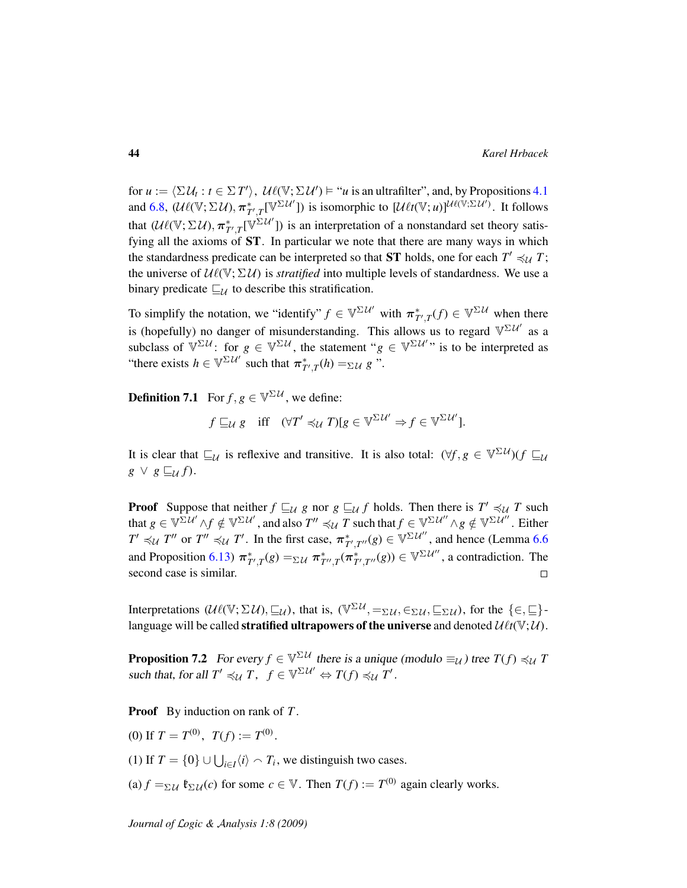for  $u := \langle \Sigma U_t : t \in \Sigma T' \rangle$ ,  $\mathcal{U}\ell(\mathbb{V}; \Sigma \mathcal{U}') \models "u$  is an ultrafilter", and, by Propositions [4.1](#page-24-0) and [6.8,](#page-39-1)  $(\mathcal{U}\ell(\mathbb{V}; \Sigma \mathcal{U}), \pi^*_{T',T}[\mathbb{V}^{\Sigma \mathcal{U}'}])$  is isomorphic to  $[\mathcal{U}\ell t(\mathbb{V}; u)]^{\mathcal{U}\ell(\mathbb{V}; \Sigma \mathcal{U}')}$ . It follows that  $(\mathcal{U}\ell(\mathbb{V}; \Sigma \mathcal{U}), \pi^*_{T',T}[\mathbb{V}^{\Sigma \mathcal{U}'}])$  is an interpretation of a nonstandard set theory satisfying all the axioms of ST. In particular we note that there are many ways in which the standardness predicate can be interpreted so that **ST** holds, one for each  $T' \preccurlyeq_{\mathcal{U}} T$ ; the universe of  $U\ell(\mathbb{V}; \Sigma \mathcal{U})$  is *stratified* into multiple levels of standardness. We use a binary predicate  $\sqsubseteq_{\mathcal{U}}$  to describe this stratification.

To simplify the notation, we "identify"  $f \in \mathbb{V}^{\Sigma \mathcal{U}'}$  with  $\pi^*_{T',T}(f) \in \mathbb{V}^{\Sigma \mathcal{U}}$  when there is (hopefully) no danger of misunderstanding. This allows us to regard  $\mathbb{V}^{\Sigma U'}$  as a subclass of  $\mathbb{V}^{\Sigma\mathcal{U}}$ : for  $g \in \mathbb{V}^{\Sigma\mathcal{U}}$ , the statement " $g \in \mathbb{V}^{\Sigma\mathcal{U}'}$ " is to be interpreted as "there exists  $h \in \mathbb{V}^{\Sigma U'}$  such that  $\pi^*_{T',T}(h) =_{\Sigma U} g$ ".

<span id="page-43-0"></span>**Definition 7.1** For  $f, g \in \mathbb{V}^{\Sigma \mathcal{U}}$ , we define:

$$
f \sqsubseteq_{\mathcal{U}} g
$$
 iff  $(\forall T' \preccurlyeq_{\mathcal{U}} T)[g \in \mathbb{V}^{\Sigma \mathcal{U}'} \Rightarrow f \in \mathbb{V}^{\Sigma \mathcal{U}'}].$ 

It is clear that  $\sqsubseteq_{\mathcal{U}}$  is reflexive and transitive. It is also total:  $(\forall f, g \in \mathbb{V}^{\Sigma \mathcal{U}})(f \sqsubseteq_{\mathcal{U}}$  $g \vee g \sqsubseteq_{\mathcal{U}} f$ .

**Proof** Suppose that neither  $f \sqsubseteq_{\mathcal{U}} g$  nor  $g \sqsubseteq_{\mathcal{U}} f$  holds. Then there is  $T' \preccurlyeq_{\mathcal{U}} T$  such that  $g\in\mathbb{V}^{\Sigma\mathcal{U}'}\wedge f\notin\mathbb{V}^{\Sigma\mathcal{U}'},$  and also  $T''\preccurlyeq_{\mathcal{U}} T$  such that  $f\in\mathbb{V}^{\Sigma\mathcal{U}''}\wedge g\notin\mathbb{V}^{\Sigma\mathcal{U}''}.$  Either  $T' \preccurlyeq_{\mathcal{U}} T''$  or  $T'' \preccurlyeq_{\mathcal{U}} T'$ . In the first case,  $\pi^*_{T',T''}(g) \in \mathbb{V}^{\Sigma \mathcal{U}''}$ , and hence (Lemma [6.6](#page-38-1) and Proposition [6.13\)](#page-40-0)  $\pi^*_{T',T}(g) = \Sigma \mathcal{U} \pi^*_{T'',T}(\pi^*_{T',T''}(g)) \in \mathbb{V}^{\Sigma \mathcal{U}''}$ , a contradiction. The second case is similar.  $\Box$ 

Interpretations  $(\mathcal{U}\ell(\mathbb{V}; \Sigma \mathcal{U}), \sqsubseteq_{\mathcal{U}})$ , that is,  $(\mathbb{V}^{\Sigma \mathcal{U}}, =_{\Sigma \mathcal{U}}, \in_{\Sigma \mathcal{U}}, \sqsubseteq_{\Sigma \mathcal{U}})$ , for the  $\{\in, \sqsubseteq\}$ language will be called **stratified ultrapowers of the universe** and denoted  $\mathcal{U}\ell t(\mathbb{V}; \mathcal{U})$ .

**Proposition 7.2** For every  $f \in \mathbb{V}^{\Sigma \mathcal{U}}$  there is a unique (modulo  $\equiv_{\mathcal{U}}$ ) tree  $T(f) \preccurlyeq_{\mathcal{U}} T$ such that, for all  $T' \preccurlyeq_{\mathcal{U}} T$ ,  $f \in \mathbb{V}^{\Sigma \mathcal{U}'} \Leftrightarrow T(f) \preccurlyeq_{\mathcal{U}} T'$ .

Proof By induction on rank of *T* .

(0) If  $T = T^{(0)}$ ,  $T(f) := T^{(0)}$ .

(1) If  $T = \{0\} \cup \bigcup_{i \in I} \langle i \rangle \cap T_i$ , we distinguish two cases.

(a)  $f =_{\Sigma} u$   $\mathfrak{k}_{\Sigma} u(c)$  for some  $c \in \mathbb{V}$ . Then  $T(f) := T^{(0)}$  again clearly works.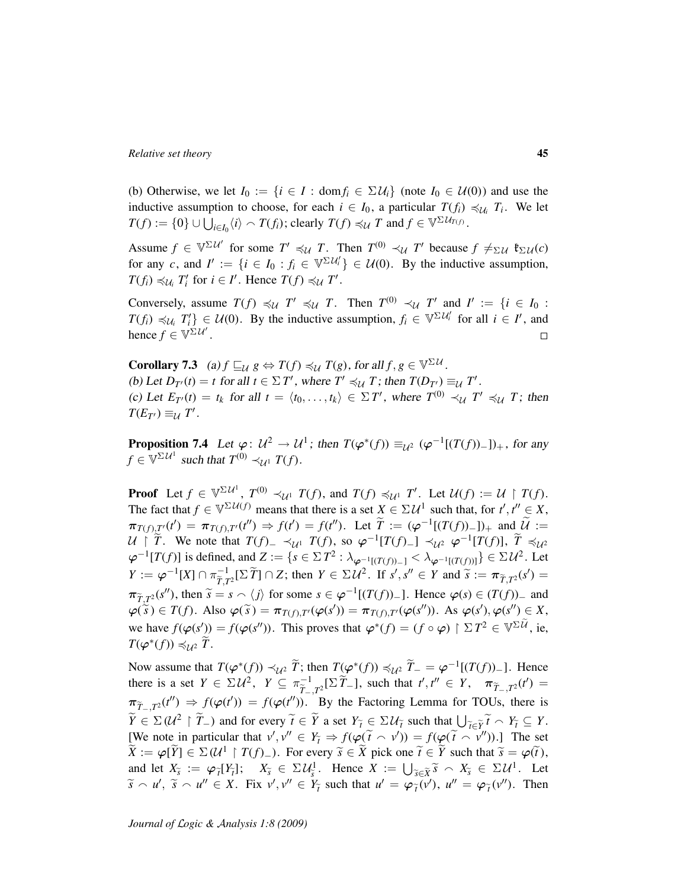(b) Otherwise, we let  $I_0 := \{i \in I : \text{dom} f_i \in \Sigma \mathcal{U}_i\}$  (note  $I_0 \in \mathcal{U}(0)$ ) and use the inductive assumption to choose, for each  $i \in I_0$ , a particular  $T(f_i) \preccurlyeq_{U_i} T_i$ . We let  $T(f) := \{0\} \cup \bigcup_{i \in I_0} \langle i \rangle \cap T(f_i)$ ; clearly  $T(f) \preccurlyeq_{\mathcal{U}} T$  and  $f \in \mathbb{V}^{\Sigma \mathcal{U}_{T(f)}}$ .

Assume  $f \in \mathbb{V}^{\Sigma U'}$  for some  $T' \preccurlyeq_{\mathcal{U}} T$ . Then  $T^{(0)} \prec_{\mathcal{U}} T'$  because  $f \neq_{\Sigma \mathcal{U}} \mathfrak{k}_{\Sigma \mathcal{U}}(c)$ for any *c*, and  $I' := \{i \in I_0 : f_i \in \mathbb{V}^{\Sigma \mathcal{U}_i} \} \in \mathcal{U}(0)$ . By the inductive assumption,  $T(f_i) \preccurlyeq_{\mathcal{U}_i} T'_i$  for  $i \in I'$ . Hence  $T(f) \preccurlyeq_{\mathcal{U}} T'$ .

Conversely, assume  $T(f) \preccurlyeq_{\mathcal{U}} T' \preccurlyeq_{\mathcal{U}} T$ . Then  $T^{(0)} \prec_{\mathcal{U}} T'$  and  $I' := \{i \in I_0 : I_0 = I_1 \}$  $T(f_i) \preccurlyeq_{\mathcal{U}_i} T'_i$   $\in \mathcal{U}(0)$ . By the inductive assumption,  $f_i \in \mathbb{V}^{\Sigma \mathcal{U}'_i}$  for all  $i \in I'$ , and hence  $f \in \mathbb{V}^{\Sigma \mathcal{U}'}$ .  $\Box$ 

<span id="page-44-1"></span>**Corollary 7.3** (a)  $f \sqsubseteq_{\mathcal{U}} g \Leftrightarrow T(f) \preccurlyeq_{\mathcal{U}} T(g)$ , for all  $f, g \in \mathbb{V}^{\Sigma \mathcal{U}}$ . (b) Let  $D_{T}(t) = t$  for all  $t \in \Sigma T'$ , where  $T' \preccurlyeq_{\mathcal{U}} T$ ; then  $T(D_{T'}) \equiv_{\mathcal{U}} T'$ . (c) Let  $E_{T}(t) = t_k$  for all  $t = \langle t_0, \ldots, t_k \rangle \in \Sigma T'$ , where  $T^{(0)} \prec_{\mathcal{U}} T' \preccurlyeq_{\mathcal{U}} T$ ; then  $T(E_{T'}) \equiv_{\mathcal{U}} T'.$ 

<span id="page-44-0"></span>**Proposition 7.4** Let  $\varphi: U^2 \to U^1$ ; then  $T(\varphi^*(f)) \equiv_{U^2} (\varphi^{-1}[(T(f))_{-}])_{+}$ , for any  $f \in \mathbb{V}^{\Sigma \mathcal{U}^1}$  such that  $T^{(0)} \prec_{\mathcal{U}^1} T(f)$ .

**Proof** Let  $f \in \mathbb{V}^{\Sigma \mathcal{U}^1}$ ,  $T^{(0)} \prec_{\mathcal{U}^1} T(f)$ , and  $T(f) \preccurlyeq_{\mathcal{U}^1} T'$ . Let  $\mathcal{U}(f) := \mathcal{U} \restriction T(f)$ . The fact that  $f \in \mathbb{V}^{\Sigma U(f)}$  means that there is a set  $X \in \Sigma \mathcal{U}^1$  such that, for  $t', t'' \in X$ ,  $\pi_{T(f),\mathcal{I}'}(t') = \pi_{T(f),T'}(t'') \Rightarrow f(t') = f(t'').$  Let  $\widetilde{T} := (\varphi^{-1}[(T(f))_{-}])_{+}$  and  $\widetilde{\mathcal{U}} :=$ U  $\uparrow$   $\tilde{T}$ . We note that  $T(f)$   $\prec_{\mathcal{U}^1} T(f)$ , so  $\varphi^{-1}[T(f)$   $\prec_{\mathcal{U}^2} \varphi^{-1}[T(f)]$ ,  $\tilde{T} \preccurlyeq_{\mathcal{U}^2} \varphi^{-1}[T(f)]$  $\varphi^{-1}[T(f)]$  is defined, and  $Z := \{s \in \Sigma T^2 : \lambda_{\varphi^{-1}[(T(f))-]} < \lambda_{\varphi^{-1}[(T(f))]} \} \in \Sigma \mathcal{U}^2$ . Let  $Y := \varphi^{-1}[X] \cap \pi_{\widetilde{T},T^2}^{-1}[\Sigma \widetilde{T}] \cap Z$ ; then  $Y \in \Sigma \mathcal{U}^2$ . If  $s', s'' \in Y$  and  $\widetilde{s} := \pi_{\widetilde{T},T^2}(s') =$  $T$ <sup>*T*</sup>,*T*  $\pi_{\widetilde{T},T^2}(s'')$ , then  $\widetilde{s} = s \wedge \langle j \rangle$  for some  $s \in \varphi^{-1}[(T(f))_{-}]$ . Hence  $\varphi(s) \in (T(f))_{-}$  and  $\pi_{\widetilde{s}}(s) \in T(f)$ , and  $\pi_{\widetilde{s}}(s) \in \mathbb{Z}$  $\varphi(\tilde{s}) \in T(f)$ . Also  $\varphi(\tilde{s}) = \pi_{T(f),T'}(\varphi(s')) = \pi_{T(f),T'}(\varphi(s''))$ . As  $\varphi(s') \in X$ ,  $\varphi(s'') \in X$ ,  $\varphi(s'') \in X$ ,  $\varphi(s'') \in X$ ,  $\varphi(s'') \in X$ ,  $\varphi(s'') \in X$ ,  $\varphi(s'') \in X$ ,  $\varphi(s'') \in X$ ,  $\varphi(s'') \in X$ ,  $\varphi(s'') \in X$ ,  $\varphi(s'') \in X$ ,  $\varphi(s'') \in X$ , we have  $f(\varphi(s')) = f(\varphi(s''))$ . This proves that  $\varphi^*(f) = (f \circ \varphi) \upharpoonright \Sigma T^2 \in \mathbb{V}^{\Sigma \mathcal{U}}$ , ie,  $T(\boldsymbol{\varphi}^*(f)) \preccurlyeq_{\mathcal{U}^2} \widetilde{T}.$ 

Now assume that  $T(\varphi^*(f)) \prec_{\mathcal{U}^2} \widetilde{T}$ ; then  $T(\varphi^*(f)) \preccurlyeq_{\mathcal{U}^2} \widetilde{T} = \varphi^{-1}[(T(f))_{-}].$  Hence there is a set  $Y \in \Sigma \mathcal{U}^2$ ,  $Y \subseteq \pi_{\widetilde{\pi}}^{-1}$  $\widetilde{T}_{T}^{-1}$ ,  $T^2$ [ $\sum \widetilde{T}_{-1}$ ], such that  $t', t'' \in Y$ ,  $\pi_{\widetilde{T}_{-1}, T^2}(t') =$  $\pi_{\widetilde{T}_-,T^2}(t'') \Rightarrow f(\varphi(t')) = f(\varphi(t''))$ . By the Factoring Lemma for TOUs, there is  $\widetilde{Y} \in \Sigma$  ( $U^2 \upharpoonright \widetilde{T}$ ) and for every  $\widetilde{t} \in \widetilde{Y}$  a set  $Y_{\widetilde{t}} \in \Sigma U_{\widetilde{t}}$  such that  $\bigcup_{\widetilde{t} \in \widetilde{Y}} \widetilde{t} \cap Y_{\widetilde{t}} \subseteq Y$ .  $P \in \mathcal{L}(\mathcal{U} \mid I-)$  and for every  $i \in Y$  a set  $I_i \in \mathcal{L}(\mathcal{U}_i)$  such that  $\bigcup_{i \in Y} i \wedge I_i \subseteq I$ .<br>
[We note in particular that  $v', v'' \in Y_i \Rightarrow f(\varphi(\tilde{t} \wedge v')) = f(\varphi(\tilde{t} \wedge v''))$ .] The set  $\widetilde{X} := \varphi[\widetilde{Y}] \in \Sigma(\mathcal{U}^1 \restriction T(f)_{-})$ . For every  $\widetilde{s} \in \widetilde{X}$  pick one  $\widetilde{t} \in \widetilde{Y}$  such that  $\widetilde{s} = \varphi(\widetilde{t})$ , and let  $X_{\tilde{s}} := \varphi_{\tilde{t}}[Y_{\tilde{t}}];$   $X_{\tilde{s}} \in \Sigma \mathcal{U}_{\tilde{s}}^1$ . Hence  $X := \bigcup_{\tilde{s} \in \tilde{X}} \tilde{s} \cap X_{\tilde{s}} \in \Sigma \mathcal{U}^1$ . Let  $\tilde{s} \sim u'$ ,  $\tilde{s} \sim u'' \in X$ . Fix  $v', v'' \in Y_{\tilde{t}}$  such that  $u' = \varphi_{\tilde{t}}(v')$ ,  $u'' = \varphi_{\tilde{t}}(v'')$ . Then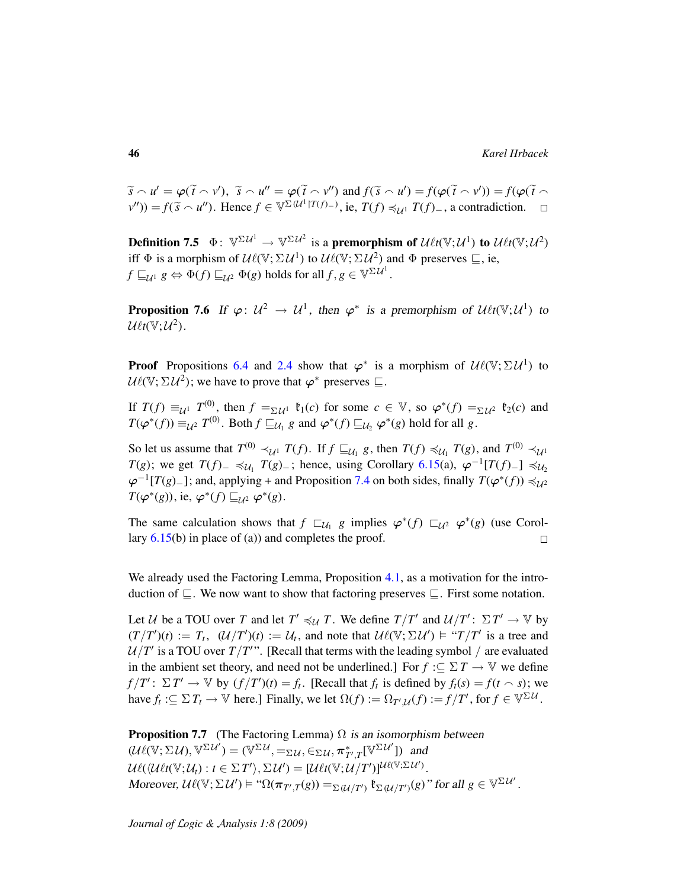$\widetilde{s} \sim u' = \varphi(\widetilde{t} \sim v'), \ \widetilde{s} \sim u'' = \varphi(\widetilde{t} \sim v'') \text{ and } f(\widetilde{s} \sim u') = f(\varphi(\widetilde{t} \sim v')) = f(\varphi(\widetilde{t} \sim v'))$  $(v'')$ ) = *f*( $\tilde{s} \sim u''$ ). Hence *f* ∈  $\mathbb{V}^{\Sigma(\mathcal{U}^1 | T(f) - \mathcal{U})}$ , ie, *T*(*f*)  $\preccurlyeq_{\mathcal{U}^1} T(f)$ <sub>−</sub>, a contradiction.

Definition 7.5  $\Phi \colon \mathbb{V}^{\Sigma \mathcal{U}^1} \to \mathbb{V}^{\Sigma \mathcal{U}^2}$  is a premorphism of  $\mathcal{U}\ell t(\mathbb{V}; \mathcal{U}^1)$  to  $\mathcal{U}\ell t(\mathbb{V}; \mathcal{U}^2)$ iff  $\Phi$  is a morphism of  $\mathcal{U}\ell(\mathbb{V}; \Sigma \mathcal{U}^1)$  to  $\mathcal{U}\ell(\mathbb{V}; \Sigma \mathcal{U}^2)$  and  $\Phi$  preserves  $\sqsubseteq$ , ie,  $f\sqsubseteq_{\mathcal{U}^1} g \Leftrightarrow \Phi(f)\sqsubseteq_{\mathcal{U}^2} \Phi(g)$  holds for all  $f,g\in \mathbb{V}^{\Sigma\,\mathcal{U}^1}.$ 

<span id="page-45-0"></span>**Proposition 7.6** If  $\varphi: U^2 \to U^1$ , then  $\varphi^*$  is a premorphism of  $\mathcal{U}\ell t(\mathbb{V}; U^1)$  to  $\mathcal{U}\ell t(\mathbb{V};\mathcal{U}^2)$ .

**Proof** Propositions [6.4](#page-37-0) and [2.4](#page-15-0) show that  $\varphi^*$  is a morphism of  $\mathcal{U}\ell(\mathbb{V}; \Sigma \mathcal{U}^1)$  to  $U\ell(\mathbb{V}; \Sigma \mathcal{U}^2)$ ; we have to prove that  $\varphi^*$  preserves  $\sqsubseteq$ .

If  $T(f) \equiv_{\mathcal{U}^1} T^{(0)}$ , then  $f =_{\Sigma \mathcal{U}^1} \mathfrak{k}_1(c)$  for some  $c \in \mathbb{V}$ , so  $\varphi^*(f) =_{\Sigma \mathcal{U}^2} \mathfrak{k}_2(c)$  and  $T(\varphi^*(f)) \equiv_{\mathcal{U}^2} T^{(0)}$ . Both  $f \sqsubseteq_{\mathcal{U}_1} g$  and  $\varphi^*(f) \sqsubseteq_{\mathcal{U}_2} \varphi^*(g)$  hold for all  $g$ .

So let us assume that  $T^{(0)} \prec_{\mathcal{U}^1} T(f)$ . If  $f \sqsubseteq_{\mathcal{U}_1} g$ , then  $T(f) \preccurlyeq_{\mathcal{U}_1} T(g)$ , and  $T^{(0)} \prec_{\mathcal{U}^1} T(g)$ *T*(*g*); we get *T*(*f*)−  $\preccurlyeq$ <sub>*U*1</sub></sub> *T*(*g*)−; hence, using Corollary [6.15\(](#page-41-0)a),  $\varphi^{-1}[T(f)$ −]  $\preccurlyeq$   $U_2$  $\varphi^{-1}[T(g)_+]$ ; and, applying + and Proposition [7.4](#page-44-0) on both sides, finally  $T(\varphi^*(f)) \preccurlyeq_{\mathcal{U}^2}$  $T(\varphi^*(g))$ , ie,  $\varphi^*(f) \sqsubseteq_{\mathcal{U}^2} \varphi^*(g)$ .

The same calculation shows that  $f \sqsubset_{\mathcal{U}_1} g$  implies  $\varphi^*(f) \sqsubset_{\mathcal{U}^2} \varphi^*(g)$  (use Corollary  $6.15(b)$  $6.15(b)$  in place of (a)) and completes the proof.  $\Box$ 

We already used the Factoring Lemma, Proposition [4.1,](#page-24-0) as a motivation for the introduction of  $\Box$ . We now want to show that factoring preserves  $\Box$ . First some notation.

Let U be a TOU over T and let  $T' \preccurlyeq_{\mathcal{U}} T$ . We define  $T/T'$  and  $\mathcal{U}/T'$ :  $\Sigma T' \to \mathbb{V}$  by  $(T/T')(t) := T_t$ ,  $(U/T')(t) := U_t$ , and note that  $U\ell(\mathbb{V}; \Sigma U') \models "T/T'$  is a tree and  $U/T'$  is a TOU over  $T/T''$ . [Recall that terms with the leading symbol / are evaluated in the ambient set theory, and need not be underlined.] For  $f : \subseteq \Sigma T \to V$  we define  $f/T'$ :  $\Sigma T' \to \mathbb{V}$  by  $(f/T')(t) = f_t$ . [Recall that  $f_t$  is defined by  $f_t(s) = f(t \cap s)$ ; we have  $f_t: \subseteq \Sigma T_t \to \mathbb{V}$  here.] Finally, we let  $\Omega(f) := \Omega_{T',\mathcal{U}}(f) := f/T'$ , for  $f \in \mathbb{V}^{\Sigma \mathcal{U}}$ .

**Proposition 7.7** (The Factoring Lemma)  $\Omega$  is an isomorphism between  $(\mathcal{U}\ell(\mathbb{V}; \Sigma \mathcal{U}), \mathbb{V}^{\Sigma \mathcal{U}'}) = (\mathbb{V}^{\Sigma \mathcal{U}}, =_{\Sigma \mathcal{U}}, \in_{\Sigma \mathcal{U}}, \pi^*_{T',T}[\mathbb{V}^{\Sigma \mathcal{U}'}])$  and  $\mathcal{U}\ell(\langle \mathcal{U}\ell t(\mathbb{V};\mathcal{U}_t): t \in \Sigma T'\rangle, \Sigma \mathcal{U}') = [\mathcal{U}\ell t(\mathbb{V};\mathcal{U}/T')]^{\mathcal{U}\ell(\mathbb{V};\Sigma \mathcal{U}')}$ . Moreover,  $\mathcal{U}\ell(\mathbb{V}; \Sigma \mathcal{U}') \models ``\Omega(\pi_{T',T}(g)) =_{\Sigma(\mathcal{U}/T')} \mathfrak{k}_{\Sigma(\mathcal{U}/T')}(g)"$  for all  $g \in \mathbb{V}^{\Sigma \mathcal{U}'}$ .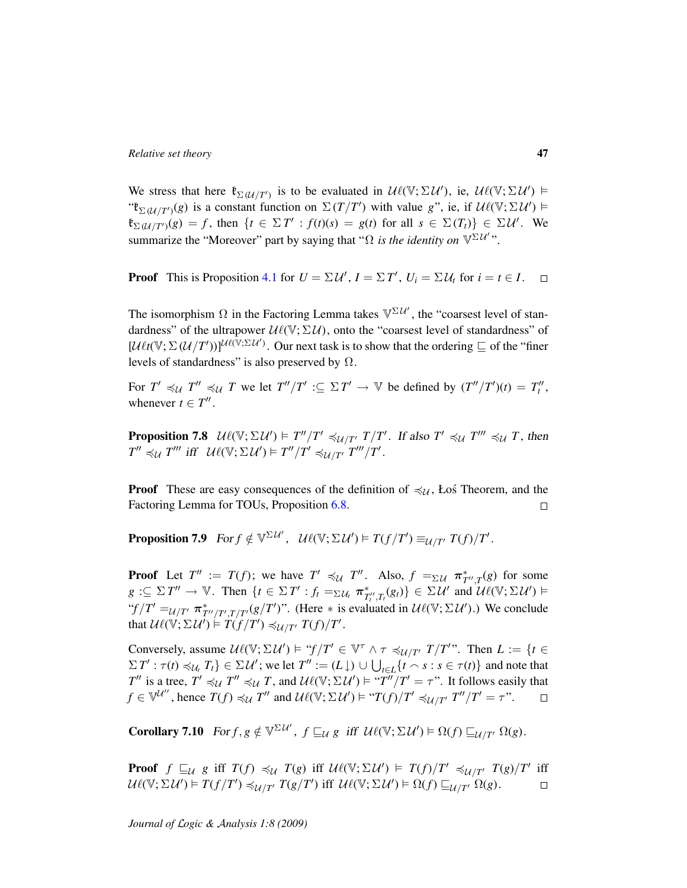We stress that here  $\mathfrak{k}_{\Sigma(\mathcal{U}/T')}$  is to be evaluated in  $\mathcal{U}\ell(\mathbb{V}; \Sigma \mathcal{U}')$ , ie,  $\mathcal{U}\ell(\mathbb{V}; \Sigma \mathcal{U}') \models$ " $\mathfrak{k}_{\Sigma(\mathcal{U}/T')}(g)$  is a constant function on  $\Sigma(T/T')$  with value *g*", ie, if  $\mathcal{U}\ell(\mathbb{V}; \Sigma \mathcal{U}') \models$  $\mathfrak{k}_{\Sigma(\mathcal{U}/T')}(g) = f$ , then  $\{t \in \Sigma T' : f(t)(s) = g(t) \text{ for all } s \in \Sigma(T_t)\} \in \Sigma \mathcal{U}'$ . We summarize the "Moreover" part by saying that " $\Omega$  *is the identity on*  $\mathbb{V}^{\Sigma U''}$ ".

**Proof** This is Proposition [4.1](#page-24-0) for  $U = \Sigma U'$ ,  $I = \Sigma T'$ ,  $U_i = \Sigma U_t$  for  $i = t \in I$ .

The isomorphism  $\Omega$  in the Factoring Lemma takes  $\mathbb{V}^{\Sigma \mathcal{U}'}$ , the "coarsest level of standardness" of the ultrapower  $\mathcal{U}\ell(\mathbb{V}; \Sigma \mathcal{U})$ , onto the "coarsest level of standardness" of  $[\mathcal{U}\ell t(\mathbb{V}; \Sigma(\mathcal{U}/T'))]^{\mathcal{U}\ell(\mathbb{V}; \Sigma \mathcal{U}')}$ . Our next task is to show that the ordering  $\subseteq$  of the "finer levels of standardness" is also preserved by  $\Omega$ .

For  $T' \preccurlyeq_{\mathcal{U}} T'' \preccurlyeq_{\mathcal{U}} T$  we let  $T''/T' : \subseteq \Sigma T' \to \mathbb{V}$  be defined by  $(T''/T')(t) = T''_t$ , whenever  $t \in T''$ .

**Proposition 7.8**  $\mathcal{U}\ell(\mathbb{V}; \Sigma \mathcal{U}') \models T''/T' \preccurlyeq_{\mathcal{U}/T'} T/T'$ . If also  $T' \preccurlyeq_{\mathcal{U}} T''' \preccurlyeq_{\mathcal{U}} T$ , then  $T'' \preccurlyeq_{\mathcal{U}} T'''$  iff  $\mathcal{U}\ell(\mathbb{V}; \Sigma \mathcal{U}') \models T''/T' \preccurlyeq_{\mathcal{U}/T'} T'''/T'.$ 

**Proof** These are easy consequences of the definition of  $\preccurlyeq \iota_U$ , Łoś Theorem, and the Factoring Lemma for TOUs, Proposition [6.8.](#page-39-1)  $\Box$ 

**Proposition 7.9** For  $f \notin \mathbb{V}^{\Sigma \mathcal{U}'}$ ,  $\mathcal{U}\ell(\mathbb{V}; \Sigma \mathcal{U}') \vDash T(f/T') \equiv_{\mathcal{U}/T'} T(f)/T'$ .

**Proof** Let  $T'' := T(f)$ ; we have  $T' \preccurlyeq_{\mathcal{U}} T''$ . Also,  $f =_{\Sigma \mathcal{U}} \pi^*_{T'',T}(g)$  for some  $g \subseteq \Sigma T'' \to \mathbb{V}$ . Then  $\{t \in \Sigma T' : f_t =_{\Sigma \mathcal{U}_t} \pi^*_{T''_t, T_t}(g_t)\} \in \Sigma \mathcal{U}'$  and  $\mathcal{U}\ell(\mathbb{V}; \Sigma \mathcal{U}') \models$ " $f/T' = u/T' \pi^*_{T''/T',T/T'}(g/T')$ ". (Here  $*$  is evaluated in  $\mathcal{U}\ell(\mathbb{V}; \Sigma \mathcal{U}')$ .) We conclude that  $\mathcal{U}\ell(\mathbb{V}; \Sigma \mathcal{U}') \models T(f/T') \preccurlyeq_{\mathcal{U}/T'} T(f)/T'.$ 

Conversely, assume  $\mathcal{U}\ell(\mathbb{V}; \Sigma \mathcal{U}') \models ``f/T' \in \mathbb{V}^{\tau} \land \tau \preccurlyeq_{\mathcal{U}/T'} T/T'$ ". Then  $L := \{t \in$  $\Sigma T' : \tau(t) \preccurlyeq_{\mathcal{U}_t} T_t$   $\} \in \Sigma \mathcal{U}'$ ; we let  $T'' := (L \downarrow) \cup \bigcup_{t \in L} \{t \smallfrown s : s \in \tau(t)\}$  and note that *T*<sup>*n*</sup> is a tree, *T*<sup> $\leq$ </sup>  $\preceq$  *U T*<sup>*n*</sup>, and  $\mathcal{U}\ell(\mathbb{V}; \Sigma \mathcal{U}') \models "T''/T' = \tau$ ". It follows easily that  $f \in \mathbb{V}^{\mathcal{U}''}$ , hence  $T(f) \preccurlyeq_{\mathcal{U}} T''$  and  $\mathcal{U}\ell(\mathbb{V}; \Sigma \mathcal{U}') \models "T(f)/T' \preccurlyeq_{\mathcal{U}/T'} T''/T' = \tau"$ .  $\Box$ 

<span id="page-46-0"></span>Corollary 7.10  $For f, g \notin \mathbb{V}^{\Sigma \mathcal{U}}$ ,  $f \sqsubseteq_{\mathcal{U}} g$  iff  $\mathcal{U}\ell(\mathbb{V}; \Sigma \mathcal{U}') \models \Omega(f) \sqsubseteq_{\mathcal{U}/T'} \Omega(g)$ .

**Proof**  $f \sqsubseteq_{\mathcal{U}} g$  iff  $T(f) \preccurlyeq_{\mathcal{U}} T(g)$  iff  $\mathcal{U}\ell(\mathbb{V}; \Sigma \mathcal{U}') \models T(f)/T' \preccurlyeq_{\mathcal{U}/T'} T(g)/T'$  iff  $U\ell(\mathbb{V}; \Sigma \mathcal{U}') \models T(f/T') \preccurlyeq_{\mathcal{U}/T'} T(g/T') \text{ iff } U\ell(\mathbb{V}; \Sigma \mathcal{U}') \models \Omega(f) \sqsubseteq_{\mathcal{U}/T'} \Omega(g).$  $\Box$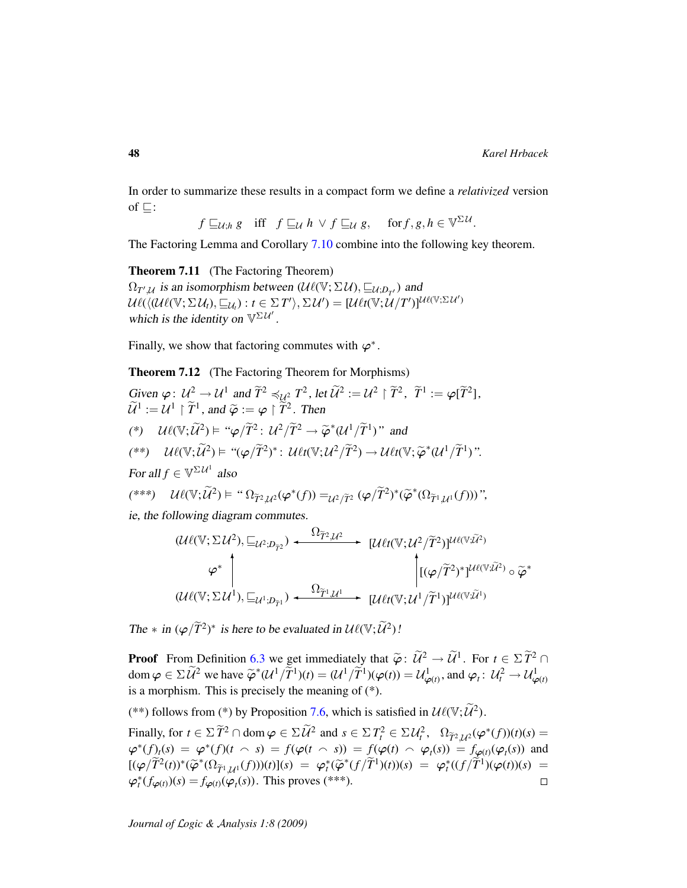In order to summarize these results in a compact form we define a *relativized* version of  $\Box$ :

 $f\sqsubseteq_{\mathcal{U};h} g \quad \text{iff} \quad f\sqsubseteq_{\mathcal{U}} h \ \lor \ f\sqsubseteq_{\mathcal{U}} g, \quad \text{ for } f,g,h\in\mathbb{V}^{\Sigma\,\mathcal{U}}.$ 

<span id="page-47-0"></span>The Factoring Lemma and Corollary [7.10](#page-46-0) combine into the following key theorem.

Theorem 7.11 (The Factoring Theorem)  $\Omega_{T',\mathcal{U}}$  is an isomorphism between  $(\mathcal{U}\ell(\mathbb{V}; \Sigma \mathcal{U}), \sqsubseteq_{\mathcal{U}; D_{T'}})$  and  $\mathcal{U}\ell(\langle \mathcal{U}\ell(\mathbb{V}; \Sigma \,\mathcal{U}_t), \sqsubseteq_{\mathcal{U}_t}) : t \in \Sigma \, T' \rangle, \Sigma \, \mathcal{U}') = [\mathcal{U}\ell t(\mathbb{V}; \mathcal{U}/T')]^{\mathcal{U}\ell(\mathbb{V}; \Sigma \, \mathcal{U}')}$ which is the identity on  $\mathbb{V}^{\Sigma \mathcal{U}'}$ .

Finally, we show that factoring commutes with  $\varphi^*$ .

Theorem 7.12 (The Factoring Theorem for Morphisms)

Given 
$$
\varphi: U^2 \to U^1
$$
 and  $\widetilde{T}^2 \preccurlyeq_{U^2} T^2$ , let  $\widetilde{U}^2 := U^2 \upharpoonright \widetilde{T}^2$ ,  $\widetilde{T}^1 := \varphi[\widetilde{T}^2]$ ,  
\n $\widetilde{U}^1 := U^1 \upharpoonright \widetilde{T}^1$ , and  $\widetilde{\varphi} := \varphi \upharpoonright \widetilde{T}^2$ . Then  
\n
$$
(\ast) \quad \mathcal{U}\ell(\mathbb{V}; \widetilde{U}^2) \vDash \text{``}\varphi/\widetilde{T}^2 : U^2/\widetilde{T}^2 \to \widetilde{\varphi}^*(U^1/\widetilde{T}^1)
$$
" and  
\n
$$
(\ast \ast) \quad \mathcal{U}\ell(\mathbb{V}; \widetilde{U}^2) \vDash \text{``}\varphi/\widetilde{T}^2)^* : \mathcal{U}\ell t(\mathbb{V}; U^2/\widetilde{T}^2) \to \mathcal{U}\ell t(\mathbb{V}; \widetilde{\varphi}^*(U^1/\widetilde{T}^1))
$$
".  
\nFor all  $f \in \mathbb{V}^{\Sigma U^1}$  also  
\n
$$
(\ast \ast \ast) \quad \mathcal{U}\ell(\mathbb{V}; \widetilde{U}^2) \vDash \text{``}\Omega_{\widetilde{T}^2, U^2}(\varphi^*(f)) =_{U^2/\widetilde{T}^2} (\varphi/\widetilde{T}^2)^* (\widetilde{\varphi}^*( \Omega_{\widetilde{T}^1, U^1}(f)))
$$
",  
\ni.e, the following diagram commutes.  
\n
$$
\Omega_{\widetilde{T}^2, U^2}
$$

$$
(U\ell(\mathbb{V}; \Sigma U^2), \sqsubseteq_{U^2; D_{\tilde{T}^2}}) \xrightarrow{\Omega_{\tilde{T}^2, U^2}} [U\ell t(\mathbb{V}; U^2/\tilde{T}^2)]^{U\ell(\mathbb{V}; \tilde{U}^2)}
$$
\n
$$
\varphi^* \downarrow \qquad \qquad [U\ell t(\mathbb{V}; U^2/\tilde{T}^2)]^{U\ell(\mathbb{V}; \tilde{U}^2)} \circ \tilde{\varphi}^*
$$
\n
$$
(U\ell(\mathbb{V}; \Sigma U^1), \sqsubseteq_{U^1; D_{\tilde{T}^1}}) \xrightarrow{\Omega_{\tilde{T}^1, U^1}} [U\ell t(\mathbb{V}; U^1/\tilde{T}^1)]^{U\ell(\mathbb{V}; \tilde{U}^1)}
$$

The  $*$  in  $(\varphi/\widetilde{T}^2)^*$  is here to be evaluated in  $\mathcal{U}\ell(\mathbb{V}; \widetilde{\mathcal{U}}^2)$ !

**Proof** From Definition [6.3](#page-37-1) we get immediately that  $\tilde{\varphi}$ :  $\tilde{\mathcal{U}}^2 \to \tilde{\mathcal{U}}^1$ . For  $t \in \Sigma \tilde{T}^2 \cap$ <br>degree  $\tilde{\varphi}$   $\tilde{\mathcal{U}}^2$  are here  $\tilde{\varphi}^* (\mathcal{U}/\tilde{\mathcal{U}})(\tilde{\varphi})$  and  $\tilde{\mathcal{U}}^1$  and  $\tilde{\mathcal{U}}^2$ dom  $\varphi \in \Sigma \widetilde{\mathcal{U}}^2$  we have  $\widetilde{\varphi}^*(\mathcal{U}^1/\widetilde{T}^1)(t) = (\mathcal{U}^1/\widetilde{T}^1)(\varphi(t)) = \mathcal{U}^1_{\varphi(t)}$ , and  $\varphi_t: \mathcal{U}^2_t \to \mathcal{U}^1_{\varphi(t)}$ is a morphism. This is precisely the meaning of (\*).

(\*\*) follows from (\*) by Proposition [7.6,](#page-45-0) which is satisfied in  $\mathcal{U}\ell(\mathbb{V}; \widetilde{\mathcal{U}}^2)$ .

Finally, for  $t \in \Sigma \widetilde{T}^2 \cap \text{dom } \varphi \in \Sigma \widetilde{\mathcal{U}}^2$  and  $s \in \Sigma T_t^2 \in \Sigma \mathcal{U}_t^2$ ,  $\Omega_{\widetilde{T}^2, \mathcal{U}^2}(\varphi^*(f))(t)(s) =$  $\varphi^*(f)_t(s) = \varphi^*(f)(t \cap s) = f(\varphi(t \cap s)) = f(\varphi(t) \cap \varphi_t(s)) = f_{\varphi(t)}(\varphi_t(s))$  and  $[(\varphi/\widetilde{T}^{2}(t))^{*}(\widetilde{\varphi}^{*}(\Omega_{\widetilde{T}^{1},\mathcal{U}^{1}}(f)))(t)](s) = \varphi_{t}^{*}(\widetilde{\varphi}^{*}(f/\widetilde{T}^{1})(t))(s) = \varphi_{t}^{*}((f/\widetilde{T}^{1})(\varphi(t))(s) = \mathbb{E}_{t}^{*}((f/\widetilde{T}^{1})(\widetilde{T}^{1})(\widetilde{T}^{1})(t))(s) = \mathbb{E}_{t}^{*}((f/\widetilde{T}^{1})(\widetilde{T}^{1})(\widetilde{T}^{1})(\widetilde{T}^{1})(\widet$  $\varphi_t^*(f_{\varphi(t)})(s) = f_{\varphi(t)}(\varphi_t(s))$ . This proves (\*\*\*).  $\Box$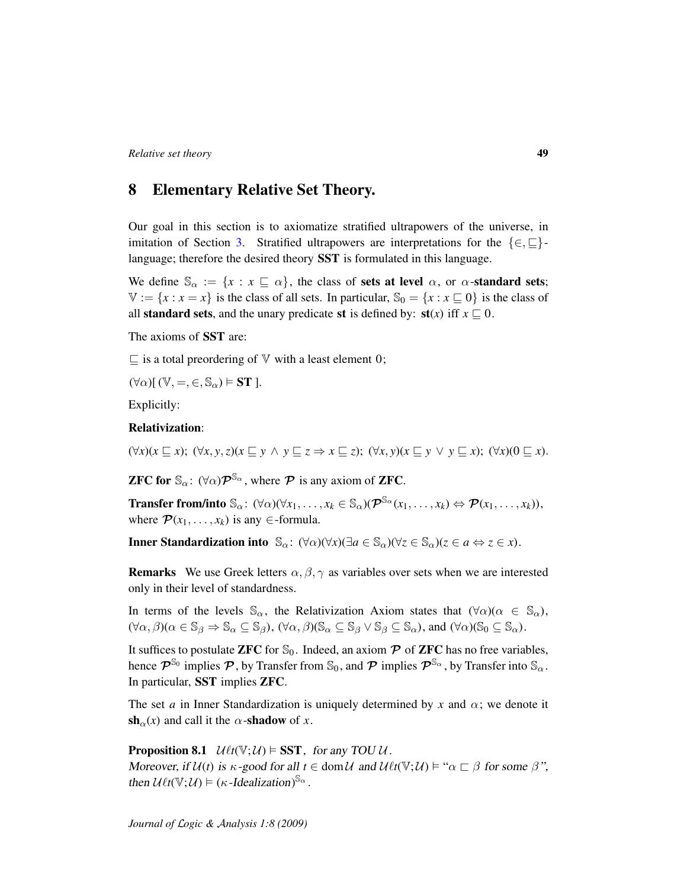# 8 Elementary Relative Set Theory.

Our goal in this section is to axiomatize stratified ultrapowers of the universe, in imitation of Section [3.](#page-17-0) Stratified ultrapowers are interpretations for the  $\{\in, \sqsubseteq\}$ language; therefore the desired theory SST is formulated in this language.

We define  $\mathbb{S}_{\alpha} := \{x : x \subseteq \alpha\}$ , the class of sets at level  $\alpha$ , or  $\alpha$ -standard sets;  $V := \{x : x = x\}$  is the class of all sets. In particular,  $\mathbb{S}_0 = \{x : x \sqsubseteq 0\}$  is the class of all **standard sets**, and the unary predicate st is defined by:  $\mathbf{st}(x)$  iff  $x \subseteq 0$ .

The axioms of SST are:

 $\sqsubseteq$  is a total preordering of  $\mathbb {V}$  with a least element 0;

 $(\forall \alpha) [ (\mathbb{V}, =, \in, \mathbb{S}_{\alpha}) \models \mathbf{ST} ].$ 

Explicitly:

### Relativization:

 $(\forall x)(x \sqsubset x); (\forall x, y, z)(x \sqsubset y \land y \sqsubset z \Rightarrow x \sqsubset z); (\forall x, y)(x \sqsubset y \lor y \sqsubset x); (\forall x)(0 \sqsubset x).$ 

**ZFC for**  $\mathbb{S}_{\alpha}$ :  $(\forall \alpha) \mathcal{P}^{\mathbb{S}_{\alpha}}$ , where  $\mathcal{P}$  is any axiom of **ZFC**.

**Transfer from/into**  $\mathbb{S}_{\alpha}$ :  $(\forall \alpha)(\forall x_1, \ldots, x_k \in \mathbb{S}_{\alpha})(\mathcal{P}^{\mathbb{S}_{\alpha}}(x_1, \ldots, x_k) \Leftrightarrow \mathcal{P}(x_1, \ldots, x_k)),$ where  $\mathcal{P}(x_1, \ldots, x_k)$  is any  $\in$ -formula.

Inner Standardization into  $\mathbb{S}_{\alpha}$ :  $(\forall \alpha)(\forall x)(\exists a \in \mathbb{S}_{\alpha})(\forall z \in \mathbb{S}_{\alpha})(z \in a \Leftrightarrow z \in x)$ .

**Remarks** We use Greek letters  $\alpha$ ,  $\beta$ ,  $\gamma$  as variables over sets when we are interested only in their level of standardness.

In terms of the levels  $\mathbb{S}_{\alpha}$ , the Relativization Axiom states that  $(\forall \alpha)(\alpha \in \mathbb{S}_{\alpha})$ ,  $(\forall \alpha, \beta)(\alpha \in \mathbb{S}_{\beta} \Rightarrow \mathbb{S}_{\alpha} \subseteq \mathbb{S}_{\beta}), (\forall \alpha, \beta)(\mathbb{S}_{\alpha} \subseteq \mathbb{S}_{\beta} \vee \mathbb{S}_{\beta} \subseteq \mathbb{S}_{\alpha}),$  and  $(\forall \alpha)(\mathbb{S}_{0} \subseteq \mathbb{S}_{\alpha}).$ 

It suffices to postulate ZFC for  $\mathcal{S}_0$ . Indeed, an axiom  $\mathcal P$  of ZFC has no free variables, hence  $\mathcal{P}^{\mathbb{S}_0}$  implies  $\mathcal{P}$ , by Transfer from  $\mathbb{S}_0$ , and  $\mathcal{P}$  implies  $\mathcal{P}^{\mathbb{S}_\alpha}$ , by Transfer into  $\mathbb{S}_\alpha$ . In particular, SST implies ZFC.

The set *a* in Inner Standardization is uniquely determined by *x* and  $\alpha$ ; we denote it  $sh_{\alpha}(x)$  and call it the  $\alpha$ -shadow of x.

**Proposition 8.1**  $\mathcal{U} \ell t(\mathbb{V}; \mathcal{U}) \models \mathbf{SST}$ , for any TOU  $\mathcal{U}$ . Moreover, if  $U(t)$  is  $\kappa$ -good for all  $t \in \text{dom}\,\mathcal{U}$  and  $U(t(\mathbb{V};\mathcal{U}) \models " \alpha \sqsubset \beta$  for some  $\beta$ ", then  $\mathcal{U}\ell t(\mathbb{V};\mathcal{U}) \models (\kappa$ -Idealization)<sup>S<sub>α</sub></sup>.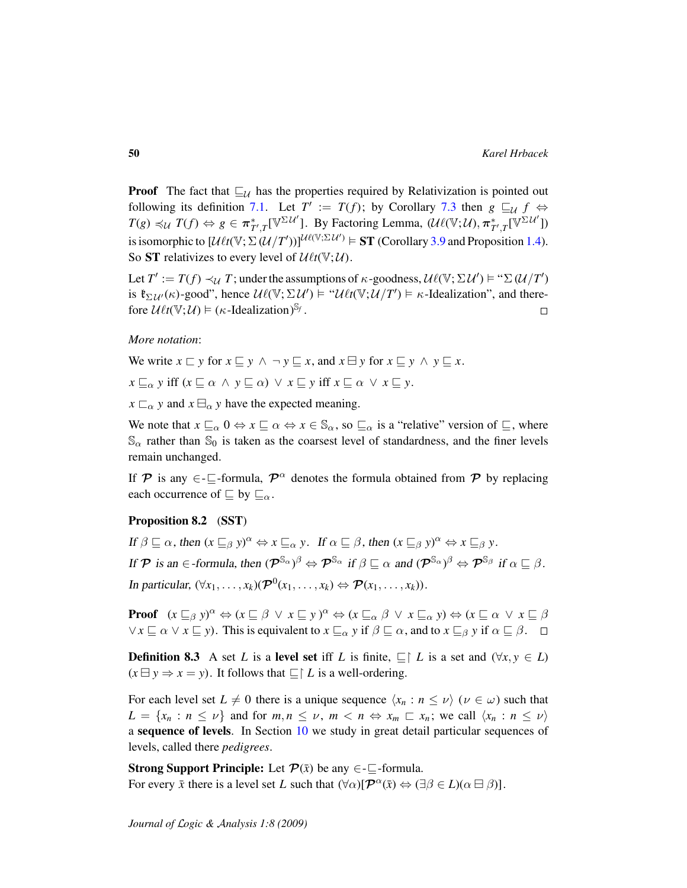**Proof** The fact that  $\sqsubseteq_{\mathcal{U}}$  has the properties required by Relativization is pointed out following its definition [7.1.](#page-43-0) Let  $T' := T(f)$ ; by Corollary [7.3](#page-44-1) then  $g \sqsubseteq_{\mathcal{U}} f \Leftrightarrow$  $T(g) \preccurlyeq_{\mathcal{U}} T(f) \Leftrightarrow g \in \pi^*_{T',T}[\mathbb{V}^{\Sigma \mathcal{U}'}]$ . By Factoring Lemma,  $(\mathcal{U}\ell(\mathbb{V}; \mathcal{U}), \pi^*_{T',T}[\mathbb{V}^{\Sigma \mathcal{U}'}])$ is isomorphic to  $[\mathcal{U}\ell t(\mathbb{V}; \Sigma(\mathcal{U}/T'))]^{\mathcal{U}\ell(\mathbb{V}; \Sigma \mathcal{U}')} \models \mathbf{ST}$  (Corollary [3.9](#page-21-0) and Proposition [1.4\)](#page-11-0). So **ST** relativizes to every level of  $\mathcal{U}\ell t(\mathbb{V}; \mathcal{U})$ .

Let  $T' := T(f) \prec_{\mathcal{U}} T$ ; under the assumptions of  $\kappa$ -goodness,  $\mathcal{U}\ell(\mathbb{V}; \Sigma \mathcal{U}') \models ``\Sigma(\mathcal{U}/T')$ is  $\mathfrak{k}_{\Sigma \mathcal{U}'}(\kappa)$ -good", hence  $\mathcal{U}\ell(\mathbb{V}; \Sigma \mathcal{U}') \models \mathcal{U}\ell t(\mathbb{V}; \mathcal{U}/T') \models \kappa$ -Idealization", and therefore  $\mathcal{U}\ell t(\mathbb{V};\mathcal{U}) \models (\kappa$ -Idealization)<sup>S<sub>f</sub></sup>.  $\Box$ 

### *More notation*:

We write  $x \sqsubset y$  for  $x \sqsubseteq y \land \neg y \sqsubseteq x$ , and  $x \sqcup y$  for  $x \sqsubseteq y \land y \sqsubseteq x$ .

 $x \sqsubseteq_{\alpha} y$  iff  $(x \sqsubseteq \alpha \land y \sqsubseteq \alpha) \lor x \sqsubseteq y$  iff  $x \sqsubseteq \alpha \lor x \sqsubseteq y$ .

 $x \sqsubset_{\alpha} y$  and  $x \sqsubset_{\alpha} y$  have the expected meaning.

We note that  $x \sqsubseteq_{\alpha} 0 \Leftrightarrow x \sqsubseteq \alpha \Leftrightarrow x \in \mathbb{S}_{\alpha}$ , so  $\sqsubseteq_{\alpha}$  is a "relative" version of  $\sqsubseteq$ , where  $\mathbb{S}_{\alpha}$  rather than  $\mathbb{S}_{0}$  is taken as the coarsest level of standardness, and the finer levels remain unchanged.

If P is any  $\epsilon$ - $\sqsubseteq$ -formula,  $\mathcal{P}^{\alpha}$  denotes the formula obtained from P by replacing each occurrence of  $\sqsubseteq$  by  $\sqsubseteq_{\alpha}$ .

#### Proposition 8.2 (SST)

If  $\beta \sqsubseteq \alpha$ , then  $(x \sqsubseteq_{\beta} y)^{\alpha} \Leftrightarrow x \sqsubseteq_{\alpha} y$ . If  $\alpha \sqsubseteq \beta$ , then  $(x \sqsubseteq_{\beta} y)^{\alpha} \Leftrightarrow x \sqsubseteq_{\beta} y$ . If  $\mathcal P$  is an  $\in$ -formula, then  $(\mathcal P^{\mathbb S_\alpha})^{\beta} \Leftrightarrow \mathcal P^{\mathbb S_\alpha}$  if  $\beta \sqsubseteq \alpha$  and  $(\mathcal P^{\mathbb S_\alpha})^{\beta} \Leftrightarrow \mathcal P^{\mathbb S_\beta}$  if  $\alpha \sqsubseteq \beta$ . In particular,  $(\forall x_1, \ldots, x_k)(\mathcal{P}^0(x_1, \ldots, x_k) \Leftrightarrow \mathcal{P}(x_1, \ldots, x_k)).$ 

**Proof**  $(x \sqsubseteq_{\beta} y)^{\alpha} \Leftrightarrow (x \sqsubseteq \beta \lor x \sqsubseteq y)^{\alpha} \Leftrightarrow (x \sqsubseteq_{\alpha} \beta \lor x \sqsubseteq_{\alpha} y) \Leftrightarrow (x \sqsubseteq \alpha \lor x \sqsubseteq \beta)$  $\vee x \sqsubseteq \alpha \vee x \sqsubseteq y$ ). This is equivalent to  $x \sqsubseteq_{\alpha} y$  if  $\beta \sqsubseteq \alpha$ , and to  $x \sqsubseteq_{\beta} y$  if  $\alpha \sqsubseteq \beta$ .  $\Box$ 

**Definition 8.3** A set *L* is a level set iff *L* is finite,  $\sqsubseteq$  *L* is a set and  $(\forall x, y \in L)$  $(x \boxminus y \Rightarrow x = y)$ . It follows that  $\Box \upharpoonright L$  is a well-ordering.

For each level set  $L \neq 0$  there is a unique sequence  $\langle x_n : n \leq \nu \rangle$  ( $\nu \in \omega$ ) such that  $L = \{x_n : n \leq \nu\}$  and for  $m, n \leq \nu, m < n \Leftrightarrow x_m \sqsubset x_n$ ; we call  $\langle x_n : n \leq \nu \rangle$ a sequence of levels. In Section [10](#page-57-0) we study in great detail particular sequences of levels, called there *pedigrees*.

**Strong Support Principle:** Let  $\mathcal{P}(\bar{x})$  be any  $\in \text{--}$ -formula. For every  $\bar{x}$  there is a level set *L* such that  $(\forall \alpha)[\mathcal{P}^{\alpha}(\bar{x}) \Leftrightarrow (\exists \beta \in L)(\alpha \boxminus \beta)].$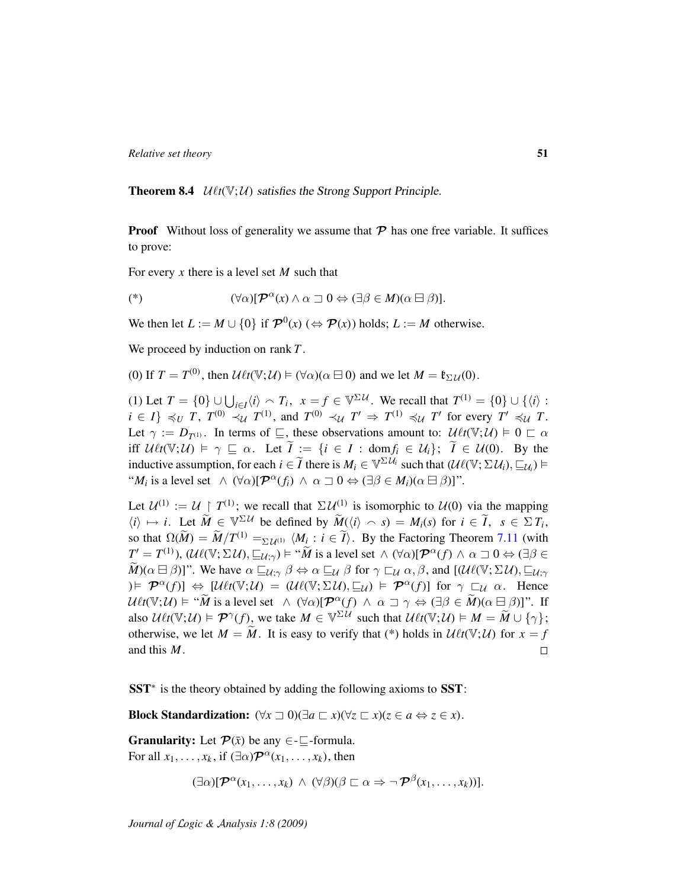**Theorem 8.4**  $\mathcal{U}_{\ell t}(\mathbb{V}; \mathcal{U})$  satisfies the Strong Support Principle.

**Proof** Without loss of generality we assume that  $\mathcal{P}$  has one free variable. It suffices to prove:

For every *x* there is a level set *M* such that

$$
(\mathscr{A}) \qquad (\forall \alpha)[\mathcal{P}^{\alpha}(x) \wedge \alpha \sqsupset 0 \Leftrightarrow (\exists \beta \in M)(\alpha \boxminus \beta)].
$$

We then let  $L := M \cup \{0\}$  if  $\mathcal{P}^0(x)$  ( $\Leftrightarrow \mathcal{P}(x)$ ) holds;  $L := M$  otherwise.

We proceed by induction on rank *T* .

(0) If  $T = T^{(0)}$ , then  $\mathcal{U}\ell t(\mathbb{V};\mathcal{U}) \models (\forall \alpha)(\alpha \boxminus 0)$  and we let  $M = \mathfrak{k}_{\Sigma \mathcal{U}}(0)$ .

(1) Let  $T = \{0\} \cup \bigcup_{i \in I} \langle i \rangle \cap T_i$ ,  $x = f \in \mathbb{V}^{\Sigma U}$ . We recall that  $T^{(1)} = \{0\} \cup \{\langle i \rangle :$  $i \in I$   $\leq U$  *T*,  $T^{(0)} \prec_{\mathcal{U}} T^{(1)}$ , and  $T^{(0)} \prec_{\mathcal{U}} T' \Rightarrow T^{(1)} \leq_{\mathcal{U}} T'$  for every  $T' \preccurlyeq_{\mathcal{U}} T$ . Let  $\gamma := D_{T^{(1)}}$ . In terms of  $\subseteq$ , these observations amount to:  $\mathcal{U}\ell t(\mathbb{V};\mathcal{U}) \models 0 \subset \alpha$ iff  $\mathcal{U}^t(\mathbb{V}; \mathcal{U}) \models \gamma \sqsubseteq \alpha$ . Let  $\widetilde{I} := \{i \in I : \text{dom} f_i \in \mathcal{U}_i\}; \ \widetilde{I} \in \mathcal{U}(0)$ . By the inductive assumption, for each  $i \in \widetilde{I}$  there is  $M_i \in \mathbb{V}^{\Sigma U_i}$  such that  $(\mathcal{U}\ell(\mathbb{V}; \Sigma U_i), \sqsubseteq_{\mathcal{U}_i}) \models$ " $M_i$  is a level set  $\wedge (\forall \alpha)[\mathcal{P}^{\alpha}(f_i) \wedge \alpha \sqsupset 0 \Leftrightarrow (\exists \beta \in M_i)(\alpha \boxminus \beta)]$ ".

Let  $\mathcal{U}^{(1)} := \mathcal{U} \restriction T^{(1)}$ ; we recall that  $\Sigma \mathcal{U}^{(1)}$  is isomorphic to  $\mathcal{U}(0)$  via the mapping  $\langle i \rangle \mapsto i$ . Let  $\widetilde{M} \in \mathbb{V}^{\Sigma \mathcal{U}}$  be defined by  $\widetilde{M}(\langle i \rangle \cap s) = M_i(s)$  for  $i \in \widetilde{I}$ ,  $s \in \Sigma T_i$ , so that  $\Omega(\widetilde{M}) = \widetilde{M}/T^{(1)} = \Sigma \mathcal{U}^{(1)} \langle M_i : i \in \widetilde{I} \rangle$ . By the Factoring Theorem [7.11](#page-47-0) (with  $T' = T^{(1)}$ ),  $(\mathcal{U}\ell(\mathbb{V}; \Sigma \mathcal{U}), \sqsubseteq_{\mathcal{U}; \gamma}) \models$  " $\widetilde{M}$  is a level set  $\wedge (\forall \alpha)[\mathcal{P}^{\alpha}(f) \wedge \alpha \sqsupseteq 0 \Leftrightarrow (\exists \beta \in \mathbb{R})$  $\widetilde{M}$ )( $\alpha \boxminus \beta$ )]". We have  $\alpha \sqsubseteq_{\mathcal{U}; \gamma} \beta \Leftrightarrow \alpha \sqsubseteq_{\mathcal{U}} \beta$  for  $\gamma \sqsubset_{\mathcal{U}} \alpha, \beta$ , and  $[(\mathcal{U}\ell(\mathbb{V}; \Sigma \mathcal{U}), \sqsubseteq_{\mathcal{U}; \gamma} \ell]$  $h \in \mathcal{P}^{\alpha}(f) \Rightarrow [U \ell t(\mathbb{V}; U)] = (U \ell(\mathbb{V}; \Sigma U), \sqsubseteq_{U}) \models \mathcal{P}^{\alpha}(f) ]$  for  $\gamma \sqsubset_{U} \alpha$ . Hence  $U\ell t(\mathbb{V};\mathcal{U}) \models \mathcal{U}$  is a level set  $\wedge (\forall \alpha)[\mathcal{P}^{\alpha}(f) \wedge \alpha \sqsupset \gamma \Leftrightarrow (\exists \beta \in \widetilde{M})(\alpha \boxminus \beta)]$ ". If also  $\mathcal{U} \ell t(\mathbb{V}; \mathcal{U}) \models \mathcal{P}^{\gamma}(f)$ , we take  $M \in \mathbb{V}^{\Sigma \mathcal{U}}$  such that  $\mathcal{U} \ell t(\mathbb{V}; \mathcal{U}) \models M = \widetilde{M} \cup \{\gamma\};$ otherwise, we let  $M = \widetilde{M}$ . It is easy to verify that (\*) holds in  $\mathcal{U} \ell t(\mathbb{V}; \mathcal{U})$  for  $x = f$  and this  $M$ . and this *M*.

SST<sup>\*</sup> is the theory obtained by adding the following axioms to SST:

Block Standardization:  $(\forall x \sqsupset 0)(\exists a \sqsubset x)(\forall z \sqsubset x)(z \in a \Leftrightarrow z \in x)$ .

**Granularity:** Let  $\mathcal{P}(\bar{x})$  be any  $\in$ - $\subseteq$ -formula. For all  $x_1, \ldots, x_k$ , if  $(\exists \alpha) \mathcal{P}^{\alpha}(x_1, \ldots, x_k)$ , then

$$
(\exists \alpha)[\mathcal{P}^{\alpha}(x_1,\ldots,x_k) \land (\forall \beta)(\beta \sqsubset \alpha \Rightarrow \neg \mathcal{P}^{\beta}(x_1,\ldots,x_k))].
$$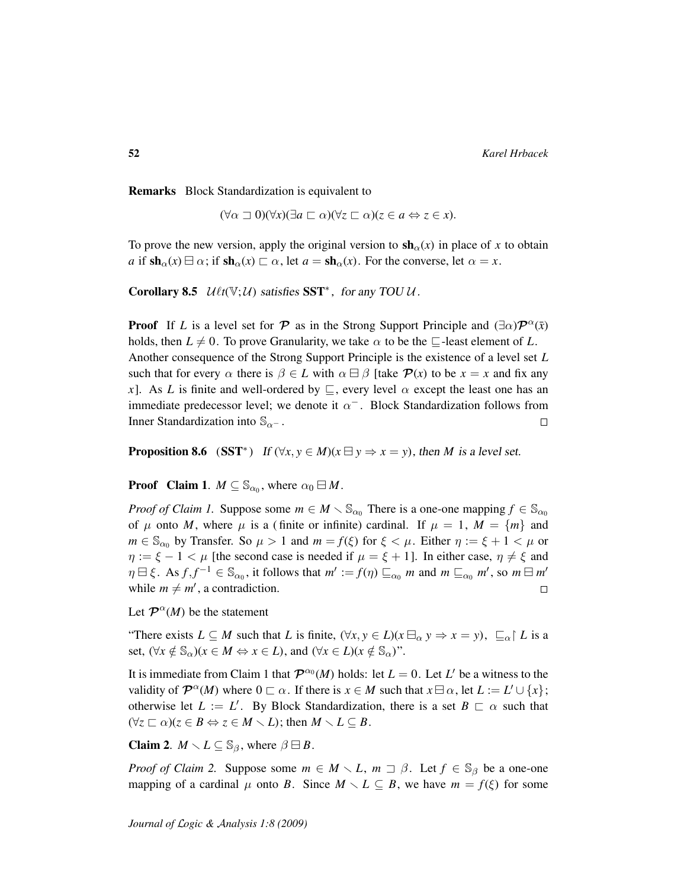Remarks Block Standardization is equivalent to

 $(\forall \alpha \sqsupset 0)(\forall x)(\exists a \sqsubset \alpha)(\forall z \sqsubset \alpha)(z \in a \Leftrightarrow z \in x).$ 

To prove the new version, apply the original version to  $\mathbf{sh}_{\alpha}(x)$  in place of x to obtain *a* if  $\text{sh}_{\alpha}(x) \boxminus \alpha$ ; if  $\text{sh}_{\alpha}(x) \sqsubset \alpha$ , let  $a = \text{sh}_{\alpha}(x)$ . For the converse, let  $\alpha = x$ .

<span id="page-51-1"></span>Corollary 8.5  $U\ell t(\mathbb{V};U)$  satisfies SST<sup>\*</sup>, for any TOU U.

**Proof** If *L* is a level set for  $\mathcal P$  as in the Strong Support Principle and  $(\exists \alpha)\mathcal P^{\alpha}(\bar x)$ holds, then  $L \neq 0$ . To prove Granularity, we take  $\alpha$  to be the  $\Box$ -least element of L. Another consequence of the Strong Support Principle is the existence of a level set *L* such that for every  $\alpha$  there is  $\beta \in L$  with  $\alpha \boxminus \beta$  [take  $\mathcal{P}(x)$  to be  $x = x$  and fix any *x*]. As *L* is finite and well-ordered by  $\subseteq$ , every level  $\alpha$  except the least one has an immediate predecessor level; we denote it  $\alpha^-$ . Block Standardization follows from Inner Standardization into  $\mathbb{S}_{\alpha}$ -.  $\Box$ 

<span id="page-51-0"></span>**Proposition 8.6** (SST<sup>\*</sup>) If  $(\forall x, y \in M)(x \exists y \Rightarrow x = y)$ , then *M* is a level set.

**Proof** Claim 1.  $M \subseteq \mathbb{S}_{\alpha_0}$ , where  $\alpha_0 \boxminus M$ .

*Proof of Claim 1.* Suppose some  $m \in M \setminus \mathbb{S}_{\alpha_0}$  There is a one-one mapping  $f \in \mathbb{S}_{\alpha_0}$ of  $\mu$  onto *M*, where  $\mu$  is a (finite or infinite) cardinal. If  $\mu = 1$ ,  $M = \{m\}$  and  $m \in \mathbb{S}_{\alpha_0}$  by Transfer. So  $\mu > 1$  and  $m = f(\xi)$  for  $\xi < \mu$ . Either  $\eta := \xi + 1 < \mu$  or  $\eta := \xi - 1 < \mu$  [the second case is needed if  $\mu = \xi + 1$ ]. In either case,  $\eta \neq \xi$  and  $\eta \boxminus \xi$ . As  $f, f^{-1} \in \mathbb{S}_{\alpha_0}$ , it follows that  $m' := f(\eta) \sqsubseteq_{\alpha_0} m$  and  $m \sqsubseteq_{\alpha_0} m'$ , so  $m \boxminus m'$ while  $m \neq m'$ , a contradiction.  $\Box$ 

Let  $\mathcal{P}^{\alpha}(M)$  be the statement

"There exists  $L \subseteq M$  such that *L* is finite,  $(\forall x, y \in L)(x \boxminus_{\alpha} y \Rightarrow x = y)$ ,  $\sqsubseteq_{\alpha} \upharpoonright L$  is a set,  $(\forall x \notin \mathbb{S}_{\alpha})(x \in M \Leftrightarrow x \in L)$ , and  $(\forall x \in L)(x \notin \mathbb{S}_{\alpha})$ ".

It is immediate from Claim 1 that  $\mathcal{P}^{\alpha_0}(M)$  holds: let  $L = 0$ . Let  $L'$  be a witness to the validity of  $\mathcal{P}^{\alpha}(M)$  where  $0 \subset \alpha$ . If there is  $x \in M$  such that  $x \boxminus \alpha$ , let  $L := L' \cup \{x\}$ ; otherwise let  $L := L'$ . By Block Standardization, there is a set  $B \subset \alpha$  such that  $(\forall z \sqsubset \alpha)(z \in B \Leftrightarrow z \in M \setminus L)$ ; then  $M \setminus L \subseteq B$ .

**Claim 2.**  $M \setminus L \subseteq \mathbb{S}_{\beta}$ , where  $\beta \boxminus B$ .

*Proof of Claim 2.* Suppose some  $m \in M \setminus L$ ,  $m \supset \beta$ . Let  $f \in \mathbb{S}_{\beta}$  be a one-one mapping of a cardinal  $\mu$  onto *B*. Since  $M \setminus L \subseteq B$ , we have  $m = f(\xi)$  for some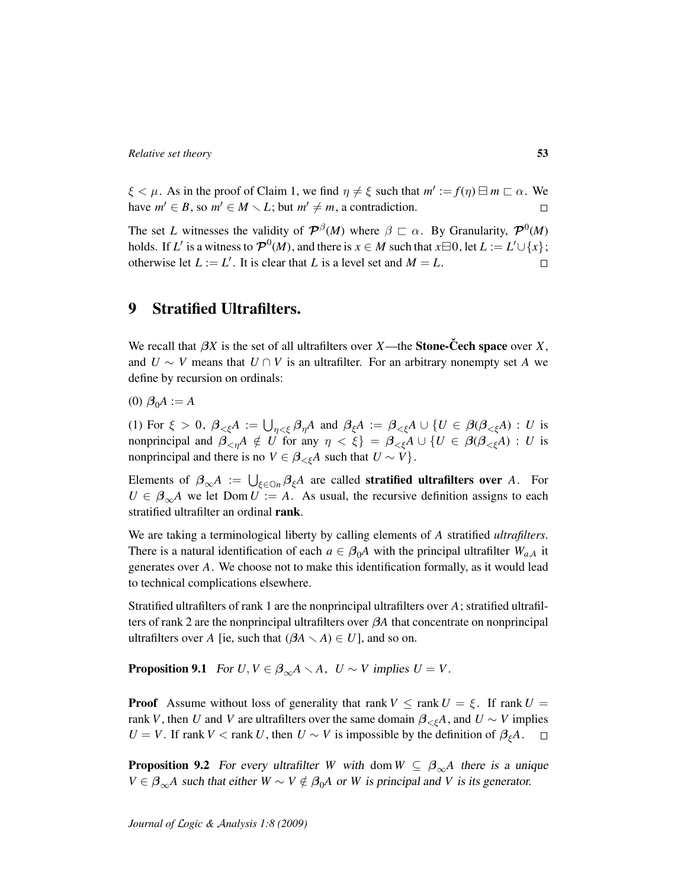$\xi < \mu$ . As in the proof of Claim 1, we find  $\eta \neq \xi$  such that  $m' := f(\eta) \boxminus m \sqsubset \alpha$ . We have  $m' \in B$ , so  $m' \in M \setminus L$ ; but  $m' \neq m$ , a contradiction.  $\Box$ 

The set *L* witnesses the validity of  $\mathcal{P}^{\beta}(M)$  where  $\beta \subset \alpha$ . By Granularity,  $\mathcal{P}^{0}(M)$ holds. If *L*' is a witness to  $\mathcal{P}^{0}(M)$ , and there is  $x \in M$  such that  $x \boxminus 0$ , let  $L := L' \cup \{x\}$ ; otherwise let  $L := L'$ . It is clear that *L* is a level set and  $M = L$ .  $\Box$ 

# 9 Stratified Ultrafilters.

We recall that  $\beta X$  is the set of all ultrafilters over *X*—the **Stone-Cech space** over *X*, and  $U \sim V$  means that  $U \cap V$  is an ultrafilter. For an arbitrary nonempty set A we define by recursion on ordinals:

 $(0)$   $\beta_0 A := A$ 

(1) For  $\xi > 0$ ,  $\beta_{\leq \xi}A := \bigcup_{\eta \leq \xi} \beta_{\eta}A$  and  $\beta_{\xi}A := \beta_{\leq \xi}A \cup \{U \in \beta(\beta_{\leq \xi}A) : U$  is nonprincipal and  $\beta_{\leq n}A \notin U$  for any  $\eta \leq \xi$  =  $\beta_{\leq \xi}A \cup \{U \in \beta(\beta_{\leq \xi}A) : U$  is nonprincipal and there is no  $V \in \beta_{\leq \xi}A$  such that  $U \sim V$ .

Elements of  $\beta_{\infty}A := \bigcup_{\xi \in \mathbb{O}n} \beta_{\xi}A$  are called **stratified ultrafilters over** *A*. For  $U \in \beta_{\infty}A$  we let Dom  $U = A$ . As usual, the recursive definition assigns to each stratified ultrafilter an ordinal rank.

We are taking a terminological liberty by calling elements of *A* stratified *ultrafilters*. There is a natural identification of each  $a \in \beta_0 A$  with the principal ultrafilter  $W_{a,A}$  it generates over *A*. We choose not to make this identification formally, as it would lead to technical complications elsewhere.

Stratified ultrafilters of rank 1 are the nonprincipal ultrafilters over *A*; stratified ultrafilters of rank 2 are the nonprincipal ultrafilters over β*A* that concentrate on nonprincipal ultrafilters over *A* [ie, such that  $(\beta A \setminus A) \in U$ ], and so on.

<span id="page-52-0"></span>**Proposition 9.1** For  $U, V \in \beta_{\infty} A \setminus A$ ,  $U \sim V$  implies  $U = V$ .

**Proof** Assume without loss of generality that rank  $V \leq \text{rank } U = \xi$ . If rank  $U =$ rank *V*, then *U* and *V* are ultrafilters over the same domain  $\beta_{\leq \xi}A$ , and  $U \sim V$  implies *U* = *V*. If rank *V* < rank *U*, then *U* ~ *V* is impossible by the definition of  $\beta_{\xi}A$ .  $\Box$ 

<span id="page-52-1"></span>**Proposition 9.2** For every ultrafilter *W* with dom  $W \subseteq \beta_{\infty}A$  there is a unique *V* ∈  $\beta_{\infty}$ *A* such that either *W* ∼ *V* ∉  $\beta_0$ *A* or *W* is principal and *V* is its generator.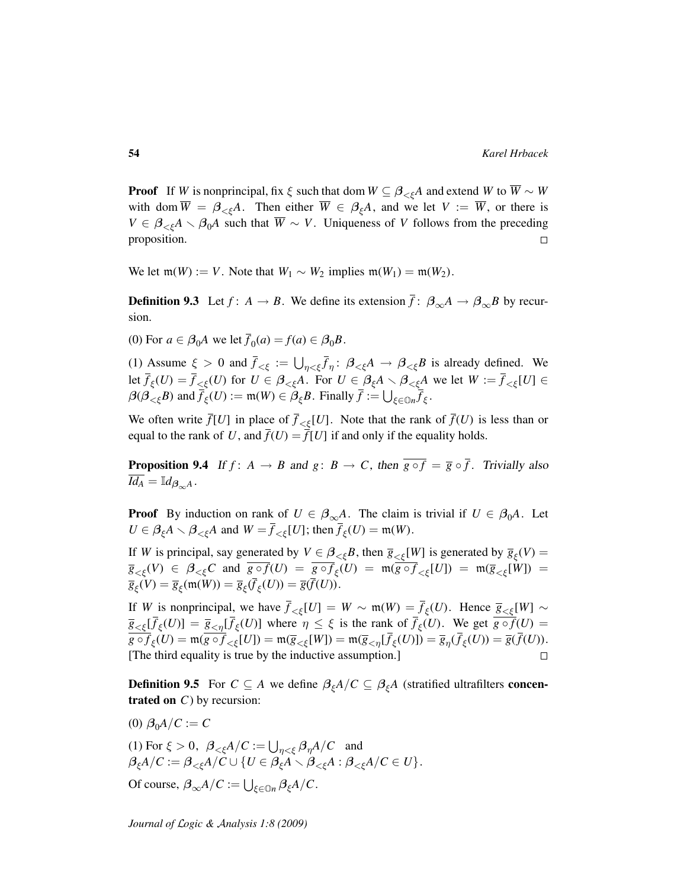**Proof** If *W* is nonprincipal, fix  $\xi$  such that dom  $W \subseteq \beta_{\leq \xi}A$  and extend *W* to  $\overline{W} \sim W$ with dom  $\overline{W} = \beta_{\leq \xi} A$ . Then either  $\overline{W} \in \beta_{\xi} A$ , and we let  $V := \overline{W}$ , or there is  $V \in \beta_{\leq \xi}A \setminus \beta_0A$  such that  $\overline{W} \sim V$ . Uniqueness of *V* follows from the preceding proposition.  $\Box$ 

<span id="page-53-1"></span>We let  $m(W) := V$ . Note that  $W_1 \sim W_2$  implies  $m(W_1) = m(W_2)$ .

**Definition 9.3** Let  $f: A \to B$ . We define its extension  $\bar{f}: \beta_{\infty}A \to \beta_{\infty}B$  by recursion.

(0) For  $a \in \beta_0 A$  we let  $\overline{f}_0(a) = f(a) \in \beta_0 B$ .

(1) Assume  $\xi > 0$  and  $\bar{f}_{\leq \xi} := \bigcup_{\eta \leq \xi} \bar{f}_{\eta}$ :  $\beta_{\leq \xi} A \to \beta_{\leq \xi} B$  is already defined. We let  $\bar{f}_{\xi}(U) = \bar{f}_{\leq \xi}(U)$  for  $U \in \beta_{\leq \xi}A$ . For  $U \in \beta_{\xi}A \setminus \beta_{\leq \xi}A$  we let  $W := \bar{f}_{\leq \xi}[U] \in$  $\beta(\beta_{\leq \xi}B)$  and  $\bar{f}_{\xi}(U) := \mathfrak{m}(W) \in \beta_{\xi}B$ . Finally  $\bar{f} := \bigcup_{\xi \in \mathbb{O}n} \bar{f}_{\xi}$ .

We often write  $\bar{f}[U]$  in place of  $\bar{f}(\mathcal{L}|\mathcal{U})$ . Note that the rank of  $\bar{f}(U)$  is less than or equal to the rank of U, and  $\bar{f}(U) = \bar{f}(U)$  if and only if the equality holds.

<span id="page-53-0"></span>**Proposition 9.4** If  $f: A \rightarrow B$  and  $g: B \rightarrow C$ , then  $\overline{g \circ f} = \overline{g} \circ \overline{f}$ . Trivially also  $\overline{Id_A} = \mathbb{I} d_{\beta_{\infty}A}$ .

**Proof** By induction on rank of  $U \in \beta_{\infty}A$ . The claim is trivial if  $U \in \beta_0A$ . Let  $U \in \beta_{\xi} A \setminus \beta_{\leq \xi} A$  and  $W = \overline{f}_{\leq \xi}[U]$ ; then  $\overline{f}_{\xi}(U) = \mathfrak{m}(W)$ .

If *W* is principal, say generated by  $V \in \beta_{\leq \xi} B$ , then  $\overline{g}_{\leq \xi}[W]$  is generated by  $\overline{g}_{\xi}(V) =$ *g*<sub><ξ</sub>(*V*)  $\in$  *β*<sub><ξ</sub>*C* and  $g \circ f(U) = g \circ f_{\xi}(U) = \mathfrak{m}(g \circ f_{<\xi}[U]) = \mathfrak{m}(\overline{g}_{<\xi}[W]) =$  $\overline{g}_{\xi}(V) = \overline{g}_{\xi}(\mathfrak{m}(W)) = \overline{g}_{\xi}(\overline{f}_{\xi}(U)) = \overline{g}(\overline{f}(U)).$ 

If *W* is nonprincipal, we have  $\overline{f}_{<\xi}[U] = W \sim \mathfrak{m}(W) = \overline{f}_{\xi}(U)$ . Hence  $\overline{g}_{<\xi}[W] \sim$  $g_{\leq \xi}[\bar{f}_{\xi}(U)] = \bar{g}_{\leq \eta}[\bar{f}_{\xi}(U)]$  where  $\eta \leq \xi$  is the rank of  $\bar{f}_{\xi}(U)$ . We get  $g \circ f(U) =$  $g \circ f_{\xi}(U) = \mathfrak{m}(g \circ f_{<\xi}[U]) = \mathfrak{m}(\overline{g}_{<\xi}[W]) = \mathfrak{m}(\overline{g}_{<\eta}[\overline{f}_{\xi}(U)]) = \overline{g}_{\eta}(\overline{f}_{\xi}(U)) = \overline{g}(f(U)).$ [The third equality is true by the inductive assumption.]  $\Box$ 

**Definition 9.5** For  $C \subseteq A$  we define  $\beta_{\xi}A/C \subseteq \beta_{\xi}A$  (stratified ultrafilters concentrated on *C*) by recursion:

- (0)  $\beta_0 A / C := C$
- (1) For  $\xi > 0$ ,  $\beta_{\leq \xi} A/C := \bigcup_{\eta < \xi} \beta_{\eta} A/C$  and  $\beta_{\xi}A/C := \beta_{\leq \xi}A/C \cup \{U \in \beta_{\xi}A \setminus \beta_{\leq \xi}A : \beta_{\leq \xi}A/C \in U\}.$ Of course,  $\beta_{\infty}A/C := \bigcup_{\xi \in \mathbb{O}n} \beta_{\xi}A/C$ .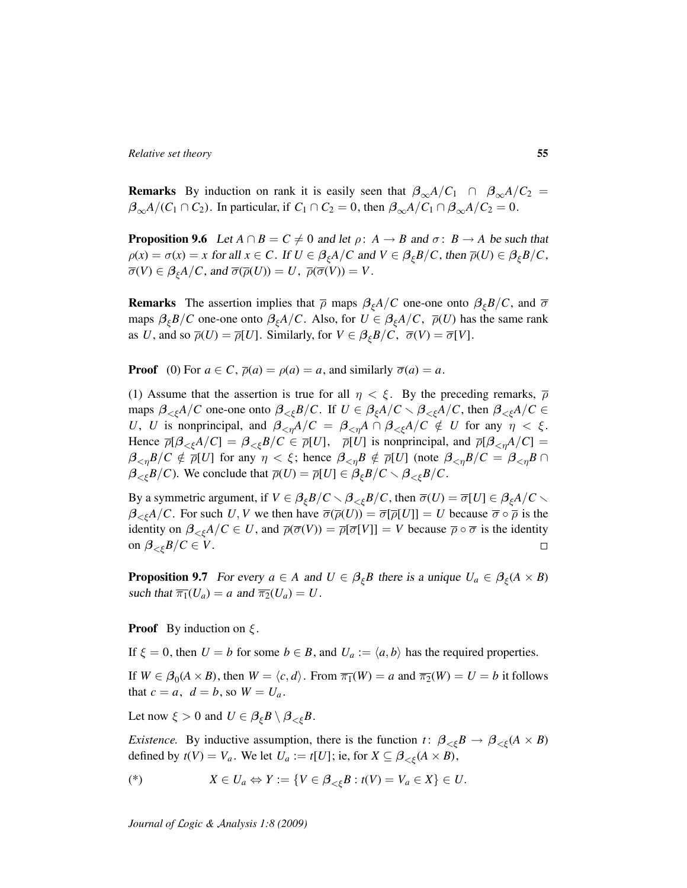**Remarks** By induction on rank it is easily seen that  $\beta_{\infty}A/C_1 \cap \beta_{\infty}A/C_2 =$  $\beta_{\infty}A/(C_1 \cap C_2)$ . In particular, if  $C_1 \cap C_2 = 0$ , then  $\beta_{\infty}A/C_1 \cap \beta_{\infty}A/C_2 = 0$ .

<span id="page-54-0"></span>**Proposition 9.6** Let  $A \cap B = C \neq 0$  and let  $\rho: A \rightarrow B$  and  $\sigma: B \rightarrow A$  be such that  $\rho(x) = \sigma(x) = x$  for all  $x \in C$ . If  $U \in \beta_{\xi}A/C$  and  $V \in \beta_{\xi}B/C$ , then  $\overline{\rho}(U) \in \beta_{\xi}B/C$ ,  $\overline{\sigma}(V) \in \beta_{\xi}A/C$ , and  $\overline{\sigma}(\overline{\rho}(U)) = U$ ,  $\overline{\rho}(\overline{\sigma}(V)) = V$ .

**Remarks** The assertion implies that  $\bar{\rho}$  maps  $\beta_{\epsilon}A/C$  one-one onto  $\beta_{\epsilon}B/C$ , and  $\bar{\sigma}$ maps  $\beta_{\xi}B/C$  one-one onto  $\beta_{\xi}A/C$ . Also, for  $U \in \beta_{\xi}A/C$ ,  $\overline{\rho}(U)$  has the same rank as *U*, and so  $\overline{\rho}(U) = \overline{\rho}[U]$ . Similarly, for  $V \in \beta_{\xi} B/C$ ,  $\overline{\sigma}(V) = \overline{\sigma}[V]$ .

**Proof** (0) For  $a \in C$ ,  $\overline{\rho}(a) = \rho(a) = a$ , and similarly  $\overline{\sigma}(a) = a$ .

(1) Assume that the assertion is true for all  $\eta < \xi$ . By the preceding remarks,  $\overline{\rho}$ maps  $\beta_{\leq \xi}A/C$  one-one onto  $\beta_{\leq \xi}B/C$ . If  $U \in \beta_{\xi}A/C \setminus \beta_{\leq \xi}A/C$ , then  $\beta_{\leq \xi}A/C \in$ *U*, *U* is nonprincipal, and  $\beta_{\leq n}A/C = \beta_{\leq n}A \cap \beta_{\leq \xi}A/C \notin U$  for any  $\eta \leq \xi$ . Hence  $\overline{\rho}[\beta_{\leq \xi}A/C] = \beta_{\leq \xi}B/C \in \overline{\rho}[U]$ ,  $\overline{\rho}[U]$  is nonprincipal, and  $\overline{\rho}[\beta_{\leq \eta}A/C] =$  $\beta_{\leq \eta}B/C \notin \overline{\rho}[U]$  for any  $\eta < \xi$ ; hence  $\beta_{\leq \eta}B \notin \overline{\rho}[U]$  (note  $\beta_{\leq \eta}B/C = \beta_{\leq \eta}B \cap$  $\beta_{\leq \xi} B/C$ ). We conclude that  $\overline{\rho}(U) = \overline{\rho}[U] \in \beta_{\xi} B/C \setminus \beta_{\leq \xi} B/C$ .

By a symmetric argument, if  $V \in \beta_{\xi}B/C \setminus \beta_{\xi}B/C$ , then  $\overline{\sigma}(U) = \overline{\sigma}[U] \in \beta_{\xi}A/C \setminus \beta_{\xi}B/C$  $\beta_{\leq \xi}A/C$ . For such *U*, *V* we then have  $\overline{\sigma}(\overline{\rho}(U)) = \overline{\sigma}[\overline{\rho}(U)] = U$  because  $\overline{\sigma} \circ \overline{\rho}$  is the identity on  $\beta_{\leq \xi}A/C \in U$ , and  $\overline{\rho}(\overline{\sigma}(V)) = \overline{\rho}[\overline{\sigma}[V]] = V$  because  $\overline{\rho} \circ \overline{\sigma}$  is the identity on  $\beta_{\leq \xi} B/C \in V$ .  $\Box$ 

**Proposition 9.7** For every  $a \in A$  and  $U \in \beta_{\xi}B$  there is a unique  $U_a \in \beta_{\xi}(A \times B)$ such that  $\overline{\pi_1}(U_a) = a$  and  $\overline{\pi_2}(U_a) = U$ .

**Proof** By induction on  $\xi$ .

If  $\xi = 0$ , then  $U = b$  for some  $b \in B$ , and  $U_a := \langle a, b \rangle$  has the required properties.

If  $W \in \beta_0(A \times B)$ , then  $W = \langle c, d \rangle$ . From  $\overline{\pi_1}(W) = a$  and  $\overline{\pi_2}(W) = U = b$  it follows that  $c = a$ ,  $d = b$ , so  $W = U_a$ .

Let now  $\xi > 0$  and  $U \in \beta_{\xi}B \setminus \beta_{<\xi}B$ .

*Existence.* By inductive assumption, there is the function *t*:  $\beta_{\leq \xi} B \to \beta_{\leq \xi} (A \times B)$ defined by  $t(V) = V_a$ . We let  $U_a := t[U]$ ; ie, for  $X \subseteq \beta_{\leq \xi}(A \times B)$ ,

$$
(\mathscr{E}) \quad X \in U_a \Leftrightarrow Y := \{ V \in \beta_{<\xi} B : t(V) = V_a \in X \} \in U.
$$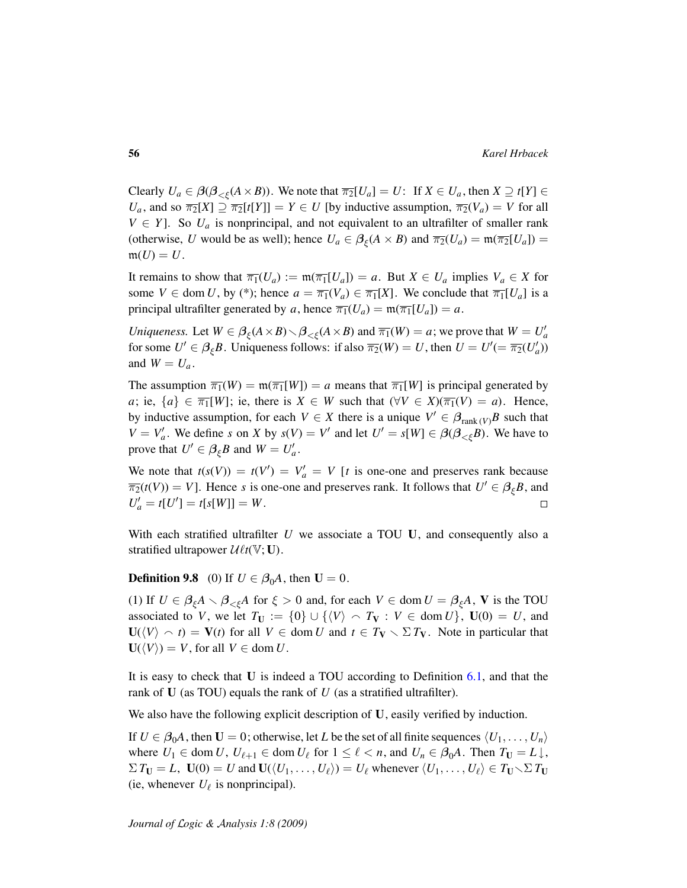Clearly  $U_a \in \beta(\beta_{\leq \xi}(A \times B))$ . We note that  $\overline{\pi_2}[U_a] = U$ : If  $X \in U_a$ , then  $X \supseteq t[Y] \in$ *U<sub>a</sub>*, and so  $\overline{\pi_2}[X] \supseteq \overline{\pi_2}[t[Y]] = Y \in U$  [by inductive assumption,  $\overline{\pi_2}(V_a) = V$  for all  $V \in Y$ ]. So  $U_a$  is nonprincipal, and not equivalent to an ultrafilter of smaller rank (otherwise, *U* would be as well); hence  $U_a \in \beta_{\xi}(A \times B)$  and  $\overline{\pi_2}(U_a) = \mathfrak{m}(\overline{\pi_2}[U_a]) =$  $m(U) = U$ .

It remains to show that  $\overline{\pi_1}(U_a) := \mathfrak{m}(\overline{\pi_1}[U_a]) = a$ . But  $X \in U_a$  implies  $V_a \in X$  for some  $V \in \text{dom } U$ , by (\*); hence  $a = \overline{\pi_1}(V_a) \in \overline{\pi_1}[X]$ . We conclude that  $\overline{\pi_1}[U_a]$  is a principal ultrafilter generated by *a*, hence  $\overline{\pi_1}(U_a) = \mathfrak{m}(\overline{\pi_1}[U_a]) = a$ .

*Uniqueness.* Let  $W \in \beta_{\xi}(A \times B) \setminus \beta_{<\xi}(A \times B)$  and  $\overline{\pi_1}(W) = a$ ; we prove that  $W = U_a$ for some  $U' \in \beta_{\xi}B$ . Uniqueness follows: if also  $\overline{\pi_2}(W) = U$ , then  $U = U' = \overline{\pi_2}(U'_a)$ and  $W = U_a$ .

The assumption  $\overline{\pi_1}(W) = \mathfrak{m}(\overline{\pi_1}[W]) = a$  means that  $\overline{\pi_1}[W]$  is principal generated by *a*; ie,  $\{a\} \in \overline{\pi_1}[W]$ ; ie, there is  $X \in W$  such that  $(\forall V \in X)(\overline{\pi_1}(V) = a)$ . Hence, by inductive assumption, for each  $V \in X$  there is a unique  $V' \in \beta_{\text{rank}(V)}B$  such that  $V = V'_a$ . We define *s* on *X* by  $s(V) = V'$  and let  $U' = s[W] \in \beta(\beta_{\leq \xi}B)$ . We have to prove that  $U' \in \beta_{\xi}B$  and  $W = U'_{a}$ .

We note that  $t(s(V)) = t(V') = V'_a = V$  [*t* is one-one and preserves rank because  $\overline{\pi_2}(t(V)) = V$ . Hence *s* is one-one and preserves rank. It follows that  $U' \in \beta_{\xi}B$ , and  $U'_a = t[U'] = t[s[W]] = W$ .  $\Box$ 

With each stratified ultrafilter  $U$  we associate a TOU  $U$ , and consequently also a stratified ultrapower  $\mathcal{U}\ell t(\mathbb{V}; \mathbf{U})$ .

<span id="page-55-0"></span>**Definition 9.8** (0) If  $U \in \beta_0 A$ , then  $U = 0$ .

(1) If  $U \in \beta_{\xi}A \setminus \beta_{<\xi}A$  for  $\xi > 0$  and, for each  $V \in \text{dom } U = \beta_{\xi}A$ , V is the TOU associated to *V*, we let  $T_U := \{0\} \cup \{ \langle V \rangle \cap T_V : V \in \text{dom } U \},$   $U(0) = U$ , and  $U(\langle V \rangle \cap t) = V(t)$  for all  $V \in \text{dom } U$  and  $t \in T_V \setminus \Sigma T_V$ . Note in particular that  $U(\langle V \rangle) = V$ , for all  $V \in \text{dom } U$ .

It is easy to check that U is indeed a TOU according to Definition [6.1,](#page-36-0) and that the rank of U (as TOU) equals the rank of *U* (as a stratified ultrafilter).

We also have the following explicit description of U, easily verified by induction.

<span id="page-55-1"></span>If  $U \in \beta_0 A$ , then  $U = 0$ ; otherwise, let *L* be the set of all finite sequences  $\langle U_1, \ldots, U_n \rangle$ where  $U_1 \in \text{dom } U$ ,  $U_{\ell+1} \in \text{dom } U_{\ell}$  for  $1 \leq \ell < n$ , and  $U_n \in \beta_0 A$ . Then  $T_U = L \downarrow$ ,  $\Sigma T_{\mathbf{U}} = L$ ,  $\mathbf{U}(0) = U$  and  $\mathbf{U}(\langle U_1, \ldots, U_\ell \rangle) = U_\ell$  whenever  $\langle U_1, \ldots, U_\ell \rangle \in T_{\mathbf{U}} \setminus \Sigma T_{\mathbf{U}}$ (ie, whenever  $U_{\ell}$  is nonprincipal).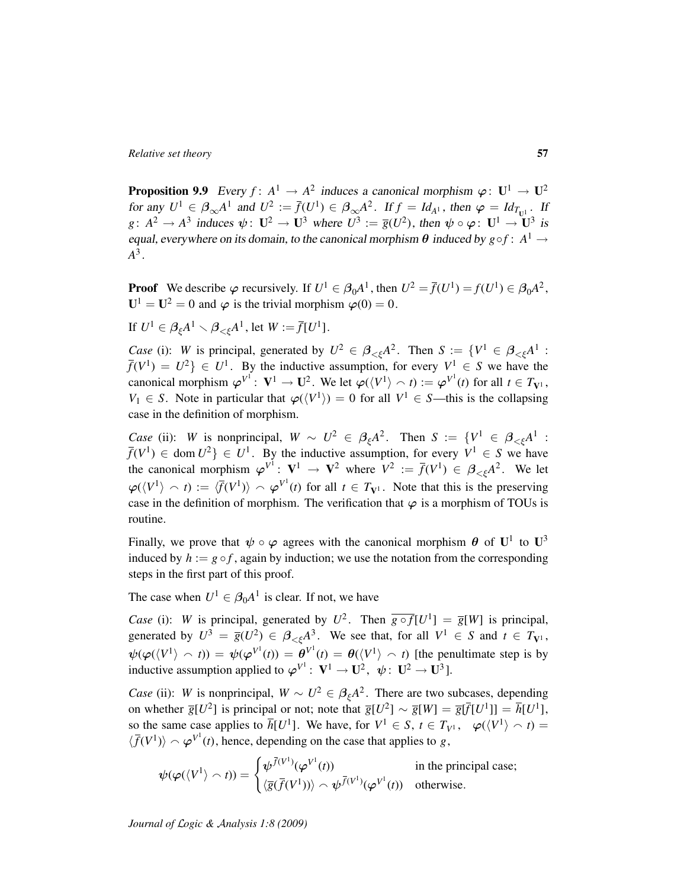**Proposition 9.9** Every  $f: A^1 \to A^2$  induces a canonical morphism  $\varphi: U^1 \to U^2$ for any  $U^1 \in \mathcal{B}_{\infty} A^1$  and  $U^2 := \overline{f}(U^1) \in \mathcal{B}_{\infty} A^2$ . If  $f = Id_{A^1}$ , then  $\varphi = Id_{T_{U^1}}$ . If  $g: A^2 \to A^3$  induces  $\psi: \mathbf{U}^2 \to \mathbf{U}^3$  where  $U^3 := \overline{g}(U^2)$ , then  $\psi \circ \varphi: \mathbf{U}^1 \to \mathbf{U}^3$  is equal, everywhere on its domain, to the canonical morphism  $\theta$  induced by  $g \circ f : A^1 \to$ *A* 3 .

**Proof** We describe  $\varphi$  recursively. If  $U^1 \in \beta_0 A^1$ , then  $U^2 = \overline{f}(U^1) = f(U^1) \in \beta_0 A^2$ ,  $U^1 = U^2 = 0$  and  $\varphi$  is the trivial morphism  $\varphi(0) = 0$ .

If  $U^1 \in \beta_{\xi} A^1 \setminus \beta_{<\xi} A^1$ , let  $W := \overline{f}[U^1]$ .

*Case* (i): *W* is principal, generated by  $U^2 \in \beta_{\leq \xi} A^2$ . Then  $S := \{V^1 \in \beta_{\leq \xi} A^1$ :  $f(V^1) = U^2$   $\in U^1$ . By the inductive assumption, for every  $V^1 \in S$  we have the canonical morphism  $\varphi^{V^1}$ :  $V^1 \to U^2$ . We let  $\varphi(\langle V^1 \rangle \cap t) := \varphi^{V^1}(t)$  for all  $t \in T_{V^1}$ ,  $V_1 \in S$ . Note in particular that  $\varphi(\langle V^1 \rangle) = 0$  for all  $V^1 \in S$ —this is the collapsing case in the definition of morphism.

*Case* (ii): *W* is nonprincipal,  $W \sim U^2 \in \beta_{\xi} A^2$ . Then  $S := \{V^1 \in \beta_{\leq \xi} A^1$ :  $f(V^1) \in \text{dom } U^2$ }  $\in U^1$ . By the inductive assumption, for every  $V^1 \in S$  we have the canonical morphism  $\varphi^{V^1}$ :  $V^1 \to V^2$  where  $V^2 := \overline{f}(V^1) \in \beta_{\leq \xi} A^2$ . We let  $\varphi(\langle V^1 \rangle \cap t) := \langle \bar{f}(V^1) \rangle \cap \varphi^{V^1}(t)$  for all  $t \in T_{V^1}$ . Note that this is the preserving case in the definition of morphism. The verification that  $\varphi$  is a morphism of TOUs is routine.

Finally, we prove that  $\psi \circ \varphi$  agrees with the canonical morphism  $\theta$  of  $U^1$  to  $U^3$ induced by  $h := g \circ f$ , again by induction; we use the notation from the corresponding steps in the first part of this proof.

The case when  $U^1 \in \beta_0 A^1$  is clear. If not, we have

*Case* (i): *W* is principal, generated by  $U^2$ . Then  $\overline{g \circ f}[U^1] = \overline{g}[W]$  is principal, generated by  $U^3 = \overline{g}(U^2) \in \beta_{\leq \xi} A^3$ . We see that, for all  $V^1 \in S$  and  $t \in T_{V^1}$ ,  $\psi(\varphi(\langle V^1 \rangle \cap t)) = \psi(\varphi^{V^1}(t)) = \theta^{V^1}(t) = \theta(\langle V^1 \rangle \cap t)$  [the penultimate step is by inductive assumption applied to  $\varphi^{V^1}$ :  $V^1 \to U^2$ ,  $\psi$ :  $U^2 \to U^3$ ].

*Case* (ii): *W* is nonprincipal,  $W \sim U^2 \in \beta_{\xi} A^2$ . There are two subcases, depending on whether  $\overline{g}[U^2]$  is principal or not; note that  $\overline{g}[U^2] \sim \overline{g}[W] = \overline{g}[\overline{f}[U^1]] = \overline{h}[U^1]$ , so the same case applies to  $\overline{h}[U^1]$ . We have, for  $V^1 \in S$ ,  $t \in T_{V^1}$ ,  $\varphi(\langle V^1 \rangle \cap t) =$  $\langle \bar{f}(V^1) \rangle \sim \varphi^{V^1}(t)$ , hence, depending on the case that applies to *g*,

$$
\psi(\varphi(\langle V^1 \rangle \cap t)) = \begin{cases} \psi^{\bar{f}(V^1)}(\varphi^{V^1}(t)) & \text{in the principal case;} \\ \langle \bar{g}(\bar{f}(V^1)) \rangle \cap \psi^{\bar{f}(V^1)}(\varphi^{V^1}(t)) & \text{otherwise.} \end{cases}
$$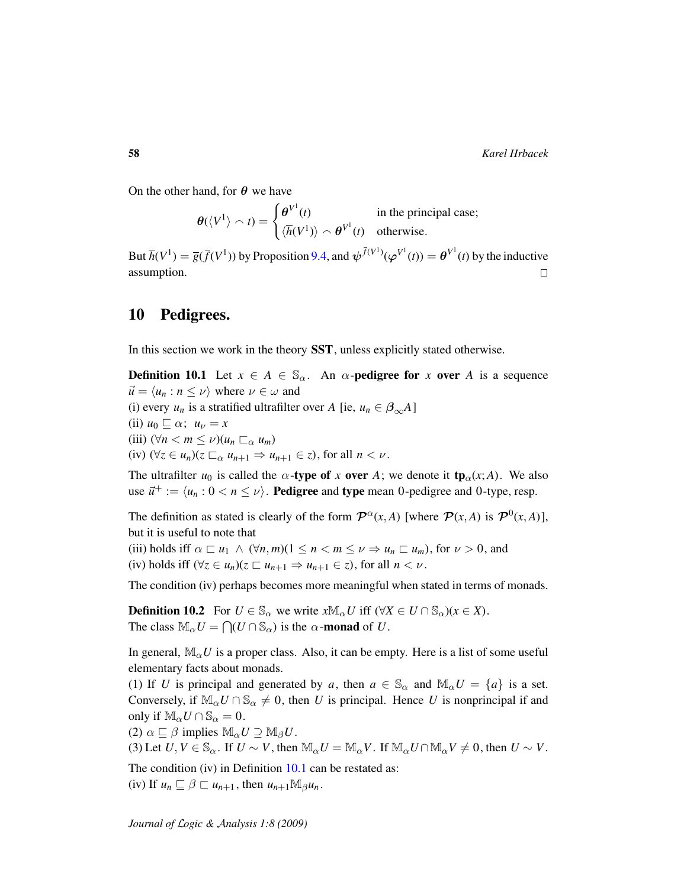On the other hand, for  $\theta$  we have

$$
\theta(\langle V^1 \rangle \cap t) = \begin{cases} \theta^{V^1}(t) & \text{in the principal case;} \\ \langle \overline{h}(V^1) \rangle \cap \theta^{V^1}(t) & \text{otherwise.} \end{cases}
$$

But  $\overline{h}(V^1) = \overline{g}(\overline{f}(V^1))$  by Proposition [9.4,](#page-53-0) and  $\psi^{(\overline{f}(V^1))}(\varphi^{V^1}(t)) = \theta^{V^1}(t)$  by the inductive assumption.  $\Box$ 

### <span id="page-57-0"></span>10 Pedigrees.

<span id="page-57-1"></span>In this section we work in the theory SST, unless explicitly stated otherwise.

**Definition 10.1** Let  $x \in A \in \mathbb{S}_{\alpha}$ . An  $\alpha$ -**pedigree for** x **over** A is a sequence  $\vec{u} = \langle u_n : n \leq v \rangle$  where  $v \in \omega$  and (i) every  $u_n$  is a stratified ultrafilter over *A* [ie,  $u_n \in \beta_{\infty}A$ ] (ii)  $u_0 \sqsubseteq \alpha$ ;  $u_\nu = x$ (iii)  $(\forall n < m \leq \nu)(u_n \sqsubset_{\alpha} u_m)$ (iv)  $(\forall z \in u_n)(z \sqsubset_{\alpha} u_{n+1} \Rightarrow u_{n+1} \in z)$ , for all  $n < \nu$ .

The ultrafilter  $u_0$  is called the  $\alpha$ -type of x over A; we denote it tp<sub> $\alpha$ </sub>(x;A). We also use  $\vec{u}^+ := \langle u_n : 0 < n \le \nu \rangle$ . **Pedigree** and **type** mean 0-pedigree and 0-type, resp.

The definition as stated is clearly of the form  $\mathcal{P}^{\alpha}(x, A)$  [where  $\mathcal{P}(x, A)$  is  $\mathcal{P}^{0}(x, A)$ ], but it is useful to note that

(iii) holds iff  $\alpha \sqsubset u_1 \wedge (\forall n, m) (1 \leq n < m \leq \nu \Rightarrow u_n \sqsubset u_m)$ , for  $\nu > 0$ , and (iv) holds iff  $(\forall z \in u_n)(z \sqsubset u_{n+1} \Rightarrow u_{n+1} \in z)$ , for all  $n < \nu$ .

The condition (iv) perhaps becomes more meaningful when stated in terms of monads.

**Definition 10.2** For  $U \in \mathbb{S}_{\alpha}$  we write  $x \mathbb{M}_{\alpha} U$  iff  $(\forall X \in U \cap \mathbb{S}_{\alpha})(x \in X)$ . The class  $\mathbb{M}_{\alpha}U = \bigcap (U \cap \mathbb{S}_{\alpha})$  is the  $\alpha$ -monad of *U*.

In general,  $\mathbb{M}_{\alpha}U$  is a proper class. Also, it can be empty. Here is a list of some useful elementary facts about monads.

(1) If *U* is principal and generated by *a*, then  $a \in \mathbb{S}_{\alpha}$  and  $\mathbb{M}_{\alpha}U = \{a\}$  is a set. Conversely, if  $\mathbb{M}_{\alpha}U \cap \mathbb{S}_{\alpha} \neq 0$ , then *U* is principal. Hence *U* is nonprincipal if and only if  $\mathbb{M}_{\alpha}U \cap \mathbb{S}_{\alpha} = 0$ .

(2)  $\alpha \sqsubseteq \beta$  implies  $\mathbb{M}_{\alpha}U \supseteq \mathbb{M}_{\beta}U$ .

(3) Let  $U, V \in \mathbb{S}_{\alpha}$ . If  $U \sim V$ , then  $\mathbb{M}_{\alpha}U = \mathbb{M}_{\alpha}V$ . If  $\mathbb{M}_{\alpha}U \cap \mathbb{M}_{\alpha}V \neq 0$ , then  $U \sim V$ .

The condition (iv) in Definition [10.1](#page-57-1) can be restated as:

<span id="page-57-2"></span> $(iv)$  If  $u_n \subseteq \beta \subseteq u_{n+1}$ , then  $u_{n+1} \mathbb{M}_{\beta} u_n$ .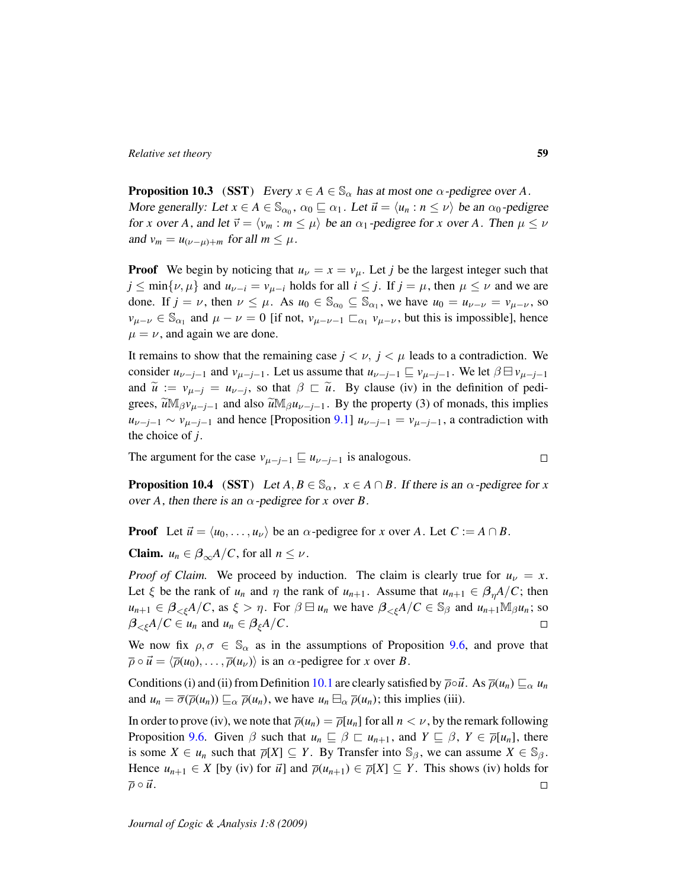**Proposition 10.3** (SST) Every  $x \in A \in \mathbb{S}_{\alpha}$  has at most one  $\alpha$ -pedigree over A. More generally: Let  $x \in A \in \mathbb{S}_{\alpha_0}$ ,  $\alpha_0 \sqsubseteq \alpha_1$ . Let  $\vec{u} = \langle u_n : n \le \nu \rangle$  be an  $\alpha_0$ -pedigree for *x* over *A*, and let  $\vec{v} = \langle v_m : m \le \mu \rangle$  be an  $\alpha_1$ -pedigree for *x* over *A*. Then  $\mu \le \nu$ and  $v_m = u_{(\nu-\mu)+m}$  for all  $m \leq \mu$ .

**Proof** We begin by noticing that  $u<sub>\nu</sub> = x = v<sub>\mu</sub>$ . Let *j* be the largest integer such that  $j \leq \min\{\nu, \mu\}$  and  $u_{\nu-i} = v_{\mu-i}$  holds for all  $i \leq j$ . If  $j = \mu$ , then  $\mu \leq \nu$  and we are done. If  $j = \nu$ , then  $\nu \leq \mu$ . As  $u_0 \in \mathbb{S}_{\alpha_0} \subseteq \mathbb{S}_{\alpha_1}$ , we have  $u_0 = u_{\nu-\nu} = v_{\mu-\nu}$ , so  $v_{\mu-\nu} \in \mathbb{S}_{\alpha_1}$  and  $\mu - \nu = 0$  [if not,  $v_{\mu-\nu-1} \sqsubset_{\alpha_1} v_{\mu-\nu}$ , but this is impossible], hence  $\mu = \nu$ , and again we are done.

It remains to show that the remaining case  $j < \nu$ ,  $j < \mu$  leads to a contradiction. We consider  $u_{\nu-j-1}$  and  $v_{\mu-j-1}$ . Let us assume that  $u_{\nu-j-1} \sqsubseteq v_{\mu-j-1}$ . We let  $\beta \sqsubseteq v_{\mu-j-1}$ and  $\widetilde{u} := v_{\mu-j} = u_{\nu-j}$ , so that  $\beta \sqsubset \widetilde{u}$ . By clause (iv) in the definition of pedi-<br>
expanse  $\widetilde{v}^{\mathbb{M}}$  with a proportion (2) of manage this insulisation grees,  $\widetilde{u}M_{\beta}v_{\mu-j-1}$  and also  $\widetilde{u}M_{\beta}u_{\nu-j-1}$ . By the property (3) of monads, this implies  $u_{\nu-j-1} \sim v_{\mu-j-1}$  and hence [Proposition [9.1\]](#page-52-0)  $u_{\nu-j-1} = v_{\mu-j-1}$ , a contradiction with the choice of *j*.

The argument for the case  $v_{\mu-j-1} \sqsubseteq u_{\nu-j-1}$  is analogous.

<span id="page-58-0"></span>**Proposition 10.4** (SST) Let  $A, B \in \mathbb{S}_{\alpha}$ ,  $x \in A \cap B$ . If there is an  $\alpha$ -pedigree for x over *A*, then there is an  $\alpha$ -pedigree for *x* over *B*.

**Proof** Let  $\vec{u} = \langle u_0, \ldots, u_\nu \rangle$  be an  $\alpha$ -pedigree for *x* over *A*. Let  $C := A \cap B$ .

**Claim.**  $u_n \in \beta_{\infty} A / C$ , for all  $n \leq \nu$ .

*Proof of Claim.* We proceed by induction. The claim is clearly true for  $u<sub>V</sub> = x$ . Let  $\xi$  be the rank of  $u_n$  and  $\eta$  the rank of  $u_{n+1}$ . Assume that  $u_{n+1} \in \beta_n A/C$ ; then  $u_{n+1} \in \beta_{\leq \xi} A/C$ , as  $\xi > \eta$ . For  $\beta \boxminus u_n$  we have  $\beta_{\leq \xi} A/C \in \mathbb{S}_{\beta}$  and  $u_{n+1} \mathbb{M}_{\beta} u_n$ ; so  $\beta_{\leq \xi}A/C \in u_n$  and  $u_n \in \beta_{\xi}A/C$ .  $\Box$ 

We now fix  $\rho, \sigma \in \mathbb{S}_{\alpha}$  as in the assumptions of Proposition [9.6,](#page-54-0) and prove that  $\overline{\rho} \circ \overrightarrow{u} = \langle \overline{\rho}(u_0), \dots, \overline{\rho}(u_\nu) \rangle$  is an  $\alpha$ -pedigree for *x* over *B*.

Conditions (i) and (ii) from Definition [10.1](#page-57-1) are clearly satisfied by  $\overline{\rho} \circ \overline{u}$ . As  $\overline{\rho}(u_n) \sqsubseteq_{\alpha} u_n$ and  $u_n = \overline{\sigma}(\overline{\rho}(u_n)) \sqsubseteq_\alpha \overline{\rho}(u_n)$ , we have  $u_n \boxminus_\alpha \overline{\rho}(u_n)$ ; this implies (iii).

In order to prove (iv), we note that  $\overline{\rho}(u_n) = \overline{\rho}[u_n]$  for all  $n < \nu$ , by the remark following Proposition [9.6.](#page-54-0) Given  $\beta$  such that  $u_n \subseteq \beta \subseteq u_{n+1}$ , and  $Y \subseteq \beta$ ,  $Y \in \overline{\rho}[u_n]$ , there is some  $X \in u_n$  such that  $\overline{\rho}[X] \subseteq Y$ . By Transfer into  $\mathbb{S}_{\beta}$ , we can assume  $X \in \mathbb{S}_{\beta}$ . Hence  $u_{n+1} \in X$  [by (iv) for  $\vec{u}$ ] and  $\overline{\rho}(u_{n+1}) \in \overline{\rho}[X] \subseteq Y$ . This shows (iv) holds for  $\overline{\rho} \circ \overrightarrow{u}$ .  $\Box$ 

 $\Box$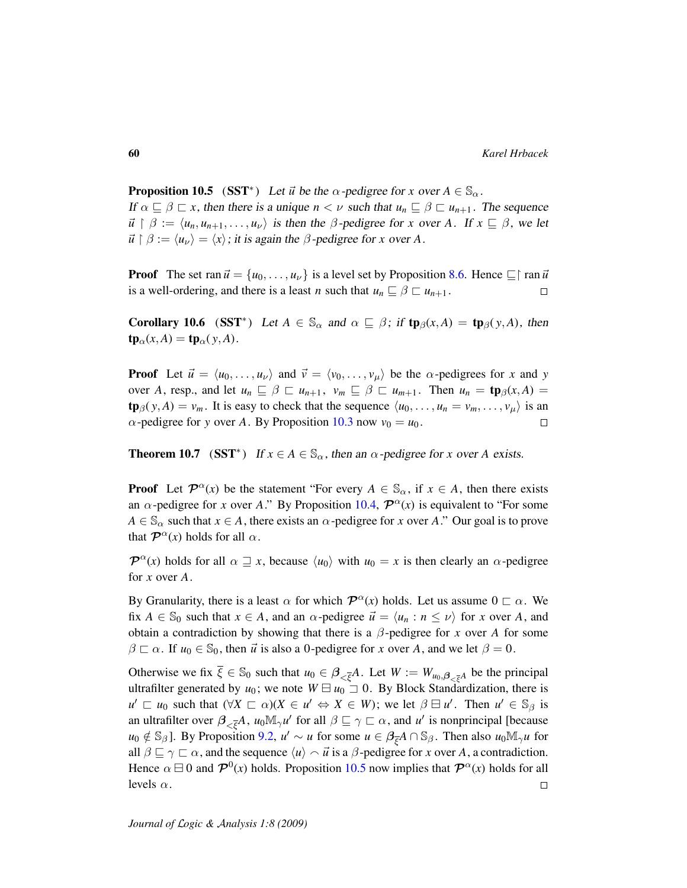<span id="page-59-0"></span>**Proposition 10.5** (SST<sup>\*</sup>) Let  $\vec{u}$  be the  $\alpha$ -pedigree for *x* over  $A \in \mathbb{S}_{\alpha}$ . If  $\alpha \subseteq \beta \subseteq x$ , then there is a unique  $n < \nu$  such that  $u_n \subseteq \beta \subseteq u_{n+1}$ . The sequence  $\vec{u} \restriction \beta := \langle u_n, u_{n+1}, \ldots, u_{\nu} \rangle$  is then the  $\beta$ -pedigree for *x* over *A*. If  $x \sqsubseteq \beta$ , we let  $\vec{u} \restriction \beta := \langle u_{\nu} \rangle = \langle x \rangle$ ; it is again the  $\beta$ -pedigree for *x* over *A*.

**Proof** The set ran  $\vec{u} = \{u_0, \ldots, u_\nu\}$  is a level set by Proposition [8.6.](#page-51-0) Hence  $\equiv$   $\mid$  ran  $\vec{u}$ is a well-ordering, and there is a least *n* such that  $u_n \subseteq \beta \subseteq u_{n+1}$ .  $\Box$ 

<span id="page-59-2"></span>**Corollary 10.6** (SST<sup>\*</sup>) Let  $A \in \mathbb{S}_{\alpha}$  and  $\alpha \subseteq \beta$ ; if  $\text{tp}_{\beta}(x, A) = \text{tp}_{\beta}(y, A)$ , then  $\mathbf{tp}_{\alpha}(x, A) = \mathbf{tp}_{\alpha}(y, A).$ 

**Proof** Let  $\vec{u} = \langle u_0, \ldots, u_\nu \rangle$  and  $\vec{v} = \langle v_0, \ldots, v_\mu \rangle$  be the  $\alpha$ -pedigrees for *x* and *y* over *A*, resp., and let  $u_n \subseteq \beta \subseteq u_{n+1}$ ,  $v_m \subseteq \beta \subseteq u_{m+1}$ . Then  $u_n = \text{tp}_{\beta}(x, A) =$  $\text{tp}_{\beta}(y, A) = v_m$ . It is easy to check that the sequence  $\langle u_0, \ldots, u_n = v_m, \ldots, v_\mu \rangle$  is an  $\alpha$ -pedigree for *y* over *A*. By Proposition [10.3](#page-57-2) now  $v_0 = u_0$ .  $\Box$ 

<span id="page-59-1"></span>**Theorem 10.7** (SST<sup>\*</sup>) If  $x \in A \in \mathbb{S}_{\alpha}$ , then an  $\alpha$ -pedigree for *x* over *A* exists.

**Proof** Let  $\mathcal{P}^{\alpha}(x)$  be the statement "For every  $A \in \mathbb{S}_{\alpha}$ , if  $x \in A$ , then there exists an  $\alpha$ -pedigree for *x* over *A*." By Proposition [10.4,](#page-58-0)  $\mathcal{P}^{\alpha}(x)$  is equivalent to "For some  $A \in \mathbb{S}_{\alpha}$  such that  $x \in A$ , there exists an  $\alpha$ -pedigree for *x* over *A*." Our goal is to prove that  $\mathcal{P}^{\alpha}(x)$  holds for all  $\alpha$ .

 $\mathcal{P}^{\alpha}(x)$  holds for all  $\alpha \supseteq x$ , because  $\langle u_0 \rangle$  with  $u_0 = x$  is then clearly an  $\alpha$ -pedigree for *x* over *A*.

By Granularity, there is a least  $\alpha$  for which  $\mathcal{P}^{\alpha}(x)$  holds. Let us assume  $0 \sqsubset \alpha$ . We fix  $A \in \mathbb{S}_0$  such that  $x \in A$ , and an  $\alpha$ -pedigree  $\vec{u} = \langle u_n : n \leq \nu \rangle$  for x over A, and obtain a contradiction by showing that there is a  $\beta$ -pedigree for *x* over *A* for some  $\beta \sqsubset \alpha$ . If  $u_0 \in \mathbb{S}_0$ , then  $\vec{u}$  is also a 0-pedigree for *x* over *A*, and we let  $\beta = 0$ .

Otherwise we fix  $\overline{\xi} \in \mathbb{S}_0$  such that  $u_0 \in \beta_{\leq \overline{\xi}}A$ . Let  $W := W_{u_0, \beta_{\leq \overline{\xi}}A}$  be the principal ultrafilter generated by  $u_0$ ; we note  $W \boxminus u_0 \supseteq 0$ . By Block Standardization, there is  $u' \sqsubset u_0$  such that  $(\forall X \sqsubset \alpha)(X \in u' \Leftrightarrow X \in W)$ ; we let  $\beta \sqsubset u'$ . Then  $u' \in \mathbb{S}_{\beta}$  is an ultrafilter over  $\beta_{\leq \bar{\xi}}A$ ,  $u_0 \mathbb{M}_{\gamma} u'$  for all  $\beta \sqsubseteq \gamma \sqsubset \alpha$ , and  $u'$  is nonprincipal [because  $u_0 \notin \mathbb{S}_{\beta}$ ]. By Proposition [9.2,](#page-52-1)  $u' \sim u$  for some  $u \in \beta_{\overline{\xi}}A \cap \mathbb{S}_{\beta}$ . Then also  $u_0 \mathbb{M}_{\gamma} u$  for all  $\beta \sqsubseteq \gamma \sqsubset \alpha$ , and the sequence  $\langle u \rangle \sim \vec{u}$  is a  $\beta$ -pedigree for *x* over *A*, a contradiction. Hence  $\alpha \boxminus 0$  and  $\mathcal{P}^0(x)$  holds. Proposition [10.5](#page-59-0) now implies that  $\mathcal{P}^{\alpha}(x)$  holds for all levels  $\alpha$ .  $\Box$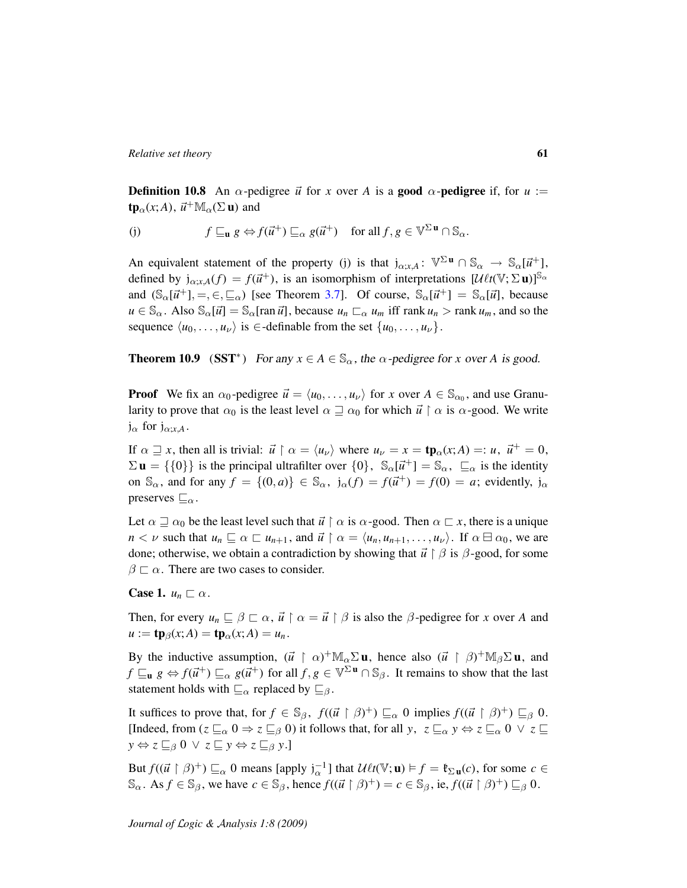**Definition 10.8** An  $\alpha$ -pedigree  $\vec{u}$  for x over A is a **good**  $\alpha$ -**pedigree** if, for  $u :=$  $\t**tp**<sub>\alpha</sub>(x; A),  $\vec{u}^+ \mathbb{M}_{\alpha}(\Sigma \mathbf{u})$  and$ 

(j) 
$$
f \sqsubseteq_{\mathbf{u}} g \Leftrightarrow f(\vec{u}^+) \sqsubseteq_{\alpha} g(\vec{u}^+) \text{ for all } f, g \in \mathbb{V}^{\Sigma \mathbf{u}} \cap \mathbb{S}_{\alpha}.
$$

An equivalent statement of the property (j) is that  $j_{\alpha;x,A}$ :  $\mathbb{V}^{\Sigma \mathbf{u}} \cap \mathbb{S}_{\alpha} \to \mathbb{S}_{\alpha}[\vec{u}^+]$ , defined by  $j_{\alpha;x,A}(f) = f(\vec{u}^+)$ , is an isomorphism of interpretations  $[\mathcal{U} \ell t(\nabla;\Sigma \mathbf{u})]$ <sup>S<sub>α</sub></sup> and  $(\mathbb{S}_{\alpha}[\vec{u}^+], =, \in, \sqsubseteq_{\alpha})$  [see Theorem [3.7\]](#page-20-0). Of course,  $\mathbb{S}_{\alpha}[\vec{u}^+] = \mathbb{S}_{\alpha}[\vec{u}]$ , because  $u \in \mathbb{S}_{\alpha}$ . Also  $\mathbb{S}_{\alpha}[\vec{u}] = \mathbb{S}_{\alpha}[\text{ran } \vec{u}]$ , because  $u_n \square_{\alpha} u_m$  iff rank  $u_n > \text{rank } u_m$ , and so the sequence  $\langle u_0, \ldots, u_\nu \rangle$  is ∈-definable from the set  $\{u_0, \ldots, u_\nu\}.$ 

<span id="page-60-0"></span>**Theorem 10.9** (SST<sup>\*</sup>) For any  $x \in A \in \mathbb{S}_{\alpha}$ , the  $\alpha$ -pedigree for *x* over *A* is good.

**Proof** We fix an  $\alpha_0$ -pedigree  $\vec{u} = \langle u_0, \dots, u_\nu \rangle$  for *x* over  $A \in \mathbb{S}_{\alpha_0}$ , and use Granularity to prove that  $\alpha_0$  is the least level  $\alpha \sqsupseteq \alpha_0$  for which  $\vec{u} \restriction \alpha$  is  $\alpha$ -good. We write  $j_{\alpha}$  for  $j_{\alpha; x, A}$ .

If  $\alpha \supseteq x$ , then all is trivial:  $\vec{u} \restriction \alpha = \langle u_{\nu} \rangle$  where  $u_{\nu} = x = \text{tp}_{\alpha}(x; A) =: u, \ \vec{u}^{+} = 0$ ,  $\Sigma$ **u** = {{0}} is the principal ultrafilter over {0},  $\mathbb{S}_{\alpha}[\vec{u}^+] = \mathbb{S}_{\alpha}$ ,  $\sqsubseteq_{\alpha}$  is the identity on  $\mathbb{S}_{\alpha}$ , and for any  $f = \{(0, a)\}\in \mathbb{S}_{\alpha}$ ,  $j_{\alpha}(f) = f(\vec{u}^+) = f(0) = a$ ; evidently,  $j_{\alpha}$ preserves  $\sqsubseteq_{\alpha}$ .

Let  $\alpha \sqsupseteq \alpha_0$  be the least level such that  $\vec{u} \restriction \alpha$  is  $\alpha$ -good. Then  $\alpha \sqsubset x$ , there is a unique  $n < \nu$  such that  $u_n \subseteq \alpha \subseteq u_{n+1}$ , and  $\vec{u} \restriction \alpha = \langle u_n, u_{n+1}, \ldots, u_{\nu} \rangle$ . If  $\alpha \sqcup \alpha_0$ , we are done; otherwise, we obtain a contradiction by showing that  $\vec{u} \restriction \beta$  is  $\beta$ -good, for some  $\beta \sqsubset \alpha$ . There are two cases to consider.

**Case 1.**  $u_n \sqsubset \alpha$ .

Then, for every  $u_n \sqsubseteq \beta \sqsubset \alpha$ ,  $\vec{u} \restriction \alpha = \vec{u} \restriction \beta$  is also the  $\beta$ -pedigree for *x* over *A* and  $u := \mathbf{tp}_{\beta}(x; A) = \mathbf{tp}_{\alpha}(x; A) = u_n$ .

By the inductive assumption,  $(\vec{u} \restriction \alpha)^+ \mathbb{M}_\alpha \Sigma \mathbf{u}$ , hence also  $(\vec{u} \restriction \beta)^+ \mathbb{M}_\beta \Sigma \mathbf{u}$ , and  $f \sqsubseteq_u g \Leftrightarrow f(\vec{u}^+) \sqsubseteq_\alpha g(\vec{u}^+)$  for all  $f, g \in \mathbb{V}^{\Sigma \mathbf{u}} \cap \mathbb{S}_\beta$ . It remains to show that the last statement holds with  $\sqsubseteq_{\alpha}$  replaced by  $\sqsubseteq_{\beta}$ .

It suffices to prove that, for  $f \in \mathbb{S}_{\beta}$ ,  $f((\vec{u} \restriction \beta)^+) \sqsubseteq_{\alpha} 0$  implies  $f((\vec{u} \restriction \beta)^+) \sqsubseteq_{\beta} 0$ . [Indeed, from  $(z \sqsubseteq_{\alpha} 0 \Rightarrow z \sqsubseteq_{\beta} 0)$  it follows that, for all *y*,  $z \sqsubseteq_{\alpha} y \Leftrightarrow z \sqsubseteq_{\alpha} 0 \lor z \sqsubseteq$  $y \Leftrightarrow z \sqsubseteq_{\beta} 0 \lor z \sqsubseteq y \Leftrightarrow z \sqsubseteq_{\beta} y.$ 

But  $f((\vec{u} \restriction \beta)^+) \sqsubseteq_{\alpha} 0$  means [apply  $j_{\alpha}^{-1}$ ] that  $\mathcal{U}\ell t(\mathbb{V}; \mathbf{u}) \models f = \mathfrak{k}_{\Sigma \mathbf{u}}(c)$ , for some  $c \in$  $\mathbb{S}_{\alpha}$ . As  $f \in \mathbb{S}_{\beta}$ , we have  $c \in \mathbb{S}_{\beta}$ , hence  $f((\vec{u} \restriction \beta)^+) = c \in \mathbb{S}_{\beta}$ , ie,  $f((\vec{u} \restriction \beta)^+) \sqsubseteq_{\beta} 0$ .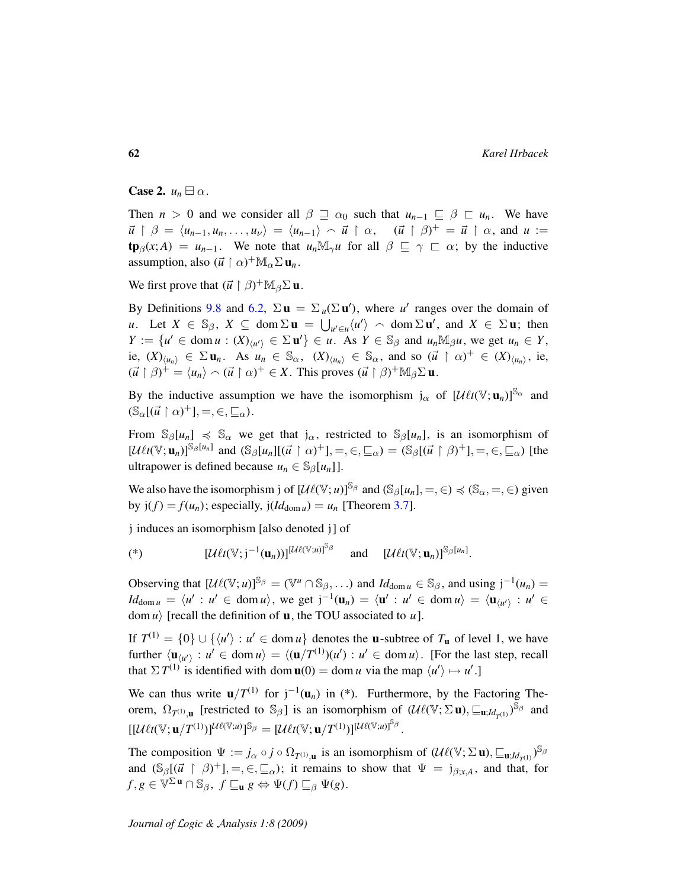Case 2.  $u_n \boxminus \alpha$ .

Then  $n > 0$  and we consider all  $\beta \supseteq \alpha_0$  such that  $u_{n-1} \subseteq \beta \supseteq u_n$ . We have  $\vec{u} \restriction \beta = \langle u_{n-1}, u_n, \ldots, u_{\nu} \rangle = \langle u_{n-1} \rangle \sim \vec{u} \restriction \alpha, \quad (\vec{u} \restriction \beta)^{+} = \vec{u} \restriction \alpha, \text{ and } u :=$  $\text{tp}_{\beta}(x; A) = u_{n-1}$ . We note that  $u_n M_\gamma u$  for all  $\beta \subseteq \gamma \subseteq \alpha$ ; by the inductive assumption, also  $(\vec{u} \restriction \alpha)^+ \mathbb{M}_\alpha \Sigma \mathbf{u}_n$ .

We first prove that  $(\vec{u} \restriction \beta)^+ \mathbb{M}_{\beta} \Sigma \mathbf{u}$ .

By Definitions [9.8](#page-55-0) and [6.2,](#page-36-1)  $\Sigma \mathbf{u} = \Sigma_u(\Sigma \mathbf{u}')$ , where *u'* ranges over the domain of *u*. Let  $X \in \mathbb{S}_{\beta}$ ,  $X \subseteq \text{dom } \Sigma \mathbf{u} = \bigcup_{u' \in \mathcal{u}} \langle u' \rangle \sim \text{dom } \Sigma \mathbf{u}'$ , and  $X \in \Sigma \mathbf{u}$ ; then  $Y := \{u' \in \text{dom } u : (X)_{\langle u' \rangle} \in \Sigma \mathbf{u}'\} \in u$ . As  $Y \in \mathbb{S}_{\beta}$  and  $u_n \mathbb{M}_{\beta} u$ , we get  $u_n \in Y$ , ie,  $(X)_{\langle u_n \rangle} \in \Sigma \mathbf{u}_n$ . As  $u_n \in \mathbb{S}_{\alpha}$ ,  $(X)_{\langle u_n \rangle} \in \mathbb{S}_{\alpha}$ , and so  $(\vec{u} \restriction \alpha)^+ \in (X)_{\langle u_n \rangle}$ , ie,  $(\vec{u} \restriction \beta)^+ = \langle u_n \rangle \sim (\vec{u} \restriction \alpha)^+ \in X$ . This proves  $(\vec{u} \restriction \beta)^+ \mathbb{M}_{\beta} \Sigma \mathbf{u}$ .

By the inductive assumption we have the isomorphism  $j_{\alpha}$  of  $[\mathcal{U} \ell t(\mathbb{V}; \mathbf{u}_n)]^{\mathbb{S}_{\alpha}}$  and  $(\mathbb{S}_{\alpha}[(\vec{u} \restriction \alpha)^{+}], =, \in, \sqsubseteq_{\alpha}).$ 

From  $\mathbb{S}_{\beta}[u_n] \preccurlyeq \mathbb{S}_{\alpha}$  we get that  $j_{\alpha}$ , restricted to  $\mathbb{S}_{\beta}[u_n]$ , is an isomorphism of  $[\mathcal{U}\ell t(\mathbb{V}; \mathbf{u}_n)]^{\mathbb{S}_{\beta}[u_n]}$  and  $(\mathbb{S}_{\beta}[u_n][(\vec{u} \restriction \alpha)^+] = \infty, \subseteq_{\alpha}) = (\mathbb{S}_{\beta}[(\vec{u} \restriction \beta)^+] = \infty, \subseteq_{\alpha})$  [the ultrapower is defined because  $u_n \in \mathbb{S}_{\beta}[u_n]$ .

We also have the isomorphism j of  $[\mathcal{U}\ell(\mathbb{V}; u)]^{\mathbb{S}_{\beta}}$  and  $(\mathbb{S}_{\beta}[u_n], =, \in) \preccurlyeq (\mathbb{S}_{\alpha}, =, \in)$  given by  $j(f) = f(u_n)$ ; especially,  $j(Id_{\text{dom } u}) = u_n$  [Theorem [3.7\]](#page-20-0).

j induces an isomorphism [also denoted j] of

$$
(*)\qquad \qquad [\mathcal{U}\ell t(\mathbb{V};j^{-1}(\mathbf{u}_n))]^{[\mathcal{U}\ell(\mathbb{V};\mu)]^{\mathbb{S}_{\beta}}}\quad \text{and}\quad [\mathcal{U}\ell t(\mathbb{V};\mathbf{u}_n)]^{\mathbb{S}_{\beta}[u_n]}.
$$

Observing that  $[\mathcal{U}\ell(\mathbb{V};u)]^{\mathbb{S}_{\beta}} = (\mathbb{V}^u \cap \mathbb{S}_{\beta}, \ldots)$  and  $Id_{\text{dom } u} \in \mathbb{S}_{\beta}$ , and using  $j^{-1}(u_n) =$  $Id_{\text{dom } u} = \langle u' : u' \in \text{dom } u \rangle$ , we get  $j^{-1}(u_n) = \langle u' : u' \in \text{dom } u \rangle = \langle u_{\langle u' \rangle} : u' \in$ dom  $u$ <sup>l</sup> [recall the definition of **u**, the TOU associated to  $u$ ].

If  $T^{(1)} = \{0\} \cup \{\langle u' \rangle : u' \in \text{dom } u\}$  denotes the **u**-subtree of  $T_u$  of level 1, we have further  $\langle \mathbf{u}_{\langle u' \rangle} : u' \in \text{dom } u \rangle = \langle (\mathbf{u}/T^{(1)})(u') : u' \in \text{dom } u \rangle$ . [For the last step, recall that  $\Sigma T^{(1)}$  is identified with dom  $\mathbf{u}(0) = \text{dom } u$  via the map  $\langle u' \rangle \mapsto u'$ .]

We can thus write  $\mathbf{u}/T^{(1)}$  for  $j^{-1}(\mathbf{u}_n)$  in (\*). Furthermore, by the Factoring Theorem,  $\Omega_{T^{(1)},\mathbf{u}}$  [restricted to  $\mathbb{S}_{\beta}$ ] is an isomorphism of  $(\mathcal{U}\ell(\mathbb{V}; \Sigma \mathbf{u}), \sqsubseteq_{\mathbf{u};Id_{T^{(1)}}})^{\mathbb{S}_{\beta}}$  and  $[[\mathcal{U}\ell t(\mathbb{V};\mathbf{u}/T^{(1)})]^{\mathcal{U}\ell(\mathbb{V};\mathbf{u})}]^{\mathbb{S}_{\beta}} = [\mathcal{U}\ell t(\mathbb{V};\mathbf{u}/T^{(1)})]^{\mathbb{U}\ell(\mathbb{V};\mathbf{u})}]^{\mathbb{S}_{\beta}}.$ 

The composition  $\Psi := j_\alpha \circ j \circ \Omega_{T^{(1)}, \mathbf{u}}$  is an isomorphism of  $(\mathcal{U}\ell(\mathbb{V}; \Sigma \mathbf{u}), \sqsubseteq_{\mathbf{u}; \mathcal{U}_{T^{(1)}}})^{\mathbb{S}_{\beta}}$ and  $(\mathbb{S}_{\beta}[(\vec{u} \restriction \beta)^+] = , \in , \subseteq_{\alpha})$ ; it remains to show that  $\Psi = j_{\beta; x, A}$ , and that, for  $f, g \in \mathbb{V}^{\Sigma}$ **u**  $\cap$   $\mathbb{S}_{\beta}$ ,  $f \sqsubseteq_{\mathbf{u}} g \Leftrightarrow \Psi(f) \sqsubseteq_{\beta} \Psi(g)$ .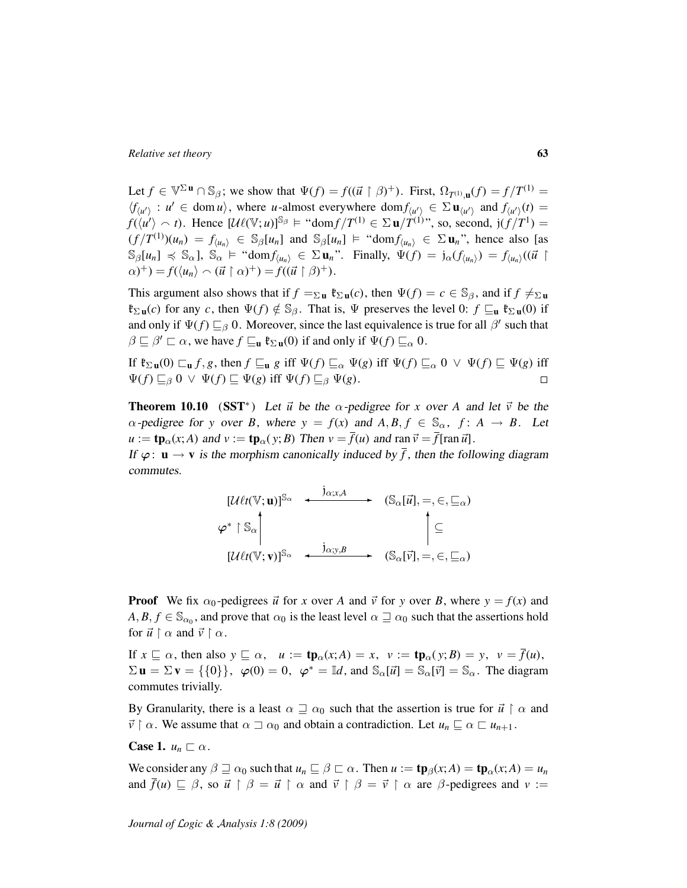Let  $f \in \mathbb{V}^{\Sigma}$ **u**  $\cap$   $\mathbb{S}_{\beta}$ ; we show that  $\Psi(f) = f((\vec{u} \restriction \beta)^{+})$ . First,  $\Omega_{T^{(1)},\mathbf{u}}(f) = f/T^{(1)}$  $\langle f_{\langle u' \rangle} : u' \in \text{dom } u \rangle$ , where *u*-almost everywhere dom  $f_{\langle u' \rangle} \in \Sigma \mathbf{u}_{\langle u' \rangle}$  and  $f_{\langle u' \rangle}(t) =$  $f(\langle u' \rangle \sim t)$ . Hence  $[\mathcal{U}\ell(\mathbb{V};u)]^{\mathbb{S}_{\beta}} \models \text{``dom}f/T^{(1)} \in \Sigma \mathbf{u}/T^{(1)}$ ", so, second,  $\text{j}(f/T^1) =$  $(f/T^{(1)})(u_n) = f_{\langle u_n \rangle} \in \mathbb{S}_{\beta}[u_n]$  and  $\mathbb{S}_{\beta}[u_n] \models \text{``dom} f_{\langle u_n \rangle} \in \Sigma \mathbf{u}_n$ ", hence also [as  $\mathbb{S}_{\beta}[u_n] \preccurlyeq \mathbb{S}_{\alpha}$ ,  $\mathbb{S}_{\alpha} \models \text{``dom} f_{\langle u_n \rangle} \in \Sigma \mathbf{u}_n$ ". Finally,  $\Psi(f) = \mathfrak{j}_{\alpha}(f_{\langle u_n \rangle}) = f_{\langle u_n \rangle}((\vec{u} \restriction \mathbb{S}_{\alpha}))$  $(\alpha)^+$ ) =  $f(\langle u_n \rangle \cap (\vec{u} \restriction \alpha)^+) = f((\vec{u} \restriction \beta)^+).$ 

This argument also shows that if  $f = \Sigma u$   $\mathfrak{k}_{\Sigma} u(c)$ , then  $\Psi(f) = c \in \mathbb{S}_{\beta}$ , and if  $f \neq \Sigma u$  $\mathfrak{k}_{\Sigma \mathbf{u}}(c)$  for any *c*, then  $\Psi(f) \notin \mathbb{S}_{\beta}$ . That is,  $\Psi$  preserves the level 0:  $f \sqsubseteq_{\mathbf{u}} \mathfrak{k}_{\Sigma \mathbf{u}}(0)$  if and only if  $\Psi(f) \sqsubseteq_{\beta} 0$ . Moreover, since the last equivalence is true for all  $\beta'$  such that  $\beta \sqsubseteq \beta' \sqsubset \alpha$ , we have  $f \sqsubseteq_{\mathbf{u}} \mathfrak{k}_{\Sigma \mathbf{u}}(0)$  if and only if  $\Psi(f) \sqsubseteq_{\alpha} 0$ .

If  $\mathfrak{k}_{\Sigma \mathbf{u}}(0) \sqsubset_{\mathbf{u}} f, g$ , then  $f \sqsubseteq_{\mathbf{u}} g$  iff  $\Psi(f) \sqsubseteq_{\alpha} \Psi(g)$  iff  $\Psi(f) \sqsubseteq_{\alpha} 0 \vee \Psi(f) \sqsubseteq \Psi(g)$  iff  $\Psi(f) \sqsubseteq_{\beta} 0 \vee \Psi(f) \sqsubseteq \Psi(g)$  iff  $\Psi(f) \sqsubseteq_{\beta} \Psi(g)$ .  $\Box$ 

<span id="page-62-0"></span>**Theorem 10.10** (SST<sup>\*</sup>) Let  $\vec{u}$  be the  $\alpha$ -pedigree for *x* over *A* and let  $\vec{v}$  be the  $\alpha$ -pedigree for *y* over *B*, where  $y = f(x)$  and  $A, B, f \in \mathbb{S}_{\alpha}$ ,  $f: A \rightarrow B$ . Let  $u := \mathbf{tp}_{\alpha}(x; A)$  and  $v := \mathbf{tp}_{\alpha}(y; B)$  Then  $v = \overline{f}(u)$  and ran  $\overrightarrow{v} = \overline{f}[\text{ran } \overrightarrow{u}]$ .

If  $\varphi: \mathbf{u} \to \mathbf{v}$  is the morphism canonically induced by  $\bar{f}$ , then the following diagram commutes.

$$
\begin{array}{ccc}\n[U\ell t(\mathbb{V};\mathbf{u})]^{\mathbb{S}_{\alpha}} & \xrightarrow{\mathbf{j}_{\alpha;x,A}} & (\mathbb{S}_{\alpha}[\vec{u}], =, \in, \sqsubseteq_{\alpha}) \\
\varphi^* \upharpoonright \mathbb{S}_{\alpha} & & \upharpoonright \subseteq \\
[U\ell t(\mathbb{V};\mathbf{v})]^{\mathbb{S}_{\alpha}} & \xrightarrow{\mathbf{j}_{\alpha;y,B}} & (\mathbb{S}_{\alpha}[\vec{v}], =, \in, \sqsubseteq_{\alpha})\n\end{array}
$$

**Proof** We fix  $\alpha_0$ -pedigrees  $\vec{u}$  for *x* over *A* and  $\vec{v}$  for *y* over *B*, where  $y = f(x)$  and  $A, B, f \in \mathbb{S}_{\alpha_0}$ , and prove that  $\alpha_0$  is the least level  $\alpha \sqsupseteq \alpha_0$  such that the assertions hold for  $\vec{u} \restriction \alpha$  and  $\vec{v} \restriction \alpha$ .

If  $x \sqsubseteq \alpha$ , then also  $y \sqsubseteq \alpha$ ,  $u := \mathbf{tp}_{\alpha}(x; A) = x$ ,  $v := \mathbf{tp}_{\alpha}(y; B) = y$ ,  $v = \overline{f}(u)$ ,  $\Sigma$ **u** =  $\Sigma$ **v** = {{0}},  $\varphi(0) = 0$ ,  $\varphi^* = \mathbb{I}d$ , and  $\mathbb{S}_{\alpha}[\vec{u}] = \mathbb{S}_{\alpha}[\vec{v}] = \mathbb{S}_{\alpha}$ . The diagram commutes trivially.

By Granularity, there is a least  $\alpha \supseteq \alpha_0$  such that the assertion is true for  $\vec{u} \upharpoonright \alpha$  and  $\vec{v} \restriction \alpha$ . We assume that  $\alpha \supset \alpha_0$  and obtain a contradiction. Let  $u_n \sqsubseteq \alpha \sqsubset u_{n+1}$ .

**Case 1.**  $u_n \sqsubset \alpha$ .

We consider any  $\beta \supseteq \alpha_0$  such that  $u_n \subseteq \beta \subset \alpha$ . Then  $u := \text{tp}_{\beta}(x; A) = \text{tp}_{\alpha}(x; A) = u_n$ and  $\bar{f}(u) \sqsubseteq \beta$ , so  $\vec{u} \upharpoonright \beta = \vec{u} \upharpoonright \alpha$  and  $\vec{v} \upharpoonright \beta = \vec{v} \upharpoonright \alpha$  are  $\beta$ -pedigrees and  $v :=$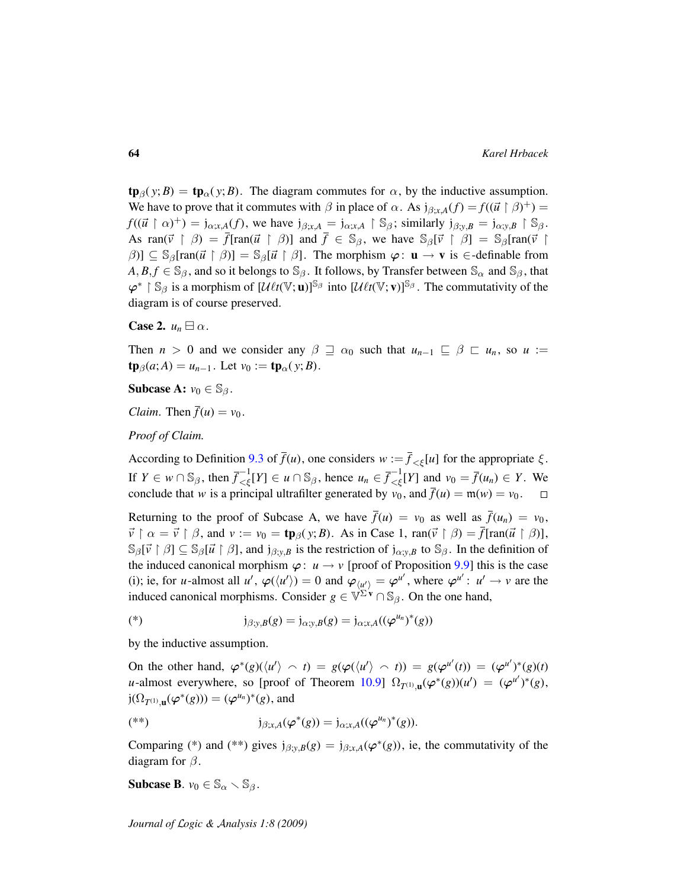$\text{tp}_{\beta}(y;B) = \text{tp}_{\alpha}(y;B)$ . The diagram commutes for  $\alpha$ , by the inductive assumption. We have to prove that it commutes with  $\beta$  in place of  $\alpha$ . As  $j_{\beta; x, A}(f) = f((\vec{u} \restriction \beta)^+) =$  $f((\vec{u} \restriction \alpha)^+) = \mathfrak{j}_{\alpha;x,A}(f)$ , we have  $\mathfrak{j}_{\beta;x,A} = \mathfrak{j}_{\alpha;x,A} \restriction \mathbb{S}_{\beta}$ ; similarly  $\mathfrak{j}_{\beta;y,B} = \mathfrak{j}_{\alpha;y,B} \restriction \mathbb{S}_{\beta}$ . As ran( $\vec{v}$  |  $\beta$ ) =  $\bar{f}$ [ran( $\vec{u}$  |  $\beta$ )] and  $\bar{f} \in S_{\beta}$ , we have  $S_{\beta}[\vec{v} \mid \beta] = S_{\beta}$ [ran( $\vec{v}$  |  $[\beta]$ ]  $\subseteq$  S<sub>β</sub>[ran( $\vec{u} \restriction \beta$ ] = S<sub>β</sub>[ $\vec{u} \restriction \beta$ ]. The morphism  $\varphi:$  **u**  $\rightarrow$  **v** is  $\in$ -definable from  $A, B, f \in \mathbb{S}_{\beta}$ , and so it belongs to  $\mathbb{S}_{\beta}$ . It follows, by Transfer between  $\mathbb{S}_{\alpha}$  and  $\mathbb{S}_{\beta}$ , that  $\varphi^*$  | S<sub>β</sub> is a morphism of  $[\mathcal{U}\ell t(\mathbb{V};\mathbf{u})]^{\mathbb{S}_{\beta}}$  into  $[\mathcal{U}\ell t(\mathbb{V};\mathbf{v})]^{\mathbb{S}_{\beta}}$ . The commutativity of the diagram is of course preserved.

**Case 2.**  $u_n \boxminus \alpha$ .

Then  $n > 0$  and we consider any  $\beta \supseteq \alpha_0$  such that  $u_{n-1} \subseteq \beta \subseteq u_n$ , so  $u :=$  $\t**tp**<sub>\beta</sub>(a; A) = u<sub>n-1</sub>$ . Let  $v_0 := **tp**<sub>\alpha</sub>(y; B)$ .

**Subcase A:**  $v_0 \in \mathbb{S}_{\beta}$ .

*Claim.* Then  $\bar{f}(u) = v_0$ .

*Proof of Claim.*

According to Definition [9.3](#page-53-1) of  $\bar{f}(u)$ , one considers  $w := \bar{f}_{\leq \xi}[u]$  for the appropriate  $\xi$ . If  $Y \in w \cap \mathbb{S}_{\beta}$ , then  $\overline{f}_{\leq \xi}^{-1}[Y] \in u \cap \mathbb{S}_{\beta}$ , hence  $u_n \in \overline{f}_{\leq \xi}^{-1}[Y]$  and  $v_0 = \overline{f}(u_n) \in Y$ . We conclude that *w* is a principal ultrafilter generated by  $v_0$ , and  $\bar{f}(u) = \mathfrak{m}(w) = v_0$ .

Returning to the proof of Subcase A, we have  $\bar{f}(u) = v_0$  as well as  $\bar{f}(u_n) = v_0$ ,  $\vec{v} \restriction \alpha = \vec{v} \restriction \beta$ , and  $v := v_0 = \text{tp}_\beta(y; B)$ . As in Case 1,  $\text{ran}(\vec{v} \restriction \beta) = \overline{f}[\text{ran}(\vec{u} \restriction \beta)]$ ,  $\mathbb{S}_{\beta}[\vec{v} \restriction \beta] \subseteq \mathbb{S}_{\beta}[\vec{u} \restriction \beta]$ , and  $j_{\beta;v,B}$  is the restriction of  $j_{\alpha;v,B}$  to  $\mathbb{S}_{\beta}$ . In the definition of the induced canonical morphism  $\varphi: u \to v$  [proof of Proposition [9.9\]](#page-55-1) this is the case (i); ie, for *u*-almost all *u'*,  $\varphi(\langle u' \rangle) = 0$  and  $\varphi_{\langle u' \rangle} = \varphi^{u'}$ , where  $\varphi^{u'} : u' \to v$  are the induced canonical morphisms. Consider  $g \in \mathbb{V}^{\Sigma' \mathbf{v}} \cap \mathbb{S}_{\beta}$ . On the one hand,

(\*) 
$$
j_{\beta; y, B}(g) = j_{\alpha; y, B}(g) = j_{\alpha; x, A}((\varphi^{u_n})^*(g))
$$

by the inductive assumption.

On the other hand,  $\varphi^*(g)(\langle u' \rangle \land t) = g(\varphi(\langle u' \rangle \land t)) = g(\varphi^{u'}(t)) = (\varphi^{u'})^*(g)(t)$ *u*-almost everywhere, so [proof of Theorem [10.9\]](#page-60-0)  $\Omega_{T^{(1)},\mathbf{u}}(\varphi^*(g))(u') = (\varphi^{u'})^*(g)$ ,  $j(\Omega_{T^{(1)},\mathbf{u}}(\varphi^*(g))) = (\varphi^{u_n})^*(g)$ , and

$$
(*)\qquad j_{\beta;x,A}(\varphi^*(g)) = j_{\alpha;x,A}((\varphi^{u_n})^*(g)).
$$

Comparing (\*) and (\*\*) gives  $j_{\beta; y, \beta}(g) = j_{\beta; x, A}(\varphi^*(g))$ , ie, the commutativity of the diagram for  $\beta$ .

**Subcase B.**  $v_0 \in \mathbb{S}_\alpha \setminus \mathbb{S}_\beta$ .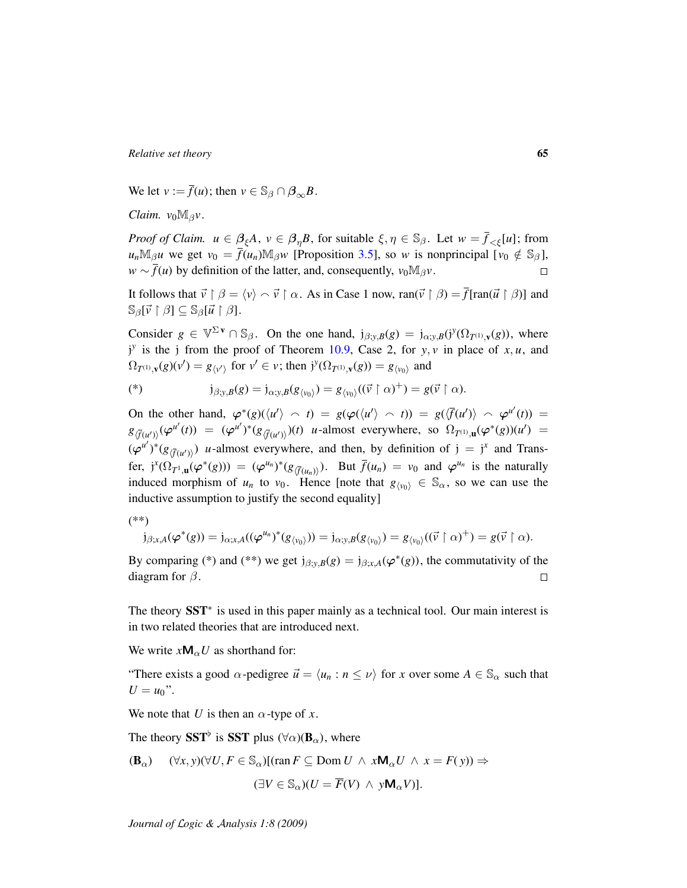We let  $v := \overline{f}(u)$ ; then  $v \in \mathbb{S}_{\beta} \cap \beta_{\infty}B$ .

*Claim.*  $v_0M_\beta v$ .

*Proof of Claim.*  $u \in \beta_{\xi}A$ ,  $v \in \beta_{\eta}B$ , for suitable  $\xi, \eta \in \mathbb{S}_{\beta}$ . Let  $w = \overline{f}_{\leq \xi}[u]$ ; from  $u_n \mathbb{M}_{\beta} u$  we get  $v_0 = \overline{f}(u_n) \mathbb{M}_{\beta} w$  [Proposition [3.5\]](#page-20-1), so *w* is nonprincipal [ $v_0 \notin \mathbb{S}_{\beta}$ ],  $w \sim \overline{f}(u)$  by definition of the latter, and, consequently,  $v_0 M_\beta v$ .  $\Box$ 

It follows that  $\vec{v} \restriction \beta = \langle v \rangle \land \vec{v} \restriction \alpha$ . As in Case 1 now, ran( $\vec{v} \restriction \beta$ ) =  $\overline{f}$ [ran( $\vec{u} \restriction \beta$ )] and  $\mathbb{S}_{\beta}[\vec{v} \restriction \beta] \subseteq \mathbb{S}_{\beta}[\vec{u} \restriction \beta].$ 

Consider  $g \in \mathbb{V}^{\Sigma \mathbf{v}} \cap \mathbb{S}_{\beta}$ . On the one hand,  $j_{\beta; y, \beta}(g) = j_{\alpha; y, \beta}(j^y(\Omega_{T^{(1)}, \mathbf{v}}(g)),$  where  $j^y$  is the j from the proof of Theorem [10.9,](#page-60-0) Case 2, for *y*, *v* in place of *x*, *u*, and  $\Omega_{T^{(1)},\mathbf{v}}(g)(v') = g_{\langle v' \rangle}$  for  $v' \in v$ ; then  $\mathfrak{j}^{y}(\Omega_{T^{(1)},\mathbf{v}}(g)) = g_{\langle v_0 \rangle}$  and

$$
(*)\qquad \qquad \mathfrak{j}_{\beta;y,B}(g)=\mathfrak{j}_{\alpha;y,B}(g_{\langle v_0\rangle})=g_{\langle v_0\rangle}((\vec{v}\upharpoonright\alpha)^+)=g(\vec{v}\upharpoonright\alpha).
$$

On the other hand,  $\varphi^*(g)(\langle u' \rangle \cap t) = g(\varphi(\langle u' \rangle \cap t)) = g(\langle \overline{f}(u') \rangle \cap \varphi^{u'}(t)) =$  $g_{\langle \bar{f}(u')\rangle}(\varphi^{u'}(t)) = (\varphi^{u'})^*(g_{\langle \bar{f}(u')\rangle})(t)$  *u*-almost everywhere, so  $\Omega_{T^{(1)},\mathbf{u}}(\varphi^*(g))(u') =$  $(\varphi^{u'})^*(g_{\langle \overline{f}(u') \rangle})$  *u*-almost everywhere, and then, by definition of  $j = j^x$  and Transfer,  $j^{x}(\Omega_{T^1,\mathbf{u}}(\varphi^*(g))) = (\varphi^{u_n})^*(g_{\langle \overline{f}(u_n) \rangle})$ . But  $\overline{f}(u_n) = v_0$  and  $\varphi^{u_n}$  is the naturally induced morphism of  $u_n$  to  $v_0$ . Hence [note that  $g_{\langle v_0 \rangle} \in \mathbb{S}_{\alpha}$ , so we can use the inductive assumption to justify the second equality]

(\*\*)

$$
j_{\beta;x,A}(\varphi^*(g)) = j_{\alpha;x,A}((\varphi^{u_n})^*(g_{\langle v_0 \rangle})) = j_{\alpha;y,B}(g_{\langle v_0 \rangle}) = g_{\langle v_0 \rangle}((\vec{v} \upharpoonright \alpha)^+) = g(\vec{v} \upharpoonright \alpha).
$$

By comparing (\*) and (\*\*) we get  $j_{\beta; y, B}(g) = j_{\beta; x, A}(\varphi^*(g))$ , the commutativity of the diagram for  $\beta$ .  $\Box$ 

The theory SST<sup>\*</sup> is used in this paper mainly as a technical tool. Our main interest is in two related theories that are introduced next.

We write  $xM_{\alpha}U$  as shorthand for:

"There exists a good  $\alpha$ -pedigree  $\vec{u} = \langle u_n : n \le \nu \rangle$  for *x* over some  $A \in \mathbb{S}_{\alpha}$  such that  $U = u_0$ ".

We note that *U* is then an  $\alpha$ -type of *x*.

The theory SST<sup>b</sup> is SST plus ( $\forall \alpha$ )( $\mathbf{B}_{\alpha}$ ), where

$$
\begin{aligned} (\mathbf{B}_{\alpha}) \quad & (\forall x, y)(\forall U, F \in \mathbb{S}_{\alpha}) \text{[}(\text{ran } F \subseteq \text{Dom } U \ \land \ x \mathbf{M}_{\alpha} U \ \land \ x = F(y) \text{]} \Rightarrow \\ & (\exists V \in \mathbb{S}_{\alpha}) (U = \overline{F}(V) \ \land \ y \mathbf{M}_{\alpha} V \text{]} \text{]} .\end{aligned}
$$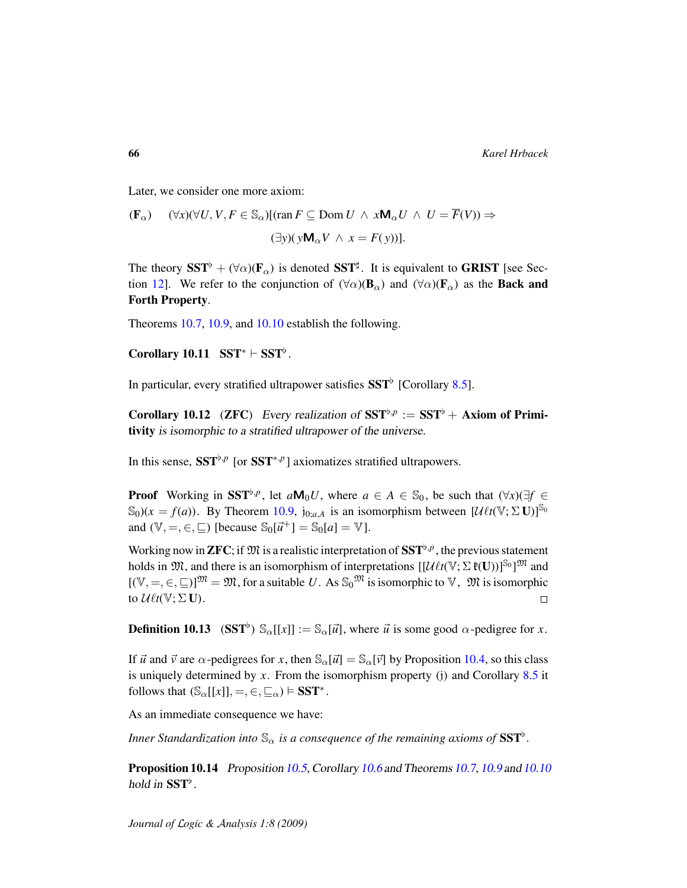Later, we consider one more axiom:

$$
\begin{aligned} (\mathbf{F}_{\alpha}) \quad & (\forall x)(\forall U, V, F \in \mathbb{S}_{\alpha}) \, \text{[}\, \text{ran}\, F \subseteq \text{Dom}\, U \ \land \ x \mathbf{M}_{\alpha} U \ \land \ U = \overline{F}(V) \text{]} \Rightarrow \\ & (\exists y)(\, y \mathbf{M}_{\alpha} V \ \land \ x = F(y) \text{]} \text{.} \end{aligned}
$$

The theory  $SST^{\flat} + (\forall \alpha)(F_{\alpha})$  is denoted  $SST^{\sharp}$ . It is equivalent to GRIST [see Sec-tion [12\]](#page-89-0). We refer to the conjunction of  $(\forall \alpha)(\mathbf{B}_{\alpha})$  and  $(\forall \alpha)(\mathbf{F}_{\alpha})$  as the **Back and** Forth Property.

Theorems [10.7,](#page-59-1) [10.9,](#page-60-0) and [10.10](#page-62-0) establish the following.

Corollary 10.11  $SST^* \vdash SST^{\flat}$ .

In particular, every stratified ultrapower satisfies  $\mathbf{SST}^{\flat}$  [Corollary [8.5\]](#page-51-1).

Corollary 10.12 (ZFC) Every realization of  $SST^{\flat,p} := SST^{\flat} + Axi$  om of Primitivity is isomorphic to a stratified ultrapower of the universe.

In this sense,  $SST^{\flat, p}$  [or  $SST^{*, p}$ ] axiomatizes stratified ultrapowers.

**Proof** Working in SST<sup> $\flat, p$ </sup>, let  $aM_0U$ , where  $a \in A \in \mathbb{S}_0$ , be such that  $(\forall x)(\exists f \in$  $\mathbb{S}_0$ )( $x = f(a)$ ). By Theorem [10.9,](#page-60-0) j<sub>0:*a,A*</sub> is an isomorphism between  $[\mathcal{U} \ell t(\mathbb{V}; \Sigma \mathbf{U})]$ <sup>S<sub>0</sub></sup> and  $(\mathbb{V}, =, \in, \sqsubseteq)$  [because  $\mathbb{S}_0[\vec{u}^+] = \mathbb{S}_0[a] = \mathbb{V}$ ].

Working now in **ZFC**; if  $\mathfrak{M}$  is a realistic interpretation of  $\mathbf{SST}^{\flat,p}$ , the previous statement holds in  $\mathfrak{M}$ , and there is an isomorphism of interpretations  $[[\mathcal{U}\ell t(\mathbb{V}; \Sigma \mathfrak{k}(U))]^{\mathbb{S}_0}]^{\mathfrak{M}}$  and  $[(\mathbb{V}, =, \in, \sqsubseteq)]^{\mathfrak{M}} = \mathfrak{M}$ , for a suitable *U*. As  $\mathbb{S}_0^{\mathfrak{M}}$  is isomorphic to  $\mathbb{V}$ ,  $\mathfrak{M}$  is isomorphic to  $\mathcal{U}\ell t(\mathbb{V}; \Sigma \mathbf{U}).$  $\Box$ 

**Definition 10.13** (SST<sup>b</sup>)  $\mathbb{S}_{\alpha}[[x]] := \mathbb{S}_{\alpha}[\vec{u}]$ , where  $\vec{u}$  is some good  $\alpha$ -pedigree for *x*.

If  $\vec{u}$  and  $\vec{v}$  are  $\alpha$ -pedigrees for *x*, then  $\mathcal{S}_{\alpha}[\vec{u}] = \mathcal{S}_{\alpha}[\vec{v}]$  by Proposition [10.4,](#page-58-0) so this class is uniquely determined by *x*. From the isomorphism property (j) and Corollary [8.5](#page-51-1) it follows that  $(\mathbb{S}_{\alpha}[[x]], =, \in, \subseteq_{\alpha}) \models \mathbf{SST}^*$ .

As an immediate consequence we have:

<span id="page-65-0"></span>*Inner Standardization into*  $\mathbb{S}_{\alpha}$  *is a consequence of the remaining axioms of*  $\mathbf{SST}^{\flat}$ .

Proposition 10.14 Proposition [10.5,](#page-59-0) Corollary [10.6](#page-59-2) and Theorems [10.7,](#page-59-1) [10.9](#page-60-0) and [10.10](#page-62-0) hold in  $\mathbf{SST}^{\flat}$  .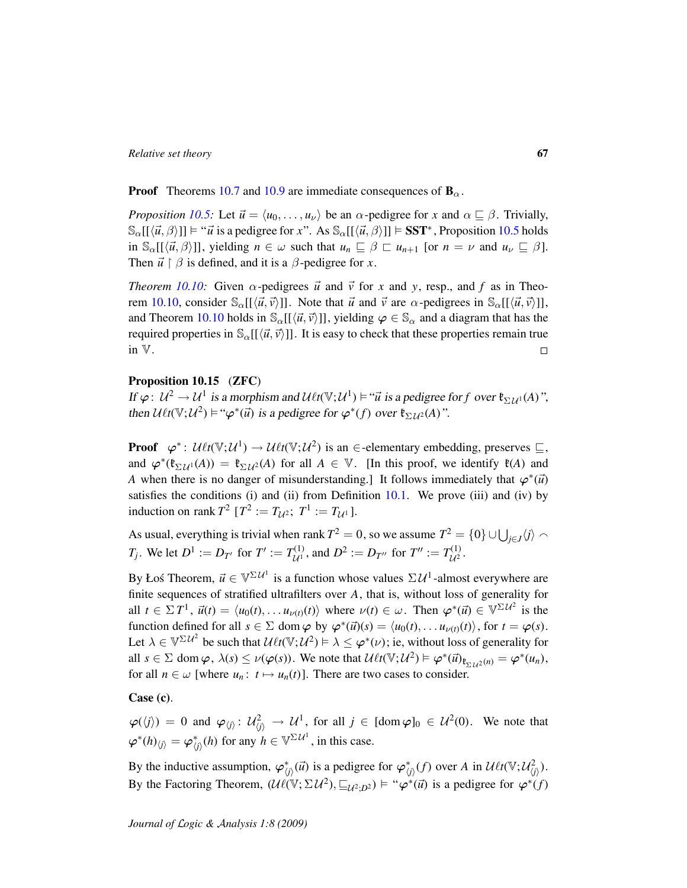**Proof** Theorems [10.7](#page-59-1) and [10.9](#page-60-0) are immediate consequences of  $\mathbf{B}_{\alpha}$ .

*Proposition* [10.5:](#page-59-0) Let  $\vec{u} = \langle u_0, \ldots, u_{\nu} \rangle$  be an  $\alpha$ -pedigree for *x* and  $\alpha \sqsubseteq \beta$ . Trivially,  $\mathbb{S}_{\alpha}[[\langle \vec{u}, \beta \rangle]] \models " \vec{u} \text{ is a pedigree for } x". \text{ As } \mathbb{S}_{\alpha}[[\langle \vec{u}, \beta \rangle]] \models \mathbf{SST}^*$ , Proposition [10.5](#page-59-0) holds in  $\mathbb{S}_{\alpha}[[\langle \vec{u}, \beta \rangle]]$ , yielding  $n \in \omega$  such that  $u_n \sqsubseteq \beta \sqsubset u_{n+1}$  [or  $n = \nu$  and  $u_{\nu} \sqsubseteq \beta$ ]. Then  $\vec{u} \restriction \beta$  is defined, and it is a  $\beta$ -pedigree for *x*.

*Theorem [10.10:](#page-62-0)* Given  $\alpha$ -pedigrees  $\vec{u}$  and  $\vec{v}$  for x and y, resp., and f as in Theo-rem [10.10,](#page-62-0) consider  $\mathbb{S}_{\alpha}[[\langle \vec{u}, \vec{v} \rangle]]$ . Note that  $\vec{u}$  and  $\vec{v}$  are  $\alpha$ -pedigrees in  $\mathbb{S}_{\alpha}[[\langle \vec{u}, \vec{v} \rangle]]$ , and Theorem [10.10](#page-62-0) holds in  $\mathcal{S}_{\alpha}[(\langle \vec{u}, \vec{v} \rangle]]$ , yielding  $\varphi \in \mathcal{S}_{\alpha}$  and a diagram that has the required properties in  $\mathbb{S}_{\alpha}[[\langle \vec{u}, \vec{v} \rangle]]$ . It is easy to check that these properties remain true in V.  $\Box$ 

### <span id="page-66-0"></span>Proposition 10.15 (ZFC)

If  $\varphi: U^2 \to U^1$  is a morphism and  $U\ell t(\mathbb{V}; U^1) \vDash ``\vec{u}$  is a pedigree for f over  $\mathfrak{k}_{\Sigma U^1}(A)$ ", then  $U\ell t(\mathbb{V}; U^2) \vDash \mathcal{W}^*(\vec{u})$  is a pedigree for  $\varphi^*(f)$  over  $\mathfrak{k}_{\Sigma U^2}(A)$ ".

**Proof**  $\varphi^*$ :  $\mathcal{U} \ell t(\mathbb{V}; \mathcal{U}^1) \to \mathcal{U} \ell t(\mathbb{V}; \mathcal{U}^2)$  is an  $\in$ -elementary embedding, preserves  $\subseteq$ , and  $\varphi^*(\mathfrak{k}_{\Sigma \mathcal{U}^1}(A)) = \mathfrak{k}_{\Sigma \mathcal{U}^2}(A)$  for all  $A \in \mathbb{V}$ . [In this proof, we identify  $\mathfrak{k}(A)$  and *A* when there is no danger of misunderstanding.] It follows immediately that  $\varphi^*(\vec{u})$ satisfies the conditions (i) and (ii) from Definition  $10.1$ . We prove (iii) and (iv) by induction on rank  $T^2$  [ $T^2 := T_{\mathcal{U}^2}$ ;  $T^1 := T_{\mathcal{U}^1}$ ].

As usual, everything is trivial when rank  $T^2 = 0$ , so we assume  $T^2 = \{0\} \cup \bigcup_{j \in J} \langle j \rangle \setminus \{0\}$ *T*<sub>*j*</sub>. We let  $D^1 := D_{T'}$  for  $T' := T_{\mathcal{U}^1}^{(1)}$  $U^{(1)}_{\mathcal{U}^1}$ , and  $D^2 := D_{T''}$  for  $T'' := T^{(1)}_{\mathcal{U}^2}$ ,(1)<br>U<sup>2</sup> ·

By Łoś Theorem,  $\vec{u} \in \mathbb{V}^{\Sigma \mathcal{U}^1}$  is a function whose values  $\Sigma \mathcal{U}^1$ -almost everywhere are finite sequences of stratified ultrafilters over *A*, that is, without loss of generality for all  $t \in \Sigma T^1$ ,  $\vec{u}(t) = \langle u_0(t), \ldots u_{\nu(t)}(t) \rangle$  where  $\nu(t) \in \omega$ . Then  $\varphi^*(\vec{u}) \in \mathbb{V}^{\Sigma \mathcal{U}^2}$  is the function defined for all  $s \in \Sigma$  dom  $\varphi$  by  $\varphi^*(\vec{u})(s) = \langle u_0(t), \dots u_{\nu(t)}(t) \rangle$ , for  $t = \varphi(s)$ . Let  $\lambda \in \mathbb{V}^{\Sigma \mathcal{U}^2}$  be such that  $\mathcal{U}\ell t(\mathbb{V};\mathcal{U}^2) \models \lambda \leq \varphi^*(\nu)$ ; ie, without loss of generality for all  $s \in \Sigma$  dom  $\varphi$ ,  $\lambda(s) \le \nu(\varphi(s))$ . We note that  $\mathcal{U} \ell t(\mathbb{V}; \mathcal{U}^2) \models \varphi^*(\vec{u})_{\mathfrak{k}_{\Sigma \mathcal{U}^2}(n)} = \varphi^*(u_n)$ , for all  $n \in \omega$  [where  $u_n: t \mapsto u_n(t)$ ]. There are two cases to consider.

Case (c).

 $\varphi(\langle j \rangle) = 0$  and  $\varphi_{\langle j \rangle} : \mathcal{U}_{\langle j \rangle}^2 \to \mathcal{U}^1$ , for all  $j \in [\text{dom } \varphi]_0 \in \mathcal{U}^2(0)$ . We note that  $\varphi^*(h)_{\langle j \rangle} = \varphi^*_{\langle j \rangle}(h)$  for any  $h \in \mathbb{V}^{\Sigma \mathcal{U}^1}$ , in this case.

By the inductive assumption,  $\varphi^*_{\langle j \rangle}(\vec{u})$  is a pedigree for  $\varphi^*_{\langle j \rangle}(f)$  over *A* in  $\mathcal{U}\ell t(\mathbb{V}; \mathcal{U}_{\langle j \rangle}^2)$ . By the Factoring Theorem,  $(\mathcal{U}\ell(\mathbb{V}; \Sigma \mathcal{U}^2), \sqsubseteq_{\mathcal{U}^2,D^2}) \models ``\varphi^*(\vec{u})$  is a pedigree for  $\varphi^*(f)$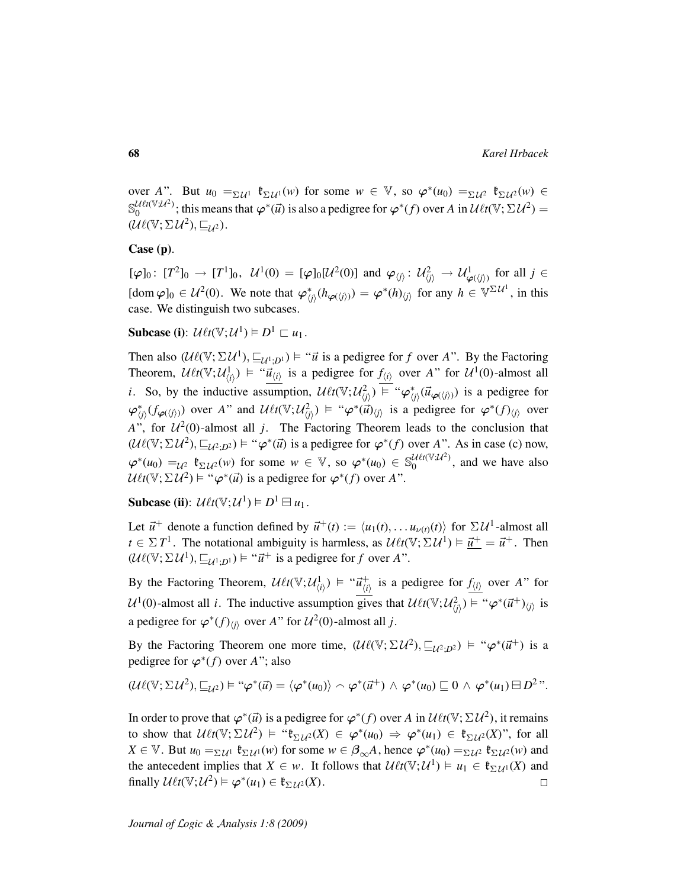over *A*". But  $u_0 = \sum_{\mathcal{U}} u_1 \cdot \mathfrak{k}_{\Sigma \mathcal{U}} u(w)$  for some  $w \in \mathbb{V}$ , so  $\varphi^*(u_0) = \sum_{\mathcal{U}} u_2 \cdot \mathfrak{k}_{\Sigma \mathcal{U}} u(w) \in$  $\mathbb{S}_{0}^{\mathcal{U} \ell t(\mathbb{V};\mathcal{U}^{2})}$  $\frac{\partial^2 u}{\partial t^2}$ ; this means that  $\varphi^*(\vec{u})$  is also a pedigree for  $\varphi^*(f)$  over A in  $\mathcal{U}\ell t(\mathbb{V}; \Sigma \mathcal{U}^2) =$  $(\mathcal{U}\ell(\mathbb{V}; \Sigma \mathcal{U}^2), \sqsubseteq_{\mathcal{U}^2}).$ 

### Case (p).

 $[\varphi]_0\colon [T^2]_0 \to [T^1]_0, \ \mathcal{U}^1(0) = [\varphi]_0[\mathcal{U}^2(0)] \text{ and } \varphi_{\langle j\rangle} \colon \mathcal{U}_{\langle j\rangle}^2 \to \mathcal{U}_{\varphi(\langle j\rangle)}^1 \text{ for all } j \in \mathbb{C}$  $[\text{dom } \varphi]_0 \in \mathcal{U}^2(0)$ . We note that  $\varphi_{\langle j \rangle}^*(h_{\varphi(\langle j \rangle)}) = \varphi^*(h)_{\langle j \rangle}$  for any  $h \in \mathbb{V}^{\Sigma \mathcal{U}^1}$ , in this case. We distinguish two subcases.

Subcase (i):  $\mathcal{U}\ell t(\mathbb{V}; \mathcal{U}^1) \models D^1 \sqsubset u_1$ .

Then also  $(\mathcal{U}\ell(\mathbb{V}; \Sigma \mathcal{U}^1), \sqsubseteq_{\mathcal{U}^1; \mathcal{D}^1}) \models ``\vec{u}$  is a pedigree for *f* over *A*". By the Factoring Theorem,  $\mathcal{U}\ell t(\mathbb{V};\mathcal{U}^1_{\langle i\rangle}) \models ``\vec{u}_{\langle i\rangle}$  is a pedigree for  $f_{\langle i\rangle}$  over *A*" for  $\mathcal{U}^1(0)$ -almost all *i*. So, by the inductive assumption,  $\mathcal{U} \ell t(\mathbb{V}; \mathcal{U}_{(j)}^2) \equiv \omega_{\varphi_{(j)}^*}(\vec{u}_{\varphi(\langle j\rangle)})$  is a pedigree for  $\varphi_{\langle j \rangle}^*(f_{\varphi(\langle j \rangle)})$  over *A*" and  $\mathcal{U}\ell t(\mathbb{V}; \mathcal{U}_{\langle j \rangle}^2) \models \varphi^*(\vec{u})_{\langle j \rangle}$  is a pedigree for  $\varphi^*(f)_{\langle j \rangle}$  over *A*", for  $\mathcal{U}^2(0)$ -almost all *j*. The Factoring Theorem leads to the conclusion that  $(\mathcal{U}\ell(\mathbb{V}; \Sigma \mathcal{U}^2), \sqsubseteq_{\mathcal{U}^2; D^2}) \models ``\varphi^*(\vec{u})$  is a pedigree for  $\varphi^*(f)$  over *A*". As in case (c) now,  $\varphi^*(u_0) =_{\mathcal{U}^2} \mathfrak{k}_{\Sigma \mathcal{U}^2}(w)$  for some  $w \in \mathbb{V}$ , so  $\varphi^*(u_0) \in \mathbb{S}_0^{\mathcal{U} \ell t(\mathbb{V}; \mathcal{U}^2)}$  $\binom{u_{\ell}u_{\ell}u_{\ell}}{0}$ , and we have also  $U\ell t(\mathbb{V}; \Sigma \mathcal{U}^2) \models ``\varphi^*(\vec{u})$  is a pedigree for  $\varphi^*(f)$  over A".

Subcase (ii):  $\mathcal{U}\ell t(\mathbb{V}; \mathcal{U}^1) \models D^1 \boxminus u_1$ .

Let  $\vec{u}^+$  denote a function defined by  $\vec{u}^+(t) := \langle u_1(t), \dots u_{\nu(t)}(t) \rangle$  for  $\Sigma \mathcal{U}^1$ -almost all  $t \in \Sigma T^1$ . The notational ambiguity is harmless, as  $\mathcal{U} \ell t(\mathbb{V}; \Sigma \mathcal{U}^1) \models \vec{u}^+ = \vec{u}^+$ . Then  $(\mathcal{U}\ell(\mathbb{V}; \Sigma \mathcal{U}^1), \sqsubseteq_{\mathcal{U}^1; D^1}) \models " \vec{u}^+$  is a pedigree for *f* over *A*".

By the Factoring Theorem, U`*t*(V; U 1 h*i*i ) "~*u* +  $\frac{1}{\langle i \rangle}$  is a pedigree for  $f_{\langle i \rangle}$  over *A*" for  $U^1(0)$ -almost all *i*. The inductive assumption gives that  $U\ell t(\mathbb{V}; U^2_{\langle j \rangle}) \models " \varphi^*(\vec{u}^+ )_{\langle j \rangle}$  is a pedigree for  $\varphi^*(f)_{\langle j \rangle}$  over *A*" for  $\mathcal{U}^2(0)$ -almost all *j*.

By the Factoring Theorem one more time,  $(\mathcal{U}\ell(\mathbb{V}; \Sigma \mathcal{U}^2), \sqsubseteq_{\mathcal{U}^2,D^2}) \models ``\varphi^*(\vec{u}^+)$  is a pedigree for  $\varphi^*(f)$  over *A*"; also

$$
(\mathcal{U}\ell(\mathbb{V};\Sigma\mathcal{U}^2),\sqsubseteq_{\mathcal{U}^2})\models ``\varphi^*(\vec{u})=\langle\varphi^*(u_0)\rangle\smallfrown \varphi^*(\vec{u}^+)\land\varphi^*(u_0)\sqsubseteq 0\land\varphi^*(u_1)\boxminus D^2''.
$$

In order to prove that  $\varphi^*(\vec{u})$  is a pedigree for  $\varphi^*(f)$  over *A* in  $\mathcal{U}\ell t(\mathbb{V}; \Sigma \mathcal{U}^2)$ , it remains to show that  $\mathcal{U}\ell t(\mathbb{V}; \Sigma \mathcal{U}^2) \models " \mathfrak{k}_{\Sigma \mathcal{U}^2}(X) \in \varphi^*(u_0) \Rightarrow \varphi^*(u_1) \in \mathfrak{k}_{\Sigma \mathcal{U}^2}(X)^{\sim}$ , for all  $X \in \mathbb{V}$ . But  $u_0 = \sum_{\mathcal{U}^1} \mathfrak{k}_{\Sigma \mathcal{U}^1}(w)$  for some  $w \in \beta_{\infty}A$ , hence  $\varphi^*(u_0) = \sum_{\mathcal{U}^2} \mathfrak{k}_{\Sigma \mathcal{U}^2}(w)$  and the antecedent implies that  $X \in w$ . It follows that  $\mathcal{U} \ell t(\mathbb{V}; \mathcal{U}^1) \models u_1 \in \mathfrak{k}_{\Sigma \mathcal{U}^1}(X)$  and finally  $\mathcal{U}\ell t(\mathbb{V}; \mathcal{U}^2) \vDash \varphi^*(u_1) \in \mathfrak{k}_{\Sigma \mathcal{U}^2}(X)$ .  $\Box$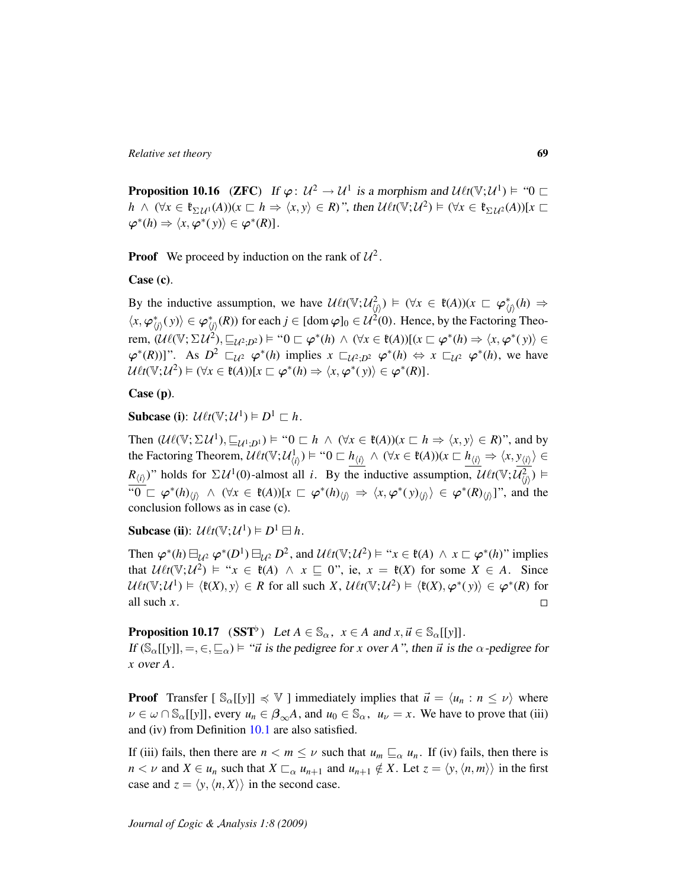**Proposition 10.16** (**ZFC**) If  $\varphi: U^2 \to U^1$  is a morphism and  $\mathcal{U} \ell t(\mathbb{V}; U^1) \models \omega$  $h \wedge (\forall x \in \mathfrak{k}_{\Sigma \mathcal{U}^1}(A))(x \sqsubset h \Rightarrow \langle x, y \rangle \in R)$ ", then  $\mathcal{U}\ell t(\mathbb{V}; \mathcal{U}^2) \models (\forall x \in \mathfrak{k}_{\Sigma \mathcal{U}^2}(A))[x \sqsubset$  $\varphi^*(h) \Rightarrow \langle x, \varphi^*(y) \rangle \in \varphi^*(R)$ .

**Proof** We proceed by induction on the rank of  $\mathcal{U}^2$ .

### Case (c).

By the inductive assumption, we have  $\mathcal{U}\ell t(\mathbb{V}; \mathcal{U}_{\langle j \rangle}^2) \models (\forall x \in \mathfrak{k}(A))(x \sqsubset \varphi_{\langle j \rangle}^*(h) \Rightarrow$  $\langle x, \varphi^*_{\langle j \rangle}(y) \rangle \in \varphi^*_{\langle j \rangle}(R)$  for each  $j \in [\text{dom } \varphi]_0 \in \mathcal{U}^2(0)$ . Hence, by the Factoring Theorem,  $(\mathcal{U}\ell(\mathbb{V}; \Sigma \mathcal{U}^2), \sqsubseteq_{\mathcal{U}^2; D^2}) \models$  " $0 \sqsubset \varphi^*(h) \land (\forall x \in \ell(A))[(x \sqsubset \varphi^*(h) \Rightarrow \langle x, \varphi^*(y) \rangle \in$  $\varphi^*(R)$ ]". As  $D^2 \sqsubset_{\mathcal{U}^2} \varphi^*(h)$  implies  $x \sqsubset_{\mathcal{U}^2} \varphi^*(h) \Leftrightarrow x \sqsubset_{\mathcal{U}^2} \varphi^*(h)$ , we have  $\mathcal{U}\ell t(\mathbb{V};\mathcal{U}^2) \vDash (\forall x \in \mathfrak{k}(A))[x \sqsubset \varphi^*(h) \Rightarrow \langle x, \varphi^*(y) \rangle \in \varphi^*(R)].$ 

### Case (p).

Subcase (i):  $\mathcal{U}\ell t(\mathbb{V}; \mathcal{U}^1) \models D^1 \sqsubset h$ .

Then  $(\mathcal{U}\ell(\mathbb{V}; \Sigma \mathcal{U}^1), \sqsubseteq_{\mathcal{U}^1; D^1}) \models$  " $0 \sqsubset h \land (\forall x \in \ell(A))(x \sqsubset h \Rightarrow \langle x, y \rangle \in R)$ ", and by the Factoring Theorem,  $\mathcal{U}\ell t(\mathbb{V}; \mathcal{U}_{\langle i \rangle}^1) \models \text{``0} \sqsubset h_{\langle i \rangle} \land (\forall x \in \mathfrak{k}(A))(x \sqsubset h_{\langle i \rangle} \Rightarrow \langle x, y_{\langle i \rangle} \rangle \in \mathfrak{F}$ *R*<sub>(*i*)</sub></sub>)" holds for  $\Sigma \mathcal{U}^1(0)$ -almost all *i*. By the inductive assumption,  $\mathcal{U}\ell t(\mathbb{V}; \overline{\mathcal{U}_{\langle j \rangle}^2})$  $\sqrt[n]{\begin{bmatrix}0\end{bmatrix}} \subset \varphi^*(h)_{\langle j\rangle} \wedge (\forall x \in \mathfrak{k}(A)) [x \sqsubset \varphi^*(h)_{\langle j\rangle} \Rightarrow \langle x, \varphi^*(y)_{\langle j\rangle}\rangle \in \varphi^*(R)_{\langle j\rangle}]$ ", and the conclusion follows as in case (c).

Subcase (ii):  $\mathcal{U}\ell t(\mathbb{V}; \mathcal{U}^1) \models D^1 \boxminus h$ .

Then  $\varphi^*(h) \boxminus_{\mathcal{U}^2} \varphi^*(D^1) \boxminus_{\mathcal{U}^2} D^2$ , and  $\mathcal{U}\ell t(\mathbb{V}; \mathcal{U}^2) \models "x \in \mathfrak{k}(A) \land x \sqsubset \varphi^*(h)$ " implies that  $U \ell t(\mathbb{V}; U^2) \models "x \in \mathfrak{k}(A) \land x \sqsubseteq 0", \text{ ie, } x = \mathfrak{k}(X) \text{ for some } X \in A.$  Since  $U\ell t(\mathbb{V}; U^1) \models \langle \mathfrak{k}(X), y \rangle \in R$  for all such *X*,  $\mathcal{U}\ell t(\mathbb{V}; U^2) \models \langle \mathfrak{k}(X), \varphi^*(y) \rangle \in \varphi^*(R)$  for all such *x*.  $\Box$ 

<span id="page-68-0"></span>**Proposition 10.17** (SST<sup>b</sup>) Let  $A \in \mathbb{S}_{\alpha}$ ,  $x \in A$  and  $x, \vec{u} \in \mathbb{S}_{\alpha}[[y]]$ . If  $(\mathbb{S}_{\alpha}[[y]], =, \in, \subseteq_{\alpha}) \models " \vec{u}$  is the pedigree for *x* over *A*", then  $\vec{u}$  is the  $\alpha$ -pedigree for *x* over *A*.

**Proof** Transfer  $[\mathcal{S}_{\alpha}[[y]] \preccurlyeq \mathbb{V}]$  immediately implies that  $\vec{u} = \langle u_n : n \le \nu \rangle$  where  $\nu \in \omega \cap \mathbb{S}_{\alpha}[[y]]$ , every  $u_n \in \beta_{\infty}A$ , and  $u_0 \in \mathbb{S}_{\alpha}$ ,  $u_{\nu} = x$ . We have to prove that (iii) and (iv) from Definition [10.1](#page-57-1) are also satisfied.

If (iii) fails, then there are  $n < m \leq \nu$  such that  $u_m \sqsubseteq_{\alpha} u_n$ . If (iv) fails, then there is *n* < *v* and *X* ∈ *u<sub>n</sub>* such that *X*  $\sqsubset_{\alpha}$  *u<sub>n+1</sub>* and *u<sub>n+1</sub>* ∉ *X*. Let *z* =  $\langle y, \langle n, m \rangle \rangle$  in the first case and  $z = \langle y, \langle n, X \rangle \rangle$  in the second case.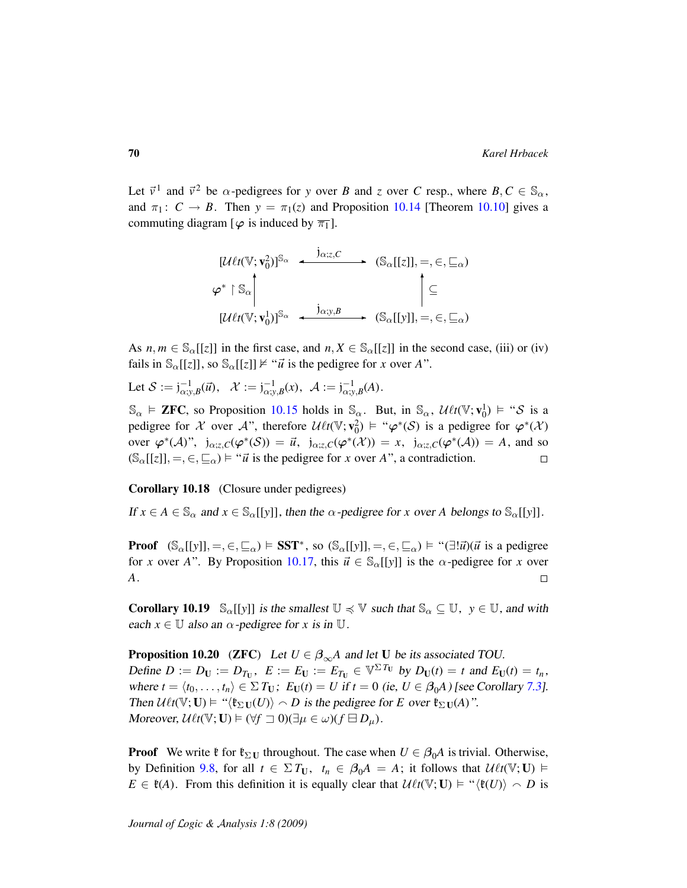Let  $\vec{v}^1$  and  $\vec{v}^2$  be  $\alpha$ -pedigrees for *y* over *B* and *z* over *C* resp., where  $B, C \in \mathbb{S}_{\alpha}$ , and  $\pi_1$ :  $C \rightarrow B$ . Then  $y = \pi_1(z)$  and Proposition [10.14](#page-65-0) [Theorem [10.10\]](#page-62-0) gives a commuting diagram  $\lceil \varphi \rceil$  is induced by  $\overline{\pi_1}$ .

$$
[\mathcal{U}\ell t(\mathbb{V}; \mathbf{v}_0^2)]^{\mathbb{S}_{\alpha}} \leftarrow \begin{array}{c} j_{\alpha; z, C} \\ \downarrow \infty \\ \varphi^* \upharpoonright \mathbb{S}_{\alpha} \\ \hline \end{array} \right\} \left( \mathbb{S}_{\alpha}[[z]], =, \in, \subseteq_{\alpha} \right)
$$

$$
[\mathcal{U}\ell t(\mathbb{V}; \mathbf{v}_0^1)]^{\mathbb{S}_{\alpha}} \leftarrow \begin{array}{c} j_{\alpha; y, B} \\ \downarrow \in \\ \hline \end{array} \left( \mathbb{S}_{\alpha}[[y]], =, \in, \subseteq_{\alpha} \right)
$$

As  $n, m \in \mathbb{S}_{\alpha}[[z]]$  in the first case, and  $n, X \in \mathbb{S}_{\alpha}[[z]]$  in the second case, (iii) or (iv) fails in  $\mathbb{S}_{\alpha}[[z]]$ , so  $\mathbb{S}_{\alpha}[[z]] \not\models "u$  is the pedigree for *x* over *A*".

Let  $S := j^{-1}_{\alpha; y, B}(\vec{u}), \quad \mathcal{X} := j^{-1}_{\alpha; y, B}(x), \quad \mathcal{A} := j^{-1}_{\alpha; y, B}(A).$ 

 $\mathbb{S}_{\alpha} \models$  **ZFC**, so Proposition [10.15](#page-66-0) holds in  $\mathbb{S}_{\alpha}$ . But, in  $\mathbb{S}_{\alpha}$ ,  $\mathcal{U} \ell t(\mathbb{V}; \mathbf{v}_0^1) \models ``\mathcal{S}$  is a pedigree for X over A", therefore  $\mathcal{U} \ell t(\mathbb{V}; \mathbf{v}_0^2) \models " \varphi^*(\mathcal{S})$  is a pedigree for  $\varphi^*(\mathcal{X})$ over  $\varphi^*(A)$ ",  $j_{\alpha;z,C}(\varphi^*(\mathcal{S})) = \vec{u}$ ,  $j_{\alpha;z,C}(\varphi^*(\mathcal{X})) = x$ ,  $j_{\alpha;z,C}(\varphi^*(\mathcal{A})) = A$ , and so  $(\mathbb{S}_{\alpha}[[z]], =, \in, \subseteq_{\alpha}) \models "u$  is the pedigree for *x* over *A*", a contradiction.  $\Box$ 

Corollary 10.18 (Closure under pedigrees)

If  $x \in A \in \mathbb{S}_{\alpha}$  and  $x \in \mathbb{S}_{\alpha}[[y]]$ , then the  $\alpha$ -pedigree for x over A belongs to  $\mathbb{S}_{\alpha}[[y]]$ .

**Proof**  $(S_\alpha[[y]], =, \in, \subseteq_\alpha) \models SST^*$ , so  $(S_\alpha[[y]], =, \in, \subseteq_\alpha) \models "(\exists !\vec{u})(\vec{u} \text{ is a pedigree})$ for *x* over *A*". By Proposition [10.17,](#page-68-0) this  $\vec{u} \in \mathbb{S}_{\alpha}[[y]]$  is the  $\alpha$ -pedigree for *x* over *A*.  $\Box$ 

**Corollary 10.19**  $\mathbb{S}_{\alpha}[[y]]$  is the smallest  $\mathbb{U} \preccurlyeq \mathbb{V}$  such that  $\mathbb{S}_{\alpha} \subseteq \mathbb{U}$ ,  $y \in \mathbb{U}$ , and with each  $x \in \mathbb{U}$  also an  $\alpha$ -pedigree for x is in  $\mathbb{U}$ .

**Proposition 10.20** (ZFC) Let  $U \in \beta_{\infty}A$  and let U be its associated TOU.  $\text{Define } D := D_U := D_{T_U}, \ \ E := E_U := E_{T_U} \in \mathbb{V}^{\Sigma T_U} \ \text{by } D_U(t) = t \ \text{and} \ E_U(t) = t_n,$ where  $t = \langle t_0, \ldots, t_n \rangle \in \Sigma T_U$ ;  $E_U(t) = U$  if  $t = 0$  (ie,  $U \in \beta_0 A$ ) [see Corollary [7.3\]](#page-44-1). Then  $\mathcal{U}\ell t(\mathbb{V};\mathbf{U}) \models$  " $\langle \mathfrak{k}_{\Sigma \mathbf{U}}(U) \rangle \sim D$  is the pedigree for *E* over  $\mathfrak{k}_{\Sigma \mathbf{U}}(A)$ ". Moreover,  $\mathcal{U}\ell t(\mathbb{V};\mathbf{U}) \models (\forall f \sqsupset 0)(\exists \mu \in \omega)(f \boxminus D_{\mu}).$ 

**Proof** We write  $\mathfrak{k}$  for  $\mathfrak{k}_{\Sigma U}$  throughout. The case when  $U \in \beta_0 A$  is trivial. Otherwise, by Definition [9.8,](#page-55-0) for all  $t \in \Sigma T_U$ ,  $t_n \in \beta_0 A = A$ ; it follows that  $\mathcal{U} \ell t(\mathbb{V}; U) \models$  $E \in \mathfrak{k}(A)$ . From this definition it is equally clear that  $\mathcal{U}\ell t(\mathbb{V}; \mathbf{U}) \models ``\langle \mathfrak{k}(U) \rangle \frown D$  is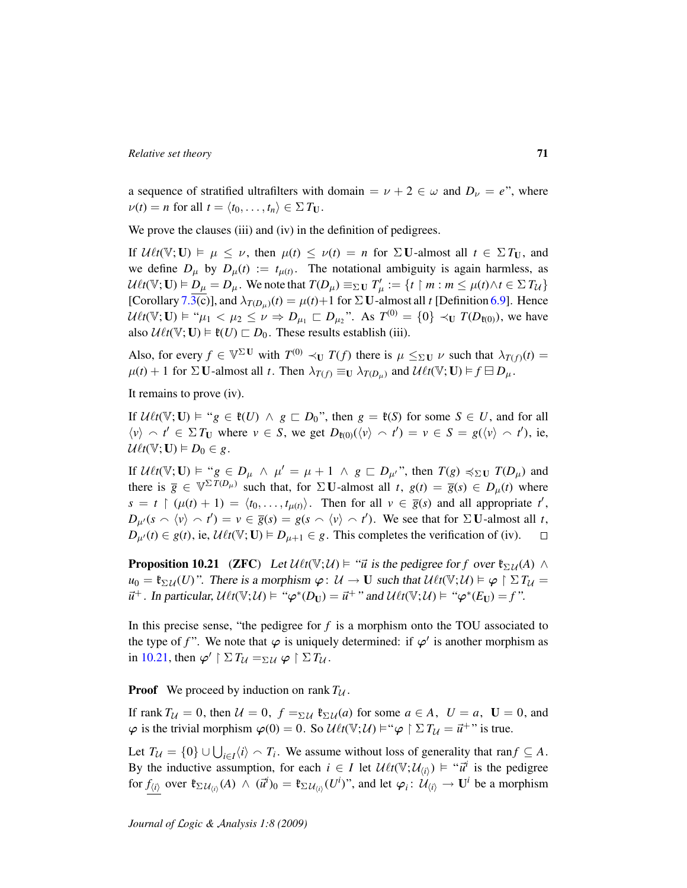a sequence of stratified ultrafilters with domain =  $\nu + 2 \in \omega$  and  $D_{\nu} = e^{i\omega}$ , where  $\nu(t) = n$  for all  $t = \langle t_0, \ldots, t_n \rangle \in \Sigma T_U$ .

We prove the clauses (iii) and (iv) in the definition of pedigrees.

If  $\mathcal{U} \ell t(\mathbb{V}; \mathbf{U}) \models \mu \leq \nu$ , then  $\mu(t) \leq \nu(t) = n$  for  $\Sigma \mathbf{U}$ -almost all  $t \in \Sigma T_{\mathbf{U}}$ , and we define  $D_{\mu}$  by  $D_{\mu}(t) := t_{\mu(t)}$ . The notational ambiguity is again harmless, as  $U\ell t(\mathbb{V};\mathbf{U}) \models D_{\mu} = D_{\mu}$ . We note that  $T(D_{\mu}) \equiv_{\Sigma \mathbf{U}} T'_{\mu} := \{t \restriction m : m \leq \mu(t) \land t \in \Sigma T_{\mathcal{U}}\}$ [Corollary [7.3\(](#page-44-1)c)], and  $\lambda_{T(D_\mu)}(t) = \mu(t) + 1$  for  $\Sigma$  U-almost all *t* [Definition [6.9\]](#page-39-2). Hence  $U\ell t(\mathbb{V};\mathbf{U}) \models " \mu_1 < \mu_2 \le \nu \Rightarrow D_{\mu_1} \sqsubset D_{\mu_2}$ ". As  $T^{(0)} = \{0\} \prec_{\mathbf{U}} T(D_{\mathfrak{k}(0)})$ , we have also  $\mathcal{U}\ell t(\mathbb{V};\mathbf{U}) \models \mathfrak{k}(U) \sqsubset D_0$ . These results establish (iii).

Also, for every  $f \in \mathbb{V}^{\Sigma}$  W with  $T^{(0)} \prec_{\mathbf{U}} T(f)$  there is  $\mu \leq_{\Sigma} \mathbb{U}$  v such that  $\lambda_{T(f)}(t) =$  $\mu(t) + 1$  for  $\Sigma$  U-almost all *t*. Then  $\lambda_{T(f)} \equiv_U \lambda_{T(D_u)}$  and  $\mathcal{U} \ell t(\mathbb{V}; \mathbf{U}) \models f \boxminus D_\mu$ .

It remains to prove (iv).

If  $\mathcal{U} \ell t(\mathbb{V}; \mathbf{U}) \models "g \in \mathfrak{k}(U) \land g \sqsubset D_0$ ", then  $g = \mathfrak{k}(S)$  for some  $S \in U$ , and for all  $\langle v \rangle \sim t' \in \Sigma T_U$  where  $v \in S$ , we get  $D_{\mathfrak{k}(0)}(\langle v \rangle \sim t') = v \in S = g(\langle v \rangle \sim t')$ , ie,  $U\ell t(\mathbb{V};\mathbf{U}) \models D_0 \in g.$ 

If  $\mathcal{U}\ell t(\mathbb{V};\mathbf{U}) \models "g \in D_\mu \land \mu' = \mu + 1 \land g \sqsubset D_{\mu'}$ ", then  $T(g) \preccurlyeq_{\Sigma \mathbf{U}} T(D_\mu)$  and there is  $\overline{g} \in \mathbb{V}^{\Sigma T(D_\mu)}$  such that, for  $\Sigma$  U-almost all *t*,  $g(t) = \overline{g}(s) \in D_\mu(t)$  where  $s = t \restriction (\mu(t) + 1) = \langle t_0, \ldots, t_{\mu(t)} \rangle$ . Then for all  $v \in \overline{g}(s)$  and all appropriate *t*<sup>'</sup>,  $D_{\mu'}(s \wedge \langle v \rangle \wedge t') = v \in \overline{g}(s) = g(s \wedge \langle v \rangle \wedge t')$ . We see that for  $\Sigma$  U-almost all *t*,  $D_{\mu'}(t) \in g(t)$ , ie,  $\mathcal{U}\ell t(\mathbb{V}; \mathbf{U}) \models D_{\mu+1} \in g$ . This completes the verification of (iv).  $\Box$ 

<span id="page-70-0"></span>**Proposition 10.21** (ZFC) Let  $\mathcal{U}\ell t(\mathbb{V}; \mathcal{U}) \models$  " $\vec{u}$  is the pedigree for *f* over  $\mathfrak{k}_{\Sigma \mathcal{U}}(A) \land$  $u_0 = \mathfrak{k}_{\Sigma \mathcal{U}}(U)$ ". There is a morphism  $\varphi: \mathcal{U} \to \mathbf{U}$  such that  $\mathcal{U}\ell t(\mathbb{V}; \mathcal{U}) \models \varphi \upharpoonright \Sigma T_{\mathcal{U}} =$  $\vec{u}^+$ . In particular,  $\mathcal{U}\ell t(\mathbb{V}; \mathcal{U}) \models ``\varphi^*(D_U) = \vec{u}^+"$  and  $\mathcal{U}\ell t(\mathbb{V}; \mathcal{U}) \models ``\varphi^*(E_U) = f''.$ 

In this precise sense, "the pedigree for  $f$  is a morphism onto the TOU associated to the type of *f*". We note that  $\varphi$  is uniquely determined: if  $\varphi'$  is another morphism as in [10.21,](#page-70-0) then  $\varphi' \upharpoonright \Sigma T_{\mathcal{U}} =_{\Sigma \mathcal{U}} \varphi \upharpoonright \Sigma T_{\mathcal{U}}$ .

**Proof** We proceed by induction on rank  $T_U$ .

If rank  $T_U = 0$ , then  $U = 0$ ,  $f = \Sigma U$   $\mathfrak{k}_{\Sigma U}(a)$  for some  $a \in A$ ,  $U = a$ ,  $U = 0$ , and  $\varphi$  is the trivial morphism  $\varphi(0) = 0$ . So  $\mathcal{U}\ell t(\mathbb{V}; \mathcal{U}) \models`` \varphi \upharpoonright \Sigma T_{\mathcal{U}} = \vec{u}^{+}$ " is true.

Let  $T_{\mathcal{U}} = \{0\} \cup \bigcup_{i \in I} \langle i \rangle \setminus T_i$ . We assume without loss of generality that ran $f \subseteq A$ . By the inductive assumption, for each  $i \in I$  let  $\mathcal{U}_{\ell}(V; \mathcal{U}_{\langle i \rangle}) \models " \vec{u}^i$  is the pedigree for  $f_{\langle i \rangle}$  over  $\mathfrak{k}_{\Sigma \mathcal{U}_{\langle i \rangle}}(A) \wedge (\vec{u}^i)_0 = \mathfrak{k}_{\Sigma \mathcal{U}_{\langle i \rangle}}(U^i)$ ", and let  $\varphi_i \colon \mathcal{U}_{\langle i \rangle} \to \mathbf{U}^i$  be a morphism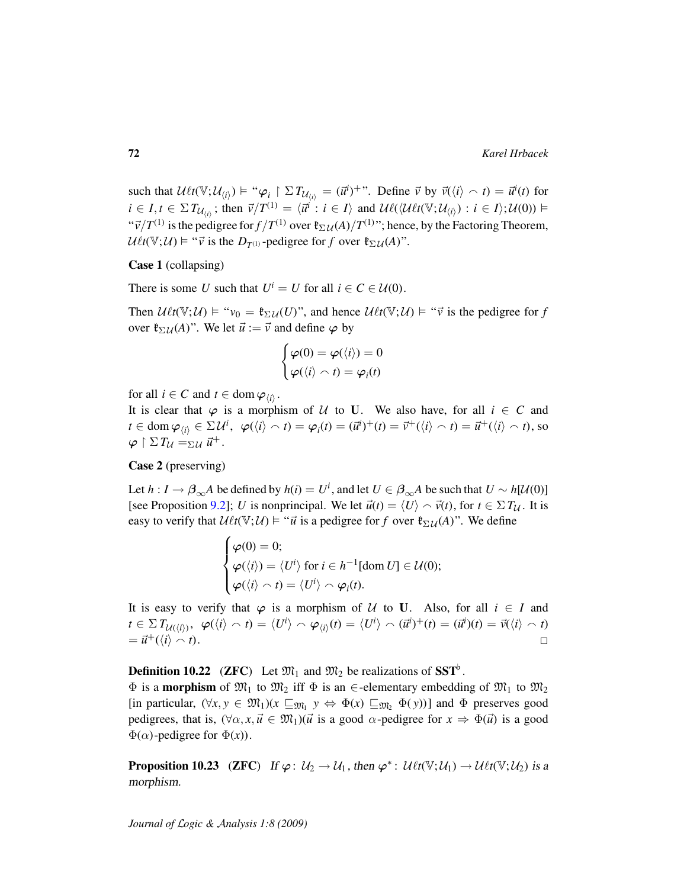such that  $\mathcal{U}\ell t(\mathbb{V}; \mathcal{U}_{\langle i \rangle}) \models ``\varphi_i \upharpoonright \Sigma T_{\mathcal{U}_{\langle i \rangle}} = (\vec{u}^i)^{+}$ ". Define  $\vec{v}$  by  $\vec{v}(\langle i \rangle \sim t) = \vec{u}^i(t)$  for  $i \in I, t \in \Sigma T_{\mathcal{U}_{i}}$ ; then  $\vec{v}/T^{(1)} = \langle \vec{u}^i : i \in I \rangle$  and  $\mathcal{U}\ell(\langle \mathcal{U}\ell t(\mathbb{V};\mathcal{U}_{i}) : i \in I \rangle; \mathcal{U}(0)) \models$  $``\vec{v}/T^{(1)}$  is the pedigree for  $f/T^{(1)}$  over  $\mathfrak{k}_{\Sigma} \mathcal{U}(A)/T^{(1)}$ "; hence, by the Factoring Theorem,  $U\ell t(\mathbb{V}; U) \models ``\vec{v}$  is the  $D_{T^{(1)}}$ -pedigree for *f* over  $\mathfrak{k}_{\Sigma U}(A)$ ".

Case 1 (collapsing)

There is some *U* such that  $U^i = U$  for all  $i \in C \in \mathcal{U}(0)$ .

Then  $\mathcal{U} \ell t(\mathbb{V}; \mathcal{U}) \models "v_0 = \mathfrak{k}_{\Sigma \mathcal{U}}(U)$ ", and hence  $\mathcal{U} \ell t(\mathbb{V}; \mathcal{U}) \models " \vec{v}$  is the pedigree for *f* over  $\mathfrak{k}_{\Sigma \mathcal{U}}(A)$ ". We let  $\vec{u} := \vec{v}$  and define  $\varphi$  by

$$
\begin{cases}\n\varphi(0) = \varphi(\langle i \rangle) = 0 \\
\varphi(\langle i \rangle \cap t) = \varphi_i(t)\n\end{cases}
$$

for all  $i \in C$  and  $t \in \text{dom } \varphi_{\langle i \rangle}$ .

It is clear that  $\varphi$  is a morphism of U to U. We also have, for all  $i \in C$  and  $t \in \text{dom } \varphi_{\langle i \rangle} \in \Sigma \mathcal{U}^i$ ,  $\varphi(\langle i \rangle \cap t) = \varphi_i(t) = (\vec{u}^i)^+(t) = \vec{v}^+(\langle i \rangle \cap t) = \vec{u}^+(\langle i \rangle \cap t)$ , so  $\varphi \restriction \Sigma T_{\mathcal{U}} = \Sigma \mathcal{U} \vec{u}^+.$ 

### Case 2 (preserving)

Let  $h: I \to \beta_{\infty}A$  be defined by  $h(i) = U^i$ , and let  $U \in \beta_{\infty}A$  be such that  $U \sim h[\mathcal{U}(0)]$ [see Proposition [9.2\]](#page-52-1); *U* is nonprincipal. We let  $\vec{u}(t) = \langle U \rangle \cap \vec{v}(t)$ , for  $t \in \Sigma T_U$ . It is easy to verify that  $U\ell t(\mathbb{V}; U) \models " \vec{u}$  is a pedigree for *f* over  $\mathfrak{k}_{\Sigma U}(A)$ ". We define

$$
\begin{cases}\n\varphi(0) = 0; \\
\varphi(\langle i \rangle) = \langle U^i \rangle \text{ for } i \in h^{-1}[\text{dom } U] \in \mathcal{U}(0); \\
\varphi(\langle i \rangle \cap t) = \langle U^i \rangle \cap \varphi_i(t).\n\end{cases}
$$

It is easy to verify that  $\varphi$  is a morphism of U to U. Also, for all  $i \in I$  and  $t\in\Sigma\, T_{\mathcal{U}(\langle i\rangle)}, \ \ \varphi(\langle i\rangle \frown t)=\langle U^i\rangle \frown \varphi_{\langle i\rangle}(t)=\langle U^i\rangle \frown (\vec{u}^i)^+(t)=(\vec{u}^i)(t)=\vec{\mathit{v}}(\langle i\rangle \frown t)$  $=\vec{u}^+(\langle i \rangle \cap t).$  $\Box$ 

# **Definition 10.22** (ZFC) Let  $\mathfrak{M}_1$  and  $\mathfrak{M}_2$  be realizations of SST<sup>b</sup>.

 $\Phi$  is a **morphism** of  $\mathfrak{M}_1$  to  $\mathfrak{M}_2$  iff  $\Phi$  is an  $\epsilon$ -elementary embedding of  $\mathfrak{M}_1$  to  $\mathfrak{M}_2$ [in particular,  $(\forall x, y \in \mathfrak{M}_1)(x \sqsubseteq_{\mathfrak{M}_1} y \Leftrightarrow \Phi(x) \sqsubseteq_{\mathfrak{M}_2} \Phi(y))]$  and  $\Phi$  preserves good pedigrees, that is,  $(\forall \alpha, x, \vec{u} \in \mathfrak{M}_1)(\vec{u}$  is a good  $\alpha$ -pedigree for  $x \Rightarrow \Phi(\vec{u})$  is a good  $\Phi(\alpha)$ -pedigree for  $\Phi(x)$ ).

**Proposition 10.23** (ZFC) If  $\varphi: \mathcal{U}_2 \to \mathcal{U}_1$ , then  $\varphi^*: \mathcal{U}_{\ell}t(\mathbb{V}; \mathcal{U}_1) \to \mathcal{U}_{\ell}t(\mathbb{V}; \mathcal{U}_2)$  is a morphism.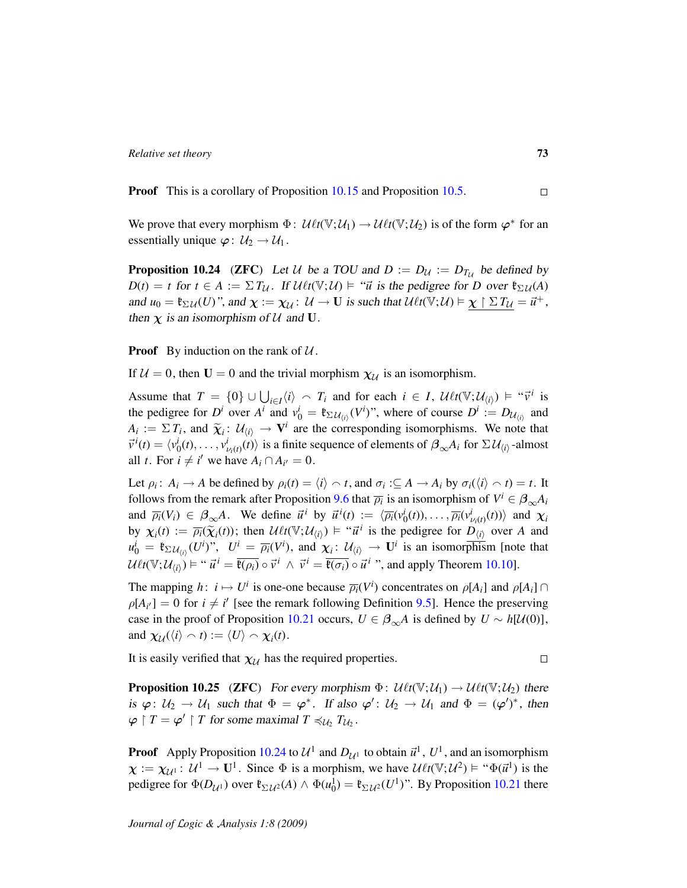**Proof** This is a corollary of Proposition [10.15](#page-66-0) and Proposition [10.5.](#page-59-0)

We prove that every morphism  $\Phi: \mathcal{U}\ell t(\mathbb{V};\mathcal{U}_1) \to \mathcal{U}\ell t(\mathbb{V};\mathcal{U}_2)$  is of the form  $\varphi^*$  for an essentially unique  $\varphi: \mathcal{U}_2 \to \mathcal{U}_1$ .

<span id="page-72-0"></span>**Proposition 10.24** (ZFC) Let U be a TOU and  $D := D_{\mathcal{U}} := D_{T_{\mathcal{U}}}$  be defined by  $D(t) = t$  for  $t \in A := \sum T_{\mathcal{U}}$ . If  $\mathcal{U} \ell t(\mathbb{V}; \mathcal{U}) \models$  "*u* is the pedigree for *D* over  $\mathfrak{k}_{\Sigma \mathcal{U}}(A)$ and  $u_0 = \mathfrak{k}_{\Sigma \mathcal{U}}(U)$ ", and  $\chi := \chi_{\mathcal{U}} \colon \mathcal{U} \to \mathbf{U}$  is such that  $\mathcal{U}\ell t(\mathbb{V}; \mathcal{U}) \models \chi \restriction \Sigma T_{\mathcal{U}} = \vec{u}^+,$ then  $\chi$  is an isomorphism of U and U.

**Proof** By induction on the rank of  $U$ .

If  $U = 0$ , then  $U = 0$  and the trivial morphism  $\chi_{U}$  is an isomorphism.

Assume that  $T = \{0\} \cup \bigcup_{i \in I} \langle i \rangle \setminus T_i$  and for each  $i \in I$ ,  $\mathcal{U} \ell t(\mathbb{V}; \mathcal{U}_{\langle i \rangle}) \models " \vec{v}^i$  is the pedigree for  $D^i$  over  $A^i$  and  $v_0^i = \mathfrak{k}_{\Sigma \mathcal{U}_{(i)}}(V^i)$ ", where of course  $D^i := D_{\mathcal{U}_{(i)}}$  and  $A_i := \sum T_i$ , and  $\widetilde{\chi}_i : \mathcal{U}_{\langle i \rangle} \to \mathbf{V}^i$  are the corresponding isomorphisms. We note that  $\vec{v}^{i}(t) = \langle v_0^{i}(t), \ldots, v_{\nu_i(t)}^{i}(t) \rangle$  is a finite sequence of elements of  $\beta_{\infty} A_i$  for  $\Sigma \mathcal{U}_{\langle i \rangle}$ -almost all *t*. For  $i \neq i'$  we have  $A_i \cap A_{i'} = 0$ .

Let  $\rho_i$ :  $A_i \to A$  be defined by  $\rho_i(t) = \langle i \rangle \cap t$ , and  $\sigma_i : \subseteq A \to A_i$  by  $\sigma_i(\langle i \rangle \cap t) = t$ . It follows from the remark after Proposition [9.6](#page-54-0) that  $\overline{\rho_i}$  is an isomorphism of  $V^i \in \beta_{\infty} A_i$ and  $\overline{\rho_i}(V_i) \in \beta_{\infty}A$ . We define  $\vec{u}^i$  by  $\vec{u}^i(t) := \langle \overline{\rho_i}(v_0^i(t)), \dots, \overline{\rho_i}(v_{\nu_i(t)}^i(t)) \rangle$  and  $\chi_i$ by  $\chi_i(t) := \overline{\rho_i}(\widetilde{\chi_i}(t))$ ; then  $\mathcal{U}_i(t(\mathbb{V}; \mathcal{U}_{\langle i \rangle})) = \widetilde{\mu}_i^i$  is the pedigree for  $D_{\langle i \rangle}$  over *A* and  $u_0^i = \mathfrak{k}_{\Sigma \mathcal{U}_{(i)}}(U^i)$ ",  $U^i = \overline{\rho_i}(V^i)$ , and  $\chi_i: \mathcal{U}_{\langle i \rangle} \to \mathbf{U}^i$  is an isomorphism [note that  $U\ell t(\mathbb{V}; \mathcal{U}_{\langle i \rangle}) \models ``\vec{u}^i = \overline{\mathfrak{k}(\rho_i)} \circ \vec{v}^i \wedge \vec{v}^i = \overline{\mathfrak{k}(\sigma_i)} \circ \vec{u}^i$ , and apply Theorem [10.10\]](#page-62-0).

The mapping  $h: i \mapsto U^i$  is one-one because  $\overline{\rho_i}(V^i)$  concentrates on  $\rho[A_i]$  and  $\rho[A_i] \cap$  $\rho[A_{i'}] = 0$  for  $i \neq i'$  [see the remark following Definition [9.5\]](#page-53-0). Hence the preserving case in the proof of Proposition [10.21](#page-70-0) occurs,  $U \in \beta_{\infty}A$  is defined by  $U \sim h[\mathcal{U}(0)]$ , and  $\chi_{\mathcal{U}}(\langle i \rangle \cap t) := \langle U \rangle \cap \chi_i(t)$ .

It is easily verified that  $\chi_{\mathcal{U}}$  has the required properties.

**Proposition 10.25** (ZFC) For every morphism  $\Phi$ :  $\mathcal{U} \ell t(\mathbb{V}; \mathcal{U}_1) \to \mathcal{U} \ell t(\mathbb{V}; \mathcal{U}_2)$  there is  $\varphi: \mathcal{U}_2 \to \mathcal{U}_1$  such that  $\Phi = \varphi^*$ . If also  $\varphi' : \mathcal{U}_2 \to \mathcal{U}_1$  and  $\Phi = (\varphi')^*$ , then  $\varphi \restriction T = \varphi' \restriction T$  for some maximal  $T \preccurlyeq_{\mathcal{U}_2} T_{\mathcal{U}_2}$ .

**Proof** Apply Proposition [10.24](#page-72-0) to  $\mathcal{U}^1$  and  $D_{\mathcal{U}^1}$  to obtain  $\vec{u}^1$ ,  $U^1$ , and an isomorphism  $\chi := \chi_{\mathcal{U}^1} : \mathcal{U}^1 \to \mathbf{U}^1$ . Since  $\Phi$  is a morphism, we have  $\mathcal{U}\ell t(\mathbb{V};\mathcal{U}^2) \models ``\Phi(\vec{u}^1)$  is the pedigree for  $\Phi(D_{\mathcal{U}^1})$  over  $\mathfrak{k}_{\Sigma \mathcal{U}^2}(A) \wedge \Phi(u_0^1) = \mathfrak{k}_{\Sigma \mathcal{U}^2}(U^1)$ ". By Proposition [10.21](#page-70-0) there

 $\Box$ 

 $\Box$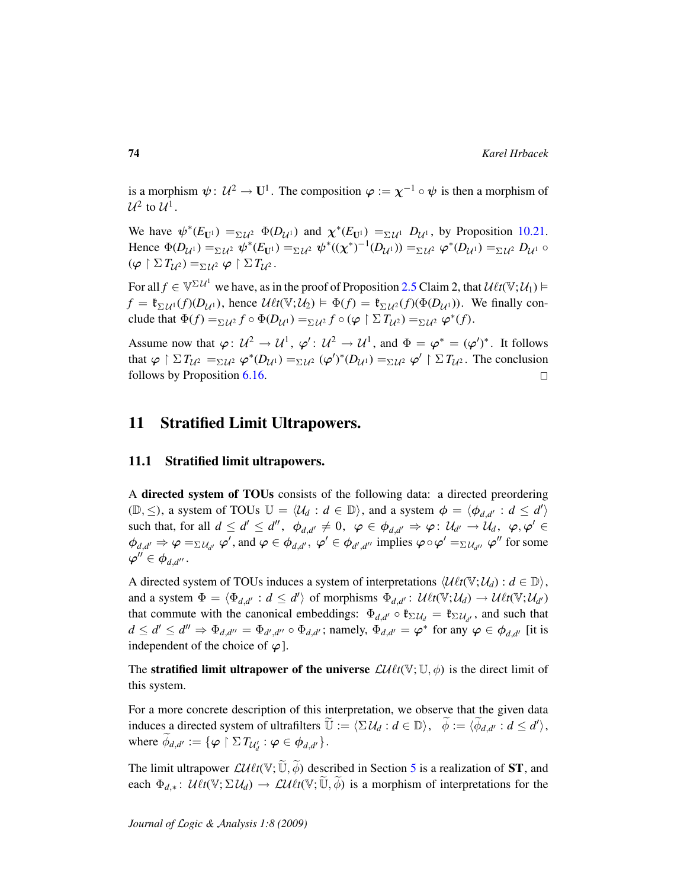is a morphism  $\psi: U^2 \to \mathbf{U}^1$ . The composition  $\varphi := \chi^{-1} \circ \psi$  is then a morphism of  $\mathcal{U}^2$  to  $\mathcal{U}^1$ .

We have  $\psi^*(E_{\mathbf{U}^1}) = \Sigma \mathcal{U}^2 \Phi(D_{\mathcal{U}^1})$  and  $\chi^*(E_{\mathbf{U}^1}) = \Sigma \mathcal{U}^1 \mathcal{D}_{\mathcal{U}^1}$ , by Proposition [10.21.](#page-70-0) Hence  $\Phi(D_{\mathcal{U}^1}) =_{\Sigma \mathcal{U}^2} \psi^*(E_{\mathbf{U}^1}) =_{\Sigma \mathcal{U}^2} \psi^*((\chi^*)^{-1}(D_{\mathcal{U}^1})) =_{\Sigma \mathcal{U}^2} \varphi^*(D_{\mathcal{U}^1}) =_{\Sigma \mathcal{U}^2} D_{\mathcal{U}^1} \circ$  $(\varphi \restriction \Sigma T_{\mathcal{U}^2}) =_{\Sigma \mathcal{U}^2} \varphi \restriction \Sigma T_{\mathcal{U}^2}.$ 

For all  $f \in \mathbb{V}^{\Sigma U^1}$  we have, as in the proof of Proposition [2.5](#page-15-0) Claim 2, that  $\mathcal{U}\ell t(\mathbb{V}; U_1) \vDash$  $f = \mathfrak{k}_{\Sigma U^1}(f)(D_{U^1})$ , hence  $\mathcal{U}\ell t(\mathbb{V}; U_2) \models \Phi(f) = \mathfrak{k}_{\Sigma U^2}(f)(\Phi(D_{U^1}))$ . We finally conclude that  $\Phi(f) = \sum_{\mathcal{U}^2} f \circ \Phi(D_{\mathcal{U}^1}) = \sum_{\mathcal{U}^2} f \circ (\varphi \upharpoonright \Sigma T_{\mathcal{U}^2}) = \sum_{\mathcal{U}^2} \varphi^*(f).$ 

Assume now that  $\varphi: U^2 \to U^1$ ,  $\varphi' : U^2 \to U^1$ , and  $\Phi = \varphi^* = (\varphi')^*$ . It follows that  $\varphi \restriction \Sigma T_{\mathcal{U}^2} =_{\Sigma \mathcal{U}^2} \varphi^*(D_{\mathcal{U}^1}) =_{\Sigma \mathcal{U}^2} (\varphi')^*(D_{\mathcal{U}^1}) =_{\Sigma \mathcal{U}^2} \varphi' \restriction \Sigma T_{\mathcal{U}^2}$ . The conclusion follows by Proposition [6.16.](#page-41-0)  $\Box$ 

# 11 Stratified Limit Ultrapowers.

## 11.1 Stratified limit ultrapowers.

A directed system of TOUs consists of the following data: a directed preordering  $(\mathbb{D}, \leq)$ , a system of TOUs  $\mathbb{U} = \langle \mathcal{U}_d : d \in \mathbb{D} \rangle$ , and a system  $\phi = \langle \phi_{d,d'} : d \leq d' \rangle$ such that, for all  $d \leq d' \leq d''$ ,  $\phi_{d,d'} \neq 0$ ,  $\varphi \in \phi_{d,d'} \Rightarrow \varphi \colon \mathcal{U}_{d'} \to \mathcal{U}_d$ ,  $\varphi, \varphi' \in$  $\phi_{d,d'} \Rightarrow \varphi =_{\Sigma \mathcal{U}_{d'}} \varphi'$ , and  $\varphi \in \phi_{d,d'}$ ,  $\varphi' \in \phi_{d',d''}$  implies  $\varphi \circ \varphi' =_{\Sigma \mathcal{U}_{d''}} \varphi''$  for some  $\boldsymbol{\varphi}''\in \boldsymbol{\phi}_{d,d''}.$ 

A directed system of TOUs induces a system of interpretations  $\langle \mathcal{U} \ell t(\mathbb{V}; \mathcal{U}_d) : d \in \mathbb{D} \rangle$ , and a system  $\Phi = \langle \Phi_{d,d'} : d \leq d' \rangle$  of morphisms  $\Phi_{d,d'} : \mathcal{U}_{\ell}(\mathbb{V}; \mathcal{U}_d) \to \mathcal{U}_{\ell}(\mathbb{V}; \mathcal{U}_{d'})$ that commute with the canonical embeddings:  $\Phi_{d,d'} \circ \mathfrak{k}_{\Sigma \mathcal{U}_d} = \mathfrak{k}_{\Sigma \mathcal{U}_{d'}}$ , and such that  $d \leq d' \leq d'' \Rightarrow \Phi_{d,d''} = \Phi_{d',d''} \circ \Phi_{d,d'}$ ; namely,  $\Phi_{d,d'} = \varphi^*$  for any  $\varphi \in \phi_{d,d'}$  [it is independent of the choice of  $\varphi$ .

The **stratified limit ultrapower of the universe**  $\mathcal{LUlt}(\mathbb{V}; \mathbb{U}, \phi)$  is the direct limit of this system.

For a more concrete description of this interpretation, we observe that the given data induces a directed system of ultrafilters  $\widetilde{\mathbb{U}} := \langle \Sigma \mathcal{U}_d : d \in \mathbb{D} \rangle$ ,  $\widetilde{\phi} := \langle \widetilde{\phi}_{d,d'} : d \leq d' \rangle$ , where  $\widetilde{\phi}_{d,d'} := \{ \varphi \restriction \Sigma \, T_{\mathcal{U}'_d} : \varphi \in \phi_{d,d'} \}.$ 

The limit ultrapower  $\mathcal{LU}_t(t(\nabla;\widetilde{\mathbb{U}}, \widetilde{\phi})$  described in Section [5](#page-27-0) is a realization of **ST**, and each  $\Phi_{d,*}$ :  $\mathcal{U} \ell t(\mathbb{V}; \Sigma \mathcal{U}_d) \to \mathcal{L} \ell \ell t(\mathbb{V}; \mathbb{U}, \phi)$  is a morphism of interpretations for the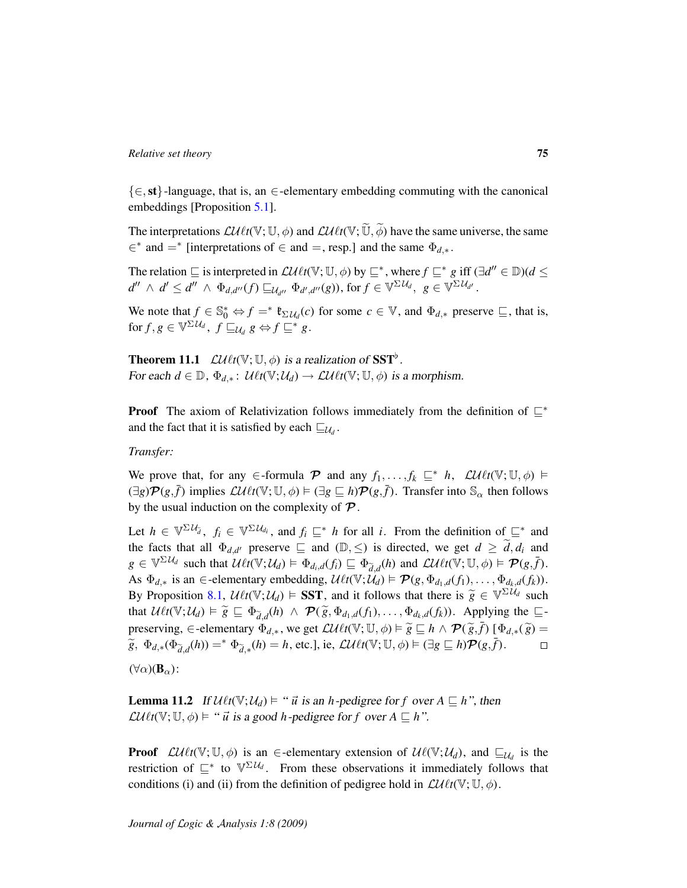{∈,st}-language, that is, an ∈-elementary embedding commuting with the canonical embeddings [Proposition [5.1\]](#page-27-1).

The interpretations  $\mathcal{L}\mathcal{U}\ell t(\mathbb{V}; \mathbb{U}, \phi)$  and  $\mathcal{L}\mathcal{U}\ell t(\mathbb{V}; \widetilde{\mathbb{U}}, \widetilde{\phi})$  have the same universe, the same  $\in$ <sup>\*</sup> and =<sup>\*</sup> [interpretations of  $\in$  and =, resp.] and the same  $\Phi_{d,*}$ .

The relation  $\subseteq$  is interpreted in  $\mathcal{L}U\ell t(\mathbb{V}; \mathbb{U}, \phi)$  by  $\subseteq^*$ , where  $f \subseteq^* g$  iff  $(\exists d'' \in \mathbb{D})(d \leq$  $d'' \wedge d' \leq d'' \wedge \Phi_{d,d''}(f) \sqsubseteq_{\mathcal{U}_{d''}} \Phi_{d',d''}(g)$ ), for  $f \in \mathbb{V}^{\Sigma \mathcal{U}_d}, \ g \in \mathbb{V}^{\Sigma \mathcal{U}_{d'}}$ .

We note that  $f \in \mathbb{S}_0^* \Leftrightarrow f =^* \mathfrak{k}_{\Sigma \mathcal{U}_d}(c)$  for some  $c \in \mathbb{V}$ , and  $\Phi_{d,*}$  preserve  $\sqsubseteq$ , that is,  $\text{for } f, g \in \mathbb{V}^{\Sigma \mathcal{U}_d}, f \sqsubseteq_{\mathcal{U}_d} g \Leftrightarrow f \sqsubseteq^* g.$ 

<span id="page-74-1"></span>**Theorem 11.1**  $\mathcal{LU} \ell t(\mathbb{V}; \mathbb{U}, \phi)$  is a realization of SST<sup>b</sup>. For each  $d \in \mathbb{D}$ ,  $\Phi_{d,*}$ :  $\mathcal{U}\ell t(\mathbb{V}; \mathcal{U}_d) \to \mathcal{L}\ell\ell t(\mathbb{V}; \mathbb{U}, \phi)$  is a morphism.

**Proof** The axiom of Relativization follows immediately from the definition of  $\mathbb{E}^*$ and the fact that it is satisfied by each  $\sqsubseteq_{\mathcal{U}_d}$ .

*Transfer:*

We prove that, for any  $\in$ -formula  $\mathcal P$  and any  $f_1, \ldots, f_k \sqsubseteq^* h$ ,  $\mathcal L \mathcal{U} \ell t(\mathbb V;\mathbb U,\phi) \models$  $(\exists g)$  $\mathcal{P}(g, \bar{f})$  implies  $\mathcal{L} \mathcal{U} \ell t(\mathbb{V}; \mathbb{U}, \phi) \models (\exists g \sqsubseteq h) \mathcal{P}(g, \bar{f})$ . Transfer into  $\mathbb{S}_{\alpha}$  then follows by the usual induction on the complexity of  $\mathcal{P}$ .

Let  $h \in \mathbb{V}^{\Sigma \mathcal{U}_{\tilde{d}}}, f_i \in \mathbb{V}^{\Sigma \mathcal{U}_{d_i}}$ , and  $f_i \sqsubseteq^* h$  for all *i*. From the definition of  $\sqsubseteq^*$  and the facts that all  $\Phi_{d,d'}$  preserve  $\subseteq$  and  $(\mathbb{D}, \leq)$  is directed, we get  $d \geq \tilde{d}$ ,  $d_i$  and  $g \in \mathbb{V}^{\Sigma \mathcal{U}_d}$  such that  $\mathcal{U}\ell t(\mathbb{V}; \mathcal{U}_d) \models \Phi_{d_i, d}(f_i) \sqsubseteq \Phi_{\tilde{d}, d}(h)$  and  $\mathcal{L}\mathcal{U}\ell t(\mathbb{V}; \mathbb{U}, \phi) \models \mathcal{P}(g, \tilde{f}).$ As  $\Phi_{d,*}$  is an  $\in$ -elementary embedding,  $\mathcal{U}\ell t(\mathbb{V}; \mathcal{U}_d) \models \mathcal{P}(g, \Phi_{d_1,d}(f_1), \ldots, \Phi_{d_k,d}(f_k)).$ By Proposition [8.1,](#page-48-0)  $\mathcal{U} \ell t(\mathbb{V}; \mathcal{U}_d) \models \mathbf{SST}$ , and it follows that there is  $\widetilde{g} \in \mathbb{V}^{\Sigma \mathcal{U}_d}$  such that  $\mathcal{U} \ell(\mathbb{V}; \mathcal{U}) \models \widetilde{g} \sqsubset \mathcal{F}$ ,  $\ell(\cdot) \rightarrow \mathcal{F}(\widetilde{g}, \mathcal{F} \rightarrow \ell(\cdot))$ , Anglying the  $\sqsubset$ that  $U\ell t(\mathbb{V}; \mathcal{U}_d) \models \widetilde{g} \sqsubseteq \Phi_{\widetilde{d},d}(h) \land \mathcal{P}(\widetilde{g}, \Phi_{d_1,d}(f_1), \dots, \Phi_{d_k,d}(f_k))$ . Applying the  $\sqsubseteq$ preserving,  $\in$ -elementary  $\Phi_{d,*}$ , we get  $\mathcal{L}U\ell t(\mathbb{V}; \mathbb{U}, \phi) \models \widetilde{g} \sqsubseteq h \land \mathcal{P}(\widetilde{g}, \overline{f}) [\Phi_{d,*}(\widetilde{g}) =$ <br> $\widetilde{g} \uparrow_{d,*} (\phi)$   $\stackrel{*}{\sim} \Phi_{d,*}(\phi)$   $\stackrel{*}{\sim} h$   $\stackrel{d}{\sim} \Omega \downarrow \mathcal{P}(\mathcal{U}^T \sqcup \mathbb{U}, \mathbb{U}) =$  $\widetilde{g}$ ,  $\Phi_{d,*}(\Phi_{\widetilde{d},d}(h)) = ^* \Phi_{\widetilde{d},*}(h) = h$ , etc.], ie,  $\mathcal{LU}\ell t(\mathbb{V}; \mathbb{U}, \phi) \models (\exists g \sqsubseteq h) \mathcal{P}(g, \overline{f}).$  $(\forall \alpha)(\mathbf{B}_{\alpha})$ :

<span id="page-74-0"></span>**Lemma 11.2** If  $\mathcal{U}\ell t(\mathbb{V}; \mathcal{U}_d) \models ``\vec{u}$  is an *h*-pedigree for *f* over  $A \sqsubseteq h$ ", then  $\mathcal{L}\mathcal{U}\ell t(\mathbb{V}; \mathbb{U}, \phi) \models ``\vec{u}$  is a good *h*-pedigree for *f* over  $A \sqsubseteq h$ ".

**Proof**  $\mathcal{L}\mathcal{U}\ell t(\mathbb{V}; \mathbb{U}, \phi)$  is an  $\in$ -elementary extension of  $\mathcal{U}\ell(\mathbb{V}; \mathcal{U}_d)$ , and  $\sqsubseteq_{\mathcal{U}_d}$  is the restriction of  $\subseteq^*$  to  $\mathbb{V}^{\Sigma \mathcal{U}_d}$ . From these observations it immediately follows that conditions (i) and (ii) from the definition of pedigree hold in  $\mathcal{L}\mathcal{U}\ell t(\mathbb{V}; \mathbb{U}, \phi)$ .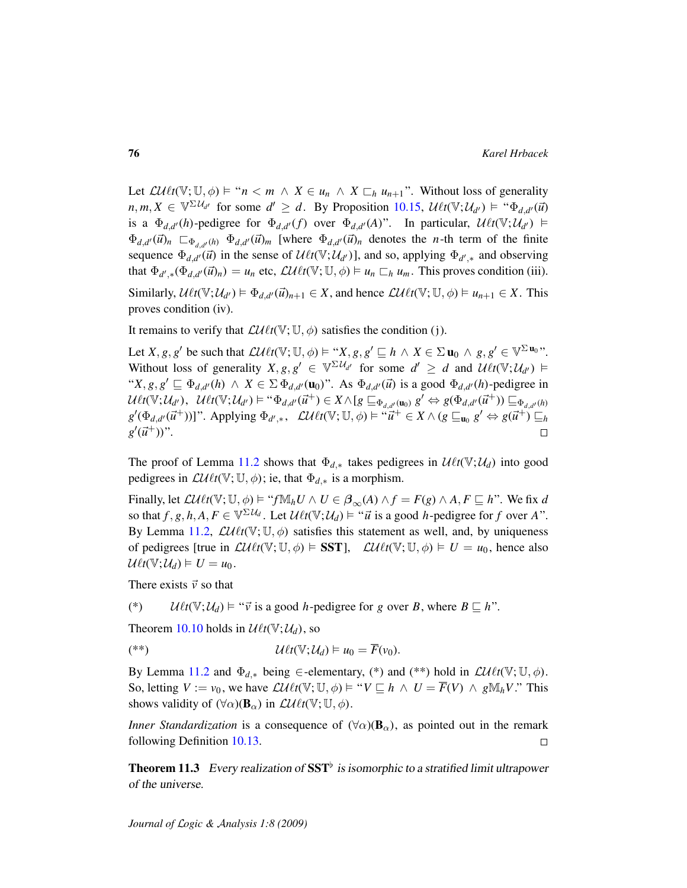Let  $\mathcal{L}\mathcal{U}\ell t(\mathbb{V}; \mathbb{U}, \phi) \models "n < m \land X \in u_n \land X \sqsubset_h u_{n+1}$ ". Without loss of generality  $m, m, X \in \mathbb{V}^{\Sigma \mathcal{U}_{d'}}$  for some  $d' \geq d$ . By Proposition [10.15,](#page-66-0)  $\mathcal{U}\ell t(\mathbb{V}; \mathcal{U}_{d'}) \models \text{``}\Phi_{d,d'}(\vec{u})$ is a  $\Phi_{d,d'}(h)$ -pedigree for  $\Phi_{d,d'}(f)$  over  $\Phi_{d,d'}(A)$ ". In particular,  $\mathcal{U}\ell t(\mathbb{V};\mathcal{U}_{d'}) \models$  $\Phi_{d,d'}(\vec{u})_n \subset \Phi_{d,d'}(h) \Phi_{d,d'}(\vec{u})_m$  [where  $\Phi_{d,d'}(\vec{u})_n$  denotes the *n*-th term of the finite sequence  $\Phi_{d,d'}(\vec{u})$  in the sense of  $\mathcal{U}\ell t(\mathbb{V};\mathcal{U}_{d'})$ ], and so, applying  $\Phi_{d',*}$  and observing that  $\Phi_{d',*}(\Phi_{d,d'}(\vec{u})_n) = u_n$  etc,  $\mathcal{LU}_{\ell}(V; \mathbb{U}, \phi) \models u_n \sqsubset_h u_m$ . This proves condition (iii). Similarly,  $\mathcal{U}_{\ell}(V; \mathcal{U}_{d'}) \models \Phi_{d,d'}(\vec{u})_{n+1} \in X$ , and hence  $\mathcal{LU}_{\ell}(V; \mathbb{U}, \phi) \models u_{n+1} \in X$ . This proves condition (iv).

It remains to verify that  $\mathcal{LU}_t(t, \mathbb{U}, \phi)$  satisfies the condition (j).

Let  $X, g, g'$  be such that  $\mathcal{LUltt}(\mathbb{V}; \mathbb{U}, \phi) \models "X, g, g' \sqsubseteq h \land X \in \Sigma \mathbf{u}_0 \land g, g' \in \mathbb{V}^{\Sigma \mathbf{u}_0}$ ". Without loss of generality  $X, g, g' \in \mathbb{V}^{\Sigma \mathcal{U}_{d'}}$  for some  $d' \geq d$  and  $\mathcal{U}\ell t(\mathbb{V}; \mathcal{U}_{d'}) \models$ " $X, g, g' \sqsubseteq \Phi_{d,d'}(h) \land X \in \Sigma \Phi_{d,d'}(\mathbf{u}_0)$ ". As  $\Phi_{d,d'}(\vec{u})$  is a good  $\Phi_{d,d'}(h)$ -pedigree in  $\mathcal{U}\ell t(\mathbb{V};\mathcal{U}_{d'}),\ \ \mathcal{U}\ell t(\mathbb{V};\mathcal{U}_{d'})\vDash ``\Phi_{d,d'}(\vec{u}^+)\in X\wedge[g\sqsubseteq_{\Phi_{d,d'}(\mathbf{u}_0)}g'\Leftrightarrow g(\Phi_{d,d'}(\vec{u}^+))\sqsubseteq_{\Phi_{d,d'}(h)}$  $g'(\Phi_{d,d'}(\vec{u}^+))$ ]". Applying  $\Phi_{d',*}, \quad \mathcal{L} \mathcal{U} \ell t(\mathbb{V}; \mathbb{U}, \phi) \models ``\vec{u}^+ \in X \wedge (g \sqsubseteq_{\mathbf{u}_0} g' \Leftrightarrow g(\vec{u}^+) \sqsubseteq_h$  $g'(\vec{u}^+))$ ".  $\Box$ 

The proof of Lemma [11.2](#page-74-0) shows that  $\Phi_{d,*}$  takes pedigrees in  $\mathcal{U}\ell t(\mathbb{V}; \mathcal{U}_d)$  into good pedigrees in  $\mathcal{LUltt}(\mathbb{V}; \mathbb{U}, \phi)$ ; ie, that  $\Phi_{d,*}$  is a morphism.

Finally, let  $\mathcal{L}\mathcal{U}\ell t(\mathbb{V}; \mathbb{U}, \phi) \models ``f\mathbb{M}_h U \wedge U \in \beta_\infty(A) \wedge f = F(g) \wedge A, F \sqsubseteq h$ ". We fix *d* so that  $f, g, h, A, F \in \mathbb{V}^{\Sigma U_d}$ . Let  $\mathcal{U}\ell t(\mathbb{V}; U_d) \models ``\vec{u}$  is a good *h*-pedigree for *f* over *A*". By Lemma [11.2,](#page-74-0)  $\mathcal{L}U\ell t(V; U, \phi)$  satisfies this statement as well, and, by uniqueness of pedigrees [true in  $\mathcal{L}U\ell t(\mathbb{V}; \mathbb{U}, \phi) \models \mathbf{SST}$ ],  $\mathcal{L}U\ell t(\mathbb{V}; \mathbb{U}, \phi) \models U = u_0$ , hence also  $U\ell t(\mathbb{V};\mathcal{U}_d) \models U = u_0.$ 

There exists  $\vec{v}$  so that

(\*)  $\mathcal{U} \ell t(\mathbb{V}; \mathcal{U}_d) \models ``\vec{v}$  is a good *h*-pedigree for *g* over *B*, where  $B \sqsubset h$ ".

Theorem [10.10](#page-62-0) holds in  $\mathcal{U} \ell t(\mathbb{V}; \mathcal{U}_d)$ , so

$$
(\ast \ast) \qquad \qquad \mathcal{U}\ell t(\mathbb{V};\mathcal{U}_d) \vDash u_0 = \overline{F}(v_0).
$$

By Lemma [11.2](#page-74-0) and  $\Phi_{d,*}$  being  $\in$ -elementary, (\*) and (\*\*) hold in  $\mathcal{L}U\ell t(\mathbb{V}; \mathbb{U}, \phi)$ . So, letting  $V := v_0$ , we have  $\mathcal{L} \mathcal{U} \ell t(\mathbb{V}; \mathbb{U}, \phi) \models "V \sqsubseteq h \land U = \overline{F}(V) \land g \mathbb{M}_h V."$  This shows validity of  $(\forall \alpha)(\mathbf{B}_{\alpha})$  in  $\mathcal{L}\mathcal{U}\ell t(\mathbb{V}; \mathbb{U}, \phi)$ .

*Inner Standardization* is a consequence of  $(\forall \alpha)(\mathbf{B}_{\alpha})$ , as pointed out in the remark following Definition [10.13.](#page-65-0)  $\Box$ 

**Theorem 11.3** Every realization of  $SST^{\flat}$  is isomorphic to a stratified limit ultrapower of the universe.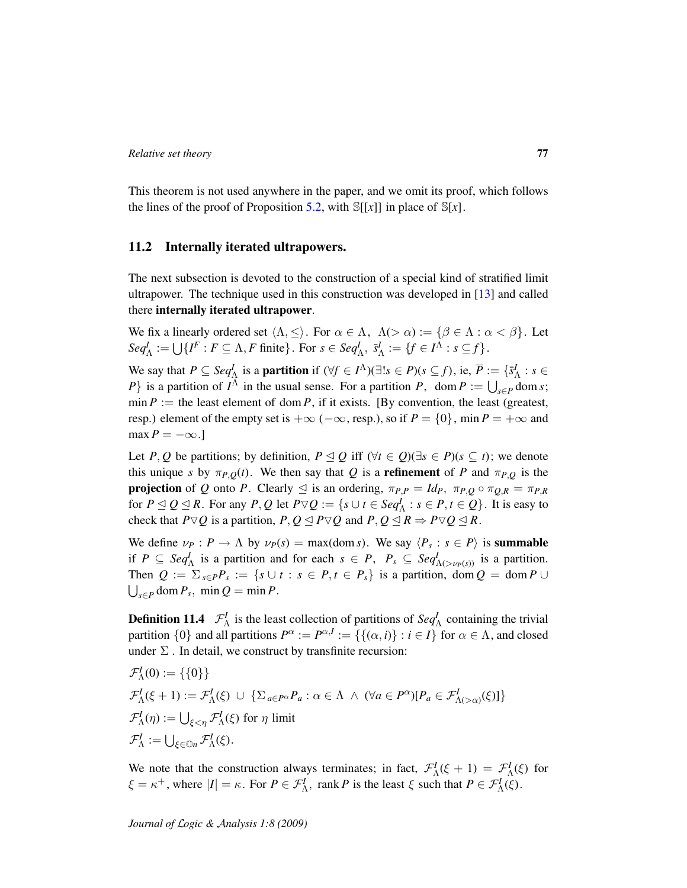This theorem is not used anywhere in the paper, and we omit its proof, which follows the lines of the proof of Proposition [5.2,](#page-28-0) with  $\mathbb{S}[[x]]$  in place of  $\mathbb{S}[x]$ .

## 11.2 Internally iterated ultrapowers.

The next subsection is devoted to the construction of a special kind of stratified limit ultrapower. The technique used in this construction was developed in [\[13\]](#page-106-0) and called there internally iterated ultrapower.

We fix a linearly ordered set  $\langle \Lambda, \leq \rangle$ . For  $\alpha \in \Lambda$ ,  $\Lambda(>\alpha) := \{ \beta \in \Lambda : \alpha < \beta \}$ . Let  $Seq_{\Lambda}^{I} := \bigcup \{ I^{F} : F \subseteq \Lambda, F \text{ finite } \}.$  For  $s \in Seq_{\Lambda}^{I}, \overline{s}_{\Lambda}^{I} := \{ f \in I^{\Lambda} : s \subseteq f \}.$ 

We say that  $P \subseteq Seq^I_\Lambda$  is a **partition** if  $(\forall f \in I^\Lambda)(\exists! s \in P)(s \subseteq f)$ , ie,  $\overline{P} := \{\overline{s}^I_\Lambda : s \in I_\Lambda\}$ *P*} is a partition of *I*<sup> $\Lambda$ </sup> in the usual sense. For a partition *P*, dom *P* :=  $\bigcup_{s \in P}$  dom *s*; min  $P :=$  the least element of dom  $P$ , if it exists. [By convention, the least (greatest, resp.) element of the empty set is  $+\infty$  ( $-\infty$ , resp.), so if  $P = \{0\}$ , min  $P = +\infty$  and  $max P = -\infty.$ ]

Let *P*, *Q* be partitions; by definition,  $P \leq Q$  iff ( $\forall t \in Q$ )( $\exists s \in P$ )( $s \subseteq t$ ); we denote this unique *s* by  $\pi_{P,Q}(t)$ . We then say that *Q* is a **refinement** of *P* and  $\pi_{P,Q}$  is the **projection** of *Q* onto *P*. Clearly  $\leq$  is an ordering,  $\pi_{P,P} = Id_P$ ,  $\pi_{P,Q} \circ \pi_{Q,R} = \pi_{P,R}$ for  $P \trianglelefteq Q \trianglelefteq R$ . For any  $P, Q$  let  $P \triangledown Q := \{ s \cup t \in Seq_{\Lambda}^I : s \in P, t \in Q \}$ . It is easy to check that  $P \nabla Q$  is a partition,  $P, Q \leq P \nabla Q$  and  $P, Q \leq R \Rightarrow P \nabla Q \leq R$ .

We define  $\nu_P : P \to \Lambda$  by  $\nu_P(s) = \max(\text{dom } s)$ . We say  $\langle P_s : s \in P \rangle$  is **summable** if  $P \subseteq Seq_{\Lambda}^I$  is a partition and for each  $s \in P$ ,  $P_s \subseteq Seq_{\Lambda(\gt \nu_P(s))}^I$  is a partition. Then  $Q := \sum_{s \in P} P_s := \{ s \cup t : s \in P, t \in P_s \}$  is a partition, dom  $Q = \text{dom } P \cup P$  $\bigcup_{s \in P} \text{dom } P_s$ , min  $Q = \min P$ .

**Definition 11.4**  $\mathcal{F}_{\Lambda}^{I}$  is the least collection of partitions of  $Seq_{\Lambda}^{I}$  containing the trivial partition  $\{0\}$  and all partitions  $P^{\alpha} := P^{\alpha, I} := \{\{\alpha, i\} : i \in I\}$  for  $\alpha \in \Lambda$ , and closed under  $\Sigma$ . In detail, we construct by transfinite recursion:

$$
\mathcal{F}_{\Lambda}^{I}(0) := \{\{0\}\}\
$$
  

$$
\mathcal{F}_{\Lambda}^{I}(\xi + 1) := \mathcal{F}_{\Lambda}^{I}(\xi) \cup \{\sum_{a \in P^{\alpha}} P_{a} : \alpha \in \Lambda \ \wedge \ (\forall a \in P^{\alpha})[P_{a} \in \mathcal{F}_{\Lambda(\geq \alpha)}^{I}(\xi)]\}
$$
  

$$
\mathcal{F}_{\Lambda}^{I}(\eta) := \bigcup_{\xi \in \mathbb{O}^{n}} \mathcal{F}_{\Lambda}^{I}(\xi) \text{ for } \eta \text{ limit}
$$
  

$$
\mathcal{F}_{\Lambda}^{I} := \bigcup_{\xi \in \mathbb{O}^{n}} \mathcal{F}_{\Lambda}^{I}(\xi).
$$

We note that the construction always terminates; in fact,  $\mathcal{F}_{\Lambda}^I(\xi + 1) = \mathcal{F}_{\Lambda}^I(\xi)$  for  $\xi = \kappa^+$ , where  $|I| = \kappa$ . For  $P \in \mathcal{F}_\Lambda^I$ , rank *P* is the least  $\xi$  such that  $P \in \mathcal{F}_\Lambda^I(\xi)$ .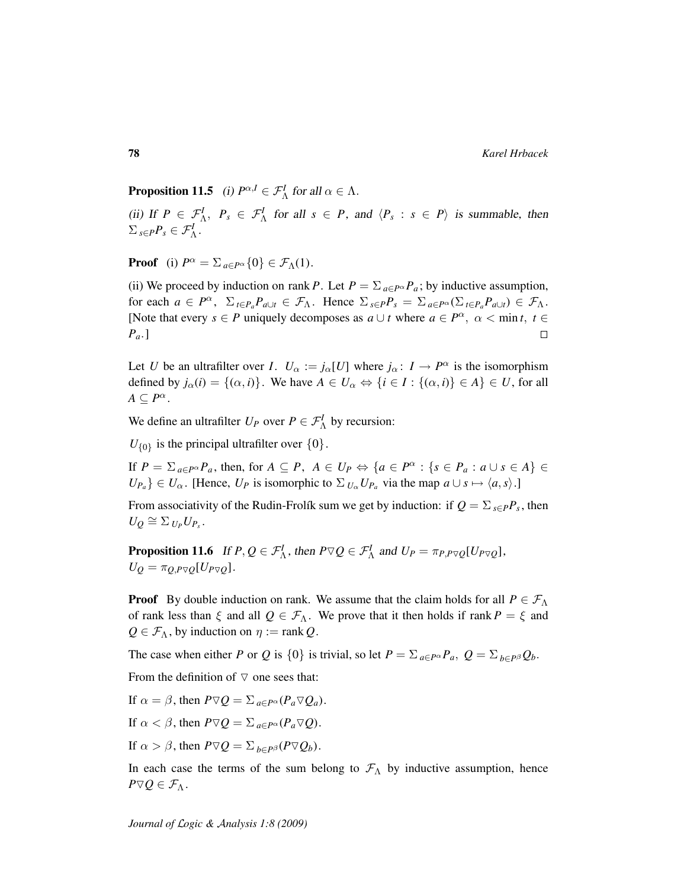**Proposition 11.5** (i)  $P^{\alpha,I} \in \mathcal{F}_{\Lambda}^I$  for all  $\alpha \in \Lambda$ .

(ii) If  $P \in \mathcal{F}_{\Lambda}^I$ ,  $P_s \in \mathcal{F}_{\Lambda}^I$  for all  $s \in P$ , and  $\langle P_s : s \in P \rangle$  is summable, then  $\sum_{s\in P}P_s\in\mathcal{F}_\Lambda^I$ .

**Proof** (i)  $P^{\alpha} = \sum_{a \in P^{\alpha}} \{0\} \in \mathcal{F}_{\Lambda}(1)$ .

(ii) We proceed by induction on rank *P*. Let  $P = \sum_{a \in P^{\alpha}} P_a$ ; by inductive assumption, for each  $a \in P^{\alpha}$ ,  $\sum_{t \in P_a} P_{a \cup t} \in \mathcal{F}_{\Lambda}$ . Hence  $\sum_{s \in P} P_s = \sum_{a \in P^{\alpha}} (\sum_{t \in P_a} P_{a \cup t}) \in \mathcal{F}_{\Lambda}$ . [Note that every  $s \in P$  uniquely decomposes as  $a \cup t$  where  $a \in P^{\alpha}$ ,  $\alpha < \min t, t \in$ *Pa*.]  $\Box$ 

Let *U* be an ultrafilter over *I*.  $U_{\alpha} := j_{\alpha}[U]$  where  $j_{\alpha} : I \to P^{\alpha}$  is the isomorphism defined by  $j_{\alpha}(i) = \{(\alpha, i)\}\$ . We have  $A \in U_{\alpha} \Leftrightarrow \{i \in I : \{(\alpha, i)\} \in A\} \in U$ , for all  $A \subseteq P^{\alpha}$ .

We define an ultrafilter  $U_P$  over  $P \in \mathcal{F}_\Lambda^I$  by recursion:

 $U_{\{0\}}$  is the principal ultrafilter over  $\{0\}$ .

If  $P = \sum_{a \in P^{\alpha}} P_a$ , then, for  $A \subseteq P$ ,  $A \in U_P \Leftrightarrow \{a \in P^{\alpha} : \{s \in P_a : a \cup s \in A\} \in$  $U_{P_a}$  }  $\in U_\alpha$ . [Hence,  $U_P$  is isomorphic to  $\Sigma_{U_\alpha} U_{P_a}$  via the map  $a \cup s \mapsto \langle a, s \rangle$ .]

From associativity of the Rudin-Frolík sum we get by induction: if  $Q = \sum_{s \in P} P_s$ , then  $U_Q \cong \sum_{U_P} U_{P_s}.$ 

<span id="page-77-0"></span>**Proposition 11.6** If  $P, Q \in \mathcal{F}_{\Lambda}^I$ , then  $P \triangledown Q \in \mathcal{F}_{\Lambda}^I$  and  $U_P = \pi_{P,P \triangledown Q}[U_{P \triangledown Q}]$ ,  $U_Q = \pi_{Q,P \nabla Q} [U_{P \nabla Q}].$ 

**Proof** By double induction on rank. We assume that the claim holds for all  $P \in \mathcal{F}_{\Lambda}$ of rank less than  $\xi$  and all  $Q \in \mathcal{F}_{\Lambda}$ . We prove that it then holds if rank  $P = \xi$  and  $Q \in \mathcal{F}_{\Lambda}$ , by induction on  $\eta := \text{rank } Q$ .

The case when either *P* or *Q* is {0} is trivial, so let  $P = \sum_{a \in P^{\alpha}} P_a$ ,  $Q = \sum_{b \in P^{\beta}} Q_b$ .

From the definition of  $\nabla$  one sees that:

If 
$$
\alpha = \beta
$$
, then  $P \triangledown Q = \sum_{a \in P^{\alpha}} (P_a \triangledown Q_a)$ .

If  $\alpha < \beta$ , then  $P \nabla Q = \sum_{a \in P^{\alpha}} (P_a \nabla Q)$ .

If  $\alpha > \beta$ , then  $P \nabla Q = \sum_{b \in P} \beta(P \nabla Q_b)$ .

In each case the terms of the sum belong to  $\mathcal{F}_{\Lambda}$  by inductive assumption, hence  $P \triangledown Q \in \mathcal{F}_{\Lambda}$ .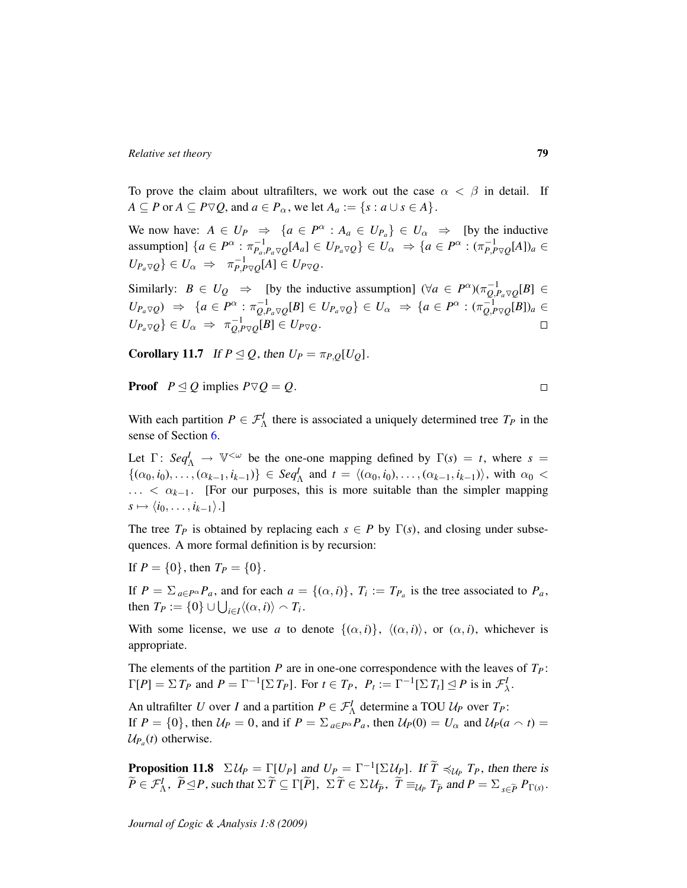To prove the claim about ultrafilters, we work out the case  $\alpha < \beta$  in detail. If  $A \subseteq P$  or  $A \subseteq P \nabla Q$ , and  $a \in P_\alpha$ , we let  $A_a := \{s : a \cup s \in A\}$ .

We now have:  $A \in U_P \Rightarrow \{a \in P^{\alpha} : A_a \in U_{P_a}\} \in U_{\alpha} \Rightarrow$  [by the inductive assumption]  $\{a \in P^{\alpha} : \pi_{P_a, P_a \nabla Q}^{-1}[A_a] \in U_{P_a \nabla Q} \} \in U_{\alpha} \Rightarrow \{a \in P^{\alpha} : (\pi_{P, P \nabla Q}^{-1}[A])_a \in$  $U_{P_a\triangledown Q}$ } ∈  $U_\alpha$   $\Rightarrow \pi_{P,P\triangledown Q}^{-1}[A]$  ∈  $U_{P\nabla Q}$ .

Similarly:  $B \in U_Q \Rightarrow$  [by the inductive assumption]  $(\forall a \in P^{\alpha})(\pi_{Q,P_a \nabla Q}^{-1}[B] \in$  $U_{P_a\triangledown Q}) \Rightarrow \{a\in P^\alpha: \pi_{Q,P_a\triangledown Q}^{-1}[B]\in U_{P_a\triangledown Q}\}\in U_\alpha \Rightarrow \{a\in P^\alpha: (\pi_{Q,P\triangledown Q}^{-1}[B])_a\in$  $\{U_{P_a\triangledown Q}\}\in U_\alpha \ \Rightarrow \ \pi^{-1}_{Q,P\triangledown Q}[B]\in U_{P\nabla Q}.$  $\Box$ 

Corollary 11.7 If  $P \trianglelefteq Q$ , then  $U_P = \pi_{P,Q}[U_Q]$ .

**Proof**  $P \trianglelefteq Q$  implies  $P \triangledown Q = Q$ .

With each partition  $P \in \mathcal{F}_{\Lambda}^{I}$  there is associated a uniquely determined tree  $T_{P}$  in the sense of Section [6.](#page-35-0)

Let  $\Gamma: \mathcal{S}eq^I_{\Lambda} \to \mathbb{V}^{<\omega}$  be the one-one mapping defined by  $\Gamma(s) = t$ , where  $s =$  $\{(\alpha_0, i_0), \ldots, (\alpha_{k-1}, i_{k-1})\} \in \text{Seq}_{\Lambda}^I$  and  $t = \langle (\alpha_0, i_0), \ldots, (\alpha_{k-1}, i_{k-1}) \rangle$ , with  $\alpha_0$  < ... <  $\alpha_{k-1}$ . [For our purposes, this is more suitable than the simpler mapping  $s \mapsto \langle i_0, \ldots, i_{k-1} \rangle.$ ]

The tree  $T_P$  is obtained by replacing each  $s \in P$  by  $\Gamma(s)$ , and closing under subsequences. A more formal definition is by recursion:

If  $P = \{0\}$ , then  $T_P = \{0\}$ .

If  $P = \sum_{a \in P} P^a P_a$ , and for each  $a = \{(\alpha, i)\}\$ ,  $T_i := T_{P_a}$  is the tree associated to  $P_a$ , then  $T_P := \{0\} \cup \bigcup_{i \in I} \langle (\alpha, i) \rangle \cap T_i$ .

With some license, we use *a* to denote  $\{(\alpha, i)\}, \langle (\alpha, i) \rangle$ , or  $(\alpha, i)$ , whichever is appropriate.

The elements of the partition *P* are in one-one correspondence with the leaves of  $T_P$ :  $\Gamma[P] = \sum T_P$  and  $P = \Gamma^{-1}[\sum T_P]$ . For  $t \in T_P$ ,  $P_t := \Gamma^{-1}[\sum T_t] \le P$  is in  $\mathcal{F}^I_\lambda$ .

An ultrafilter *U* over *I* and a partition  $P \in \mathcal{F}_{\Lambda}^I$  determine a TOU  $\mathcal{U}_P$  over  $T_P$ : If  $P = \{0\}$ , then  $U_P = 0$ , and if  $P = \sum_{a \in P^{\alpha}} P_a$ , then  $U_P(0) = U_{\alpha}$  and  $U_P(a \cap t) =$  $U_{P_a}(t)$  otherwise.

<span id="page-78-0"></span>**Proposition 11.8**  $\Sigma U_P = \Gamma[U_P]$  and  $U_P = \Gamma^{-1}[\Sigma U_P]$ . If  $\widetilde{T} \preccurlyeq_{U_P} T_P$ , then there is  $\widetilde{P} \in \mathcal{F}^I_\Lambda$ ,  $\widetilde{P} \trianglelefteq P$ , such that  $\Sigma \widetilde{T} \subseteq \Gamma[\widetilde{P}]$ ,  $\Sigma \widetilde{T} \in \Sigma \mathcal{U}_{\widetilde{P}}$ ,  $\widetilde{T} \equiv_{\mathcal{U}_P} T_{\widetilde{P}}$  and  $P = \Sigma_{s \in \widetilde{P}} P_{\Gamma(s)}$ .

 $\Box$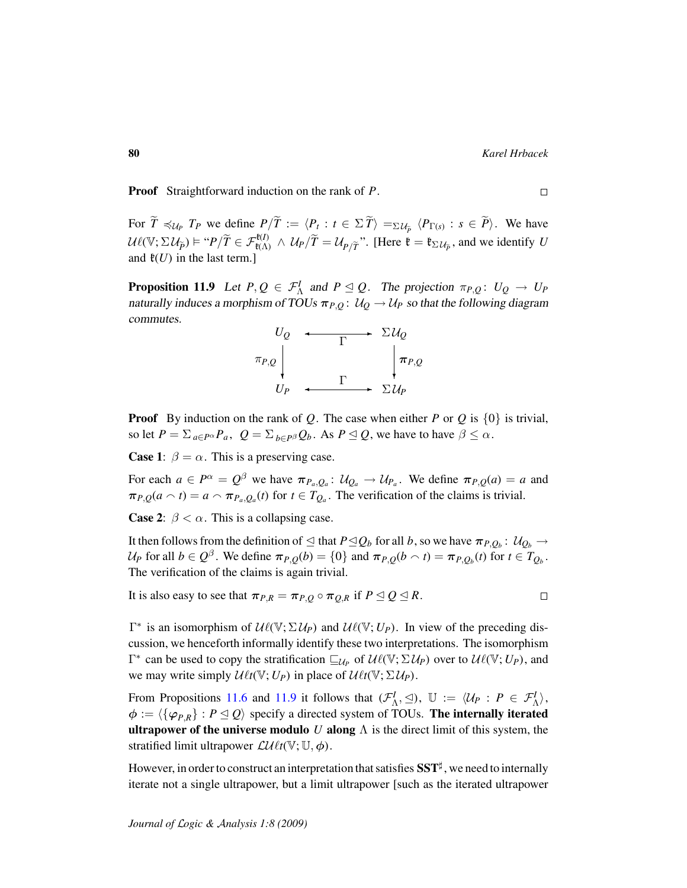Proof Straightforward induction on the rank of *P*.

For  $\widetilde{T} \preccurlyeq_{\mathcal{U}_P} T_P$  we define  $P/\widetilde{T} := \langle P_t : t \in \Sigma \widetilde{T} \rangle =_{\Sigma \mathcal{U}_{\widetilde{P}}} \langle P_{\Gamma(s)} : s \in \widetilde{P} \rangle$ . We have  $U\ell(\mathbb{V}; \Sigma \mathcal{U}_{\tilde{P}}) \models "P/\tilde{T} \in \mathcal{F}_{\ell(\Lambda)}^{\ell(\mathcal{U})} \wedge \mathcal{U}_P/\tilde{T} = \mathcal{U}_{P/\tilde{T}}$ ". [Here  $\mathfrak{k} = \mathfrak{k}_{\Sigma \mathcal{U}_{\tilde{P}}}$ , and we identify *U* and  $\mathfrak{k}(U)$  in the last term.]

<span id="page-79-0"></span>**Proposition 11.9** Let  $P, Q \in \mathcal{F}_{\Lambda}^I$  and  $P \subseteq Q$ . The projection  $\pi_{P,Q}: U_Q \to U_P$ naturally induces a morphism of TOUs  $\pi_{P,Q}: U_Q \to U_P$  so that the following diagram commutes.



Proof By induction on the rank of *Q*. The case when either *P* or *Q* is {0} is trivial, so let  $P = \sum_{a \in P^{\alpha}} P_a$ ,  $Q = \sum_{b \in P^{\beta}} Q_b$ . As  $P \leq Q$ , we have to have  $\beta \leq \alpha$ .

**Case 1:**  $\beta = \alpha$ . This is a preserving case.

For each  $a \in P^{\alpha} = Q^{\beta}$  we have  $\pi_{P_a,Q_a}: \mathcal{U}_{Q_a} \to \mathcal{U}_{P_a}$ . We define  $\pi_{P,Q}(a) = a$  and  $\pi_{P,Q}(a \cap t) = a \cap \pi_{P_a,Q_a}(t)$  for  $t \in T_{Q_a}$ . The verification of the claims is trivial.

**Case 2:**  $\beta < \alpha$ . This is a collapsing case.

It then follows from the definition of  $\trianglelefteq$  that  $P \trianglelefteq Q_b$  for all  $b$  , so we have  $\pi_{P,Q_b} \colon \mathcal{U}_{Q_b} \to$ U<sub>P</sub> for all  $b \in Q^{\beta}$ . We define  $\pi_{P,Q}(b) = \{0\}$  and  $\pi_{P,Q}(b \cap t) = \pi_{P,Q_b}(t)$  for  $t \in T_{Q_b}$ . The verification of the claims is again trivial.

It is also easy to see that 
$$
\pi_{P,R} = \pi_{P,Q} \circ \pi_{Q,R}
$$
 if  $P \leq Q \leq R$ .

 $\Gamma^*$  is an isomorphism of  $U\ell(\mathbb{V}; \Sigma \mathcal{U}_P)$  and  $U\ell(\mathbb{V}; U_P)$ . In view of the preceding discussion, we henceforth informally identify these two interpretations. The isomorphism  $\Gamma^*$  can be used to copy the stratification  $\sqsubseteq_{U_P}$  of  $U\ell(\mathbb{V}; \Sigma U_P)$  over to  $U\ell(\mathbb{V}; U_P)$ , and we may write simply  $\mathcal{U}_{\ell t}(\mathbb{V}; U_P)$  in place of  $\mathcal{U}_{\ell t}(\mathbb{V}; \Sigma \mathcal{U}_P)$ .

From Propositions [11.6](#page-77-0) and [11.9](#page-79-0) it follows that  $(\mathcal{F}_{\Lambda}^I, \leq), \mathbb{U} := \langle \mathcal{U}_P : P \in \mathcal{F}_{\Lambda}^I \rangle$ ,  $\phi := \langle {\{\varphi_{P,R}\}} : P \leq Q \rangle$  specify a directed system of TOUs. The internally iterated **ultrapower of the universe modulo** U along  $\Lambda$  is the direct limit of this system, the stratified limit ultrapower  $\mathcal{L}\mathcal{U}\ell t(\mathbb{V}; \mathbb{U}, \phi)$ .

However, in order to construct an interpretation that satisfies  $\mathbf{SST}^{\sharp}$ , we need to internally iterate not a single ultrapower, but a limit ultrapower [such as the iterated ultrapower

 $\Box$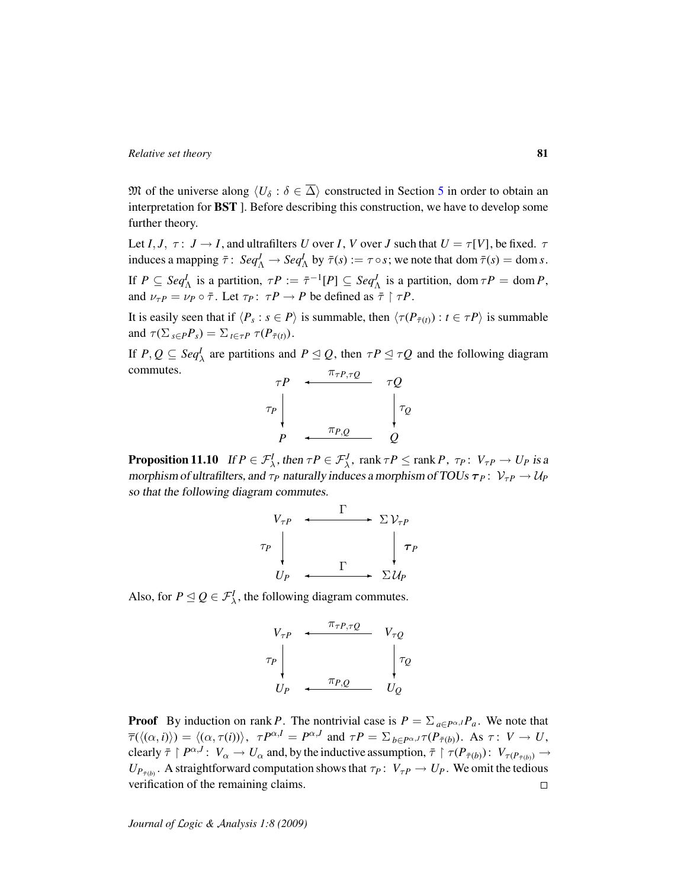M of the universe along  $\langle U_{\delta} : \delta \in \overline{\Delta} \rangle$  constructed in Section [5](#page-27-0) in order to obtain an interpretation for BST ]. Before describing this construction, we have to develop some further theory.

Let *I*, *J*,  $\tau: J \to I$ , and ultrafilters *U* over *I*, *V* over *J* such that  $U = \tau[V]$ , be fixed.  $\tau$ induces a mapping  $\bar{\tau}$ :  $Seq_{\Lambda}^{J} \to Seq_{\Lambda}^{I}$  by  $\bar{\tau}(s) := \tau \circ s$ ; we note that dom  $\bar{\tau}(s) = \text{dom } s$ . If  $P \subseteq \text{Seq}_{\Lambda}^I$  is a partition,  $\tau P := \bar{\tau}^{-1}[P] \subseteq \text{Seq}_{\Lambda}^J$  is a partition, dom  $\tau P = \text{dom } P$ , and  $\nu_{\tau}P = \nu_P \circ \bar{\tau}$ . Let  $\tau_P : \tau P \to P$  be defined as  $\bar{\tau} \restriction \tau P$ .

It is easily seen that if  $\langle P_s : s \in P \rangle$  is summable, then  $\langle \tau(P_{\bar{\tau}(t)}) : t \in \tau P \rangle$  is summable and  $\tau(\sum_{s \in P} P_s) = \sum_{t \in \tau} P \tau(P_{\bar{\tau}(t)})$ .

If  $P, Q \subseteq \text{Seq}_{\lambda}^I$  are partitions and  $P \subseteq Q$ , then  $\tau P \subseteq \tau Q$  and the following diagram commutes. πτ*P*,τ*<sup>Q</sup>*

$$
\begin{array}{ccc}\n\tau P & \xleftarrow{\pi_{\tau P, \tau Q}} & \tau Q \\
\tau_P & & \downarrow{\tau_Q} \\
P & \xleftarrow{\pi_{P, Q}} & Q\n\end{array}
$$

<span id="page-80-0"></span>**Proposition 11.10** If  $P \in \mathcal{F}_{\lambda}^I$ , then  $\tau P \in \mathcal{F}_{\lambda}^J$ ,  $\text{rank } \tau P \leq \text{rank } P$ ,  $\tau_P: V_{\tau P} \to U_P$  is a morphism of ultrafilters, and  $\tau_P$  naturally induces a morphism of TOUs  $\tau_P : V_{\tau P} \to U_P$ so that the following diagram commutes.

$$
V_{\tau P} \leftarrow \begin{array}{c} \Gamma \\ \Gamma \Gamma \\ \Gamma P \\ \Gamma \end{array} \begin{array}{c} \Gamma \\ \uparrow \Gamma \\ \Gamma \end{array} \begin{array}{c} \Gamma \\ \downarrow \Gamma P \\ \Gamma P \end{array}
$$

Also, for  $P \trianglelefteq Q \in \mathcal{F}^I_{\lambda}$ , the following diagram commutes.

$$
V_{\tau P} \leftarrow \begin{array}{c} \pi_{\tau P, \tau Q} & V_{\tau Q} \\ \tau_{P} & \downarrow \\ U_{P} & \leftarrow \pi_{P, Q} & U_{Q} \end{array}
$$

**Proof** By induction on rank *P*. The nontrivial case is  $P = \sum_{a \in P^{\alpha}} P_a$ . We note that  $\overline{\tau}(\langle(\alpha, i)|\rangle) = \langle(\alpha, \tau(i))\rangle, \tau P^{\alpha, I} = P^{\alpha, J}$  and  $\tau P = \sum_{b \in P^{\alpha, J}} \tau(P_{\overline{\tau}(b)})$ . As  $\tau: V \to U$ , clearly  $\bar{\tau} \restriction P^{\alpha, J}$ :  $V_{\alpha} \to U_{\alpha}$  and, by the inductive assumption,  $\bar{\tau} \restriction \tau(P_{\bar{\tau}(b)})$ :  $V_{\tau(P_{\bar{\tau}(b)})} \to$  $U_{P_{\tilde{\tau}(b)}}$ . A straightforward computation shows that  $\tau_P: V_{\tau P} \to U_P$ . We omit the tedious verification of the remaining claims.  $\Box$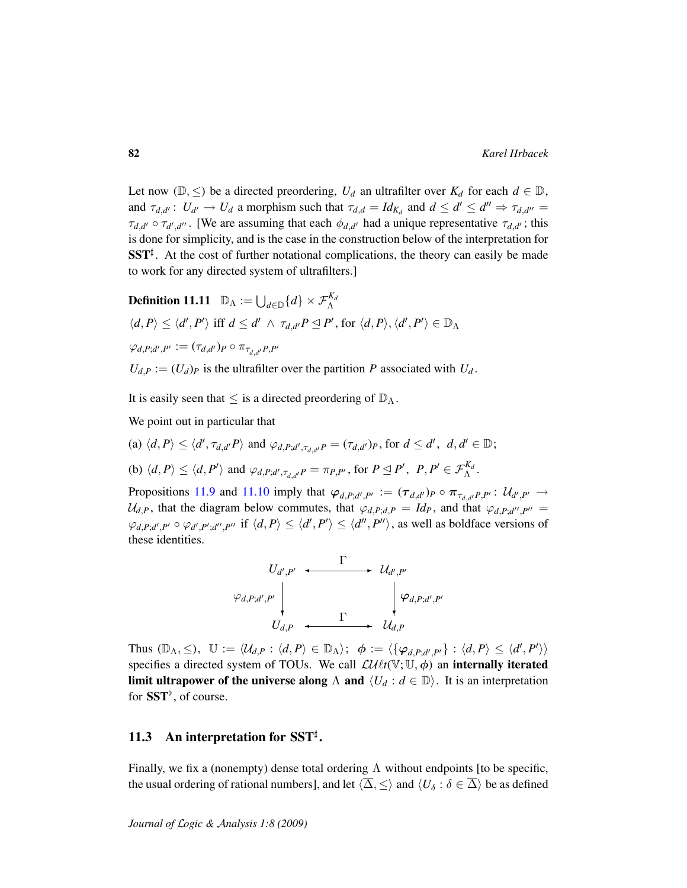Let now ( $\mathbb{D}, \leq$ ) be a directed preordering,  $U_d$  an ultrafilter over  $K_d$  for each  $d \in \mathbb{D}$ , and  $\tau_{d,d'}: U_{d'} \to U_d$  a morphism such that  $\tau_{d,d} = Id_{K_d}$  and  $d \leq d' \leq d'' \Rightarrow \tau_{d,d''} =$  $\tau_{d,d'} \circ \tau_{d',d''}$ . [We are assuming that each  $\phi_{d,d'}$  had a unique representative  $\tau_{d,d'}$ ; this is done for simplicity, and is the case in the construction below of the interpretation for  $SST^{\sharp}$ . At the cost of further notational complications, the theory can easily be made to work for any directed system of ultrafilters.]

**Definition 11.11** 
$$
\mathbb{D}_{\Lambda} := \bigcup_{d \in \mathbb{D}} \{d\} \times \mathcal{F}_{\Lambda}^{K_d}
$$

$$
\langle d, P \rangle \leq \langle d', P' \rangle \text{ iff } d \leq d' \land \tau_{d, d'} P \leq P', \text{ for } \langle d, P \rangle, \langle d', P' \rangle \in \mathbb{D}_{\Lambda}
$$

$$
\varphi_{d, P; d', P'} := (\tau_{d, d'})_P \circ \pi_{\tau_{d, d'}} P, P'
$$

 $U_{d,P} := (U_d)_P$  is the ultrafilter over the partition *P* associated with  $U_d$ .

It is easily seen that  $\leq$  is a directed preordering of  $\mathbb{D}_{\Lambda}$ .

We point out in particular that

- (a)  $\langle d, P \rangle \le \langle d', \tau_{d,d'}P \rangle$  and  $\varphi_{d,P;d',\tau_{d,d'}P} = (\tau_{d,d'})_P$ , for  $d \le d'$ ,  $d, d' \in \mathbb{D}$ ;
- (b)  $\langle d, P \rangle \le \langle d, P' \rangle$  and  $\varphi_{d, P; d', \tau_{d, d'}P} = \pi_{P, P'}$ , for  $P \trianglelefteq P'$ ,  $P, P' \in \mathcal{F}_{\Lambda}^{K_d}$ .

Propositions [11.9](#page-79-0) and [11.10](#page-80-0) imply that  $\varphi_{d,P;d',P'} := (\tau_{d,d'})_P \circ \pi_{\tau_{d,d'}P,P'} : \mathcal{U}_{d',P'} \to$  $U_{d,P}$ , that the diagram below commutes, that  $\varphi_{d,P;d,P} = Id_P$ , and that  $\varphi_{d,P;d'',P''} =$  $\varphi_{d,P,d',P'} \circ \varphi_{d',P';d'',P''}$  if  $\langle d, P \rangle \leq \langle d', P' \rangle \leq \langle d'', P'' \rangle$ , as well as boldface versions of these identities.



Thus  $(\mathbb{D}_{\Lambda}, \leq), \mathbb{U} := \langle \mathcal{U}_{d,P} : \langle d, P \rangle \in \mathbb{D}_{\Lambda} \rangle; \phi := \langle \{\varphi_{d,P;d',P'}\} : \langle d, P \rangle \leq \langle d', P' \rangle \rangle$ specifies a directed system of TOUs. We call  $\mathcal{L}\mathcal{U}\ell t(\mathbb{V}; \mathbb{U}, \phi)$  an **internally iterated limit ultrapower of the universe along**  $\Lambda$  and  $\langle U_d : d \in \mathbb{D} \rangle$ . It is an interpretation for  $SST^{\flat}$ , of course.

# 11.3 An interpretation for  $SST^{\sharp}$ .

Finally, we fix a (nonempty) dense total ordering  $\Lambda$  without endpoints [to be specific, the usual ordering of rational numbers], and let  $\langle \overline{\Delta}, \leq \rangle$  and  $\langle U_{\delta} : \delta \in \overline{\Delta} \rangle$  be as defined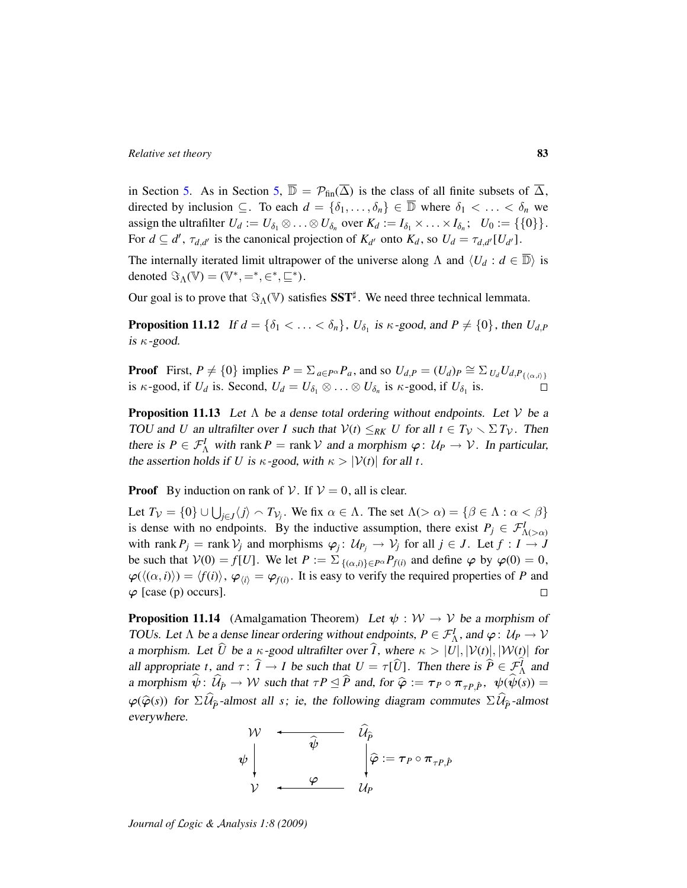in Section [5.](#page-27-0) As in Section [5,](#page-27-0)  $\overline{\mathbb{D}} = \mathcal{P}_{fin}(\overline{\Delta})$  is the class of all finite subsets of  $\overline{\Delta}$ , directed by inclusion  $\subseteq$ . To each  $d = \{\delta_1, \ldots, \delta_n\} \in \overline{\mathbb{D}}$  where  $\delta_1 < \ldots < \delta_n$  we assign the ultrafilter  $U_d := U_{\delta_1} \otimes \ldots \otimes U_{\delta_n}$  over  $K_d := I_{\delta_1} \times \ldots \times I_{\delta_n}$ ;  $U_0 := \{\{0\}\}.$ For  $d \subseteq d'$ ,  $\tau_{d,d'}$  is the canonical projection of  $K_{d'}$  onto  $K_d$ , so  $U_d = \tau_{d,d'}[U_{d'}]$ .

The internally iterated limit ultrapower of the universe along  $\Lambda$  and  $\langle U_d : d \in \mathbb{D} \rangle$  is denoted  $\Im_{\Lambda}(\mathbb{V}) = (\mathbb{V}^*, =^*, \in^*, \sqsubseteq^*).$ 

Our goal is to prove that  $\Im_{\Lambda}(\mathbb{V})$  satisfies  $\mathbf{SST}^{\sharp}$ . We need three technical lemmata.

**Proposition 11.12** If  $d = \{\delta_1 < \ldots < \delta_n\}$ ,  $U_{\delta_1}$  is  $\kappa$ -good, and  $P \neq \{0\}$ , then  $U_{d,P}$ is  $\kappa$ -good.

**Proof** First,  $P \neq \{0\}$  implies  $P = \sum_{a \in P^{\alpha}} P_a$ , and so  $U_{d,P} = (U_d)_P \cong \sum_{U_d} U_{d,P_{\{\langle \alpha,i\rangle\}}}$ is  $\kappa$ -good, if  $U_d$  is. Second,  $U_d = U_{\delta_1} \otimes \ldots \otimes U_{\delta_n}$  is  $\kappa$ -good, if  $U_{\delta_1}$  is.

**Proposition 11.13** Let  $\Lambda$  be a dense total ordering without endpoints. Let  $V$  be a TOU and *U* an ultrafilter over *I* such that  $V(t) \leq_{RK} U$  for all  $t \in T_V \setminus \Sigma T_V$ . Then there is  $P \in \mathcal{F}_{\Lambda}^I$  with rank  $P = \text{rank } V$  and a morphism  $\varphi: U_P \to V$ . In particular, the assertion holds if *U* is  $\kappa$ -good, with  $\kappa > |\mathcal{V}(t)|$  for all *t*.

**Proof** By induction on rank of V. If  $V = 0$ , all is clear.

Let  $T_{\mathcal{V}} = \{0\} \cup \bigcup_{j \in J} \langle j \rangle \setminus T_{\mathcal{V}_j}$ . We fix  $\alpha \in \Lambda$ . The set  $\Lambda(\geq \alpha) = \{\beta \in \Lambda : \alpha < \beta\}$ is dense with no endpoints. By the inductive assumption, there exist  $P_j \in \mathcal{F}^I_{\Lambda(\geq \alpha)}$ with rank  $P_j = \text{rank } \mathcal{V}_j$  and morphisms  $\varphi_j: \mathcal{U}_{P_j} \to \mathcal{V}_j$  for all  $j \in J$ . Let  $f: I \to J$ be such that  $V(0) = f[U]$ . We let  $P := \sum_{\{( \alpha, i) \} \in P^{\alpha}} P_{f(i)}$  and define  $\varphi$  by  $\varphi(0) = 0$ ,  $\varphi(\langle(\alpha, i\rangle\rangle) = \langle f(i)\rangle, \varphi_{\langle i\rangle} = \varphi_{f(i)}$ . It is easy to verify the required properties of *P* and  $\varphi$  [case (p) occurs].  $\Box$ 

**Proposition 11.14** (Amalgamation Theorem) Let  $\psi : \mathcal{W} \to \mathcal{V}$  be a morphism of TOUs. Let  $\Lambda$  be a dense linear ordering without endpoints,  $P \in \mathcal{F}_\Lambda^I$ , and  $\varphi: U_P \to V$ a morphism. Let  $\hat{U}$  be a  $\kappa$ -good ultrafilter over  $\hat{I}$ , where  $\kappa > |U|, |\mathcal{V}(t)|, |\mathcal{W}(t)|$  for all appropriate *t*, and  $\tau : \hat{I} \to I$  be such that  $U = \tau[\hat{U}]$ . Then there is  $\hat{P} \in \mathcal{F}_{\hat{A}}^I$  and a morphism  $\psi$ :  $U_{\hat{P}} \to W$  such that  $\tau P \leq P$  and, for  $\hat{\varphi} := \tau_P \circ \pi_{\tau P, \hat{P}}, \psi(\psi(s)) =$  $\varphi(\hat{\varphi}(s))$  for  $\Sigma \mathcal{U}_{\hat{p}}$ -almost all *s*; ie, the following diagram commutes  $\Sigma \mathcal{U}_{\hat{p}}$ -almost everywhere.

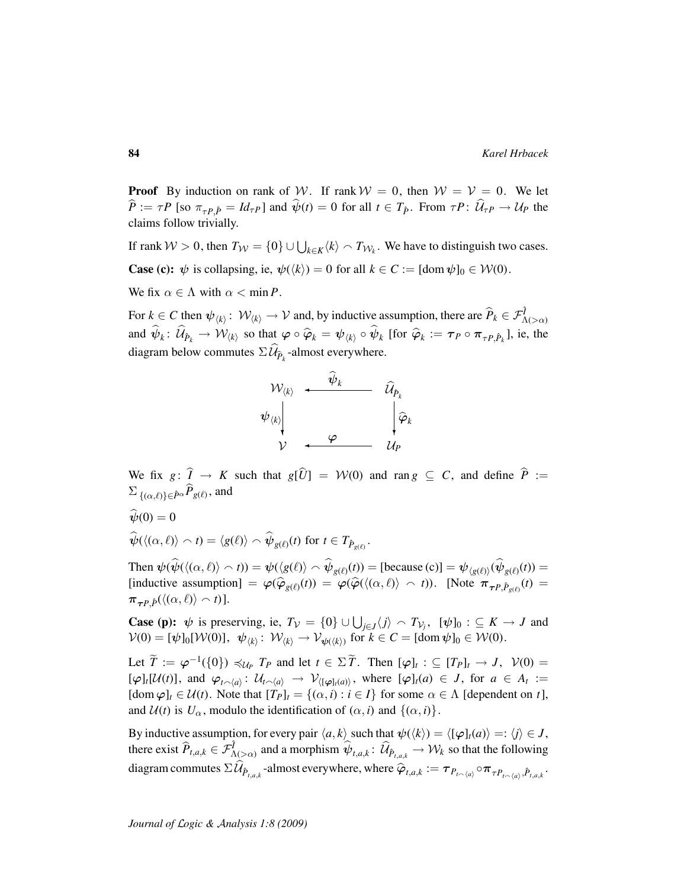**Proof** By induction on rank of W. If rank  $W = 0$ , then  $W = V = 0$ . We let  $P := \tau P$  [so  $\pi_{\tau P, \hat{P}} = Id_{\tau P}$ ] and  $\psi(t) = 0$  for all  $t \in T_{\hat{P}}$ . From  $\tau P: \mathcal{U}_{\tau P} \to \mathcal{U}_P$  the claims follow trivially.

If rank  $W > 0$ , then  $T_W = \{0\} \cup \bigcup_{k \in K} \langle k \rangle \cap T_{W_k}$ . We have to distinguish two cases. **Case (c):**  $\psi$  is collapsing, ie,  $\psi(\langle k \rangle) = 0$  for all  $k \in C := [\text{dom } \psi]_0 \in \mathcal{W}(0)$ .

We fix  $\alpha \in \Lambda$  with  $\alpha < \min P$ .

For  $k \in C$  then  $\psi_{\langle k \rangle} : \mathcal{W}_{\langle k \rangle} \to \mathcal{V}$  and, by inductive assumption, there are  $\widehat{P}_k \in \mathcal{F}^{\widehat{I}}_{\Lambda(\geq \alpha)}$ and  $\psi_k: \mathcal{U}_{\hat{P}_k} \to \mathcal{W}_{\langle k \rangle}$  so that  $\varphi \circ \hat{\varphi}_k = \psi_{\langle k \rangle} \circ \psi_k$  [for  $\hat{\varphi}_k := \tau_P \circ \pi_{\tau P, \hat{P}_k}$ ], ie, the diagram below commutes  $\Sigma \mathcal{U}_{\widehat{P}_k}$ -almost everywhere.



We fix *g*:  $\hat{I} \rightarrow K$  such that  $g[\hat{U}] = W(0)$  and ran  $g \subseteq C$ , and define  $\hat{P}$  :=  $\sum_{\{(\alpha,\ell)\}\in \hat{P}^{\alpha}} P_{g(\ell)}$ , and

 $\widehat{\psi}(0) = 0$ 

$$
\widehat{\psi}(\langle(\alpha,\ell)\rangle \frown t) = \langle g(\ell)\rangle \frown \widehat{\psi}_{g(\ell)}(t) \text{ for } t \in T_{\hat{P}_{g(\ell)}}.
$$

Then  $\psi(\widehat{\psi}(\langle (\alpha, \ell) \rangle \cap t)) = \psi(\langle g(\ell) \rangle \cap \widehat{\psi}_{g(\ell)}(t)) = [\text{because } (c)] = \psi_{\langle g(\ell) \rangle}(\widehat{\psi}_{g(\ell)}(t)) =$  $[\text{inductive assumption}] = \varphi(\hat{\varphi}_{g(\ell)}(t)) = \varphi(\hat{\varphi}(\langle(\alpha,\ell)\rangle \wedge t)).$  [Note  $\pi_{\tau P, \hat{P}_{g(\ell)}}(t) =$  $\pi_{\tau P} \hat{p}(\langle (\alpha, \ell) \rangle \cap t)].$ 

**Case (p):**  $\psi$  is preserving, ie,  $T_V = \{0\} \cup \bigcup_{j \in J} \langle j \rangle \cap T_{V_j}$ ,  $[\psi]_0 : \subseteq K \to J$  and  $\mathcal{V}(0) = [\psi]_0[\mathcal{W}(0)], \psi_{\langle k \rangle} : \mathcal{W}_{\langle k \rangle} \to \mathcal{V}_{\psi(\langle k \rangle)}$  for  $k \in C = [\text{dom } \psi]_0 \in \mathcal{W}(0)$ .

Let  $\widetilde{T} := \varphi^{-1}(\{0\}) \preccurlyeq_{\mathcal{U}_P} T_P$  and let  $t \in \Sigma \widetilde{T}$ . Then  $[\varphi]_t : \subseteq [T_P]_t \to J$ ,  $\mathcal{V}(0) =$  $[\varphi]_t[\mathcal{U}(t)],$  and  $\varphi_{t \smallfrown \langle a \rangle}: \mathcal{U}_{t \smallfrown \langle a \rangle} \to \mathcal{V}_{\langle [\varphi]_t(a) \rangle}$ , where  $[\varphi]_t(a) \in J$ , for  $a \in A_t :=$  $[dom \varphi]_t \in \mathcal{U}(t)$ . Note that  $[T_P]_t = \{(\alpha, i) : i \in I\}$  for some  $\alpha \in \Lambda$  [dependent on *t*], and  $\mathcal{U}(t)$  is  $U_{\alpha}$ , modulo the identification of  $(\alpha, i)$  and  $\{(\alpha, i)\}.$ 

By inductive assumption, for every pair  $\langle a, k \rangle$  such that  $\psi(\langle k \rangle) = \langle [\varphi]_t(a) \rangle =: \langle j \rangle \in J$ , there exist  $\widehat{P}_{t,a,k} \in \mathcal{F}^{\widehat{I}}_{\Lambda(\geq \alpha)}$  and a morphism  $\widehat{\psi}_{t,a,k} : \widehat{\mathcal{U}}_{\widehat{P}_{t,a,k}} \to \mathcal{W}_k$  so that the following  $\text{diagram commutes } \Sigma \mathcal{U}_{\hat{P}_{t,a,k}}\text{-almost everywhere, where } \widehat{\varphi}_{t,a,k} := \boldsymbol{\tau}_{P_{t\smallfrown \langle a \rangle}} \circ \boldsymbol{\pi}_{\tau P_{t\smallfrown \langle a \rangle},\hat{P}_{t,a,k}}.$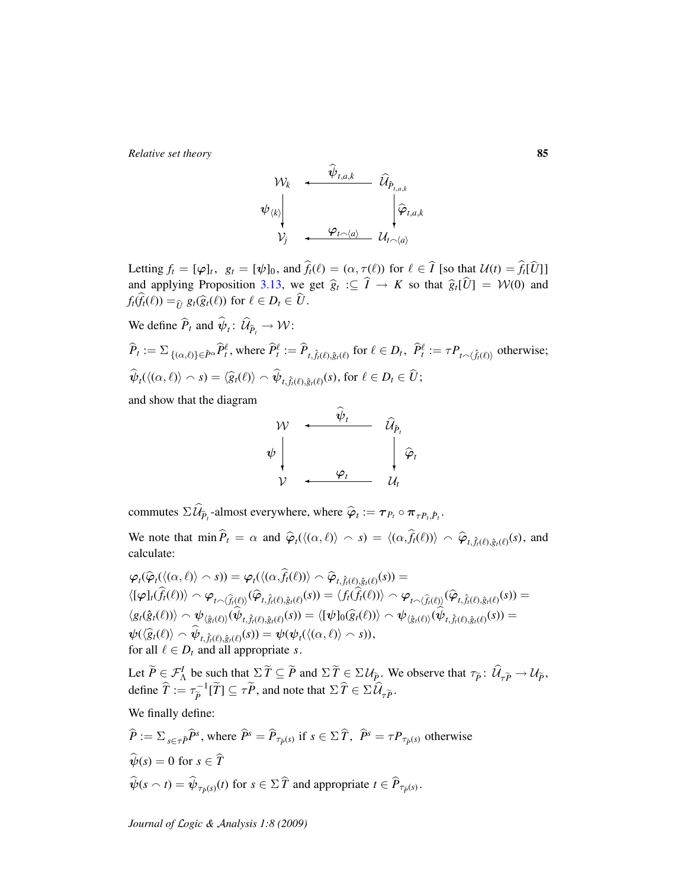$$
\begin{array}{ccc}\n\mathcal{W}_{k} & \xleftarrow{\mathbf{\psi}_{t,a,k}} & \widehat{\mathcal{U}}_{\widehat{P}_{t,a,k}} \\
\psi_{\langle k \rangle} & & \downarrow \widehat{\varphi}_{t,a,k} \\
\mathcal{V}_{j} & \xleftarrow{\mathbf{\varphi}_{t \smallfrown \langle a \rangle}} & \mathcal{U}_{t \smallfrown \langle a \rangle}\n\end{array}
$$

Letting  $f_t = [\varphi]_t$ ,  $g_t = [\psi]_0$ , and  $f_t(\ell) = (\alpha, \tau(\ell))$  for  $\ell \in T$  [so that  $\mathcal{U}(t) = f_t[\mathcal{U}]_1$ ] and applying Proposition [3.13,](#page-22-0) we get  $\hat{g}_t := \hat{I} \to K$  so that  $\hat{g}_t[\hat{U}] = \mathcal{W}(0)$  and  $f_t(\widehat{f}_t(\ell)) = \widehat{U}_t g_t(\widehat{g}_t(\ell))$  for  $\ell \in D_t \in \widehat{U}$ .

We define 
$$
\hat{P}_t
$$
 and  $\hat{\psi}_t$ :  $\hat{\mathcal{U}}_{\hat{P}_t} \to \mathcal{W}$ :  
\n
$$
\hat{P}_t := \sum_{\{(\alpha,\ell)\}\in \hat{P}^{\alpha}} \hat{P}_t^{\ell}, \text{ where } \hat{P}_t^{\ell} := \hat{P}_{t, \hat{f}_t(\ell), \hat{g}_t(\ell)} \text{ for } \ell \in D_t, \ \hat{P}_t^{\ell} := \tau P_{t \sim \langle \hat{f}_t(\ell) \rangle} \text{ otherwise;}
$$
\n
$$
\hat{\psi}_t(\langle(\alpha,\ell)\rangle \sim s) = \langle \hat{g}_t(\ell)\rangle \sim \hat{\psi}_{t, \hat{f}_t(\ell), \hat{g}_t(\ell)}(s), \text{ for } \ell \in D_t \in \hat{U};
$$

and show that the diagram



commutes  $\Sigma \mathcal{U}_{\widehat{P}_t}$ -almost everywhere, where  $\widehat{\varphi}_t := \tau_{P_t} \circ \pi_{\tau P_t, \widehat{P}_t}$ .

We note that  $\min \widehat{P}_t = \alpha$  and  $\widehat{\varphi}_t(\langle (\alpha, \ell) \rangle \cap s) = \langle (\alpha, \widehat{f}_t(\ell)) \rangle \cap \widehat{\varphi}_{t, \widehat{f}_t(\ell), \widehat{g}_t(\ell)}(s)$ , and calculate:

$$
\varphi_t(\widehat{\varphi}_t(\langle (\alpha,\ell) \rangle \frown s)) = \varphi_t(\langle (\alpha,\widehat{f}_t(\ell)) \rangle \frown \widehat{\varphi}_{t,\widehat{f}_t(\ell),\widehat{g}_t(\ell)}(s)) =
$$
\n
$$
\langle [\varphi]_t(\widehat{f}_t(\ell)) \rangle \frown \varphi_{t \frown \langle \widehat{f}_t(\ell) \rangle}(\widehat{\varphi}_{t,\widehat{f}_t(\ell),\widehat{g}_t(\ell)}(s)) = \langle f_t(\widehat{f}_t(\ell)) \rangle \frown \varphi_{t \frown \langle \widehat{f}_t(\ell) \rangle}(\widehat{\varphi}_{t,\widehat{f}_t(\ell),\widehat{g}_t(\ell)}(s)) =
$$
\n
$$
\langle g_t(\widehat{g}_t(\ell)) \rangle \frown \psi_{\langle \widehat{g}_t(\ell) \rangle}(\widehat{\psi}_{t,\widehat{f}_t(\ell),\widehat{g}_t(\ell)}(s)) = \langle [\psi]_0(\widehat{g}_t(\ell)) \rangle \frown \psi_{\langle \widehat{g}_t(\ell) \rangle}(\widehat{\psi}_{t,\widehat{f}_t(\ell),\widehat{g}_t(\ell)}(s)) =
$$
\n
$$
\psi(\langle \widehat{g}_t(\ell) \rangle \frown \widehat{\psi}_{t,\widehat{f}_t(\ell),\widehat{g}_t(\ell)}(s)) = \psi(\psi_t(\langle (\alpha,\ell) \rangle \frown s)),
$$
\nfor all  $\ell \in D_t$  and all appropriate  $s$ .

Let  $\widetilde{P} \in \mathcal{F}_{\Lambda}^{I}$  be such that  $\Sigma \widetilde{T} \subseteq \widetilde{P}$  and  $\Sigma \widetilde{T} \in \Sigma \mathcal{U}_{\widetilde{P}}$ . We observe that  $\tau_{\widetilde{P}} \colon \widehat{\mathcal{U}}_{\tau \widetilde{P}} \to \mathcal{U}_{\widetilde{P}}$ , define  $\widehat{T} := \tau_{\widetilde{P}}^{-1}$  $\overline{P}^{-1}[\overline{T}] \subseteq \tau \overline{P}$ , and note that  $\Sigma \overline{T} \in \Sigma \mathcal{U}_{\tau \overline{P}}$ .

We finally define:

$$
\widehat{P} := \sum_{s \in \tau \widehat{P}} \widehat{P}^s, \text{ where } \widehat{P}^s = \widehat{P}_{\tau_{\widehat{P}}(s)} \text{ if } s \in \Sigma \widehat{T}, \widehat{P}^s = \tau P_{\tau_{\widehat{P}}(s)} \text{ otherwise}
$$
\n
$$
\widehat{\psi}(s) = 0 \text{ for } s \in \widehat{T}
$$
\n
$$
\widehat{\psi}(s \cap t) = \widehat{\psi}_{\tau_{\widehat{P}}(s)}(t) \text{ for } s \in \Sigma \widehat{T} \text{ and appropriate } t \in \widehat{P}_{\tau_{\widehat{P}}(s)}.
$$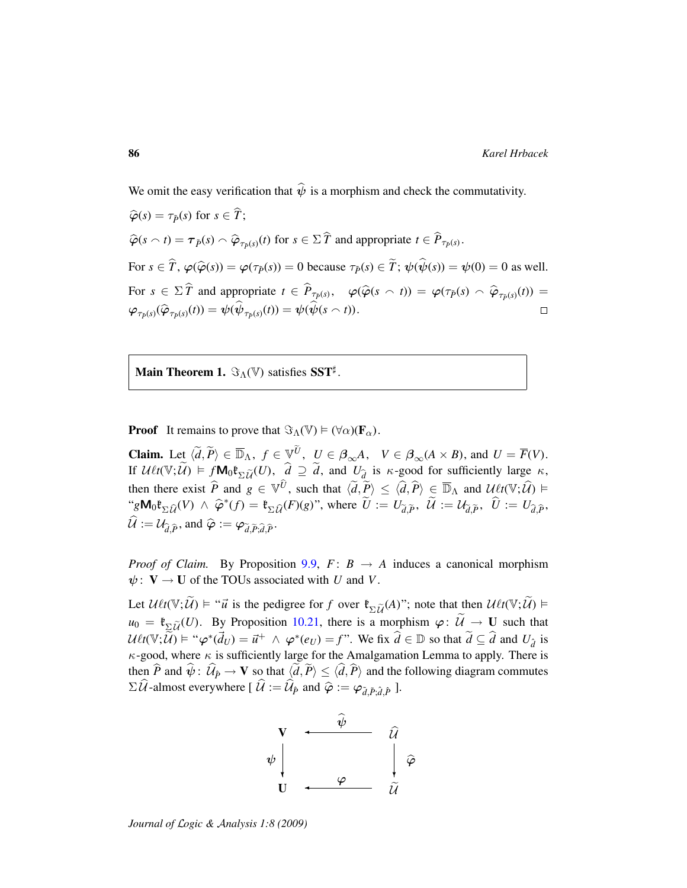We omit the easy verification that  $\hat{\psi}$  is a morphism and check the commutativity.

 $\widehat{\varphi}(s) = \tau_{\widetilde{p}}(s)$  for  $s \in \widehat{T}$ ;  $\widehat{\varphi}(s \cap t) = \tau_{\tilde{P}}(s) \cap \widehat{\varphi}_{\tau_{\tilde{P}}(s)}(t)$  for  $s \in \Sigma \widehat{T}$  and appropriate  $t \in \widehat{P}_{\tau_{\tilde{P}}(s)}$ . For  $s \in \hat{T}$ ,  $\varphi(\hat{\varphi}(s)) = \varphi(\tau_{\hat{p}}(s)) = 0$  because  $\tau_{\hat{p}}(s) \in \hat{T}$ ;  $\psi(\hat{\psi}(s)) = \psi(0) = 0$  as well. For  $s \in \Sigma \widehat{T}$  and appropriate  $t \in \widehat{P}_{\tau_{\widehat{P}}(s)}, \quad \varphi(\widehat{\varphi}(s \cap t)) = \varphi(\tau_{\widehat{P}}(s) \cap \widehat{\varphi}_{\tau_{\widehat{P}}(s)}(t)) =$  $\varphi_{\tau_{\tilde{P}}(s)}(\widehat{\varphi}_{\tau_{\tilde{P}}(s)}(t)) = \psi(\widehat{\psi}_{\tau_{\tilde{P}}(s)}(t)) = \psi(\widehat{\psi}(s \wedge t)).$  $\Box$ 

**Main Theorem 1.**  $\Im_{\Lambda}(\mathbb{V})$  satisfies SST<sup>‡</sup>.

**Proof** It remains to prove that  $\Im_{\Lambda}(\mathbb{V}) \models (\forall \alpha)(\mathbf{F}_{\alpha})$ .

**Claim.** Let  $\langle \tilde{d}, \tilde{P} \rangle \in \overline{\mathbb{D}}_{\Lambda}$ ,  $f \in \mathbb{V}^{\tilde{U}}$ ,  $U \in \beta_{\infty}A$ ,  $V \in \beta_{\infty}(A \times B)$ , and  $U = \overline{F}(V)$ . If  $\mathcal{U} \ell t(\mathbb{V}; \widetilde{\mathcal{U}}) \models f \mathbf{M}_0 \mathfrak{k}_{\Sigma \widetilde{\mathcal{U}}} (U), \quad \widehat{d} \supseteq \widetilde{d}$ , and  $U_{\widehat{d}}$  is  $\kappa$ -good for sufficiently large  $\kappa$ , then there exist  $\hat{P}$  and  $g \in \mathbb{V}^{\hat{U}}$ , such that  $\langle \tilde{d}, \tilde{P} \rangle \leq \langle \hat{d}, \hat{P} \rangle \in \overline{\mathbb{D}}_{\Lambda}$  and  $\mathcal{U} \ell t(\mathbb{V}; \hat{U}) \models$  $\varphi^* g \mathbf{M}_0 \mathfrak{k}_{\Sigma \widehat{\mathcal{U}}}(V) \wedge \widehat{\varphi}^*(f) = \mathfrak{k}_{\Sigma \widehat{\mathcal{U}}}(F)(g)$ ", where  $\widetilde{U} := U_{\widetilde{d}, \widetilde{P}}$ ,  $\widetilde{\mathcal{U}} := U_{\widetilde{d}, \widetilde{P}}$ ,  $\widetilde{U} := U_{\widehat{d}, \widetilde{P}}$ ,  $\hat{\mathcal{U}} := \mathcal{U}_{\hat{d},\hat{P}}$ , and  $\hat{\varphi} := \varphi_{\tilde{d},\tilde{P};\hat{d},\hat{P}}$ .

*Proof of Claim.* By Proposition [9.9,](#page-55-0)  $F: B \rightarrow A$  induces a canonical morphism  $\psi: V \to U$  of the TOUs associated with *U* and *V*.

Let  $\mathcal{U}\ell t(\mathbb{V}; \widetilde{\mathcal{U}}) \models$  " $\vec{u}$  is the pedigree for *f* over  $\mathfrak{k}_{\Sigma \widetilde{\mathcal{U}}}(A)$ "; note that then  $\mathcal{U}\ell t(\mathbb{V}; \widetilde{\mathcal{U}}) \models$  $u_0 = \mathfrak{k}_{\Sigma \tilde{U}}(U)$ . By Proposition [10.21,](#page-70-0) there is a morphism  $\varphi: \tilde{U} \to U$  such that  $U\ell t(\mathbb{V}; \widetilde{\mathcal{U}}) \models ``\varphi^*(\vec{d}_U) = \vec{u}^+ \land \varphi^*(e_U) = f''.$  We fix  $\widehat{d} \in \mathbb{D}$  so that  $\widetilde{d} \subseteq \widehat{d}$  and  $U_{\widehat{d}}$  is  $\kappa$ -good, where  $\kappa$  is sufficiently large for the Amalgamation Lemma to apply. There is then *P* and  $\psi$ :  $\mathcal{U}_{\hat{P}} \to \mathbf{V}$  so that  $\langle d, P \rangle \le \langle d, P \rangle$  and the following diagram commutes  $\Sigma \mathcal{U}$ -almost everywhere  $[\mathcal{U} := \mathcal{U}_{\hat{P}}$  and  $\hat{\varphi} := \varphi_{\tilde{d}, \tilde{P}; \hat{d}, \hat{P}}$  ].

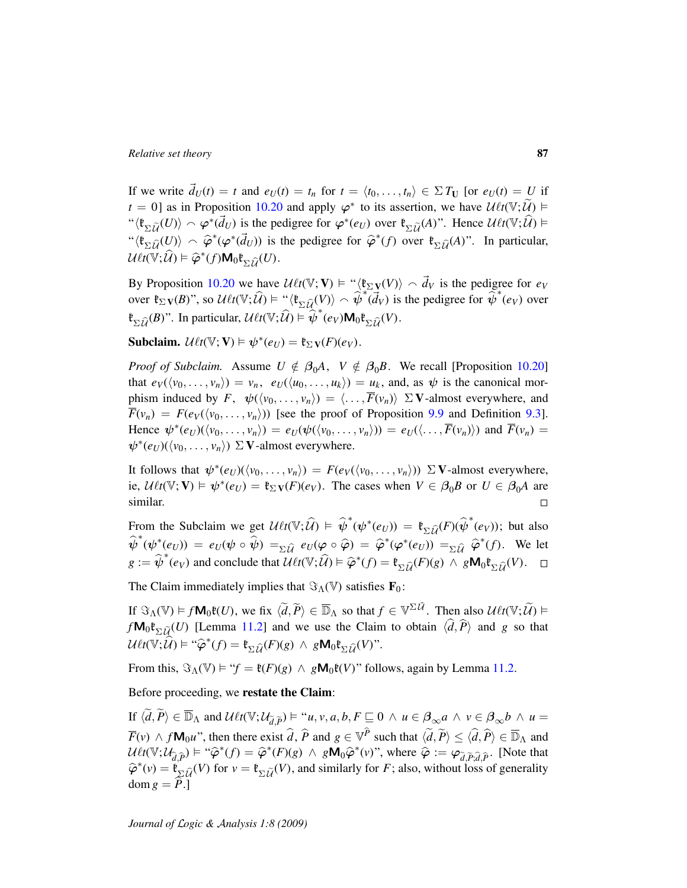If we write  $\vec{d}_U(t) = t$  and  $e_U(t) = t_n$  for  $t = \langle t_0, \ldots, t_n \rangle \in \Sigma T_U$  [or  $e_U(t) = U$  if  $t = 0$ ] as in Proposition [10.20](#page-69-0) and apply  $\varphi^*$  to its assertion, we have  $\mathcal{U} \ell t(\mathbb{V}; \widetilde{\mathcal{U}})$ " $\langle \mathfrak{k}_{\Sigma \tilde{U}}(U) \rangle \sim \varphi^*(\vec{d}_U)$  is the pedigree for  $\varphi^*(e_U)$  over  $\mathfrak{k}_{\Sigma \tilde{U}}(A)$ ". Hence  $\mathcal{U} \ell t(\mathbb{V}; \hat{U}) \models$  $\langle \mathfrak{k}_{\Sigma \hat{\mathcal{U}}}(U) \rangle \sim \hat{\varphi}^*(\varphi^*(\vec{d}_U))$  is the pedigree for  $\hat{\varphi}^*(f)$  over  $\mathfrak{k}_{\Sigma \hat{\mathcal{U}}}(A)$ ". In particular,  $\mathcal{U}\ell t(\mathbb{V};\mathcal{\widehat{U}}) \vDash \widehat{\varphi}^*(f) \mathsf{M}_0 \mathfrak{k}_{\Sigma \mathcal{\widehat{U}}}(U).$ 

By Proposition [10.20](#page-69-0) we have  $\mathcal{U}\ell t(\mathbb{V}; \mathbf{V}) \models ``\langle \mathfrak{k}_{\Sigma} \mathbf{v}(V) \rangle \sim \vec{d}_V$  is the pedigree for  $e_V$ over  $\mathfrak{k}_{\Sigma} \mathbf{v}(B)$ ", so  $\mathcal{U} \ell t(\mathbb{V}; \widehat{\mathcal{U}}) \models {\mathfrak{t} \setminus \mathfrak{k}_{\Sigma \widehat{\mathcal{U}}(V)} \choose \sim \widehat{\psi}^*(d_V)}$  is the pedigree for  $\widehat{\psi}^*(e_V)$  over  $\mathfrak{k}_{\Sigma \widehat{\mathcal{U}}}(B)$ ". In particular,  $\mathcal{U} \ell t(\mathbb{V}; \widehat{\mathcal{U}}) \models \widehat{\psi}^*(e_V) \mathsf{M}_0 \mathfrak{k}_{\Sigma \widehat{\mathcal{U}}}(V)$ .

**Subclaim.**  $\mathcal{U}\ell t(\mathbb{V}; \mathbf{V}) \models \psi^*(e_U) = \mathfrak{k}_{\Sigma} \mathbf{v}(F)(e_V)$ .

*Proof of Subclaim.* Assume  $U \notin \beta_0 A$ ,  $V \notin \beta_0 B$ . We recall [Proposition [10.20\]](#page-69-0) that  $e_V(\langle v_0, \ldots, v_n \rangle) = v_n$ ,  $e_U(\langle u_0, \ldots, u_k \rangle) = u_k$ , and, as  $\psi$  is the canonical morphism induced by  $F$ ,  $\psi(\langle v_0, \ldots, v_n \rangle) = \langle \ldots, \overline{F}(v_n) \rangle \Sigma V$ -almost everywhere, and  $\overline{F}(v_n) = F(e_V(\langle v_0, \ldots, v_n \rangle))$  [see the proof of Proposition [9.9](#page-55-0) and Definition [9.3\]](#page-53-1). Hence  $\psi^*(e_U)(\langle v_0, \ldots, v_n \rangle) = e_U(\psi(\langle v_0, \ldots, v_n \rangle)) = e_U(\langle \ldots, \overline{F}(v_n) \rangle)$  and  $\overline{F}(v_n) =$  $\psi^*(e_U)(\langle v_0, \ldots, v_n \rangle) \Sigma$  **V**-almost everywhere.

It follows that  $\psi^*(e_U)(\langle v_0, \ldots, v_n \rangle) = F(e_V(\langle v_0, \ldots, v_n \rangle)) \Sigma V$ -almost everywhere, ie,  $U\ell t(\mathbb{V}; \mathbf{V}) \models \psi^*(e_U) = \mathfrak{k}_{\Sigma} \mathbf{v}(F)(e_V)$ . The cases when  $V \in \beta_0 B$  or  $U \in \beta_0 A$  are similar.  $\Box$ 

From the Subclaim we get  $\mathcal{U} \ell t(\mathbb{V}; \hat{\mathcal{U}}) \models \hat{\psi}^*(\psi^*(e_U)) = \mathfrak{k}_{\Sigma \hat{\mathcal{U}}}(F)(\hat{\psi}^*(e_V));$  but also  $\hat{\psi}^*(\psi^*(e_U)) = e_U(\psi \circ \hat{\psi}) = \sum_{\Sigma \hat{\mathcal{U}}} e_U(\varphi \circ \hat{\varphi}) = \hat{\varphi}^*(\varphi^*(e_U)) = \sum_{\Sigma \hat{\mathcal{U}}} \hat{\varphi}^*(f).$  We let  $g := \hat{\psi}^*(e_V)$  and conclude that  $\mathcal{U} \ell t(\mathbb{V}; \hat{\mathcal{U}}) \models \hat{\varphi}^*(f) = \mathfrak{k}_{\Sigma \hat{\mathcal{U}}}(F)(g) \land g \mathbf{M}_0 \mathfrak{k}_{\Sigma \hat{\mathcal{U}}}(V).$ 

The Claim immediately implies that  $\Im(\mathbb{V})$  satisfies  $\mathbf{F}_0$ :

If  $\Im_{\Lambda}(\mathbb{V}) \models f\mathsf{M}_{0}\mathfrak{k}(U)$ , we fix  $\langle \widetilde{d}, \widetilde{P} \rangle \in \overline{\mathbb{D}}_{\Lambda}$  so that  $f \in \mathbb{V}^{\Sigma \widetilde{U}}$ . Then also  $\mathcal{U}\ell t(\mathbb{V}; \widetilde{U}) \models$ *f***M**<sub>0</sub><sup>*t*</sup><sub> $\Sigma \tilde{U}$ </sub> (*U*) [Lemma [11.2\]](#page-74-0) and we use the Claim to obtain  $\langle \hat{d}, \hat{P} \rangle$  and *g* so that  $U\ell t(\mathbb{V}; \hat{\mathcal{U}}) \models ``\hat{\varphi}^*(f) = \mathfrak{k}_{\Sigma \hat{\mathcal{U}}}(F)(g) \wedge g\mathbf{M}_0\mathfrak{k}_{\Sigma \hat{\mathcal{U}}}(V)'.$ 

From this,  $\Im_{\Lambda}(V) \models "f = \mathfrak{k}(F)(g) \land gM_0\mathfrak{k}(V)$ " follows, again by Lemma [11.2.](#page-74-0)

Before proceeding, we restate the Claim:

If  $\langle \widetilde{d}, \widetilde{P} \rangle \in \overline{\mathbb{D}}_{\Lambda}$  and  $\mathcal{U}\ell t(\mathbb{V}; \mathcal{U}_{\widetilde{d}, \widetilde{P}}) \models "u, v, a, b, F \sqsubseteq 0 \land u \in \beta_{\infty} a \land v \in \beta_{\infty} b \land u =$  $\overline{F}(v) \wedge f\mathsf{M}_{0}u$ ", then there exist  $\widehat{d}$ ,  $\widehat{P}$  and  $g \in \mathbb{V}^{\widehat{P}}$  such that  $\langle \widetilde{d}, \widetilde{P} \rangle \leq \langle \widehat{d}, \widehat{P} \rangle \in \overline{\mathbb{D}}_{\Lambda}$  and  $U\ell t(\nabla;\mathcal{U}_{\hat{d},\hat{P}}) \models ``\hat{\varphi}^*(f) = \hat{\varphi}^*(F)(g) \wedge g\mathbf{M}_0\hat{\varphi}^*(v)'', \text{ where } \hat{\varphi} := \varphi_{\tilde{d},\tilde{P},\tilde{d},\tilde{P}}.$  [Note that  $\hat{\varphi}^*(v) = \mathfrak{k}_{\Sigma \hat{\mathcal{U}}}^*(V)$  for  $v = \mathfrak{k}_{\Sigma \hat{\mathcal{U}}}^*(V)$ , and similarly for *F*; also, without loss of generality dom  $g = P$ .]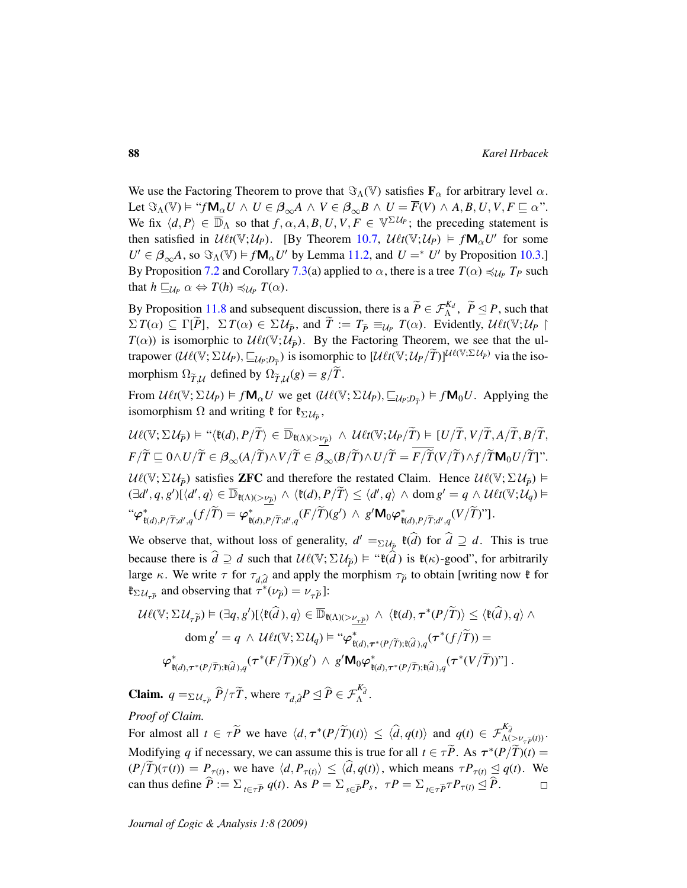We use the Factoring Theorem to prove that  $\Im_{\Lambda}(V)$  satisfies  $\mathbf{F}_{\alpha}$  for arbitrary level  $\alpha$ . Let  $\Im_{\Lambda}(V) \models ``f\mathsf{M}_{\alpha}U \wedge U \in \beta_{\infty}A \wedge V \in \beta_{\infty}B \wedge U = \overline{F}(V) \wedge A, B, U, V, F \sqsubseteq \alpha$ ". We fix  $\langle d, P \rangle \in \overline{\mathbb{D}}_{\Lambda}$  so that  $f, \alpha, A, B, U, V, F \in \mathbb{V}^{\Sigma U_P}$ ; the preceding statement is then satisfied in  $\mathcal{U}\ell t(\mathbb{V}; \mathcal{U}_P)$ . [By Theorem [10.7,](#page-59-1)  $\mathcal{U}\ell t(\mathbb{V}; \mathcal{U}_P) \models f \mathsf{M}_{\alpha} U'$  for some  $U' \in \beta_{\infty}A$ , so  $\Im_{\Lambda}(V) \models f \mathsf{M}_{\alpha} U'$  by Lemma [11.2,](#page-74-0) and  $U =^* U'$  by Proposition [10.3.](#page-57-0)] By Proposition [7.2](#page-43-0) and Corollary [7.3\(](#page-44-0)a) applied to  $\alpha$ , there is a tree  $T(\alpha) \preccurlyeq_{U_P} T_P$  such that  $h \sqsubseteq_{\mathcal{U}_P} \alpha \Leftrightarrow T(h) \preccurlyeq_{\mathcal{U}_P} T(\alpha)$ .

By Proposition [11.8](#page-78-0) and subsequent discussion, there is a  $\widetilde{P} \in \mathcal{F}_{\Lambda}^{K_d}$ ,  $\widetilde{P} \leq P$ , such that  $\Sigma T(\alpha) \subseteq \Gamma[\tilde{P}], \ \Sigma T(\alpha) \in \Sigma \mathcal{U}_{\tilde{P}}$ , and  $\tilde{T} := T_{\tilde{P}} \equiv_{\mathcal{U}_P} T(\alpha)$ . Evidently,  $\mathcal{U} \ell t(\mathbb{V}; \mathcal{U}_P)$  $T(\alpha)$ ) is isomorphic to  $\mathcal{U} \ell t(\mathbb{V}; \mathcal{U}_{\tilde{p}})$ . By the Factoring Theorem, we see that the ultrapower  $(\mathcal{U}\ell(\mathbb{V}; \Sigma \mathcal{U}_P), \sqsubseteq_{\mathcal{U}_P; D_{\overline{T}}})$  is isomorphic to  $[\mathcal{U}\ell t(\mathbb{V}; \mathcal{U}_P/\widetilde{T})]^{\mathcal{U}\ell(\mathbb{V}; \Sigma \mathcal{U}_{\overline{P}})}$  via the isomorphism  $\Omega_{\widetilde{T},\mathcal{U}}$  defined by  $\Omega_{\widetilde{T},\mathcal{U}}(g) = g/T$ .

From  $\mathcal{U} \ell t(\mathbb{V}; \Sigma \mathcal{U}_P) = f \mathbf{M}_\alpha U$  we get  $(\mathcal{U} \ell(\mathbb{V}; \Sigma \mathcal{U}_P), \underline{\sqsubseteq}_{\mathcal{U}_P, D_{\overline{T}}}) = f \mathbf{M}_0 U$ . Applying the isomorphism  $\Omega$  and writing  $\mathfrak k$  for  $\mathfrak k_{\Sigma \mathcal U_{\tilde P}}$ ,

 $U\ell(\mathbb{V}; \Sigma \mathcal{U}_{\widetilde{P}}) \vDash ``\langle \mathfrak{k}(d), P/\widetilde{T}\rangle \in \overline{\mathbb{D}}_{\mathfrak{k}(\Lambda)(>\underline{\nu_{\widetilde{P}}})} \ \wedge \ \mathcal{U}\ell t(\mathbb{V}; \mathcal{U}_P/\widetilde{T}) \vDash [U/\widetilde{T}, V/\widetilde{T}, A/\widetilde{T}, B/\widetilde{T},$  $F/\widetilde{T} \subseteq 0 \wedge U/\widetilde{T} \in \beta_{\infty}(A/\widetilde{T}) \wedge V/\widetilde{T} \in \beta_{\infty}(B/\widetilde{T}) \wedge U/\widetilde{T} = \overline{F/\widetilde{T}}(V/\widetilde{T}) \wedge f/\widetilde{T} \mathbf{M}_0 U/\widetilde{T}]$ ".  $U\ell(\mathbb{V}; \Sigma \mathcal{U}_{\tilde{p}})$  satisfies **ZFC** and therefore the restated Claim. Hence  $U\ell(\mathbb{V}; \Sigma \mathcal{U}_{\tilde{p}})$   $\models$  $(\exists d', q, g')\tilde{(}\langle d', q \rangle \in \overline{\mathbb{D}}_{\mathfrak{k}(\Lambda)(>\underline{\nu_{\tilde{P}}})} \land \langle \mathfrak{k}(d), P/\widetilde{T}\rangle \leq \langle d', q \rangle \land \text{dom } g' = q \land \mathcal{U} \ell t(\mathbb{V}; \mathcal{U}_q) \vDash$ "ϕ<sup>∗</sup>  $\varphi^*_{\mathfrak{k}(d),P/\widetilde{T};d',q}(f/\widetilde{T})=\varphi^*_{\mathfrak{k}(d),P/\widetilde{T};d',q}(F/\widetilde{T})(g')\ \wedge\ g'\mathbf{M}_0\varphi^*_{\mathfrak{k}(d),P/\widetilde{T};d',q}(V/\widetilde{T})".$ 

We observe that, without loss of generality,  $d' = \sum_{\ell \neq \rho} \mathfrak{k}(\widehat{d})$  for  $\widehat{d} \supseteq d$ . This is true because there is  $\hat{d} \supseteq d$  such that  $\mathcal{U}\ell(\mathbb{V}; \Sigma \mathcal{U}_{\tilde{p}}) \models {\text{``}}\ell(\hat{d})$  is  $\ell(\kappa)$ -good", for arbitrarily large  $\kappa$ . We write  $\tau$  for  $\tau_{d,\hat{d}}$  and apply the morphism  $\tau_{\tilde{P}}$  to obtain [writing now  $\mathfrak{k}$  for  $\mathfrak{k}_{\Sigma \mathcal{U}_{\tau \tilde{P}}}$  and observing that  $\tau^* (\nu_{\tilde{P}}) = \nu_{\tau \tilde{P}}$ ]:

$$
\mathcal{U}\ell(\mathbb{V}; \Sigma \mathcal{U}_{\tau \widetilde{P}}) \models (\exists q, g')[\langle \mathfrak{k}(\widehat{d}), q \rangle \in \overline{\mathbb{D}}_{\mathfrak{k}(\Lambda)(>\nu_{\tau \widetilde{P}})} \land \langle \mathfrak{k}(d), \tau^*(P/\widetilde{T}) \rangle \leq \langle \mathfrak{k}(\widehat{d}), q \rangle \land \ndom g' = q \land \mathcal{U}\ell t(\mathbb{V}; \Sigma \mathcal{U}_q) \models ``\varphi^*_{\mathfrak{k}(d), \tau^*(P/\widetilde{T}); \mathfrak{k}(\widehat{d}), q}(\tau^*(f/\widetilde{T})) = \varphi^*_{\mathfrak{k}(d), \tau^*(P/\widetilde{T}); \mathfrak{k}(\widehat{d}), q}(\tau^*(F/\widetilde{T}))(\mathfrak{g}') \land g' \mathbf{M}_0 \varphi^*_{\mathfrak{k}(d), \tau^*(P/\widetilde{T}); \mathfrak{k}(\widehat{d}), q}(\tau^*(V/\widetilde{T}))'']
$$

**Claim.**  $q = \sum_{\mathcal{U}_{\tau \tilde{P}}} \hat{P}/\tau \tilde{T}$ , where  $\tau_{d,\hat{d}} P \leq \hat{P} \in \mathcal{F}_{\Lambda}^{K_{\hat{d}}}$ . *Proof of Claim.*

For almost all  $t \in \tau \tilde{P}$  we have  $\langle d, \tau^*(P/\tilde{T})(t) \rangle \leq \langle \hat{d}, q(t) \rangle$  and  $q(t) \in \mathcal{F}_{\Lambda(\geq \nu_{\tau} \tilde{p}(t))}^{K_{\hat{d}}}$ . Modifying *q* if necessary, we can assume this is true for all  $t \in \tau \tilde{P}$ . As  $\tau^*(P/\tilde{T})(t) =$  $(P/T)(\tau(t)) = P_{\tau(t)}$ , we have  $\langle d, P_{\tau(t)} \rangle \le \langle d, q(t) \rangle$ , which means  $\tau P_{\tau(t)} \le q(t)$ . We can thus define  $\overline{P} := \sum_{t \in \tau \widetilde{P}} q(t)$ . As  $P = \sum_{s \in \widetilde{P}} P_s$ ,  $\tau P = \sum_{t \in \tau \widetilde{P}} \tau P_{\tau(t)} \le P$ .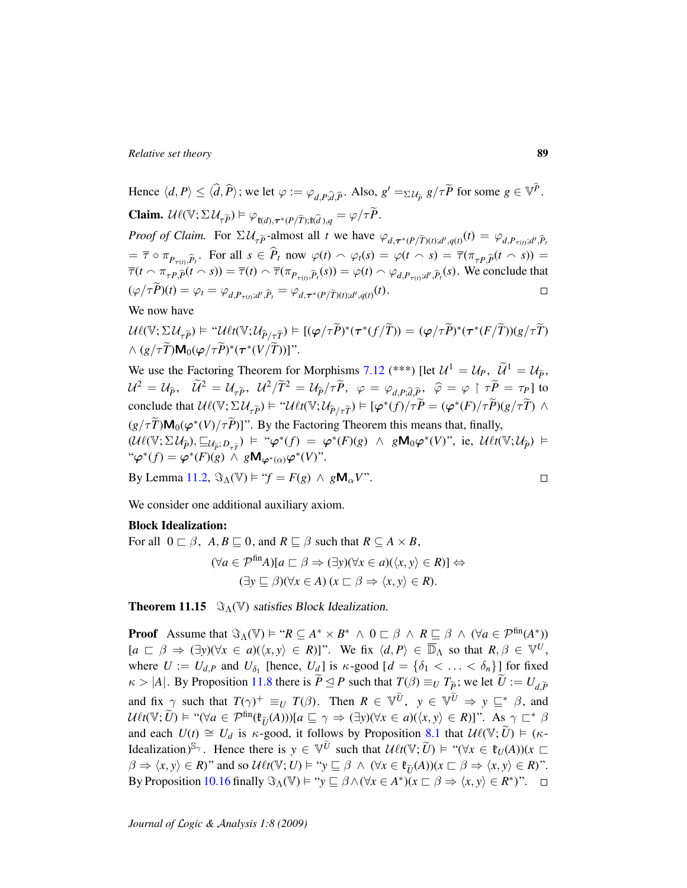Hence  $\langle d, P \rangle \leq \langle \hat{d}, \hat{P} \rangle$ ; we let  $\varphi := \varphi_{d,P; \hat{d}, \hat{P}}$ . Also,  $g' = \Sigma u_{\hat{p}} g / \tau \tilde{P}$  for some  $g \in \mathbb{V}^{\hat{P}}$ . **Claim.**  $\mathcal{U}\ell(\mathbb{V}; \Sigma \mathcal{U}_{\tau \widetilde{P}}) \models \varphi_{\ell(d), \tau^*(P/\widetilde{T}); \ell(\widetilde{d}), q} = \varphi/\tau \widetilde{P}.$ *Proof of Claim.* For  $\Sigma \mathcal{U}_{\tau \tilde{P}}$ -almost all *t* we have  $\varphi_{d, \tau^*(P/\tilde{T})(t); d', q(t)}(t) = \varphi_{d, P_{\tau(t)}; d', \tilde{P}_t}$  $=\overline{\tau} \circ \pi_{P_{\tau(t)}, \widehat{P}_t}$ . For all  $s \in \widehat{P}_t$  now  $\varphi(t) \sim \varphi_t(s) = \varphi(t \sim s) = \overline{\tau}(\pi_{\tau P, \widehat{P}}(t \sim s)) =$  $\overline{\tau}(t \cap \pi_{\tau P,\widehat{P}}(t \cap s)) = \overline{\tau}(t) \cap \overline{\tau}(\pi_{P_{\tau(t)},\widehat{P}_t}(s)) = \varphi(t) \cap \varphi_{d,P_{\tau(t)},d',\widehat{P}_t}(s)$ . We conclude that

$$
(\varphi/\tau P)(t) = \varphi_t = \varphi_{d, P_{\tau(t)}; d', \widehat{P}_t} = \varphi_{d, \tau^*(P(\widetilde{T})(t); d', q(t))}(t).
$$

We now have

$$
\mathcal{U}\ell(\mathbb{V};\Sigma \mathcal{U}_{\tau \widetilde{P}}) \models \text{``}\mathcal{U}\ell t(\mathbb{V};\mathcal{U}_{\widehat{P}/\tau \widetilde{T}}) \models [(\varphi/\tau \widetilde{P})^*(\tau^*(f/\widetilde{T})) = (\varphi/\tau \widetilde{P})^*(\tau^*(F/\widetilde{T}))\mathcal{U}/\tau \widetilde{T})
$$
  
 
$$
\wedge (\mathcal{G}/\tau \widetilde{T})\mathbf{M}_0(\varphi/\tau \widetilde{P})^*(\tau^*(V/\widetilde{T}))] \text{''}.
$$

We use the Factoring Theorem for Morphisms [7.12](#page-47-0) (\*\*\*) [let  $\mathcal{U}^1 = \mathcal{U}_P$ ,  $\widetilde{\mathcal{U}}^1 = \mathcal{U}_{\widetilde{P}}$ ,  $\mathcal{U}^2 = \mathcal{U}_{\hat{P}}$ ,  $\widetilde{\mathcal{U}}^2 = \mathcal{U}_{\tau \widetilde{P}}$ ,  $\mathcal{U}^2/\widetilde{T}^2 = \mathcal{U}_{\hat{P}}/\tau \widetilde{P}$ ,  $\varphi = \varphi_{d,P;\widehat{d},\widehat{P}}$ ,  $\widehat{\varphi} = \varphi \upharpoonright \tau \widetilde{P} = \tau_P$  ] to conclude that  $\mathcal{U}\ell(\mathbb{V}; \Sigma \mathcal{U}_{\tau \tilde{P}}) \models \text{``}\mathcal{U}\ell t(\mathbb{V}; \mathcal{U}_{\tilde{P}/\tau \tilde{T}}) \models [\varphi^*(f)/\tau \tilde{P}] = (\varphi^*(F)/\tau \tilde{P})(g/\tau \tilde{T}) \land$  $(g/\tau \widetilde{T})\mathsf{M}_{0}(\varphi^{*}(V)/\tau \widetilde{P})$ ]". By the Factoring Theorem this means that, finally,  $(\mathcal{U}\ell(\mathbb{V}; \Sigma \mathcal{U}_{\hat{P}}), \sqsubseteq_{\mathcal{U}_{\hat{P}}}, D_{\tau \hat{T}}) \models ``\varphi^*(f) = \varphi^*(F)(g) \land g\mathbf{M}_0\varphi^*(V)'', \text{ ie, } \mathcal{U}\ell_1(\mathbb{V}; \mathcal{U}_{\hat{P}}) \models$ <br>" " $\varphi^*(f) = \varphi^*(F)(g) \wedge g \mathsf{M}_{\varphi^*(\alpha)} \varphi^*(V)$ ".  $\Box$ 

By Lemma [11.2,](#page-74-0)  $\Im_{\Lambda}(\mathbb{V}) \models "f = F(g) \land g \mathbf{M}_{\alpha} V".$ 

We consider one additional auxiliary axiom.

## Block Idealization:

For all 
$$
0 \sqsubset \beta
$$
,  $A, B \sqsubseteq 0$ , and  $R \sqsubseteq \beta$  such that  $R \subseteq A \times B$ ,  
\n
$$
(\forall a \in \mathcal{P}^{\text{fin}}A)[a \sqsubset \beta \Rightarrow (\exists y)(\forall x \in a)(\langle x, y \rangle \in R)] \Leftrightarrow
$$
\n
$$
(\exists y \sqsubseteq \beta)(\forall x \in A)(x \sqsubset \beta \Rightarrow \langle x, y \rangle \in R).
$$

<span id="page-88-0"></span>**Theorem 11.15**  $\Im(\mathbb{V})$  satisfies Block Idealization.

**Proof** Assume that  $\Im_{\Lambda}(\mathbb{V}) \models "R \subseteq A^* \times B^* \land 0 \subseteq \beta \land R \subseteq \beta \land (\forall a \in \mathcal{P}^{\text{fin}}(A^*))$  $[a \sqsubset \beta \Rightarrow (\exists y)(\forall x \in a)(\langle x, y \rangle \in R)]$ ". We fix  $\langle d, P \rangle \in \overline{\mathbb{D}}_{\Lambda}$  so that  $R, \beta \in \mathbb{V}^U$ , where  $U := U_{d,P}$  and  $U_{\delta_1}$  [hence,  $U_d$ ] is  $\kappa$ -good  $[d = {\delta_1 < \ldots < \delta_n}]$  [for fixed  $\kappa > |A|$ . By Proposition [11.8](#page-78-0) there is  $\widetilde{P} \leq P$  such that  $T(\beta) \equiv_U T_{\widetilde{P}}$ ; we let  $\widetilde{U} := U_{d,\widetilde{P}}$ and fix  $\gamma$  such that  $T(\gamma)^+ \equiv_U T(\beta)$ . Then  $R \in \mathbb{V}^{\tilde{U}}$ ,  $y \in \mathbb{V}^{\tilde{U}} \Rightarrow y \sqsubseteq^* \beta$ , and  $U\ell t(\mathbb{V}; \widetilde{U}) \models "(\forall a \in \mathcal{P}^{\text{fin}}(\mathfrak{k}_{\widetilde{U}}(A)))[a \sqsubseteq \gamma \Rightarrow (\exists y)(\forall x \in a)(\langle x, y \rangle \in R)]$ ". As  $\gamma \sqsubset^* \beta$ and each  $U(t) \cong U_d$  is  $\kappa$ -good, it follows by Proposition [8.1](#page-48-0) that  $\mathcal{U}\ell(\mathbb{V}; \widetilde{U}) \models (\kappa$ -Idealization)<sup>S<sub>γ</sub></sup>. Hence there is  $y \in \mathbb{V}^{\tilde{U}}$  such that  $\mathcal{U} \ell t(\mathbb{V}; \tilde{U}) \models "(\forall x \in \mathfrak{k}_U(A))(x \sqsubset$  $\beta \Rightarrow \langle x, y \rangle \in R$ )" and so  $\mathcal{U} \ell t(\mathbb{V}; U) \models "y \sqsubseteq \beta \land (\forall x \in \mathfrak{k}_{\widetilde{U}}(A))(x \sqsubset \beta \Rightarrow \langle x, y \rangle \in R)$ ". By Proposition [10.16](#page-67-0) finally  $\Im_{\Lambda}(\mathbb{V}) \models "y \sqsubseteq \beta \land (\forall x \in A^*) \ (x \sqsubset \beta \Rightarrow \langle x, y \rangle \in R^*)".$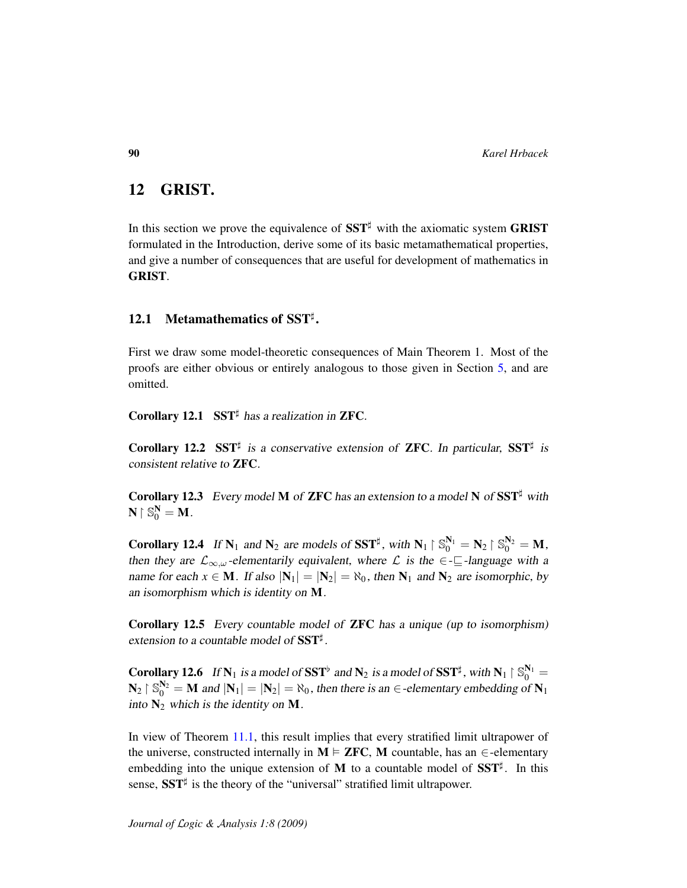# <span id="page-89-1"></span>12 GRIST.

In this section we prove the equivalence of  $SST^{\sharp}$  with the axiomatic system GRIST formulated in the Introduction, derive some of its basic metamathematical properties, and give a number of consequences that are useful for development of mathematics in GRIST.

# 12.1 Metamathematics of  $SST^{\sharp}$ .

First we draw some model-theoretic consequences of Main Theorem 1. Most of the proofs are either obvious or entirely analogous to those given in Section [5,](#page-27-0) and are omitted.

Corollary 12.1 SST<sup> $\sharp$ </sup> has a realization in ZFC.

Corollary 12.2 SST<sup>#</sup> is a conservative extension of ZFC. In particular, SST<sup>#</sup> is consistent relative to ZFC.

**Corollary 12.3** Every model M of **ZFC** has an extension to a model N of  $SST^{\sharp}$  with  $N \restriction \mathbb{S}_0^N = M$ .

<span id="page-89-0"></span>**Corollary 12.4** If  $N_1$  and  $N_2$  are models of SST<sup>‡</sup>, with  $N_1 \upharpoonright \mathbb{S}_0^{N_1} = N_2 \upharpoonright \mathbb{S}_0^{N_2} = M$ , then they are  $\mathcal{L}_{\infty,\omega}$ -elementarily equivalent, where  $\mathcal{L}$  is the  $\in$ - $\sqsubseteq$ -language with a name for each  $x \in M$ . If also  $|N_1| = |N_2| = \aleph_0$ , then  $N_1$  and  $N_2$  are isomorphic, by an isomorphism which is identity on M.

Corollary 12.5 Every countable model of ZFC has a unique (up to isomorphism) extension to a countable model of  $SST^{\sharp}$ .

**Corollary 12.6** If  $N_1$  is a model of SST<sup>b</sup> and  $N_2$  is a model of SST<sup>‡</sup>, with  $N_1 \restriction \mathbb{S}_0^{N_1} =$  $\mathbf{N}_2 \upharpoonright \mathbb{S}_0^{\mathbf{N}_2} = \mathbf{M}$  and  $|\mathbf{N}_1| = |\mathbf{N}_2| = \aleph_0$ , then there is an  $\in$  -elementary embedding of  $\mathbf{N}_1$ into  $N_2$  which is the identity on M.

In view of Theorem [11.1,](#page-74-1) this result implies that every stratified limit ultrapower of the universe, constructed internally in  $M \models ZFC$ , M countable, has an  $\in$ -elementary embedding into the unique extension of M to a countable model of  $SST^{\sharp}$ . In this sense,  $SST^{\sharp}$  is the theory of the "universal" stratified limit ultrapower.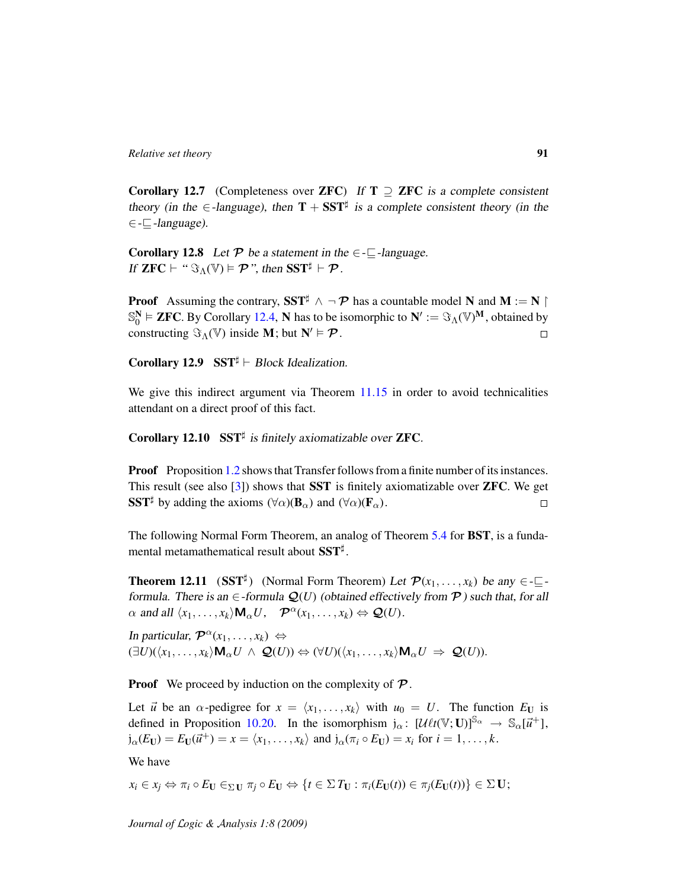Corollary 12.7 (Completeness over ZFC) If  $T \supseteq ZFC$  is a complete consistent theory (in the  $\in$ -language), then  $T + SST^{\sharp}$  is a complete consistent theory (in the  $\in$  - $\Box$ -language).

**Corollary 12.8** Let  $P$  be a statement in the  $\in$ - $\sqsubseteq$ -language. If  $\mathbf{ZFC} \vdash ``\Im_{\Lambda}(\mathbb{V}) \models \mathcal{P}$ ", then  $\mathbf{SST}^{\sharp} \vdash \mathcal{P}$ .

**Proof** Assuming the contrary, SST<sup> $\sharp$ </sup>  $\land \neg \mathcal{P}$  has a countable model N and M := N  $\upharpoonright$  $\mathbb{S}_0^N \models$  **ZFC**. By Corollary [12.4,](#page-89-0) N has to be isomorphic to  $N' := \Im_\Lambda(\mathbb{V})^M$ , obtained by constructing  $\Im_{\Lambda}(\mathbb{V})$  inside **M**; but  $N' \vDash \mathcal{P}$ .  $\Box$ 

Corollary 12.9 SST $\sharp$   $\vdash$  Block Idealization.

We give this indirect argument via Theorem [11.15](#page-88-0) in order to avoid technicalities attendant on a direct proof of this fact.

Corollary 12.10 SST# is finitely axiomatizable over ZFC.

**Proof** Proposition [1.2](#page-9-0) shows that Transfer follows from a finite number of its instances. This result (see also [\[3\]](#page-106-1)) shows that SST is finitely axiomatizable over ZFC. We get SST<sup>‡</sup> by adding the axioms  $(\forall \alpha)(\mathbf{B}_{\alpha})$  and  $(\forall \alpha)(\mathbf{F}_{\alpha})$ .  $\Box$ 

The following Normal Form Theorem, an analog of Theorem [5.4](#page-31-0) for BST, is a fundamental metamathematical result about  $\mathbf{SST}^{\sharp}.$ 

**Theorem 12.11** (SST<sup>‡</sup>) (Normal Form Theorem) Let  $\mathcal{P}(x_1, \ldots, x_k)$  be any  $\in \text{-}\mathbb{Z}$ formula. There is an  $\in$ -formula  $\mathcal{Q}(U)$  (obtained effectively from  $\mathcal{P}$ ) such that, for all  $\alpha$  and all  $\langle x_1, \ldots, x_k \rangle \mathbf{M}_{\alpha} U$ ,  $\mathcal{P}^{\alpha}(x_1, \ldots, x_k) \Leftrightarrow \mathcal{Q}(U)$ .

In particular,  $\mathcal{P}^{\alpha}(x_1, \ldots, x_k) \Leftrightarrow$  $(\exists U)(\langle x_1, \ldots, x_k \rangle \mathbf{M}_{\alpha} U \land \mathbf{Q}(U)) \Leftrightarrow (\forall U)(\langle x_1, \ldots, x_k \rangle \mathbf{M}_{\alpha} U \Rightarrow \mathbf{Q}(U)).$ 

**Proof** We proceed by induction on the complexity of  $\mathcal{P}$ .

Let  $\vec{u}$  be an  $\alpha$ -pedigree for  $x = \langle x_1, \dots, x_k \rangle$  with  $u_0 = U$ . The function  $E_U$  is defined in Proposition [10.20.](#page-69-0) In the isomorphism  $j_{\alpha}$ :  $[\mathcal{U} \ell t(\mathbb{V}; \mathbf{U})]^{\mathbb{S}_{\alpha}} \to \mathbb{S}_{\alpha}[\vec{u}^+]$ ,  $j_{\alpha}(E_U) = E_U(\vec{u}^+) = x = \langle x_1, \dots, x_k \rangle$  and  $j_{\alpha}(\pi_i \circ E_U) = x_i$  for  $i = 1, \dots, k$ .

We have

 $x_i \in x_j \Leftrightarrow \pi_i \circ E_U \in \Sigma U$   $\pi_i \circ E_U \Leftrightarrow \{t \in \Sigma T_U : \pi_i(E_U(t)) \in \pi_i(E_U(t))\} \in \Sigma U;$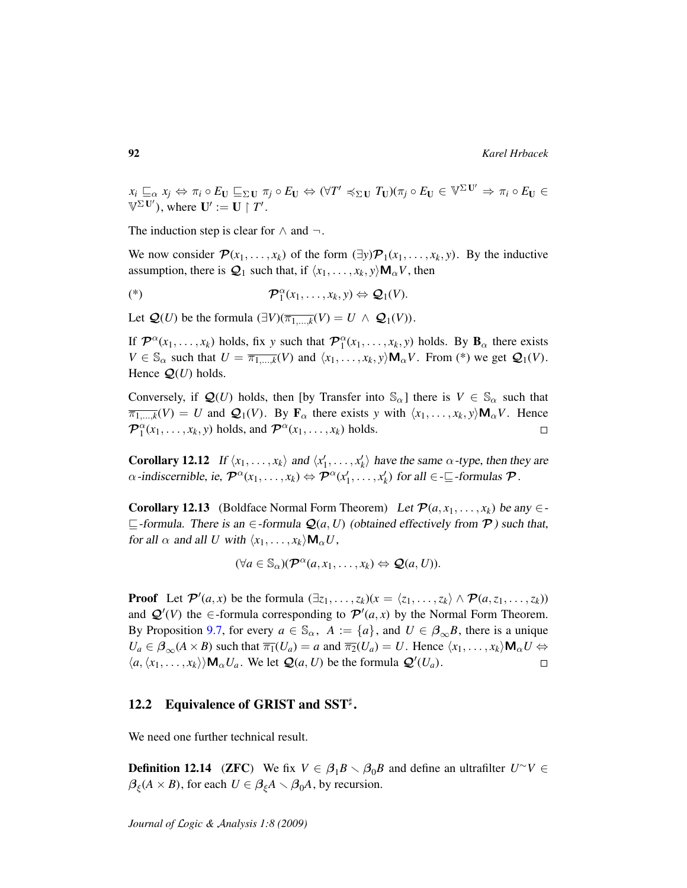$x_i \sqsubseteq_{\alpha} x_j \Leftrightarrow \pi_i \circ E_{\mathbf{U}} \sqsubseteq_{\Sigma \mathbf{U}} \pi_j \circ E_{\mathbf{U}} \Leftrightarrow (\forall T' \preccurlyeq_{\Sigma \mathbf{U}} T_{\mathbf{U}})(\pi_j \circ E_{\mathbf{U}} \in \mathbb{V}^{\Sigma \mathbf{U}'} \Rightarrow \pi_i \circ E_{\mathbf{U}} \in \mathbb{V}$  $\mathbb{V}^{\Sigma \mathbf{U}'},$  where  $\mathbf{U}' := \mathbf{U} \restriction T'.$ 

The induction step is clear for  $\land$  and  $\neg$ .

We now consider  $\mathcal{P}(x_1, \ldots, x_k)$  of the form  $(\exists y)\mathcal{P}_1(x_1, \ldots, x_k, y)$ . By the inductive assumption, there is  $Q_1$  such that, if  $\langle x_1, \ldots, x_k, y \rangle \mathbf{M}_{\alpha} V$ , then

$$
(\mathscr{L}) \qquad \qquad \mathcal{P}_1^{\alpha}(x_1,\ldots,x_k,y) \Leftrightarrow \mathcal{Q}_1(V).
$$

Let  $\mathcal{Q}(U)$  be the formula  $(\exists V)(\overline{\pi_{1,\ldots,k}}(V)) = U \wedge \mathcal{Q}_1(V)$ .

If  $\mathcal{P}^{\alpha}(x_1,\ldots,x_k)$  holds, fix y such that  $\mathcal{P}_1^{\alpha}(x_1,\ldots,x_k,y)$  holds. By  $\mathbf{B}_{\alpha}$  there exists  $V \in \mathbb{S}_{\alpha}$  such that  $U = \overline{\pi_{1,\ldots,k}}(V)$  and  $\langle x_1, \ldots, x_k, y \rangle \mathbf{M}_{\alpha}V$ . From (\*) we get  $\mathcal{Q}_1(V)$ . Hence  $Q(U)$  holds.

Conversely, if  $\mathcal{Q}(U)$  holds, then [by Transfer into  $\mathbb{S}_{\alpha}$ ] there is  $V \in \mathbb{S}_{\alpha}$  such that  $\overline{\pi_{1,\ldots,k}}(V) = U$  and  $\mathcal{Q}_1(V)$ . By  $\mathbf{F}_{\alpha}$  there exists *y* with  $\langle x_1, \ldots, x_k, y \rangle \mathbf{M}_{\alpha} V$ . Hence  $\mathcal{P}_1^{\alpha}(x_1,\ldots,x_k,y)$  holds, and  $\mathcal{P}^{\alpha}(x_1,\ldots,x_k)$  holds.  $\Box$ 

**Corollary 12.12** If  $\langle x_1, \ldots, x_k \rangle$  and  $\langle x'_1, \ldots, x'_k \rangle$  have the same  $\alpha$ -type, then they are  $\alpha$ -indiscernible, ie,  $\mathcal{P}^{\alpha}(x_1, \ldots, x_k) \Leftrightarrow \mathcal{P}^{\alpha}(x'_1, \ldots, x'_k)$  for all  $\in \text{-}\underline{\mathbb{C}}$ -formulas  $\mathcal{P}$ .

**Corollary 12.13** (Boldface Normal Form Theorem) Let  $\mathcal{P}(a, x_1, \ldots, x_k)$  be any  $\in$ - $⊑$ -formula. There is an  $∈$ -formula  $Q(a, U)$  (obtained effectively from  $P$ ) such that, for all  $\alpha$  and all *U* with  $\langle x_1, \ldots, x_k \rangle \mathsf{M}_{\alpha} U$ ,

$$
(\forall a \in \mathbb{S}_{\alpha})(\mathcal{P}^{\alpha}(a,x_1,\ldots,x_k) \Leftrightarrow \mathcal{Q}(a,U)).
$$

**Proof** Let  $\mathcal{P}'(a, x)$  be the formula  $(\exists z_1, \ldots, z_k)(x = \langle z_1, \ldots, z_k \rangle \wedge \mathcal{P}(a, z_1, \ldots, z_k))$ and  $Q'(V)$  the  $\in$ -formula corresponding to  $\mathcal{P}'(a,x)$  by the Normal Form Theorem. By Proposition [9.7,](#page-54-1) for every  $a \in \mathbb{S}_{\alpha}$ ,  $A := \{a\}$ , and  $U \in \beta_{\infty}B$ , there is a unique  $U_a \in \beta_{\infty}(A \times B)$  such that  $\overline{\pi_1}(U_a) = a$  and  $\overline{\pi_2}(U_a) = U$ . Hence  $\langle x_1, \ldots, x_k \rangle \mathbf{M}_{\alpha} U \Leftrightarrow$  $\langle a, \langle x_1, \ldots, x_k \rangle \rangle \mathbf{M}_{\alpha} U_a$ . We let  $\mathcal{Q}(a, U)$  be the formula  $\mathcal{Q}'(U_a)$ .  $\Box$ 

# 12.2 Equivalence of GRIST and SST<sup>#</sup>.

We need one further technical result.

**Definition 12.14** (ZFC) We fix  $V \in \beta_1 B \setminus \beta_0 B$  and define an ultrafilter  $U^{\sim}V \in$  $\beta_{\xi}(A \times B)$ , for each  $U \in \beta_{\xi}A \setminus \beta_0A$ , by recursion.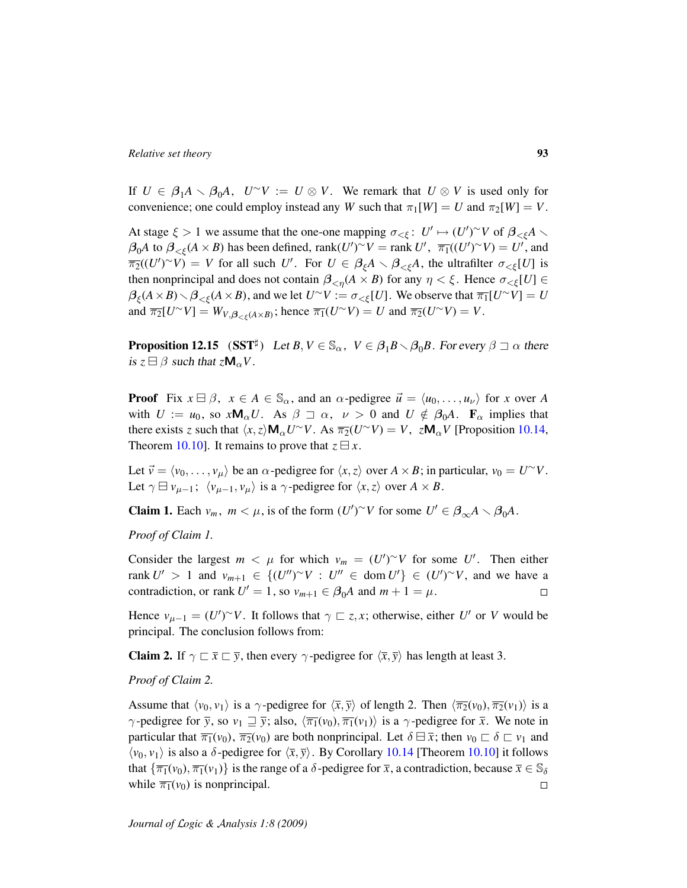If  $U \in \beta_1 A \setminus \beta_0 A$ ,  $U^{\sim}V := U \otimes V$ . We remark that  $U \otimes V$  is used only for convenience; one could employ instead any *W* such that  $\pi_1[W] = U$  and  $\pi_2[W] = V$ .

At stage  $\xi > 1$  we assume that the one-one mapping  $\sigma_{\leq \xi}: U' \mapsto (U')^{\sim} V$  of  $\beta_{\leq \xi} A \setminus$  $\beta_0 A$  to  $\beta_{< \xi} (A \times B)$  has been defined, rank $(U')^\sim V = \text{rank } U'$ ,  $\overline{\pi_1} ((U')^\sim V) = U'$ , and  $\overline{\pi_2}((U')^{\sim}V) = V$  for all such *U'*. For  $U \in \beta_{\xi}A \setminus \beta_{<\xi}A$ , the ultrafilter  $\sigma_{<\xi}[U]$  is then nonprincipal and does not contain  $\beta_{\leq \eta}(A \times B)$  for any  $\eta < \xi$ . Hence  $\sigma_{\leq \xi}[U] \in$  $\beta_{\xi}(A \times B) \setminus \beta_{<\xi}(A \times B)$ , and we let  $U^{\sim}V := \sigma_{<\xi}[U]$ . We observe that  $\overline{\pi_1}[U^{\sim}V] = U$ and  $\overline{\pi_2}[U^\sim V] = W_{V,\beta_{\leq \xi}(A \times B)}$ ; hence  $\overline{\pi_1}(U^\sim V) = U$  and  $\overline{\pi_2}(U^\sim V) = V$ .

<span id="page-92-0"></span>**Proposition 12.15**  $(SST^{\sharp})$  Let  $B, V \in \mathbb{S}_{\alpha}$ ,  $V \in \beta_1 B \setminus \beta_0 B$ . For every  $\beta \sqsupset \alpha$  there is  $z \boxminus \beta$  such that  $z \mathsf{M}_{\alpha} V$ .

**Proof** Fix  $x \in \mathcal{B}$ ,  $x \in A \in \mathbb{S}_{\alpha}$ , and an  $\alpha$ -pedigree  $\vec{u} = \langle u_0, \dots, u_{\nu} \rangle$  for *x* over *A* with  $U := u_0$ , so  $x \mathsf{M}_{\alpha} U$ . As  $\beta \sqsupset \alpha$ ,  $\nu > 0$  and  $U \notin \beta_0 A$ .  $\mathbf{F}_{\alpha}$  implies that there exists *z* such that  $\langle x, z \rangle \mathbf{M}_{\alpha} U^{\sim} V$ . As  $\overline{\pi_2}(U^{\sim} V) = V$ ,  $z \mathbf{M}_{\alpha} V$  [Proposition [10.14,](#page-65-1) Theorem [10.10\]](#page-62-0). It remains to prove that  $z \boxminus x$ .

Let  $\vec{v} = \langle v_0, \dots, v_\mu \rangle$  be an  $\alpha$ -pedigree for  $\langle x, z \rangle$  over  $A \times B$ ; in particular,  $v_0 = U^\sim V$ . Let  $\gamma \boxminus \nu_{\mu-1}$ ;  $\langle \nu_{\mu-1}, \nu_{\mu} \rangle$  is a  $\gamma$ -pedigree for  $\langle x, z \rangle$  over  $A \times B$ .

**Claim 1.** Each  $v_m$ ,  $m < \mu$ , is of the form  $(U')^{\sim}V$  for some  $U' \in \beta_{\infty}A \setminus \beta_0A$ .

*Proof of Claim 1.*

Consider the largest  $m < \mu$  for which  $v_m = (U')^{\sim} V$  for some U'. Then either rank  $U' > 1$  and  $v_{m+1} \in \{(U'')^{\sim}V : U'' \in \text{dom } U'\} \in (U')^{\sim}V$ , and we have a contradiction, or rank  $U' = 1$ , so  $v_{m+1} \in \beta_0 A$  and  $m + 1 = \mu$ .  $\Box$ 

Hence  $v_{\mu-1} = (U')^{\sim} V$ . It follows that  $\gamma \sqsubset z, x$ ; otherwise, either *U'* or *V* would be principal. The conclusion follows from:

**Claim 2.** If  $\gamma \rightharpoonup \bar{x} \rightharpoonup \bar{y}$ , then every  $\gamma$ -pedigree for  $\langle \bar{x}, \bar{y} \rangle$  has length at least 3.

#### *Proof of Claim 2.*

Assume that  $\langle v_0, v_1 \rangle$  is a  $\gamma$ -pedigree for  $\langle \overline{x}, \overline{y} \rangle$  of length 2. Then  $\langle \overline{\pi_2}(v_0), \overline{\pi_2}(v_1) \rangle$  is a  $\gamma$ -pedigree for  $\bar{y}$ , so  $v_1 \sqsupseteq \bar{y}$ ; also,  $\langle \bar{\pi}_1(v_0), \bar{\pi}_1(v_1) \rangle$  is a  $\gamma$ -pedigree for  $\bar{x}$ . We note in particular that  $\overline{\pi_1}(v_0)$ ,  $\overline{\pi_2}(v_0)$  are both nonprincipal. Let  $\delta \boxminus \overline{x}$ ; then  $v_0 \sqsubset \delta \sqsubset v_1$  and  $\langle v_0, v_1 \rangle$  is also a  $\delta$ -pedigree for  $\langle \bar{x}, \bar{y} \rangle$ . By Corollary [10.14](#page-65-1) [Theorem [10.10\]](#page-62-0) it follows that  $\{\overline{\pi_1}(v_0), \overline{\pi_1}(v_1)\}$  is the range of a  $\delta$ -pedigree for  $\overline{x}$ , a contradiction, because  $\overline{x} \in \mathbb{S}_{\delta}$ while  $\overline{\pi_1}(v_0)$  is nonprincipal.  $\Box$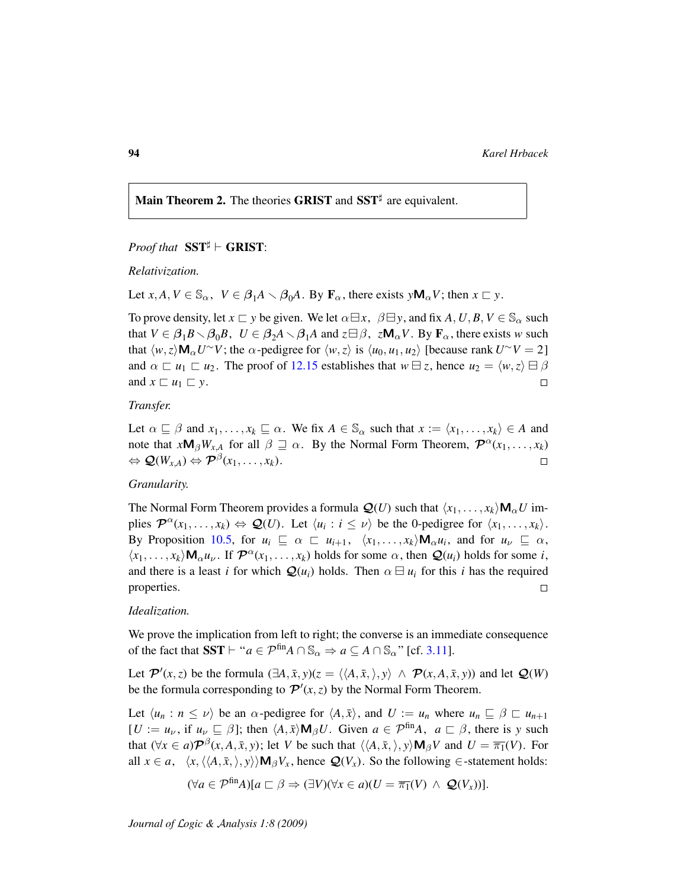Main Theorem 2. The theories GRIST and  $SST^{\sharp}$  are equivalent.

# *Proof that*  $SST^{\sharp}$   $\vdash$  **GRIST:**

*Relativization.*

Let  $x, A, V \in \mathbb{S}_{\alpha}$ ,  $V \in \beta_1 A \setminus \beta_0 A$ . By  $\mathbf{F}_{\alpha}$ , there exists  $y \mathbf{M}_{\alpha} V$ ; then  $x \sqsubset y$ .

To prove density, let  $x \sqsubset y$  be given. We let  $\alpha \sqsubseteq x$ ,  $\beta \sqsubseteq y$ , and fix  $A, U, B, V \in \mathbb{S}_{\alpha}$  such that  $V \in \beta_1 B \setminus \beta_0 B$ ,  $U \in \beta_2 A \setminus \beta_1 A$  and  $z \boxminus \beta$ ,  $z \mathsf{M}_{\alpha} V$ . By  $\mathbf{F}_{\alpha}$ , there exists *w* such that  $\langle w, z \rangle \mathbf{M}_{\alpha} U^{\sim} V$ ; the  $\alpha$ -pedigree for  $\langle w, z \rangle$  is  $\langle u_0, u_1, u_2 \rangle$  [because rank  $U^{\sim} V = 2$ ] and  $\alpha \sqsubset u_1 \sqsubset u_2$ . The proof of [12.15](#page-92-0) establishes that  $w \sqsubset z$ , hence  $u_2 = \langle w, z \rangle \sqsubset \beta$ and  $x \sqsubset u_1 \sqsubset y$ .  $\Box$ 

## *Transfer.*

Let  $\alpha \subseteq \beta$  and  $x_1, \ldots, x_k \subseteq \alpha$ . We fix  $A \in \mathbb{S}_{\alpha}$  such that  $x := \langle x_1, \ldots, x_k \rangle \in A$  and note that  $xM_{\beta}W_{x,A}$  for all  $\beta \supseteq \alpha$ . By the Normal Form Theorem,  $\mathcal{P}^{\alpha}(x_1,\ldots,x_k)$  $\Leftrightarrow \mathcal{Q}(W_{x,A}) \Leftrightarrow \mathcal{P}^{\beta}(x_1,\ldots,x_k).$  $\Box$ 

# *Granularity.*

The Normal Form Theorem provides a formula  $Q(U)$  such that  $\langle x_1, \ldots, x_k \rangle \mathbf{M}_{\alpha} U$  implies  $\mathcal{P}^{\alpha}(x_1, \ldots, x_k) \Leftrightarrow \mathcal{Q}(U)$ . Let  $\langle u_i : i \leq \nu \rangle$  be the 0-pedigree for  $\langle x_1, \ldots, x_k \rangle$ . By Proposition [10.5,](#page-59-0) for  $u_i \subseteq \alpha \subseteq u_{i+1}$ ,  $\langle x_1, \ldots, x_k \rangle \mathbf{M}_{\alpha} u_i$ , and for  $u_{\nu} \subseteq \alpha$ ,  $\langle x_1, \ldots, x_k \rangle \mathbf{M}_{\alpha} u_{\nu}$ . If  $\mathcal{P}^{\alpha}(x_1, \ldots, x_k)$  holds for some  $\alpha$ , then  $\mathcal{Q}(u_i)$  holds for some *i*, and there is a least *i* for which  $\mathcal{Q}(u_i)$  holds. Then  $\alpha \boxminus u_i$  for this *i* has the required properties.  $\Box$ 

## *Idealization.*

We prove the implication from left to right; the converse is an immediate consequence of the fact that  $SST \vdash "a \in \mathcal{P}^{\text{fin}}A \cap \mathbb{S}_{\alpha} \Rightarrow a \subseteq A \cap \mathbb{S}_{\alpha}$ " [cf. [3.11\]](#page-21-0).

Let  $\mathcal{P}'(x, z)$  be the formula  $(\exists A, \bar{x}, y)(z = \langle \langle A, \bar{x}, \rangle, y \rangle \land \mathcal{P}(x, A, \bar{x}, y))$  and let  $\mathcal{Q}(W)$ be the formula corresponding to  $\mathcal{P}'(x, z)$  by the Normal Form Theorem.

Let  $\langle u_n : n \le \nu \rangle$  be an  $\alpha$ -pedigree for  $\langle A, \bar{x} \rangle$ , and  $U := u_n$  where  $u_n \subseteq \beta \subset u_{n+1}$  $[U := u_{\nu}, \text{ if } u_{\nu} \subseteq \beta]$ ; then  $\langle A, \bar{x} \rangle \mathbf{M}_{\beta} U$ . Given  $a \in \mathcal{P}^{\text{fin}}A$ ,  $a \subset \beta$ , there is *y* such that  $(\forall x \in a) \mathcal{P}^{\beta}(x, A, \bar{x}, y)$ ; let *V* be such that  $\langle \langle A, \bar{x}, \rangle, y \rangle \mathbf{M}_{\beta} V$  and  $U = \overline{\pi_1}(V)$ . For all  $x \in a$ ,  $\langle x, \langle \langle A, \bar{x}, \rangle, y \rangle \rangle \mathbf{M}_{\beta} V_x$ , hence  $\mathcal{Q}(V_x)$ . So the following ∈-statement holds:

$$
(\forall a \in \mathcal{P}^{\text{fin}}A)[a \sqsubset \beta \Rightarrow (\exists V)(\forall x \in a)(U = \overline{\pi_1}(V) \land \mathcal{Q}(V_x))].
$$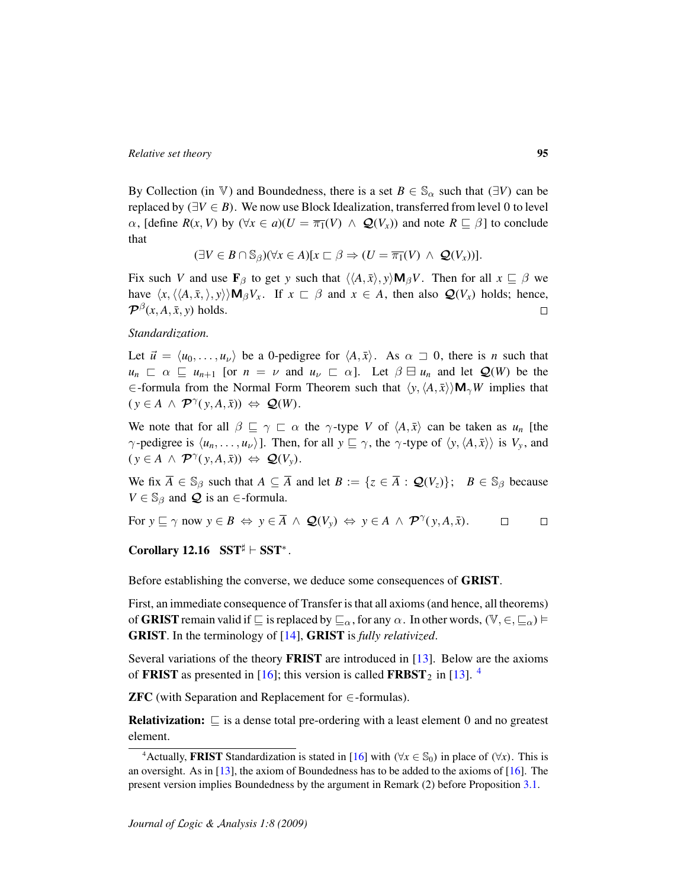By Collection (in V) and Boundedness, there is a set  $B \in \mathbb{S}_{\alpha}$  such that ( $\exists V$ ) can be replaced by  $(\exists V \in B)$ . We now use Block Idealization, transferred from level 0 to level  $\alpha$ , [define  $R(x, V)$  by  $(\forall x \in a)(U = \overline{\pi_1}(V) \land Q(V_x))$  and note  $R \subseteq \beta$ ] to conclude that

 $(\exists V \in B \cap \mathbb{S}_{\beta})(\forall x \in A)[x \sqsubset \beta \Rightarrow (U = \overline{\pi_1}(V) \land \mathcal{Q}(V_x))].$ 

Fix such *V* and use  $\mathbf{F}_{\beta}$  to get *y* such that  $\langle \langle A, \bar{x} \rangle, y \rangle \mathbf{M}_{\beta} V$ . Then for all  $x \subseteq \beta$  we have  $\langle x, \langle \langle A, \bar{x}, \rangle, y \rangle \rangle \mathbf{M}_{\beta} V_x$ . If  $x \in \beta$  and  $x \in A$ , then also  $\mathcal{Q}(V_x)$  holds; hence,  $\mathcal{P}^{\beta}(x, A, \bar{x}, y)$  holds.  $\Box$ 

*Standardization.*

Let  $\vec{u} = \langle u_0, \ldots, u_\nu \rangle$  be a 0-pedigree for  $\langle A, \bar{x} \rangle$ . As  $\alpha \supset 0$ , there is *n* such that  $u_n \nightharpoonup \alpha \subseteq u_{n+1}$  [or  $n = \nu$  and  $u_{\nu} \subset \alpha$ ]. Let  $\beta \sqsupseteq u_n$  and let  $\mathcal{Q}(W)$  be the ∈-formula from the Normal Form Theorem such that  $\langle y, \langle A, \bar{x} \rangle \rangle$ **M**<sub>γ</sub>*W* implies that  $(y \in A \land \mathcal{P}^{\gamma}(y, A, \bar{x})) \Leftrightarrow \mathcal{Q}(W).$ 

We note that for all  $\beta \subseteq \gamma \subseteq \alpha$  the  $\gamma$ -type *V* of  $\langle A, \bar{x} \rangle$  can be taken as  $u_n$  [the  $\gamma$ -pedigree is  $\langle u_n, \ldots, u_\nu \rangle$ ]. Then, for all  $y \sqsubseteq \gamma$ , the  $\gamma$ -type of  $\langle y, \langle A, \bar{x} \rangle \rangle$  is  $V_y$ , and  $(y \in A \land \mathcal{P}^{\gamma}(y, A, \bar{x})) \Leftrightarrow \mathcal{Q}(V_y).$ 

We fix  $\overline{A} \in \mathbb{S}_{\beta}$  such that  $A \subseteq \overline{A}$  and let  $B := \{z \in \overline{A} : \mathcal{Q}(V_z)\}; \quad B \in \mathbb{S}_{\beta}$  because  $V \in \mathbb{S}_{\beta}$  and  $\mathcal Q$  is an  $\in$ -formula.

For  $y \sqsubseteq \gamma$  now  $y \in B \Leftrightarrow y \in \overline{A} \wedge \mathcal{Q}(V_y) \Leftrightarrow y \in A \wedge \mathcal{P}^{\gamma}(y, A, \overline{x}).$  $\Box$  $\Box$ 

Corollary 12.16  $SST^{\sharp} \vdash SST^*$ .

Before establishing the converse, we deduce some consequences of GRIST.

First, an immediate consequence of Transfer is that all axioms (and hence, all theorems) of **GRIST** remain valid if  $\sqsubseteq$  is replaced by  $\sqsubseteq_{\alpha}$ , for any  $\alpha$ . In other words,  $(\mathbb{V}, \in, \sqsubseteq_{\alpha}) \models$ GRIST. In the terminology of [\[14\]](#page-106-2), GRIST is *fully relativized*.

Several variations of the theory FRIST are introduced in [\[13\]](#page-106-0). Below are the axioms of **FRIST** as presented in [\[16\]](#page-106-3); this version is called **FRBST**<sub>2</sub> in [\[13\]](#page-106-0). <sup>[4](#page-94-0)</sup>

**ZFC** (with Separation and Replacement for  $\in$ -formulas).

**Relativization:**  $\subseteq$  is a dense total pre-ordering with a least element 0 and no greatest element.

<span id="page-94-0"></span><sup>&</sup>lt;sup>4</sup>Actually, **FRIST** Standardization is stated in [\[16\]](#page-106-3) with ( $\forall x \in \mathbb{S}_0$ ) in place of ( $\forall x$ ). This is an oversight. As in [\[13\]](#page-106-0), the axiom of Boundedness has to be added to the axioms of [\[16\]](#page-106-3). The present version implies Boundedness by the argument in Remark (2) before Proposition [3.1.](#page-18-0)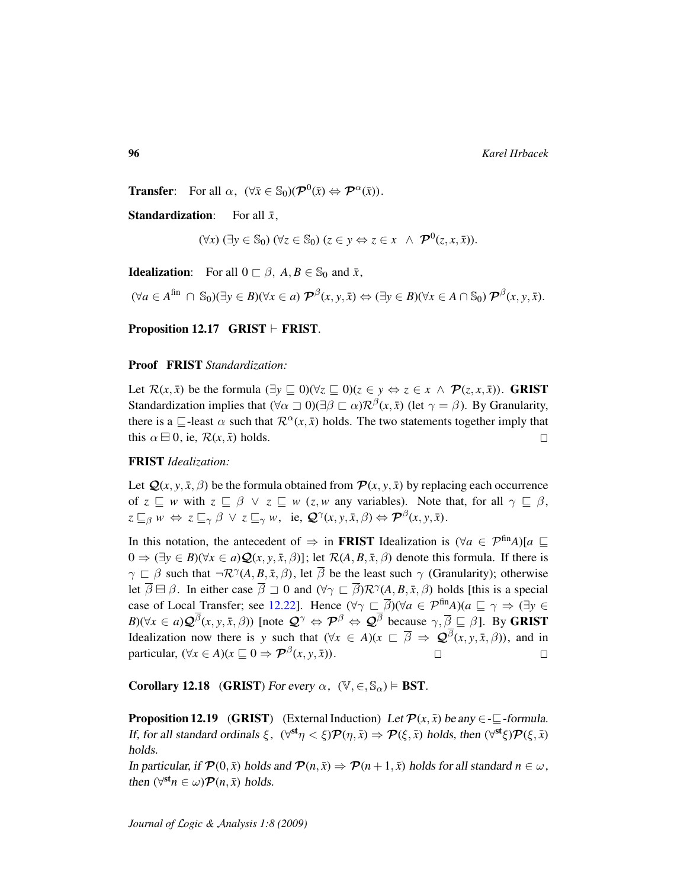**Transfer:** For all  $\alpha$ ,  $(\forall \bar{x} \in \mathbb{S}_0)(\mathcal{P}^0(\bar{x}) \Leftrightarrow \mathcal{P}^{\alpha}(\bar{x}))$ .

**Standardization:** For all  $\bar{x}$ ,

$$
(\forall x) (\exists y \in \mathbb{S}_0) (\forall z \in \mathbb{S}_0) (z \in y \Leftrightarrow z \in x \ \wedge \ \mathcal{P}^0(z, x, \bar{x})).
$$

**Idealization:** For all  $0 \subseteq \beta$ ,  $A, B \in \mathbb{S}_0$  and  $\bar{x}$ ,

 $(\forall a \in A^{\text{fin}} \cap \mathbb{S}_0)(\exists y \in B)(\forall x \in a) \ \mathcal{P}^{\beta}(x, y, \bar{x}) \Leftrightarrow (\exists y \in B)(\forall x \in A \cap \mathbb{S}_0) \ \mathcal{P}^{\beta}(x, y, \bar{x}).$ 

<span id="page-95-0"></span>Proposition 12.17 GRIST  $\vdash$  FRIST.

#### Proof FRIST *Standardization:*

Let  $\mathcal{R}(x, \bar{x})$  be the formula  $(\exists y \sqsubseteq 0)(\forall z \sqsubseteq 0)(z \in y \Leftrightarrow z \in x \land \mathcal{P}(z, x, \bar{x}))$ . **GRIST** Standardization implies that  $(\forall \alpha \sqsupset 0)(\exists \beta \sqsubset \alpha) \mathcal{R}^{\beta}(x, \bar{x})$  (let  $\gamma = \beta$ ). By Granularity, there is a  $\sqsubseteq$ -least  $\alpha$  such that  $\mathcal{R}^{\alpha}(x, \bar{x})$  holds. The two statements together imply that this  $\alpha \boxminus 0$ , ie,  $\mathcal{R}(x, \bar{x})$  holds.  $\Box$ 

# FRIST *Idealization:*

Let  $Q(x, y, \bar{x}, \beta)$  be the formula obtained from  $P(x, y, \bar{x})$  by replacing each occurrence of  $z \subseteq w$  with  $z \subseteq \beta \lor z \subseteq w$  (*z*, *w* any variables). Note that, for all  $\gamma \subseteq \beta$ ,  $z \sqsubseteq_{\beta} w \Leftrightarrow z \sqsubseteq_{\gamma} \beta \lor z \sqsubseteq_{\gamma} w$ , ie,  $\mathcal{Q}^{\gamma}(x, y, \bar{x}, \beta) \Leftrightarrow \mathcal{P}^{\beta}(x, y, \bar{x}).$ 

In this notation, the antecedent of  $\Rightarrow$  in **FRIST** Idealization is  $(\forall a \in \mathcal{P}^{\text{fin}}A)[a \sqsubseteq$  $0 \Rightarrow (\exists y \in B)(\forall x \in a) \mathcal{Q}(x, y, \bar{x}, \beta)$ ; let  $\mathcal{R}(A, B, \bar{x}, \beta)$  denote this formula. If there is  $\gamma \subset \beta$  such that  $\neg \mathcal{R}^{\gamma}(A,B,\bar{x},\beta)$ , let  $\overline{\beta}$  be the least such  $\gamma$  (Granularity); otherwise let  $\overline{\beta} \boxminus \beta$ . In either case  $\overline{\beta} \supseteq 0$  and  $(\forall \gamma \sqsubset \overline{\beta}) \mathcal{R}^{\gamma}(A, B, \overline{x}, \beta)$  holds [this is a special case of Local Transfer; see [12.22\]](#page-97-0). Hence  $(\forall \gamma \sqsubset \overline{\beta})(\forall a \in \mathcal{P}^{\text{fin}}A)(a \sqsubseteq \gamma \Rightarrow (\exists y \in \mathcal{P}^{\text{fin}}A))$  $B(\forall x \in a) \mathcal{Q}^{\beta}(x, y, \bar{x}, \beta)$  [note  $\mathcal{Q}^{\gamma} \Leftrightarrow \mathcal{P}^{\beta} \Leftrightarrow \mathcal{Q}^{\beta}$  because  $\gamma, \overline{\beta} \sqsubseteq \beta$ ]. By GRIST Idealization now there is *y* such that  $(\forall x \in A)(x \sqsubset \overline{\beta} \Rightarrow \mathcal{Q}^{\beta}(x, y, \overline{x}, \beta))$ , and in particular,  $(\forall x \in A)(x \sqsubseteq 0 \Rightarrow \mathcal{P}^{\beta}(x, y, \bar{x})).$  $\Box$  $\Box$ 

Corollary 12.18 (GRIST) For every  $\alpha$ ,  $(\mathbb{V}, \in, \mathbb{S}_{\alpha}) \models \text{BST}$ .

**Proposition 12.19** (GRIST) (External Induction) Let  $\mathcal{P}(x, \bar{x})$  be any  $\in \mathbb{Z}$ -formula. If, for all standard ordinals  $\xi$ ,  $(\forall^{\text{st}} \eta < \xi) \mathcal{P}(\eta, \bar{x}) \Rightarrow \mathcal{P}(\xi, \bar{x})$  holds, then  $(\forall^{\text{st}} \xi) \mathcal{P}(\xi, \bar{x})$ holds.

In particular, if  $\mathcal{P}(0, \bar{x})$  holds and  $\mathcal{P}(n, \bar{x}) \Rightarrow \mathcal{P}(n+1, \bar{x})$  holds for all standard  $n \in \omega$ , then  $(\forall^{st} n \in \omega) \mathcal{P}(n, \bar{x})$  holds.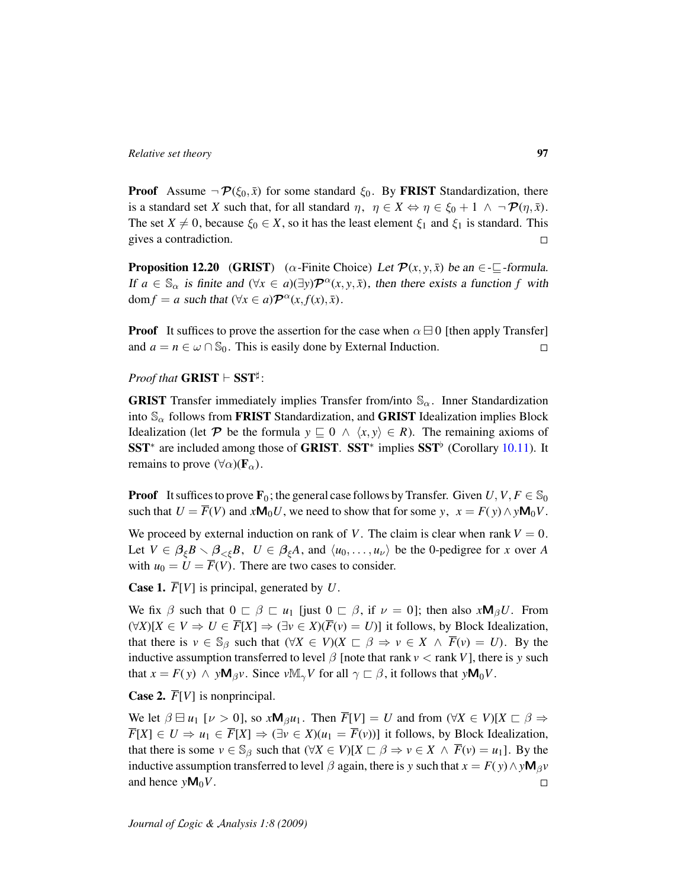**Proof** Assume  $\neg \mathcal{P}(\xi_0, \bar{x})$  for some standard  $\xi_0$ . By **FRIST** Standardization, there is a standard set *X* such that, for all standard  $\eta$ ,  $\eta \in X \Leftrightarrow \eta \in \xi_0 + 1 \wedge \neg \mathcal{P}(\eta, \bar{x})$ . The set  $X \neq 0$ , because  $\xi_0 \in X$ , so it has the least element  $\xi_1$  and  $\xi_1$  is standard. This gives a contradiction.  $\Box$ 

**Proposition 12.20** (GRIST) ( $\alpha$ -Finite Choice) Let  $\mathcal{P}(x, y, \bar{x})$  be an  $\in \mathcal{I}$ -formula. If  $a \in \mathbb{S}_{\alpha}$  is finite and  $(\forall x \in a)(\exists y) \mathcal{P}^{\alpha}(x, y, \bar{x})$ , then there exists a function *f* with dom  $f = a$  such that  $(\forall x \in a) \mathcal{P}^{\alpha}(x, f(x), \bar{x}).$ 

**Proof** It suffices to prove the assertion for the case when  $\alpha \boxminus 0$  [then apply Transfer] and  $a = n \in \omega \cap \mathbb{S}_0$ . This is easily done by External Induction.  $\Box$ 

*Proof that*  $\mathbf{GRIST} \vdash \mathbf{SST}^{\sharp}$ :

**GRIST** Transfer immediately implies Transfer from/into  $\mathbb{S}_{\alpha}$ . Inner Standardization into  $\mathcal{S}_{\alpha}$  follows from **FRIST** Standardization, and **GRIST** Idealization implies Block Idealization (let P be the formula  $y \subseteq 0 \land \langle x, y \rangle \in R$ ). The remaining axioms of SST<sup>\*</sup> are included among those of GRIST. SST<sup>\*</sup> implies  $SST^{\flat}$  (Corollary [10.11\)](#page-65-2). It remains to prove  $(\forall \alpha)(\mathbf{F}_{\alpha})$ .

**Proof** It suffices to prove  $\mathbf{F}_0$ ; the general case follows by Transfer. Given  $U, V, F \in \mathbb{S}_0$ such that  $U = \overline{F}(V)$  and  $xM_0U$ , we need to show that for some *y*,  $x = F(y) \wedge yM_0V$ .

We proceed by external induction on rank of *V*. The claim is clear when rank  $V = 0$ . Let  $V \in \beta_{\xi}B \setminus \beta_{\leq \xi}B$ ,  $U \in \beta_{\xi}A$ , and  $\langle u_0, \dots, u_{\nu} \rangle$  be the 0-pedigree for *x* over *A* with  $u_0 = U = \overline{F}(V)$ . There are two cases to consider.

**Case 1.**  $\overline{F}[V]$  is principal, generated by *U*.

We fix  $\beta$  such that  $0 \subseteq \beta \subseteq u_1$  [just  $0 \subseteq \beta$ , if  $\nu = 0$ ]; then also  $xM_\beta U$ . From  $(\forall X)[X \in V \Rightarrow U \in \overline{F}[X] \Rightarrow (\exists v \in X)(\overline{F}(v) = U)]$  it follows, by Block Idealization, that there is  $v \in \mathbb{S}_{\beta}$  such that  $(\forall X \in V)(X \subset \beta \Rightarrow v \in X \land \overline{F}(v) = U)$ . By the inductive assumption transferred to level  $\beta$  [note that rank  $v <$  rank *V*], there is *y* such that  $x = F(y) \land y \mathbf{M}_{\beta} y$ . Since  $v \mathbb{M}_{\gamma} V$  for all  $\gamma \sqsubset \beta$ , it follows that  $y \mathbf{M}_{0} V$ .

**Case 2.**  $\overline{F}[V]$  is nonprincipal.

We let  $\beta \boxminus u_1 \, [\nu > 0]$ , so  $x \mathsf{M}_{\beta} u_1$ . Then  $\overline{F}[V] = U$  and from  $(\forall X \in V)[X \sqsubset \beta \Rightarrow$  $\overline{F}[X] \in U \Rightarrow u_1 \in \overline{F}[X] \Rightarrow (\exists v \in X)(u_1 = \overline{F}(v))]$  it follows, by Block Idealization, that there is some  $v \in \mathbb{S}_{\beta}$  such that  $(\forall X \in V)[X \sqsubset \beta \Rightarrow v \in X \land \overline{F}(v) = u_1]$ . By the inductive assumption transferred to level  $\beta$  again, there is *y* such that  $x = F(y) \wedge y \mathbf{M}_{\beta} v$ and hence  $yM_0V$ .  $\Box$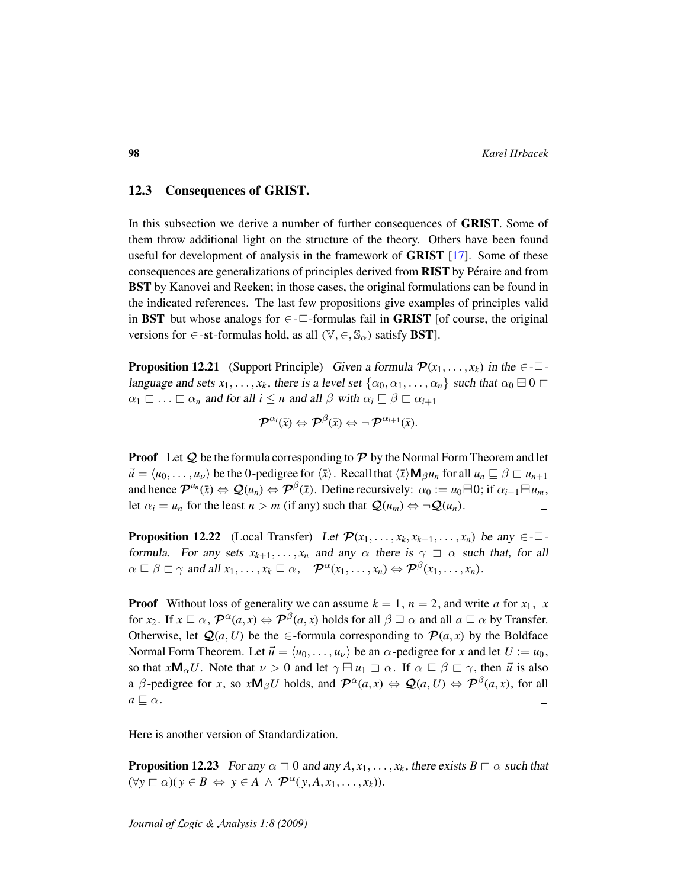## 12.3 Consequences of GRIST.

In this subsection we derive a number of further consequences of GRIST. Some of them throw additional light on the structure of the theory. Others have been found useful for development of analysis in the framework of GRIST [\[17\]](#page-106-4). Some of these consequences are generalizations of principles derived from RIST by Péraire and from BST by Kanovei and Reeken; in those cases, the original formulations can be found in the indicated references. The last few propositions give examples of principles valid in BST but whose analogs for  $\in \subseteq$ -formulas fail in GRIST [of course, the original versions for  $\in$ -st-formulas hold, as all  $(\mathbb{V}, \in, \mathbb{S}_{\alpha})$  satisfy **BST**].

**Proposition 12.21** (Support Principle) Given a formula  $\mathcal{P}(x_1, \ldots, x_k)$  in the  $\in \mathbb{Z}$ language and sets  $x_1, \ldots, x_k$ , there is a level set  $\{\alpha_0, \alpha_1, \ldots, \alpha_n\}$  such that  $\alpha_0 \boxminus 0 \sqsubset$  $\alpha_1 \sqsubset \ldots \sqsubset \alpha_n$  and for all  $i \leq n$  and all  $\beta$  with  $\alpha_i \sqsubseteq \beta \sqsubset \alpha_{i+1}$ 

$$
\boldsymbol{\mathcal{P}}^{\alpha_{i}}(\bar{x})\Leftrightarrow \boldsymbol{\mathcal{P}}^{\beta}(\bar{x})\Leftrightarrow \neg\, \boldsymbol{\mathcal{P}}^{\alpha_{i+1}}(\bar{x}).
$$

**Proof** Let  $Q$  be the formula corresponding to  $P$  by the Normal Form Theorem and let  $\vec{u} = \langle u_0, \dots, u_\nu \rangle$  be the 0-pedigree for  $\langle \bar{x} \rangle$ . Recall that  $\langle \bar{x} \rangle \mathbf{M}_\beta u_n$  for all  $u_n \subseteq \beta \subset u_{n+1}$ and hence  $\mathcal{P}^{u_n}(\bar{x}) \Leftrightarrow \mathcal{Q}(u_n) \Leftrightarrow \mathcal{P}^{\beta}(\bar{x})$ . Define recursively:  $\alpha_0 := u_0 \boxminus 0$ ; if  $\alpha_{i-1} \boxminus u_m$ , let  $\alpha_i = u_n$  for the least  $n > m$  (if any) such that  $\mathcal{Q}(u_m) \Leftrightarrow \neg \mathcal{Q}(u_n)$ .  $\Box$ 

<span id="page-97-0"></span>**Proposition 12.22** (Local Transfer) Let  $\mathcal{P}(x_1, \ldots, x_k, x_{k+1}, \ldots, x_n)$  be any  $\in \mathbb{Z}$ formula. For any sets  $x_{k+1}, \ldots, x_n$  and any  $\alpha$  there is  $\gamma \supset \alpha$  such that, for all  $\alpha \sqsubseteq \beta \sqsubset \gamma$  and all  $x_1, \ldots, x_k \sqsubseteq \alpha$ ,  $\mathcal{P}^{\alpha}(x_1, \ldots, x_n) \Leftrightarrow \mathcal{P}^{\beta}(x_1, \ldots, x_n)$ .

**Proof** Without loss of generality we can assume  $k = 1$ ,  $n = 2$ , and write *a* for  $x_1$ , *x* for *x*<sub>2</sub>. If  $x \sqsubseteq \alpha$ ,  $\mathcal{P}^{\alpha}(a,x) \Leftrightarrow \mathcal{P}^{\beta}(a,x)$  holds for all  $\beta \sqsupseteq \alpha$  and all  $a \sqsubseteq \alpha$  by Transfer. Otherwise, let  $Q(a, U)$  be the  $\in$ -formula corresponding to  $P(a, x)$  by the Boldface Normal Form Theorem. Let  $\vec{u} = \langle u_0, \ldots, u_\nu \rangle$  be an  $\alpha$ -pedigree for *x* and let  $U := u_0$ , so that  $xM_{\alpha}U$ . Note that  $\nu > 0$  and let  $\gamma \boxminus u_1 \sqsupset \alpha$ . If  $\alpha \sqsubseteq \beta \sqsubset \gamma$ , then  $\vec{u}$  is also a  $\beta$ -pedigree for *x*, so  $x \mathsf{M}_{\beta} U$  holds, and  $\mathcal{P}^{\alpha}(a, x) \Leftrightarrow \mathcal{Q}(a, U) \Leftrightarrow \mathcal{P}^{\beta}(a, x)$ , for all  $a \sqsubseteq \alpha$ .  $\Box$ 

Here is another version of Standardization.

**Proposition 12.23** For any  $\alpha \supseteq 0$  and any  $A, x_1, \ldots, x_k$ , there exists  $B \sqsubset \alpha$  such that  $(\forall y \sqsubset \alpha)(y \in B \Leftrightarrow y \in A \land \mathcal{P}^{\alpha}(y, A, x_1, \ldots, x_k)).$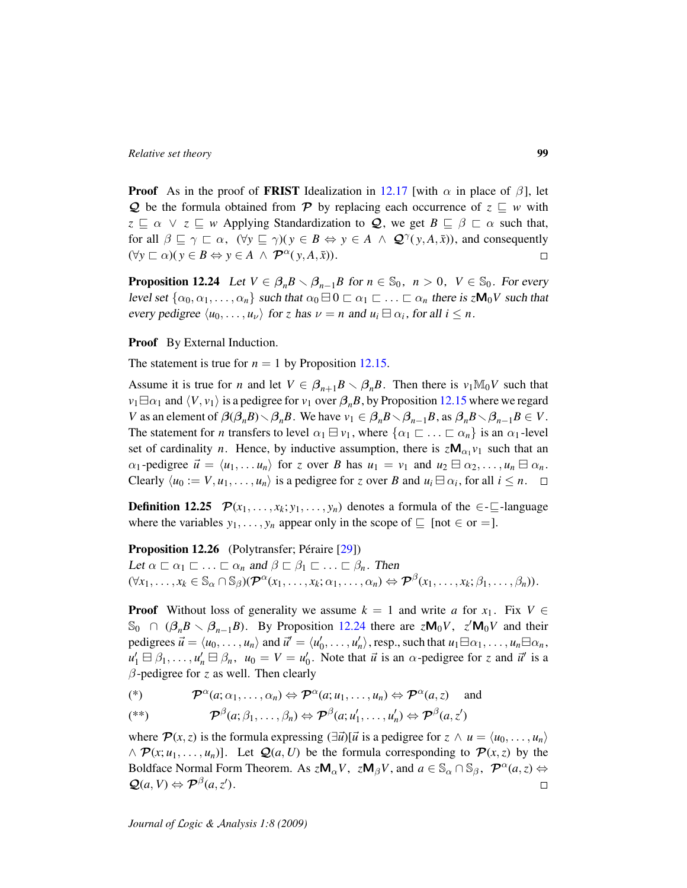**Proof** As in the proof of **FRIST** Idealization in [12.17](#page-95-0) [with  $\alpha$  in place of  $\beta$ ], let  $Q$  be the formula obtained from P by replacing each occurrence of  $z \subseteq w$  with  $z \subseteq \alpha \lor z \subseteq w$  Applying Standardization to **Q**, we get  $B \subseteq \beta \subseteq \alpha$  such that, for all  $\beta \sqsubseteq \gamma \sqsubset \alpha$ ,  $(\forall y \sqsubseteq \gamma)(y \in B \Leftrightarrow y \in A \land \mathcal{Q}^{\gamma}(y, A, \bar{x}))$ , and consequently  $(\forall y \sqsubset \alpha)(y \in B \Leftrightarrow y \in A \land \mathcal{P}^{\alpha}(y, A, \bar{x})).$  $\Box$ 

<span id="page-98-0"></span>**Proposition 12.24** Let  $V \in \beta_n B \setminus \beta_{n-1}B$  for  $n \in \mathbb{S}_0$ ,  $n > 0$ ,  $V \in \mathbb{S}_0$ . For every level set  $\{\alpha_0, \alpha_1, \dots, \alpha_n\}$  such that  $\alpha_0 \boxminus 0 \sqsubset \alpha_1 \sqsubset \dots \sqsubset \alpha_n$  there is  $zM_0V$  such that every pedigree  $\langle u_0, \ldots, u_\nu \rangle$  for *z* has  $\nu = n$  and  $u_i \boxminus \alpha_i$ , for all  $i \leq n$ .

**Proof** By External Induction.

The statement is true for  $n = 1$  by Proposition [12.15.](#page-92-0)

Assume it is true for *n* and let  $V \in \beta_{n+1}B \setminus \beta_nB$ . Then there is  $v_1\mathbb{M}_0V$  such that  $v_1 \boxminus \alpha_1$  and  $\langle V, v_1 \rangle$  is a pedigree for  $v_1$  over  $\beta_n B$ , by Proposition [12.15](#page-92-0) where we regard *V* as an element of  $\beta(\beta_n B) \setminus \beta_n B$ . We have  $v_1 \in \beta_n B \setminus \beta_{n-1}B$ , as  $\beta_n B \setminus \beta_{n-1}B \in V$ . The statement for *n* transfers to level  $\alpha_1 \boxminus \nu_1$ , where  $\{\alpha_1 \sqsubset \ldots \sqsubset \alpha_n\}$  is an  $\alpha_1$ -level set of cardinality *n*. Hence, by inductive assumption, there is  $zM_{\alpha_1}v_1$  such that an  $\alpha_1$ -pedigree  $\vec{u} = \langle u_1, \dots, u_n \rangle$  for *z* over *B* has  $u_1 = v_1$  and  $u_2 \boxminus \alpha_2, \dots, u_n \boxminus \alpha_n$ . Clearly  $\langle u_0 := V, u_1, \ldots, u_n \rangle$  is a pedigree for *z* over *B* and  $u_i \boxminus \alpha_i$ , for all  $i \leq n$ .

**Definition 12.25**  $\mathcal{P}(x_1, \ldots, x_k; y_1, \ldots, y_n)$  denotes a formula of the  $\in \subseteq$ -language where the variables  $y_1, \ldots, y_n$  appear only in the scope of  $\subseteq$  [not  $\in$  or =].

Proposition 12.26 (Polytransfer; Péraire [[29\]](#page-107-0))

Let  $\alpha \sqsubset \alpha_1 \sqsubset \ldots \sqsubset \alpha_n$  and  $\beta \sqsubset \beta_1 \sqsubset \ldots \sqsubset \beta_n$ . Then  $(\forall x_1, \ldots, x_k \in \mathbb{S}_{\alpha} \cap \mathbb{S}_{\beta})$  $(\mathcal{P}^{\alpha}(x_1, \ldots, x_k; \alpha_1, \ldots, \alpha_n) \Leftrightarrow \mathcal{P}^{\beta}(x_1, \ldots, x_k; \beta_1, \ldots, \beta_n)).$ 

**Proof** Without loss of generality we assume  $k = 1$  and write *a* for  $x_1$ . Fix  $V \in$  $\mathbb{S}_0$   $\cap$   $(\beta_n B \setminus \beta_{n-1} B)$ . By Proposition [12.24](#page-98-0) there are  $z \mathsf{M}_0 V$ ,  $z' \mathsf{M}_0 V$  and their pedigrees  $\vec{u} = \langle u_0, \dots, u_n \rangle$  and  $\vec{u}' = \langle u'_0, \dots, u'_n \rangle$ , resp., such that  $u_1 \boxminus \alpha_1, \dots, u_n \boxminus \alpha_n$ ,  $u'_1 \boxminus \beta_1, \ldots, u'_n \boxminus \beta_n$ ,  $u_0 = V = u'_0$ . Note that  $\vec{u}$  is an  $\alpha$ -pedigree for *z* and  $\vec{u}'$  is a β-pedigree for *z* as well. Then clearly

(\*)  $\mathcal{P}^{\alpha}(a; \alpha_1, \ldots, \alpha_n) \Leftrightarrow \mathcal{P}^{\alpha}(a; u_1, \ldots, u_n) \Leftrightarrow \mathcal{P}^{\alpha}(a, z)$  and

$$
(**) \qquad \qquad \mathcal{P}^{\beta}(a;\beta_1,\ldots,\beta_n) \Leftrightarrow \mathcal{P}^{\beta}(a;u'_1,\ldots,u'_n) \Leftrightarrow \mathcal{P}^{\beta}(a,\mathbf{z}')
$$

where  $\mathcal{P}(x, z)$  is the formula expressing  $(\exists \vec{u})[\vec{u}]$  is a pedigree for  $z \wedge u = \langle u_0, \dots, u_n \rangle$  $\wedge$   $\mathcal{P}(x; u_1, \ldots, u_n)$ ]. Let  $\mathcal{Q}(a, U)$  be the formula corresponding to  $\mathcal{P}(x, z)$  by the Boldface Normal Form Theorem. As  $zM_{\alpha}V$ ,  $zM_{\beta}V$ , and  $a \in \mathbb{S}_{\alpha} \cap \mathbb{S}_{\beta}$ ,  $\mathcal{P}^{\alpha}(a,z) \Leftrightarrow$  $\mathcal{Q}(a, V) \Leftrightarrow \mathcal{P}^{\beta}(a, z').$  $\Box$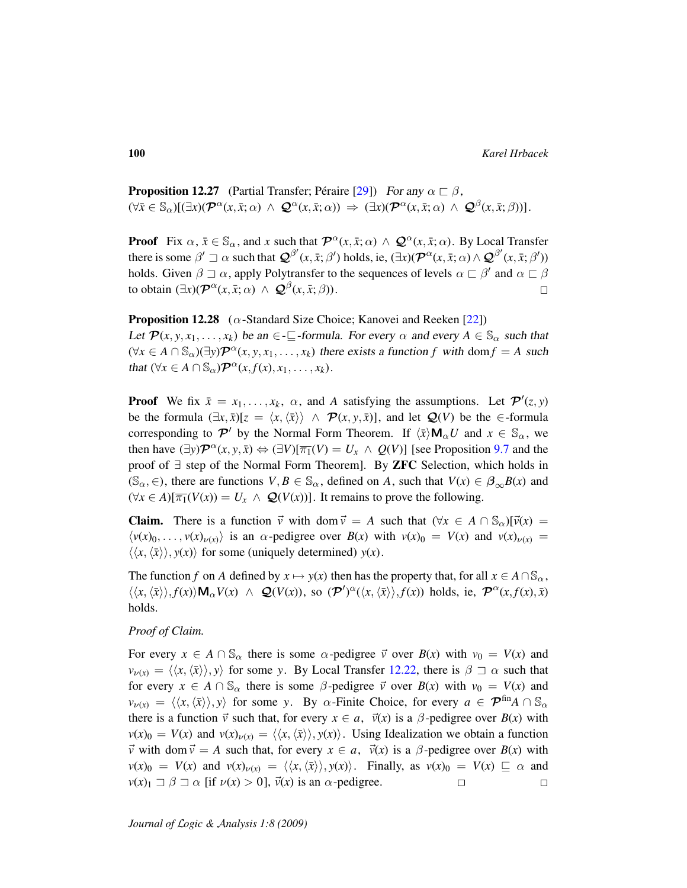**Proposition 12.27** (Partial Transfer; Péraire [[29\]](#page-107-0)) For any  $\alpha \sqsubset \beta$ ,  $(\forall \bar{x} \in \mathbb{S}_{\alpha})[(\exists x)(\mathcal{P}^{\alpha}(x,\bar{x};\alpha) \,\wedge\, \mathcal{Q}^{\alpha}(x,\bar{x};\alpha)) \Rightarrow (\exists x)(\mathcal{P}^{\alpha}(x,\bar{x};\alpha) \,\wedge\, \mathcal{Q}^{\beta}(x,\bar{x};\beta))].$ 

**Proof** Fix  $\alpha$ ,  $\bar{x} \in \mathbb{S}_{\alpha}$ , and *x* such that  $\mathcal{P}^{\alpha}(x, \bar{x}; \alpha) \wedge \mathcal{Q}^{\alpha}(x, \bar{x}; \alpha)$ . By Local Transfer there is some  $\beta' \sqsupset \alpha$  such that  $\mathcal{Q}^{\beta'}(x,\bar{x};\beta')$  holds, ie,  $(\exists x)(\mathcal{P}^{\alpha}(x,\bar{x};\alpha) \wedge \mathcal{Q}^{\beta'}(x,\bar{x};\beta'))$ holds. Given  $\beta \sqsupset \alpha$ , apply Polytransfer to the sequences of levels  $\alpha \sqsubset \beta'$  and  $\alpha \sqsubset \beta$ to obtain  $(\exists x)(\mathcal{P}^{\alpha}(x,\bar{x};\alpha) \wedge \mathcal{Q}^{\beta}(x,\bar{x};\beta)).$  $\Box$ 

**Proposition 12.28** ( $\alpha$ -Standard Size Choice; Kanovei and Reeken [\[22\]](#page-107-1)) Let  $\mathcal{P}(x, y, x_1, \ldots, x_k)$  be an  $\in \mathcal{I}$ -formula. For every  $\alpha$  and every  $A \in \mathcal{S}_{\alpha}$  such that  $(\forall x \in A \cap \mathbb{S}_{\alpha})(\exists y) \mathcal{P}^{\alpha}(x, y, x_1, \dots, x_k)$  there exists a function *f* with dom  $f = A$  such that  $(\forall x \in A \cap \mathbb{S}_{\alpha}) \mathcal{P}^{\alpha}(x, f(x), x_1, \ldots, x_k).$ 

**Proof** We fix  $\bar{x} = x_1, \ldots, x_k, \alpha$ , and *A* satisfying the assumptions. Let  $\mathcal{P}'(z, y)$ be the formula  $(\exists x, \bar{x})[z = \langle x, \langle \bar{x} \rangle \rangle \land \mathcal{P}(x, y, \bar{x})]$ , and let  $\mathcal{Q}(V)$  be the ∈-formula corresponding to  $\mathcal{P}'$  by the Normal Form Theorem. If  $\langle \bar{x} \rangle \mathsf{M}_{\alpha} U$  and  $x \in \mathbb{S}_{\alpha}$ , we then have  $(\exists y) \mathcal{P}^{\alpha}(x, y, \bar{x}) \Leftrightarrow (\exists V)[\overline{\pi_1}(V) = U_x \wedge Q(V)]$  [see Proposition [9.7](#page-54-1) and the proof of ∃ step of the Normal Form Theorem]. By ZFC Selection, which holds in (S<sub> $\alpha$ </sub>,  $\in$ ), there are functions  $V, B \in \mathbb{S}_{\alpha}$ , defined on *A*, such that  $V(x) \in \beta_{\alpha}B(x)$  and  $(\forall x \in A)[\overline{\pi_1}(V(x)) = U_x \land Q(V(x))]$ . It remains to prove the following.

**Claim.** There is a function  $\vec{v}$  with dom  $\vec{v} = A$  such that  $(\forall x \in A \cap \mathbb{S}_{\alpha})[\vec{v}(x) =$  $\langle v(x)_0, \ldots, v(x)_{\nu(x)} \rangle$  is an  $\alpha$ -pedigree over  $B(x)$  with  $v(x)_0 = V(x)$  and  $v(x)_{\nu(x)} =$  $\langle \langle x, \langle \bar{x} \rangle \rangle, y(x) \rangle$  for some (uniquely determined)  $y(x)$ .

The function *f* on *A* defined by  $x \mapsto y(x)$  then has the property that, for all  $x \in A \cap \mathbb{S}_{\alpha}$ ,  $\langle \langle x, \langle \bar{x} \rangle \rangle, f(x) \rangle \mathbf{M}_{\alpha} V(x) \ \wedge \ \mathcal{Q}(V(x))$ , so  $(\mathcal{P}')^{\alpha}(\langle x, \langle \bar{x} \rangle \rangle, f(x))$  holds, ie,  $\mathcal{P}^{\alpha}(x, f(x), \bar{x})$ holds.

#### *Proof of Claim.*

For every  $x \in A \cap \mathbb{S}_{\alpha}$  there is some  $\alpha$ -pedigree  $\vec{v}$  over  $B(x)$  with  $v_0 = V(x)$  and  $v_{\nu(x)} = \langle \langle x, \langle \bar{x} \rangle \rangle, y \rangle$  for some *y*. By Local Transfer [12.22,](#page-97-0) there is  $\beta \supset \alpha$  such that for every  $x \in A \cap \mathbb{S}_{\alpha}$  there is some  $\beta$ -pedigree  $\vec{v}$  over  $B(x)$  with  $v_0 = V(x)$  and  $v_{\nu(x)} = \langle \langle x, \langle \bar{x} \rangle \rangle, y \rangle$  for some *y*. By  $\alpha$ -Finite Choice, for every  $a \in \mathcal{P}^{\text{fin}}A \cap \mathbb{S}_{\alpha}$ there is a function  $\vec{v}$  such that, for every  $x \in a$ ,  $\vec{v}(x)$  is a  $\beta$ -pedigree over  $B(x)$  with  $v(x)_0 = V(x)$  and  $v(x)_{\nu(x)} = \langle \langle x, \langle \overline{x} \rangle \rangle, y(x) \rangle$ . Using Idealization we obtain a function  $\vec{v}$  with dom  $\vec{v} = A$  such that, for every  $x \in a$ ,  $\vec{v}(x)$  is a  $\beta$ -pedigree over  $B(x)$  with  $v(x)_0 = V(x)$  and  $v(x)_{\nu(x)} = \langle \langle x, \langle \overline{x} \rangle \rangle, y(x) \rangle$ . Finally, as  $v(x)_0 = V(x) \subseteq \alpha$  and  $v(x)_1 \rightharpoonup \beta \rightharpoonup \alpha$  [if  $v(x) > 0$ ],  $\vec{v}(x)$  is an  $\alpha$ -pedigree.  $\Box$  $\Box$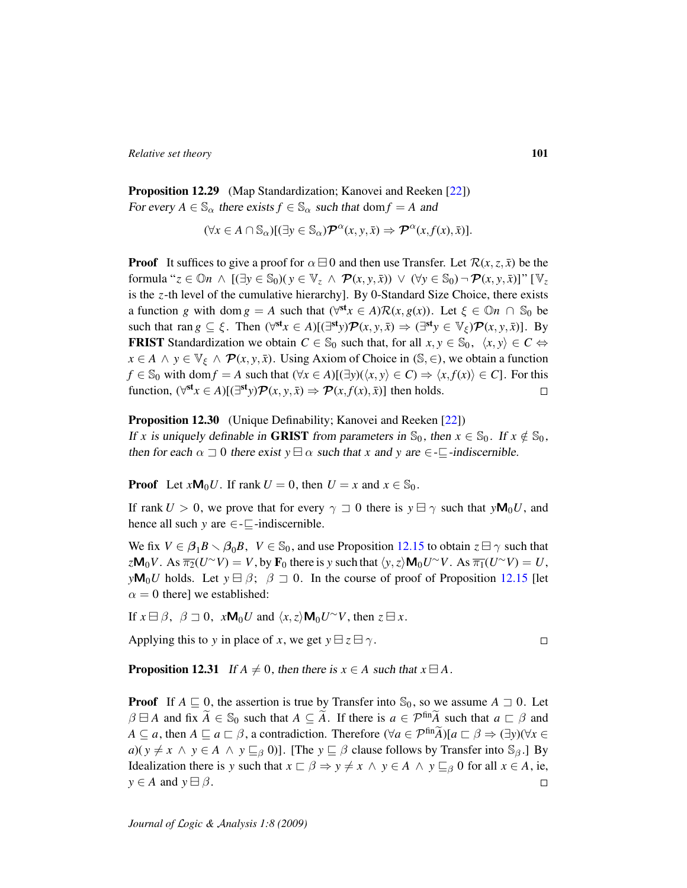Proposition 12.29 (Map Standardization; Kanovei and Reeken [\[22\]](#page-107-1)) For every  $A \in \mathbb{S}_{\alpha}$  there exists  $f \in \mathbb{S}_{\alpha}$  such that dom  $f = A$  and

 $(\forall x \in A \cap \mathbb{S}_{\alpha})[(\exists y \in \mathbb{S}_{\alpha})\mathcal{P}^{\alpha}(x, y, \bar{x}) \Rightarrow \mathcal{P}^{\alpha}(x, f(x), \bar{x})].$ 

**Proof** It suffices to give a proof for  $\alpha \boxminus 0$  and then use Transfer. Let  $\mathcal{R}(x, z, \overline{x})$  be the formula " $z \in \mathbb{O}n \land [(\exists y \in \mathbb{S}_0)(y \in \mathbb{V}_z \land \mathcal{P}(x, y, \bar{x})) \lor (\forall y \in \mathbb{S}_0) \neg \mathcal{P}(x, y, \bar{x})]$ " [ $\mathbb{V}_z$ is the *z*-th level of the cumulative hierarchy]. By 0-Standard Size Choice, there exists a function *g* with dom  $g = A$  such that  $(\forall^{st} x \in A) \mathcal{R}(x, g(x))$ . Let  $\xi \in \mathbb{O} n \cap \mathbb{S}_0$  be such that ran  $g \subseteq \xi$ . Then  $(\forall^{st} x \in A)[(\exists^{st} y)\mathcal{P}(x, y, \bar{x}) \Rightarrow (\exists^{st} y \in \mathbb{V}_{\xi})\mathcal{P}(x, y, \bar{x})]$ . By **FRIST** Standardization we obtain  $C \in \mathbb{S}_0$  such that, for all  $x, y \in \mathbb{S}_0$ ,  $\langle x, y \rangle \in C \Leftrightarrow$  $x \in A \land y \in \mathbb{V}_{\xi} \land \mathcal{P}(x, y, \bar{x})$ . Using Axiom of Choice in (S,  $\in$ ), we obtain a function *f* ∈ S<sub>0</sub> with dom *f* = *A* such that  $(\forall x \in A)[(\exists y)(\langle x, y \rangle \in C) \Rightarrow \langle x, f(x) \rangle \in C]$ . For this function,  $(\forall^{\text{st}} x \in A)[(\exists^{\text{st}} y) \mathcal{P}(x, y, \bar{x}) \Rightarrow \mathcal{P}(x, f(x), \bar{x})]$  then holds.  $\Box$ 

#### Proposition 12.30 (Unique Definability; Kanovei and Reeken [\[22\]](#page-107-1))

If *x* is uniquely definable in GRIST from parameters in  $\mathbb{S}_0$ , then  $x \in \mathbb{S}_0$ . If  $x \notin \mathbb{S}_0$ , then for each  $\alpha \supseteq 0$  there exist  $y \boxminus \alpha$  such that *x* and *y* are  $\in \subseteq$ -indiscernible.

**Proof** Let  $xM_0U$ . If rank  $U = 0$ , then  $U = x$  and  $x \in \mathbb{S}_0$ .

If rank  $U > 0$ , we prove that for every  $\gamma \supset 0$  there is  $y \mapsto \gamma$  such that  $y \mathsf{M}_0 U$ , and hence all such *y* are  $\in$ - $\sqsubseteq$ -indiscernible.

We fix  $V \in \beta_1 B \setminus \beta_0 B$ ,  $V \in \mathbb{S}_0$ , and use Proposition [12.15](#page-92-0) to obtain  $z \boxminus \gamma$  such that  $z\mathbf{M}_0V$ . As  $\overline{\pi_2}(U^\sim V) = V$ , by  $\mathbf{F}_0$  there is *y* such that  $\langle y, z \rangle \mathbf{M}_0U^\sim V$ . As  $\overline{\pi_1}(U^\sim V) = U$ , *y***M**<sub>0</sub>*U* holds. Let  $y \oplus \beta$ ;  $\beta \supseteq 0$ . In the course of proof of Proposition [12.15](#page-92-0) [let  $\alpha = 0$  there] we established:

If  $x \boxminus \beta$ ,  $\beta \sqsupset 0$ ,  $x \mathsf{M}_0 U$  and  $\langle x, z \rangle \mathsf{M}_0 U^\sim V$ , then  $z \boxminus x$ .

Applying this to *y* in place of *x*, we get  $y \boxminus z \boxminus \gamma$ .

 $\Box$ 

**Proposition 12.31** If  $A \neq 0$ , then there is  $x \in A$  such that  $x \in A$ .

**Proof** If  $A \subseteq 0$ , the assertion is true by Transfer into  $\mathbb{S}_0$ , so we assume  $A \supset 0$ . Let  $\beta \boxminus A$  and fix  $\widetilde{A} \in \mathbb{S}_0$  such that  $A \subseteq \widetilde{A}$ . If there is  $a \in \mathcal{P}^{\text{fin}}\widetilde{A}$  such that  $a \sqsubset \beta$  and *A*  $\subseteq$  *a*, then *A*  $\subseteq$  *a*  $\subseteq$  *β*, a contradiction. Therefore ( $\forall$ *a*  $\in$   $\mathcal{P}^{\text{fin}}\widetilde{A}$ )[*a*  $\sqsubset$   $\beta \Rightarrow (\exists$ *y*)( $\forall$ *x*  $\in$  $a)(y \neq x \land y \in A \land y \sqsubseteq_{\beta} 0)$ ]. [The  $y \sqsubseteq \beta$  clause follows by Transfer into S<sub>β</sub>.] By Idealization there is *y* such that  $x \sqsubset \beta \Rightarrow y \neq x \land y \in A \land y \sqsubseteq_{\beta} 0$  for all  $x \in A$ , ie,  $y \in A$  and  $y \in \beta$ .  $\Box$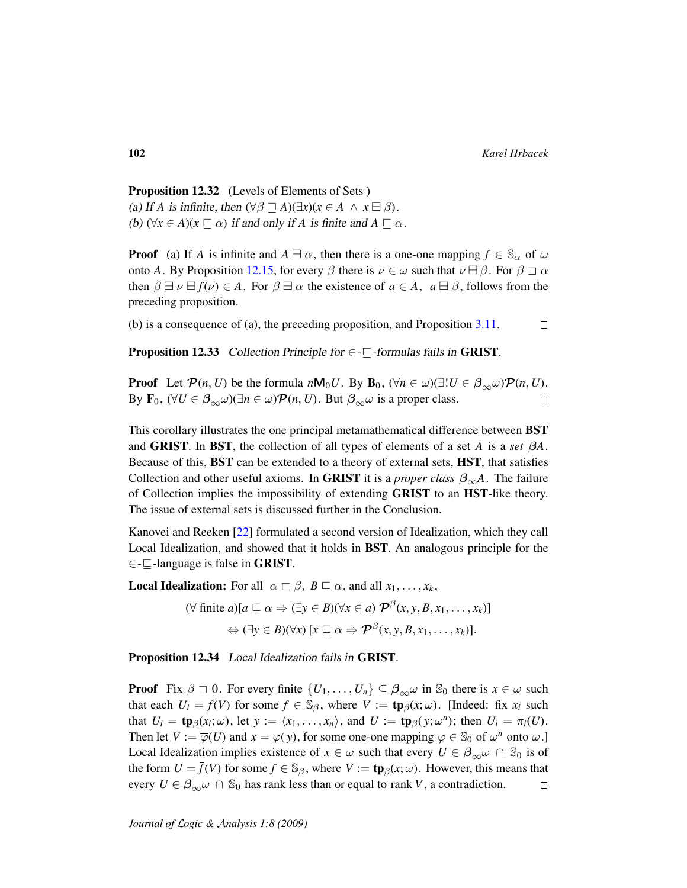Proposition 12.32 (Levels of Elements of Sets ) (a) If *A* is infinite, then  $(\forall \beta \sqsupseteq A)(\exists x)(x \in A \land x \boxminus \beta)$ . (b)  $(\forall x \in A)(x \sqsubset \alpha)$  if and only if *A* is finite and  $A \sqsubset \alpha$ .

**Proof** (a) If *A* is infinite and  $A \boxminus \alpha$ , then there is a one-one mapping  $f \in \mathbb{S}_{\alpha}$  of  $\omega$ onto *A*. By Proposition [12.15,](#page-92-0) for every  $\beta$  there is  $\nu \in \omega$  such that  $\nu \Box \beta$ . For  $\beta \Box \alpha$ then  $\beta \boxminus \nu \boxminus f(\nu) \in A$ . For  $\beta \boxminus \alpha$  the existence of  $a \in A$ ,  $a \boxminus \beta$ , follows from the preceding proposition.

(b) is a consequence of (a), the preceding proposition, and Proposition [3.11.](#page-21-0)  $\Box$ 

<span id="page-101-0"></span>**Proposition 12.33** Collection Principle for  $\in$ - $\subseteq$ -formulas fails in GRIST.

**Proof** Let  $\mathcal{P}(n, U)$  be the formula  $n\mathbf{M}_0 U$ . By  $\mathbf{B}_0$ ,  $(\forall n \in \omega)(\exists ! U \in \beta_{\infty}\omega)\mathcal{P}(n, U)$ . By  $\mathbf{F}_0$ ,  $(\forall U \in \beta_{\infty} \omega)(\exists n \in \omega) \mathcal{P}(n, U)$ . But  $\beta_{\infty} \omega$  is a proper class.  $\Box$ 

This corollary illustrates the one principal metamathematical difference between BST and **GRIST**. In **BST**, the collection of all types of elements of a set *A* is a *set*  $\beta A$ . Because of this, BST can be extended to a theory of external sets, HST, that satisfies Collection and other useful axioms. In **GRIST** it is a *proper class*  $\beta_{\infty}A$ . The failure of Collection implies the impossibility of extending GRIST to an HST-like theory. The issue of external sets is discussed further in the Conclusion.

Kanovei and Reeken [\[22\]](#page-107-1) formulated a second version of Idealization, which they call Local Idealization, and showed that it holds in BST. An analogous principle for the  $\in$  - $\sqsubseteq$ -language is false in **GRIST**.

**Local Idealization:** For all  $\alpha \sqsubset \beta$ ,  $B \sqsubseteq \alpha$ , and all  $x_1, \ldots, x_k$ ,

$$
(\forall \text{ finite } a)[a \sqsubseteq \alpha \Rightarrow (\exists y \in B)(\forall x \in a) \mathcal{P}^{\beta}(x, y, B, x_1, \dots, x_k)]
$$

$$
\Leftrightarrow (\exists y \in B)(\forall x) [x \sqsubseteq \alpha \Rightarrow \mathcal{P}^{\beta}(x, y, B, x_1, \dots, x_k)].
$$

Proposition 12.34 Local Idealization fails in GRIST.

**Proof** Fix  $\beta \supseteq 0$ . For every finite  $\{U_1, \ldots, U_n\} \subseteq \beta_\infty \omega$  in  $\mathbb{S}_0$  there is  $x \in \omega$  such that each  $U_i = \overline{f}(V)$  for some  $f \in \mathbb{S}_{\beta}$ , where  $V := \text{tp}_{\beta}(x; \omega)$ . [Indeed: fix  $x_i$  such that  $U_i = \text{tp}_{\beta}(x_i; \omega)$ , let  $y := \langle x_1, \dots, x_n \rangle$ , and  $U := \text{tp}_{\beta}(y; \omega^n)$ ; then  $U_i = \overline{\pi_i}(U)$ . Then let  $V := \overline{\varphi}(U)$  and  $x = \varphi(y)$ , for some one-one mapping  $\varphi \in \mathbb{S}_0$  of  $\omega^n$  onto  $\omega$ .] Local Idealization implies existence of  $x \in \omega$  such that every  $U \in \beta_{\infty} \omega \cap \mathbb{S}_0$  is of the form  $U = \overline{f}(V)$  for some  $f \in \mathbb{S}_{\beta}$ , where  $V := \text{tp}_{\beta}(x; \omega)$ . However, this means that every  $U \in \mathcal{B}_{\infty} \omega \cap \mathbb{S}_0$  has rank less than or equal to rank *V*, a contradiction.  $\Box$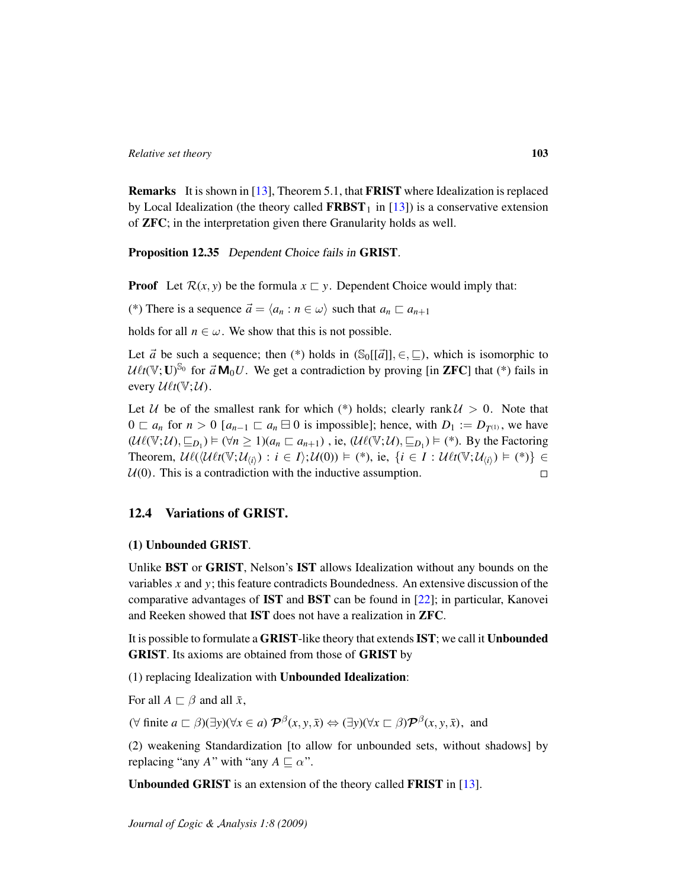Remarks It is shown in [\[13\]](#page-106-0), Theorem 5.1, that FRIST where Idealization is replaced by Local Idealization (the theory called  $FRBST<sub>1</sub>$  in [\[13\]](#page-106-0)) is a conservative extension of ZFC; in the interpretation given there Granularity holds as well.

Proposition 12.35 Dependent Choice fails in GRIST.

**Proof** Let  $\mathcal{R}(x, y)$  be the formula  $x \subseteq y$ . Dependent Choice would imply that:

(\*) There is a sequence  $\vec{a} = \langle a_n : n \in \omega \rangle$  such that  $a_n \square a_{n+1}$ 

holds for all  $n \in \omega$ . We show that this is not possible.

Let  $\vec{a}$  be such a sequence; then (\*) holds in  $(\mathcal{S}_0[[\vec{a}]], \in, \sqsubseteq)$ , which is isomorphic to  $U\ell t(\mathbb{V};\mathbf{U})^{\mathbb{S}_0}$  for  $\vec{a} \mathbf{M}_0 U$ . We get a contradiction by proving [in **ZFC**] that (\*) fails in every  $\mathcal{U}\ell t(\mathbb{V}; \mathcal{U})$ .

Let U be of the smallest rank for which (\*) holds; clearly rank  $U > 0$ . Note that  $0 \subset a_n$  for  $n > 0$  [ $a_{n-1} \subset a_n \boxminus 0$  is impossible]; hence, with  $D_1 := D_{T^{(1)}}$ , we have  $(\mathcal{U}\ell(\mathbb{V};\mathcal{U}),\subseteq_{D_1}) \models (\forall n \geq 1)(a_n \sqsubset a_{n+1})$ , ie,  $(\mathcal{U}\ell(\mathbb{V};\mathcal{U}),\subseteq_{D_1}) \models (*)$ . By the Factoring Theorem,  $\mathcal{U}\ell(\langle \mathcal{U}\ell t(\mathbb{V};\mathcal{U}_{\langle i \rangle}): i \in I \rangle; \mathcal{U}(0)) \models (*)$ , ie,  $\{i \in I : \mathcal{U}\ell t(\mathbb{V};\mathcal{U}_{\langle i \rangle}) \models (*)\} \in$  $U(0)$ . This is a contradiction with the inductive assumption.  $\Box$ 

# 12.4 Variations of GRIST.

#### (1) Unbounded GRIST.

Unlike BST or GRIST, Nelson's IST allows Idealization without any bounds on the variables *x* and *y*; this feature contradicts Boundedness. An extensive discussion of the comparative advantages of IST and BST can be found in [\[22\]](#page-107-1); in particular, Kanovei and Reeken showed that IST does not have a realization in ZFC.

It is possible to formulate a GRIST-like theory that extends IST; we call it Unbounded GRIST. Its axioms are obtained from those of GRIST by

(1) replacing Idealization with Unbounded Idealization:

For all  $A \sqsubset \beta$  and all  $\bar{x}$ ,

 $(\forall \text{ finite } a \sqsubset \beta)(\exists y)(\forall x \in a) \mathcal{P}^{\beta}(x, y, \bar{x}) \Leftrightarrow (\exists y)(\forall x \sqsubset \beta)\mathcal{P}^{\beta}(x, y, \bar{x}), \text{ and}$ 

(2) weakening Standardization [to allow for unbounded sets, without shadows] by replacing "any *A*" with "any  $A \sqsubseteq \alpha$ ".

Unbounded GRIST is an extension of the theory called FRIST in [\[13\]](#page-106-0).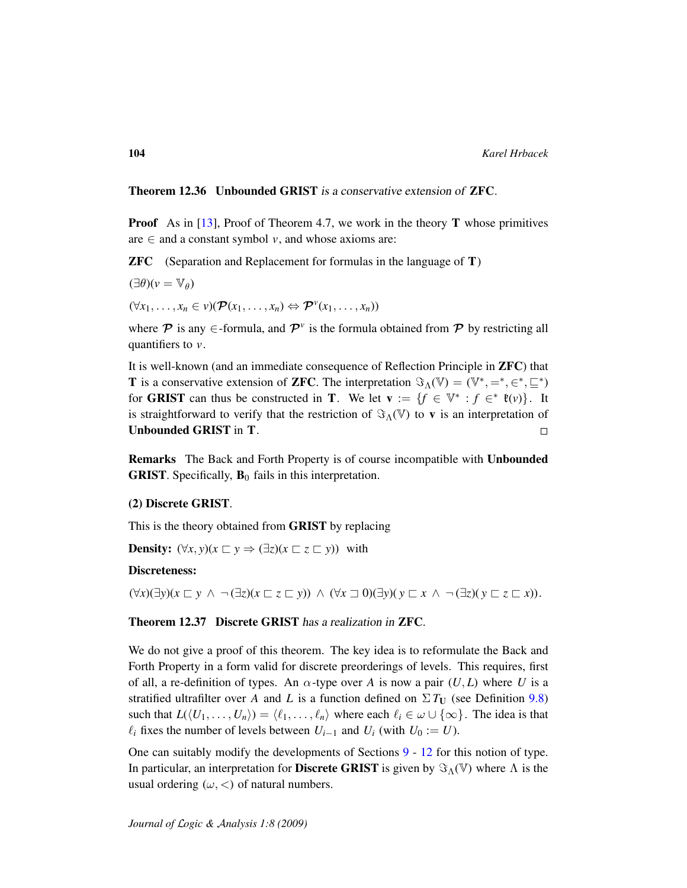Theorem 12.36 Unbounded GRIST is a conservative extension of ZFC.

**Proof** As in [\[13\]](#page-106-0), Proof of Theorem 4.7, we work in the theory **T** whose primitives are  $\in$  and a constant symbol *v*, and whose axioms are:

ZFC (Separation and Replacement for formulas in the language of T)

$$
(\exists \theta)(v = \mathbb{V}_{\theta})
$$
  

$$
(\forall x_1, \ldots, x_n \in v)(\mathcal{P}(x_1, \ldots, x_n) \Leftrightarrow \mathcal{P}^v(x_1, \ldots, x_n))
$$

where  $P$  is any  $\in$ -formula, and  $P^{\nu}$  is the formula obtained from  $P$  by restricting all quantifiers to *v*.

It is well-known (and an immediate consequence of Reflection Principle in ZFC) that **T** is a conservative extension of **ZFC**. The interpretation  $\Im_{\Lambda}(\mathbb{V}) = (\mathbb{V}^*, =^*, \in^*, \subseteq^*)$ for **GRIST** can thus be constructed in **T**. We let  $\mathbf{v} := \{f \in \mathbb{V}^* : f \in^* \mathfrak{k}(v)\}\.$  It is straightforward to verify that the restriction of  $\Im_{\Lambda}(\mathbb{V})$  to **v** is an interpretation of Unbounded GRIST in T.  $\Box$ 

Remarks The Back and Forth Property is of course incompatible with Unbounded **GRIST**. Specifically,  $\mathbf{B}_0$  fails in this interpretation.

## (2) Discrete GRIST.

This is the theory obtained from GRIST by replacing

**Density:**  $(\forall x, y)(x \sqsubset y \Rightarrow (\exists z)(x \sqsubset z \sqsubset y))$  with

#### Discreteness:

 $(\forall x)(\exists y)(x \sqsubset y \land \neg (\exists z)(x \sqsubset z \sqsubset y)) \land (\forall x \sqsupset 0)(\exists y)(y \sqsubset x \land \neg (\exists z)(y \sqsubset z \sqsubset x)).$ 

Theorem 12.37 Discrete GRIST has a realization in ZFC.

We do not give a proof of this theorem. The key idea is to reformulate the Back and Forth Property in a form valid for discrete preorderings of levels. This requires, first of all, a re-definition of types. An  $\alpha$ -type over *A* is now a pair  $(U, L)$  where *U* is a stratified ultrafilter over *A* and *L* is a function defined on  $\Sigma T_U$  (see Definition [9.8\)](#page-55-1) such that  $L(\langle U_1, \ldots, U_n \rangle) = \langle \ell_1, \ldots, \ell_n \rangle$  where each  $\ell_i \in \omega \cup \{\infty\}$ . The idea is that  $\ell_i$  fixes the number of levels between *U*<sub>*i*−1</sub> and *U*<sub>*i*</sub> (with *U*<sup>0</sup> := *U*).

One can suitably modify the developments of Sections [9](#page-52-0) - [12](#page-89-1) for this notion of type. In particular, an interpretation for **Discrete GRIST** is given by  $\Im_{\Lambda}(\mathbb{V})$  where  $\Lambda$  is the usual ordering  $(\omega, <)$  of natural numbers.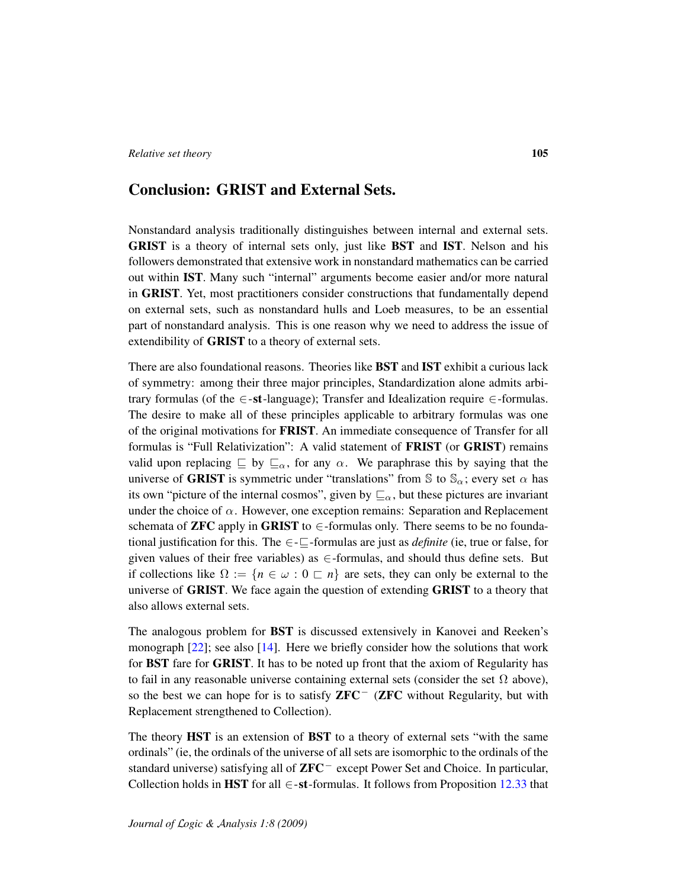# Conclusion: GRIST and External Sets.

Nonstandard analysis traditionally distinguishes between internal and external sets. GRIST is a theory of internal sets only, just like BST and IST. Nelson and his followers demonstrated that extensive work in nonstandard mathematics can be carried out within IST. Many such "internal" arguments become easier and/or more natural in GRIST. Yet, most practitioners consider constructions that fundamentally depend on external sets, such as nonstandard hulls and Loeb measures, to be an essential part of nonstandard analysis. This is one reason why we need to address the issue of extendibility of GRIST to a theory of external sets.

There are also foundational reasons. Theories like BST and IST exhibit a curious lack of symmetry: among their three major principles, Standardization alone admits arbitrary formulas (of the ∈-st-language); Transfer and Idealization require ∈-formulas. The desire to make all of these principles applicable to arbitrary formulas was one of the original motivations for FRIST. An immediate consequence of Transfer for all formulas is "Full Relativization": A valid statement of FRIST (or GRIST) remains valid upon replacing  $\subseteq$  by  $\subseteq_{\alpha}$ , for any  $\alpha$ . We paraphrase this by saying that the universe of GRIST is symmetric under "translations" from S to  $\mathbb{S}_{\alpha}$ ; every set  $\alpha$  has its own "picture of the internal cosmos", given by  $\sqsubseteq_{\alpha}$ , but these pictures are invariant under the choice of  $\alpha$ . However, one exception remains: Separation and Replacement schemata of **ZFC** apply in GRIST to  $\in$ -formulas only. There seems to be no foundational justification for this. The  $\epsilon$ - $\epsilon$ -formulas are just as *definite* (ie, true or false, for given values of their free variables) as ∈-formulas, and should thus define sets. But if collections like  $\Omega := \{n \in \omega : 0 \subset n\}$  are sets, they can only be external to the universe of GRIST. We face again the question of extending GRIST to a theory that also allows external sets.

The analogous problem for BST is discussed extensively in Kanovei and Reeken's monograph [\[22\]](#page-107-1); see also [\[14\]](#page-106-2). Here we briefly consider how the solutions that work for BST fare for GRIST. It has to be noted up front that the axiom of Regularity has to fail in any reasonable universe containing external sets (consider the set  $\Omega$  above), so the best we can hope for is to satisfy **ZFC<sup>-</sup>** (**ZFC** without Regularity, but with Replacement strengthened to Collection).

The theory HST is an extension of BST to a theory of external sets "with the same ordinals" (ie, the ordinals of the universe of all sets are isomorphic to the ordinals of the standard universe) satisfying all of ZFC<sup>−</sup> except Power Set and Choice. In particular, Collection holds in HST for all  $\in$ -st-formulas. It follows from Proposition [12.33](#page-101-0) that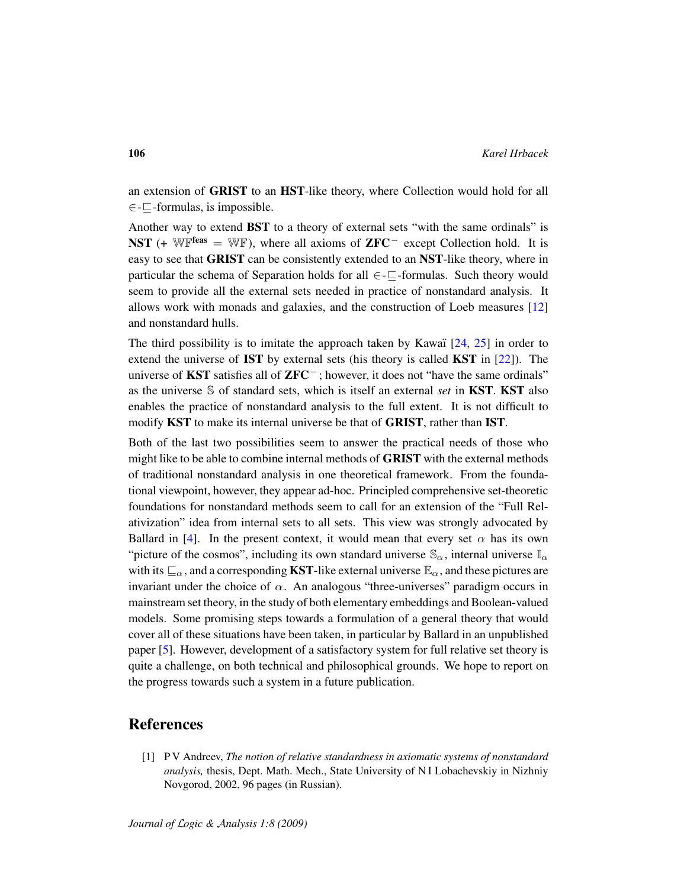an extension of GRIST to an HST-like theory, where Collection would hold for all  $\in$  –  $\subset$  -formulas, is impossible.

Another way to extend BST to a theory of external sets "with the same ordinals" is **NST** (+ WF<sup>feas</sup> = WF), where all axioms of **ZFC**<sup>-</sup> except Collection hold. It is easy to see that GRIST can be consistently extended to an NST-like theory, where in particular the schema of Separation holds for all  $\in$ - $\sqsubset$ -formulas. Such theory would seem to provide all the external sets needed in practice of nonstandard analysis. It allows work with monads and galaxies, and the construction of Loeb measures [\[12\]](#page-106-5) and nonstandard hulls.

The third possibility is to imitate the approach taken by Kawaï  $[24, 25]$  $[24, 25]$  $[24, 25]$  in order to extend the universe of **IST** by external sets (his theory is called **KST** in  $[22]$ ). The universe of KST satisfies all of ZFC<sup>−</sup> ; however, it does not "have the same ordinals" as the universe S of standard sets, which is itself an external *set* in KST. KST also enables the practice of nonstandard analysis to the full extent. It is not difficult to modify KST to make its internal universe be that of GRIST, rather than IST.

Both of the last two possibilities seem to answer the practical needs of those who might like to be able to combine internal methods of GRIST with the external methods of traditional nonstandard analysis in one theoretical framework. From the foundational viewpoint, however, they appear ad-hoc. Principled comprehensive set-theoretic foundations for nonstandard methods seem to call for an extension of the "Full Relativization" idea from internal sets to all sets. This view was strongly advocated by Ballard in [\[4\]](#page-106-6). In the present context, it would mean that every set  $\alpha$  has its own "picture of the cosmos", including its own standard universe  $\mathbb{S}_{\alpha}$ , internal universe  $\mathbb{I}_{\alpha}$ with its  $\sqsubseteq_{\alpha}$ , and a corresponding **KST**-like external universe  $\mathbb{E}_{\alpha}$ , and these pictures are invariant under the choice of  $\alpha$ . An analogous "three-universes" paradigm occurs in mainstream set theory, in the study of both elementary embeddings and Boolean-valued models. Some promising steps towards a formulation of a general theory that would cover all of these situations have been taken, in particular by Ballard in an unpublished paper [\[5\]](#page-106-7). However, development of a satisfactory system for full relative set theory is quite a challenge, on both technical and philosophical grounds. We hope to report on the progress towards such a system in a future publication.

# References

[1] P V Andreev, *The notion of relative standardness in axiomatic systems of nonstandard analysis,* thesis, Dept. Math. Mech., State University of N I Lobachevskiy in Nizhniy Novgorod, 2002, 96 pages (in Russian).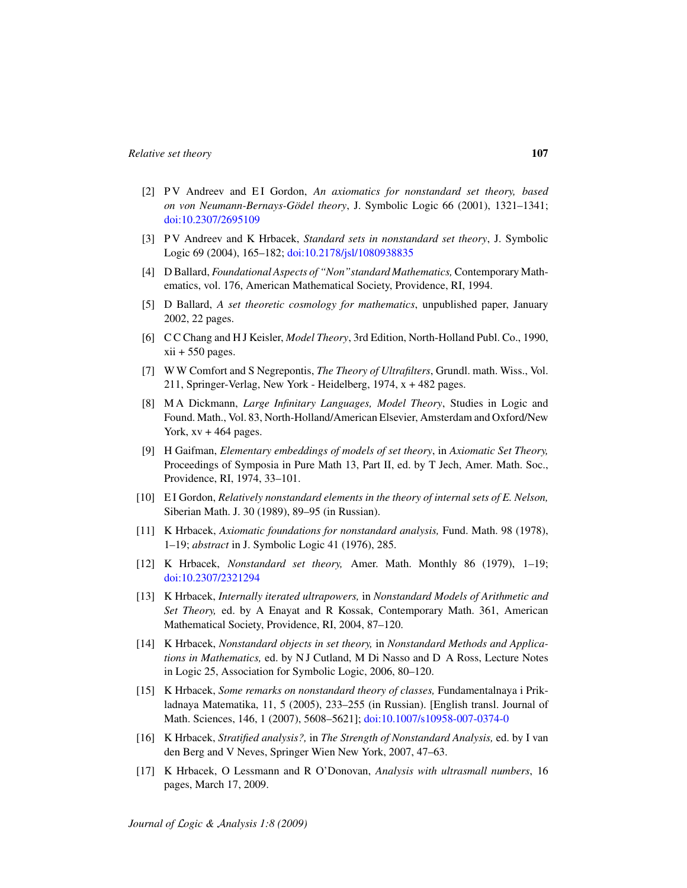- [2] PV Andreev and EI Gordon, *An axiomatics for nonstandard set theory, based on von Neumann-Bernays-Gödel theory*, J. Symbolic Logic 66 (2001), 1321–1341; [doi:10.2307/2695109](http://dx.doi.org/10.2307/2695109)
- <span id="page-106-1"></span>[3] P V Andreev and K Hrbacek, *Standard sets in nonstandard set theory*, J. Symbolic Logic 69 (2004), 165–182; [doi:10.2178/jsl/1080938835](http://dx.doi.org/10.2178/jsl/1080938835)
- <span id="page-106-6"></span>[4] D Ballard, *Foundational Aspects of "Non"standard Mathematics,* Contemporary Mathematics, vol. 176, American Mathematical Society, Providence, RI, 1994.
- <span id="page-106-7"></span>[5] D Ballard, *A set theoretic cosmology for mathematics*, unpublished paper, January 2002, 22 pages.
- [6] C C Chang and H J Keisler, *Model Theory*, 3rd Edition, North-Holland Publ. Co., 1990,  $xii + 550$  pages.
- [7] W W Comfort and S Negrepontis, *The Theory of Ultrafilters*, Grundl. math. Wiss., Vol. 211, Springer-Verlag, New York - Heidelberg, 1974, x + 482 pages.
- [8] M A Dickmann, *Large Infinitary Languages, Model Theory*, Studies in Logic and Found. Math., Vol. 83, North-Holland/American Elsevier, Amsterdam and Oxford/New York,  $xy + 464$  pages.
- [9] H Gaifman, *Elementary embeddings of models of set theory*, in *Axiomatic Set Theory,* Proceedings of Symposia in Pure Math 13, Part II, ed. by T Jech, Amer. Math. Soc., Providence, RI, 1974, 33–101.
- [10] E I Gordon, *Relatively nonstandard elements in the theory of internal sets of E. Nelson,* Siberian Math. J. 30 (1989), 89–95 (in Russian).
- [11] K Hrbacek, *Axiomatic foundations for nonstandard analysis,* Fund. Math. 98 (1978), 1–19; *abstract* in J. Symbolic Logic 41 (1976), 285.
- <span id="page-106-5"></span>[12] K Hrbacek, *Nonstandard set theory,* Amer. Math. Monthly 86 (1979), 1–19; [doi:10.2307/2321294](http://dx.doi.org/10.2307/2321294)
- <span id="page-106-0"></span>[13] K Hrbacek, *Internally iterated ultrapowers,* in *Nonstandard Models of Arithmetic and Set Theory,* ed. by A Enayat and R Kossak, Contemporary Math. 361, American Mathematical Society, Providence, RI, 2004, 87–120.
- <span id="page-106-2"></span>[14] K Hrbacek, *Nonstandard objects in set theory,* in *Nonstandard Methods and Applications in Mathematics,* ed. by N J Cutland, M Di Nasso and D A Ross, Lecture Notes in Logic 25, Association for Symbolic Logic, 2006, 80–120.
- [15] K Hrbacek, *Some remarks on nonstandard theory of classes,* Fundamentalnaya i Prikladnaya Matematika, 11, 5 (2005), 233–255 (in Russian). [English transl. Journal of Math. Sciences, 146, 1 (2007), 5608–5621]; [doi:10.1007/s10958-007-0374-0](http://dx.doi.org/10.1007/s10958-007-0374-0)
- <span id="page-106-3"></span>[16] K Hrbacek, *Stratified analysis?,* in *The Strength of Nonstandard Analysis,* ed. by I van den Berg and V Neves, Springer Wien New York, 2007, 47–63.
- <span id="page-106-4"></span>[17] K Hrbacek, O Lessmann and R O'Donovan, *Analysis with ultrasmall numbers*, 16 pages, March 17, 2009.